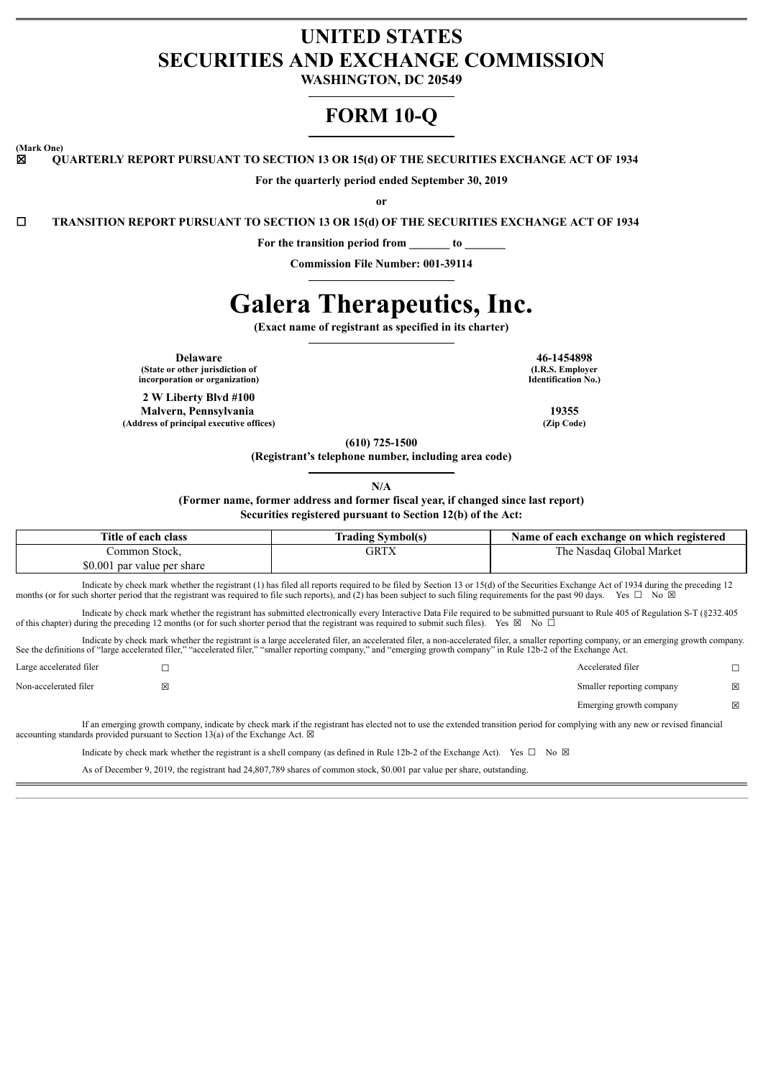### **UNITED STATES SECURITIES AND EXCHANGE COMMISSION**

**WASHINGTON, DC 20549**

## **FORM 10-Q**

**(Mark One)**

☒ **QUARTERLY REPORT PURSUANT TO SECTION 13 OR 15(d) OF THE SECURITIES EXCHANGE ACT OF 1934**

**For the quarterly period ended September 30, 2019**

**or**

☐ **TRANSITION REPORT PURSUANT TO SECTION 13 OR 15(d) OF THE SECURITIES EXCHANGE ACT OF 1934**

**For the transition period from \_\_\_\_\_\_\_ to \_\_\_\_\_\_\_**

**Commission File Number: 001-39114**

# **Galera Therapeutics, Inc.**

**(Exact name of registrant as specified in its charter)**

**Delaware 46-1454898 (State or other jurisdiction of incorporation or organization)**

**2 W Liberty Blvd #100 Malvern, Pennsylvania 19355 (Address of principal executive offices) (Zip Code)**

**(I.R.S. Employer Identification No.)**

**(610) 725-1500**

**(Registrant's telephone number, including area code)**

**N/A**

**(Former name, former address and former fiscal year, if changed since last report)**

**Securities registered pursuant to Section 12(b) of the Act:**

| Title of each class         | <b>Frading Symbol(s)</b> | Name of each exchange on which registered |
|-----------------------------|--------------------------|-------------------------------------------|
| Common Stock.               | GRTX                     | The Nasdaq Global Market                  |
| \$0.001 par value per share |                          |                                           |
| .                           |                          |                                           |

Indicate by check mark whether the registrant (1) has filed all reports required to be filed by Section 13 or 15(d) of the Securities Exchange Act of 1934 during the preceding 12 months (or for such shorter period that the registrant was required to file such reports), and (2) has been subject to such filing requirements for the past 90 days. Yes □ No ⊠

Indicate by check mark whether the registrant has submitted electronically every Interactive Data File required to be submitted pursuant to Rule 405 of Regulation S-T (§232.405 of this chapter) during the preceding 12 months (or for such shorter period that the registrant was required to submit such files). Yes  $\boxtimes$  No  $\Box$ 

Indicate by check mark whether the registrant is a large accelerated filer, an accelerated filer, a non-accelerated filer, a smaller reporting company, or an emerging growth company. See the definitions of "large accelerated filer," "accelerated filer," "smaller reporting company," and "emerging growth company" in Rule 12b-2 of the Exchange Act.

| $\mathbf{r}$            | $\cdots$<br>.<br>$\cdot$ $\cdot$ $\cdot$ | $\sim$                    |   |
|-------------------------|------------------------------------------|---------------------------|---|
|                         |                                          | Emerging growth company   | X |
| Non-accelerated filer   | ×                                        | Smaller reporting company | ⊠ |
| Large accelerated filer | ─                                        | Accelerated filer         | – |

If an emerging growth company, indicate by check mark if the registrant has elected not to use the extended transition period for complying with any new or revised financial accounting standards provided pursuant to Section 13(a) of the Exchange Act.  $\boxtimes$ 

Indicate by check mark whether the registrant is a shell company (as defined in Rule 12b-2 of the Exchange Act). Yes  $\Box$  No  $\boxtimes$ 

As of December 9, 2019, the registrant had 24,807,789 shares of common stock, \$0.001 par value per share, outstanding.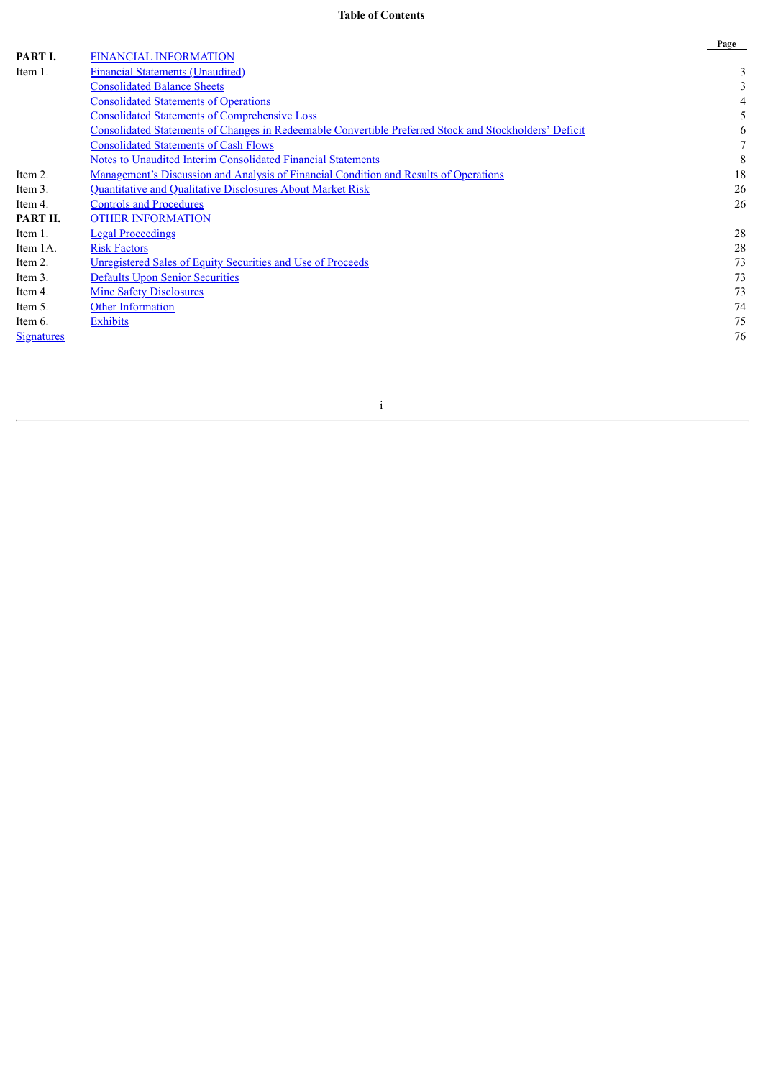#### **Table of Contents**

|                   |                                                                                                        | Page         |
|-------------------|--------------------------------------------------------------------------------------------------------|--------------|
| PART I.           | <b>FINANCIAL INFORMATION</b>                                                                           |              |
| Item 1.           | <b>Financial Statements (Unaudited)</b>                                                                | 3            |
|                   | <b>Consolidated Balance Sheets</b>                                                                     | 3            |
|                   | <b>Consolidated Statements of Operations</b>                                                           |              |
|                   | <b>Consolidated Statements of Comprehensive Loss</b>                                                   |              |
|                   | Consolidated Statements of Changes in Redeemable Convertible Preferred Stock and Stockholders' Deficit | <sub>b</sub> |
|                   | <b>Consolidated Statements of Cash Flows</b>                                                           |              |
|                   | <b>Notes to Unaudited Interim Consolidated Financial Statements</b>                                    | 8            |
| Item 2.           | Management's Discussion and Analysis of Financial Condition and Results of Operations                  | 18           |
| Item 3.           | Quantitative and Qualitative Disclosures About Market Risk                                             | 26           |
| Item 4.           | <b>Controls and Procedures</b>                                                                         | 26           |
| PART II.          | <b>OTHER INFORMATION</b>                                                                               |              |
| Item 1.           | <b>Legal Proceedings</b>                                                                               | 28           |
| Item 1A.          | <b>Risk Factors</b>                                                                                    | 28           |
| Item 2.           | Unregistered Sales of Equity Securities and Use of Proceeds                                            | 73           |
| Item 3.           | <b>Defaults Upon Senior Securities</b>                                                                 | 73           |
| Item 4.           | <b>Mine Safety Disclosures</b>                                                                         | 73           |
| Item 5.           | <b>Other Information</b>                                                                               | 74           |
| Item 6.           | <b>Exhibits</b>                                                                                        | 75           |
| <b>Signatures</b> |                                                                                                        | 76           |

i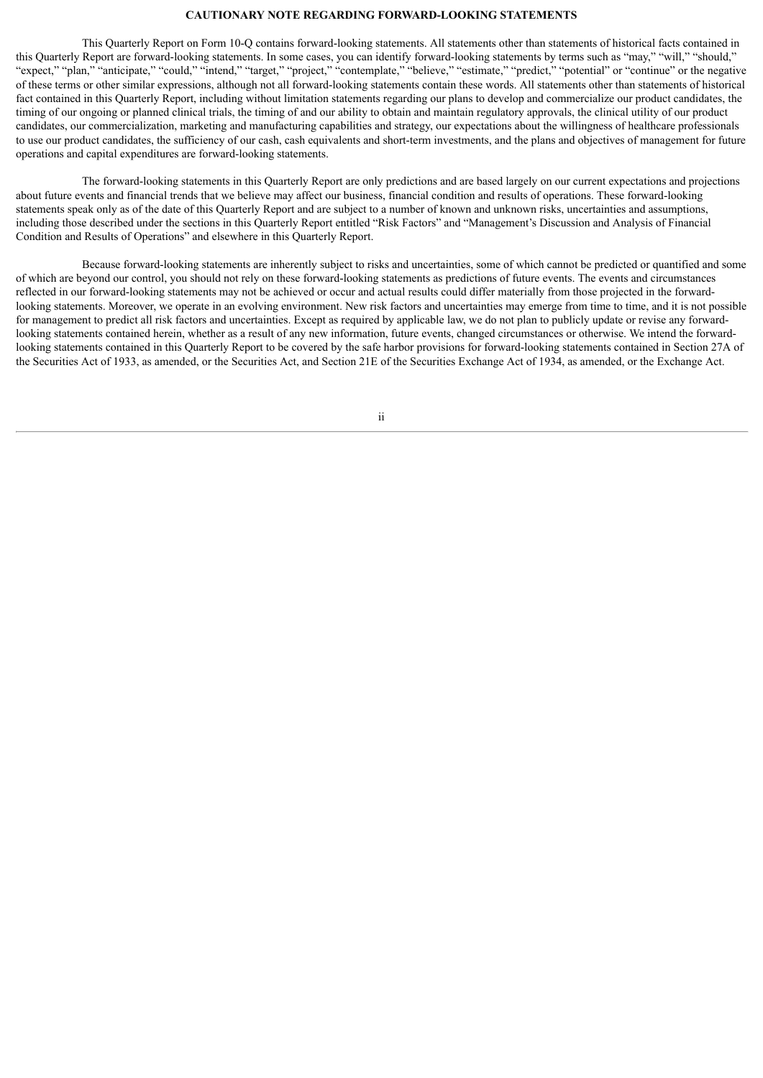#### **CAUTIONARY NOTE REGARDING FORWARD-LOOKING STATEMENTS**

This Quarterly Report on Form 10-Q contains forward-looking statements. All statements other than statements of historical facts contained in this Quarterly Report are forward-looking statements. In some cases, you can identify forward-looking statements by terms such as "may," "will," "should," "expect," "plan," "anticipate," "could," "intend," "target," "project," "contemplate," "believe," "estimate," "predict," "potential" or "continue" or the negative of these terms or other similar expressions, although not all forward-looking statements contain these words. All statements other than statements of historical fact contained in this Quarterly Report, including without limitation statements regarding our plans to develop and commercialize our product candidates, the timing of our ongoing or planned clinical trials, the timing of and our ability to obtain and maintain regulatory approvals, the clinical utility of our product candidates, our commercialization, marketing and manufacturing capabilities and strategy, our expectations about the willingness of healthcare professionals to use our product candidates, the sufficiency of our cash, cash equivalents and short-term investments, and the plans and objectives of management for future operations and capital expenditures are forward-looking statements.

The forward-looking statements in this Quarterly Report are only predictions and are based largely on our current expectations and projections about future events and financial trends that we believe may affect our business, financial condition and results of operations. These forward-looking statements speak only as of the date of this Quarterly Report and are subject to a number of known and unknown risks, uncertainties and assumptions, including those described under the sections in this Quarterly Report entitled "Risk Factors" and "Management's Discussion and Analysis of Financial Condition and Results of Operations" and elsewhere in this Quarterly Report.

Because forward-looking statements are inherently subject to risks and uncertainties, some of which cannot be predicted or quantified and some of which are beyond our control, you should not rely on these forward-looking statements as predictions of future events. The events and circumstances reflected in our forward-looking statements may not be achieved or occur and actual results could differ materially from those projected in the forwardlooking statements. Moreover, we operate in an evolving environment. New risk factors and uncertainties may emerge from time to time, and it is not possible for management to predict all risk factors and uncertainties. Except as required by applicable law, we do not plan to publicly update or revise any forwardlooking statements contained herein, whether as a result of any new information, future events, changed circumstances or otherwise. We intend the forwardlooking statements contained in this Quarterly Report to be covered by the safe harbor provisions for forward-looking statements contained in Section 27A of the Securities Act of 1933, as amended, or the Securities Act, and Section 21E of the Securities Exchange Act of 1934, as amended, or the Exchange Act.

ii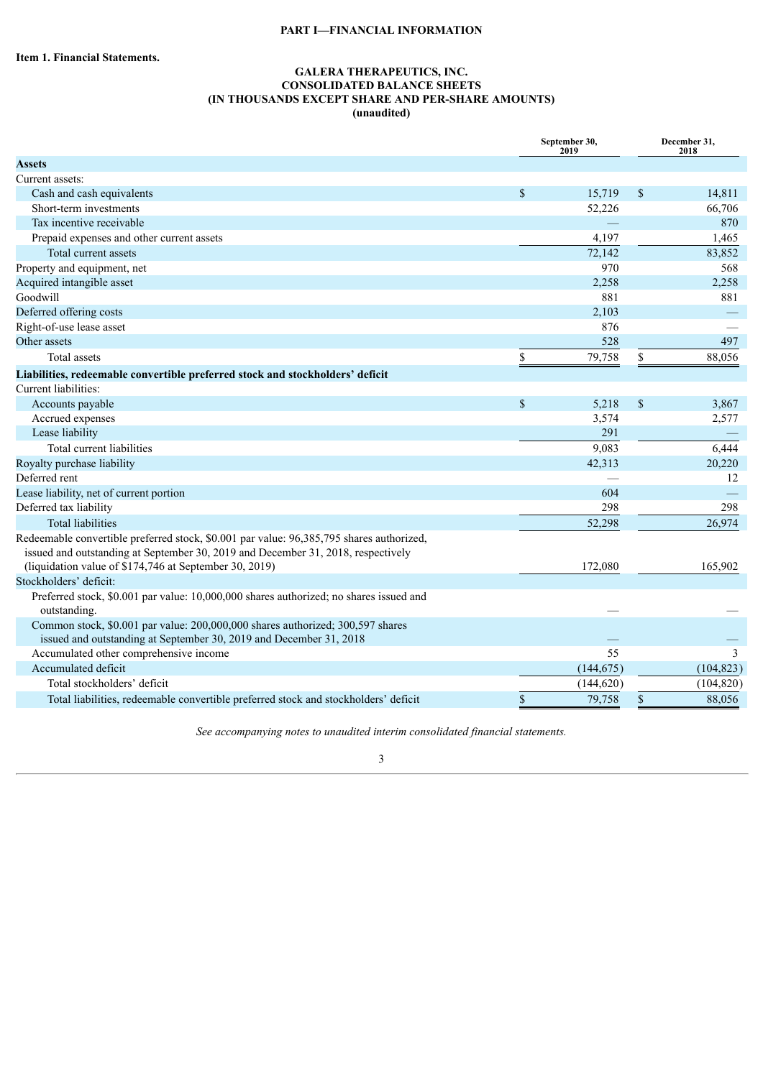#### **PART I—FINANCIAL INFORMATION**

#### **GALERA THERAPEUTICS, INC. CONSOLIDATED BALANCE SHEETS (IN THOUSANDS EXCEPT SHARE AND PER-SHARE AMOUNTS) (unaudited)**

<span id="page-3-1"></span><span id="page-3-0"></span>

|                                                                                                                                                                                                                                        |             | September 30,<br>2019 | December 31,<br>2018 |            |  |
|----------------------------------------------------------------------------------------------------------------------------------------------------------------------------------------------------------------------------------------|-------------|-----------------------|----------------------|------------|--|
| <b>Assets</b>                                                                                                                                                                                                                          |             |                       |                      |            |  |
| Current assets:                                                                                                                                                                                                                        |             |                       |                      |            |  |
| Cash and cash equivalents                                                                                                                                                                                                              | \$          | 15,719                | \$                   | 14,811     |  |
| Short-term investments                                                                                                                                                                                                                 |             | 52,226                |                      | 66,706     |  |
| Tax incentive receivable                                                                                                                                                                                                               |             |                       |                      | 870        |  |
| Prepaid expenses and other current assets                                                                                                                                                                                              |             | 4,197                 |                      | 1,465      |  |
| Total current assets                                                                                                                                                                                                                   |             | 72,142                |                      | 83,852     |  |
| Property and equipment, net                                                                                                                                                                                                            |             | 970                   |                      | 568        |  |
| Acquired intangible asset                                                                                                                                                                                                              |             | 2,258                 |                      | 2,258      |  |
| Goodwill                                                                                                                                                                                                                               |             | 881                   |                      | 881        |  |
| Deferred offering costs                                                                                                                                                                                                                |             | 2,103                 |                      |            |  |
| Right-of-use lease asset                                                                                                                                                                                                               |             | 876                   |                      |            |  |
| Other assets                                                                                                                                                                                                                           |             | 528                   |                      | 497        |  |
| <b>Total assets</b>                                                                                                                                                                                                                    | \$          | 79,758                | \$                   | 88,056     |  |
| Liabilities, redeemable convertible preferred stock and stockholders' deficit                                                                                                                                                          |             |                       |                      |            |  |
| Current liabilities:                                                                                                                                                                                                                   |             |                       |                      |            |  |
| Accounts payable                                                                                                                                                                                                                       | $\mathbf S$ | 5,218                 | \$                   | 3,867      |  |
| Accrued expenses                                                                                                                                                                                                                       |             | 3,574                 |                      | 2,577      |  |
| Lease liability                                                                                                                                                                                                                        |             | 291                   |                      |            |  |
| Total current liabilities                                                                                                                                                                                                              |             | 9,083                 |                      | 6,444      |  |
| Royalty purchase liability                                                                                                                                                                                                             |             | 42,313                |                      | 20,220     |  |
| Deferred rent                                                                                                                                                                                                                          |             |                       |                      | 12         |  |
| Lease liability, net of current portion                                                                                                                                                                                                |             | 604                   |                      |            |  |
| Deferred tax liability                                                                                                                                                                                                                 |             | 298                   |                      | 298        |  |
| <b>Total liabilities</b>                                                                                                                                                                                                               |             | 52,298                |                      | 26,974     |  |
| Redeemable convertible preferred stock, \$0.001 par value: 96,385,795 shares authorized,<br>issued and outstanding at September 30, 2019 and December 31, 2018, respectively<br>(liquidation value of \$174,746 at September 30, 2019) |             | 172,080               |                      | 165,902    |  |
| Stockholders' deficit:                                                                                                                                                                                                                 |             |                       |                      |            |  |
| Preferred stock, \$0.001 par value: 10,000,000 shares authorized; no shares issued and<br>outstanding.                                                                                                                                 |             |                       |                      |            |  |
| Common stock, \$0.001 par value: 200,000,000 shares authorized; 300,597 shares<br>issued and outstanding at September 30, 2019 and December 31, 2018                                                                                   |             |                       |                      |            |  |
| Accumulated other comprehensive income                                                                                                                                                                                                 |             | 55                    |                      | 3          |  |
| Accumulated deficit                                                                                                                                                                                                                    |             | (144, 675)            |                      | (104, 823) |  |
| Total stockholders' deficit                                                                                                                                                                                                            |             | (144, 620)            |                      | (104, 820) |  |
| Total liabilities, redeemable convertible preferred stock and stockholders' deficit                                                                                                                                                    | \$          | 79,758                | \$                   | 88,056     |  |

*See accompanying notes to unaudited interim consolidated financial statements.*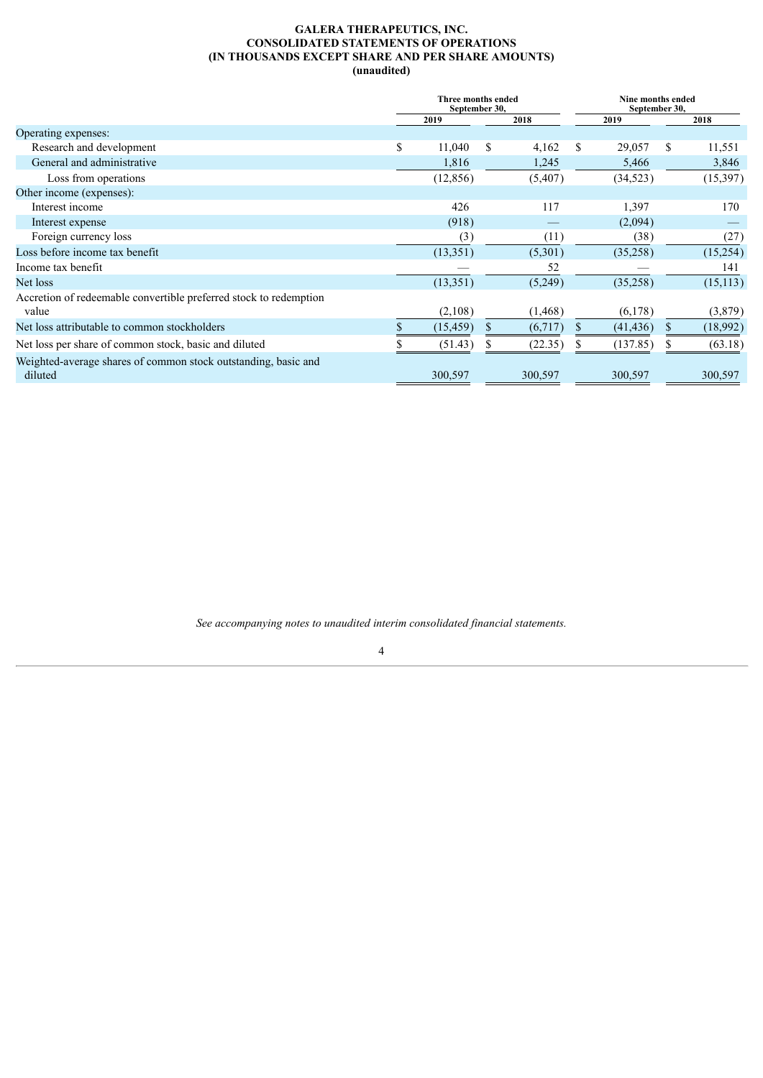#### **GALERA THERAPEUTICS, INC. CONSOLIDATED STATEMENTS OF OPERATIONS (IN THOUSANDS EXCEPT SHARE AND PER SHARE AMOUNTS) (unaudited)**

<span id="page-4-0"></span>

|                                                                   | Three months ended<br>September 30, |     |          |    | Nine months ended<br>September 30, |   |           |
|-------------------------------------------------------------------|-------------------------------------|-----|----------|----|------------------------------------|---|-----------|
|                                                                   | 2019                                |     | 2018     |    | 2019                               |   | 2018      |
| Operating expenses:                                               |                                     |     |          |    |                                    |   |           |
| Research and development                                          | \$<br>11,040                        | S   | 4,162    | -S | 29,057                             | S | 11,551    |
| General and administrative                                        | 1,816                               |     | 1,245    |    | 5,466                              |   | 3,846     |
| Loss from operations                                              | (12, 856)                           |     | (5,407)  |    | (34, 523)                          |   | (15, 397) |
| Other income (expenses):                                          |                                     |     |          |    |                                    |   |           |
| Interest income                                                   | 426                                 |     | 117      |    | 1,397                              |   | 170       |
| Interest expense                                                  | (918)                               |     |          |    | (2,094)                            |   |           |
| Foreign currency loss                                             | (3)                                 |     | (11)     |    | (38)                               |   | (27)      |
| Loss before income tax benefit                                    | (13, 351)                           |     | (5,301)  |    | (35,258)                           |   | (15,254)  |
| Income tax benefit                                                |                                     |     | 52       |    |                                    |   | 141       |
| Net loss                                                          | (13, 351)                           |     | (5,249)  |    | (35,258)                           |   | (15, 113) |
| Accretion of redeemable convertible preferred stock to redemption |                                     |     |          |    |                                    |   |           |
| value                                                             | (2,108)                             |     | (1, 468) |    | (6,178)                            |   | (3,879)   |
| Net loss attributable to common stockholders                      | (15, 459)                           | \$. | (6,717)  |    | (41, 436)                          |   | (18,992)  |
| Net loss per share of common stock, basic and diluted             | (51.43)                             |     | (22.35)  |    | (137.85)                           |   | (63.18)   |
| Weighted-average shares of common stock outstanding, basic and    |                                     |     |          |    |                                    |   |           |
| diluted                                                           | 300,597                             |     | 300,597  |    | 300,597                            |   | 300,597   |

*See accompanying notes to unaudited interim consolidated financial statements.*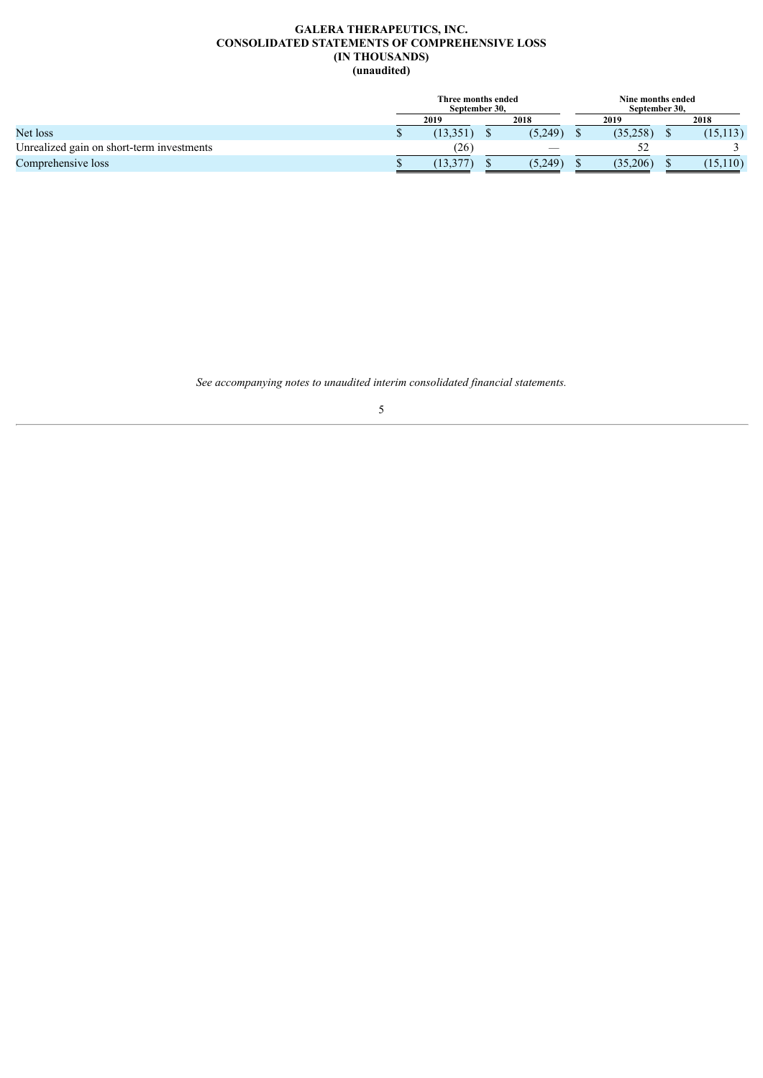#### **GALERA THERAPEUTICS, INC. CONSOLIDATED STATEMENTS OF COMPREHENSIVE LOSS (IN THOUSANDS) (unaudited)**

<span id="page-5-0"></span>

|                                           | Three months ended<br>September 30. |           |  | Nine months ended<br>September 30. |  |          |  |           |
|-------------------------------------------|-------------------------------------|-----------|--|------------------------------------|--|----------|--|-----------|
|                                           |                                     | 2019      |  | 2018                               |  | 2019     |  | 2018      |
| Net loss                                  |                                     | (13, 351) |  | (5,249)                            |  | (35,258) |  | (15, 113) |
| Unrealized gain on short-term investments |                                     | (26)      |  |                                    |  | ے ر      |  |           |
| Comprehensive loss                        |                                     | 13.3      |  | (5,249)                            |  | (35,206) |  | (15, 110) |

*See accompanying notes to unaudited interim consolidated financial statements.*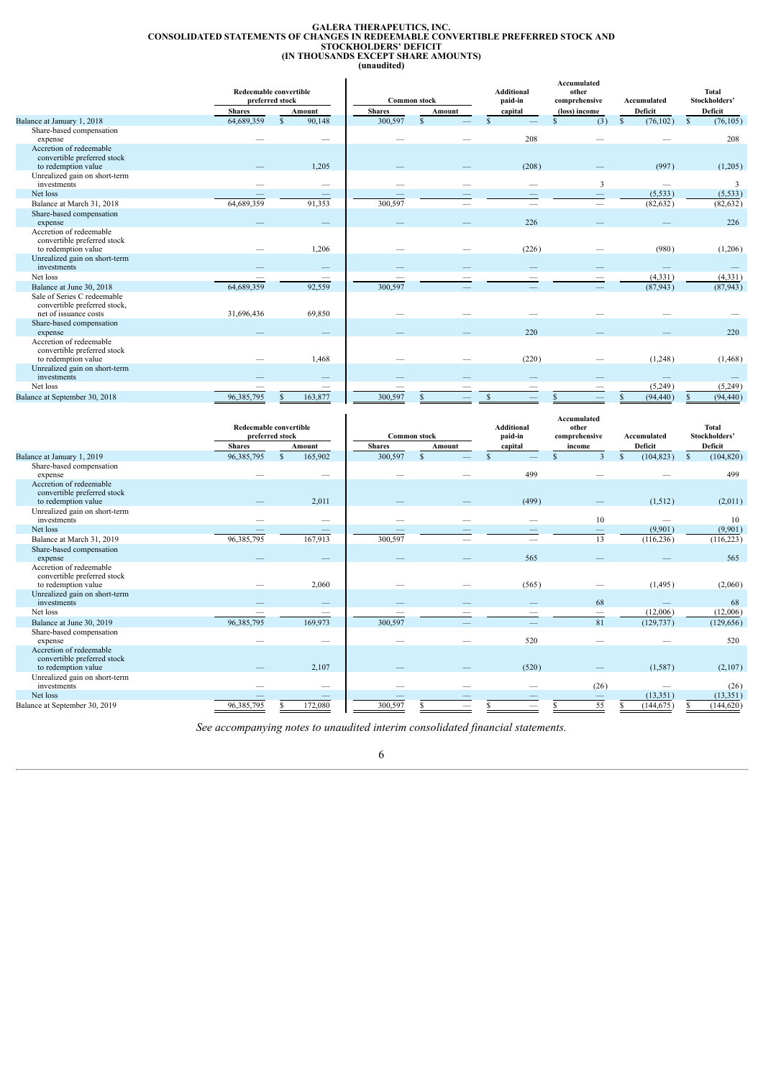# GALERA THERAPEUTICS, INC.<br>CONSOLIDATED STATEMENTS OF CHANGES IN REDEEMABLE CONVERTIBLE PREFERRED STOCK AND<br>TOCKHOLDERS' DEFICIT<br>(IN THOUSANDS EXCEPT SHARE AMOUNTS)<br>(unaudited)

<span id="page-6-0"></span>

|                                                                                      |               | <b>Redeemable convertible</b><br>preferred stock |               | <b>Common stock</b> | <b>Additional</b><br>paid-in | Accumulated<br>other<br>comprehensive | Accumulated               | <b>Total</b><br>Stockholders' |
|--------------------------------------------------------------------------------------|---------------|--------------------------------------------------|---------------|---------------------|------------------------------|---------------------------------------|---------------------------|-------------------------------|
|                                                                                      | <b>Shares</b> | Amount                                           | <b>Shares</b> | Amount              | capital                      | (loss) income                         | Deficit                   | Deficit                       |
| Balance at January 1, 2018                                                           | 64,689,359    | 90,148<br>$\mathbf{s}$                           | 300,597       | $\mathbf S$         |                              | (3)                                   | $\mathbb{S}$<br>(76, 102) | $\mathbb{S}$<br>(76, 105)     |
| Share-based compensation<br>expense                                                  |               | _                                                |               |                     | 208                          |                                       |                           | 208                           |
| Accretion of redeemable<br>convertible preferred stock<br>to redemption value        |               | 1,205                                            |               |                     | (208)                        |                                       | (997)                     | (1,205)                       |
| Unrealized gain on short-term<br>investments                                         |               | -                                                |               |                     |                              | 3                                     |                           | 3                             |
| Net loss                                                                             |               |                                                  |               |                     |                              |                                       | (5, 533)                  | (5, 533)                      |
| Balance at March 31, 2018                                                            | 64,689,359    | 91,353                                           | 300,597       |                     |                              |                                       | (82, 632)                 | (82, 632)                     |
| Share-based compensation<br>expense                                                  |               |                                                  |               |                     | 226                          |                                       |                           | 226                           |
| Accretion of redeemable<br>convertible preferred stock<br>to redemption value        |               | 1,206                                            |               |                     | (226)                        |                                       | (980)                     | (1,206)                       |
| Unrealized gain on short-term<br>investments                                         |               |                                                  |               |                     |                              |                                       |                           |                               |
| Net loss                                                                             |               |                                                  |               |                     |                              |                                       | (4, 331)                  | (4, 331)                      |
| Balance at June 30, 2018                                                             | 64,689,359    | 92,559                                           | 300,597       |                     |                              |                                       | (87,943)                  | (87, 943)                     |
| Sale of Series C redeemable<br>convertible preferred stock,<br>net of issuance costs | 31,696,436    | 69,850                                           |               |                     |                              |                                       |                           |                               |
| Share-based compensation<br>expense                                                  |               |                                                  |               |                     | 220                          |                                       |                           | 220                           |
| Accretion of redeemable<br>convertible preferred stock<br>to redemption value        |               | 1,468                                            |               |                     | (220)                        |                                       | (1,248)                   | (1, 468)                      |
| Unrealized gain on short-term<br>investments                                         |               |                                                  |               |                     |                              |                                       | $\overline{\phantom{a}}$  |                               |
| Net loss                                                                             |               | _                                                |               |                     |                              |                                       | (5,249)                   | (5,249)                       |
| Balance at September 30, 2018                                                        | 96,385,795    | 163,877                                          | 300,597       |                     |                              |                                       | (94, 440)                 | (94, 440)                     |

|                                                                                                                |               | <b>Redeemable convertible</b><br>preferred stock |               | <b>Common stock</b> | Additional<br>paid-in | Accumulated<br>other<br>comprehensive | Accumulated | <b>Total</b><br>Stockholders' |
|----------------------------------------------------------------------------------------------------------------|---------------|--------------------------------------------------|---------------|---------------------|-----------------------|---------------------------------------|-------------|-------------------------------|
|                                                                                                                | <b>Shares</b> | Amount                                           | <b>Shares</b> | Amount              | capital               | income                                | Deficit     | Deficit                       |
| Balance at January 1, 2019                                                                                     | 96, 385, 795  | 165,902<br>\$.                                   | 300,597       |                     |                       | $\mathbf{R}$                          | (104, 823)  | (104, 820)<br>S               |
| Share-based compensation<br>expense                                                                            |               |                                                  |               |                     | 499                   |                                       |             | 499                           |
| Accretion of redeemable<br>convertible preferred stock<br>to redemption value                                  |               | 2,011                                            |               |                     | (499)                 |                                       | (1, 512)    | (2,011)                       |
| Unrealized gain on short-term<br>investments                                                                   |               | $\overline{\phantom{a}}$                         |               |                     |                       | 10                                    |             | 10                            |
| Net loss                                                                                                       |               | –                                                |               |                     |                       | $\hspace{0.1mm}-\hspace{0.1mm}$       | (9,901)     | (9,901)                       |
| Balance at March 31, 2019                                                                                      | 96, 385, 795  | 167,913                                          | 300,597       | -                   |                       | 13                                    | (116, 236)  | (116, 223)                    |
| Share-based compensation<br>expense                                                                            |               |                                                  |               |                     | 565                   |                                       |             | 565                           |
| Accretion of redeemable<br>convertible preferred stock<br>to redemption value<br>Unrealized gain on short-term |               | 2,060                                            |               |                     | (565)                 |                                       | (1, 495)    | (2,060)                       |
| investments                                                                                                    |               | —                                                |               |                     |                       | 68                                    |             | 68                            |
| Net loss                                                                                                       |               | —                                                |               |                     |                       | $\hspace{0.1mm}-\hspace{0.1mm}$       | (12,006)    | (12,006)                      |
| Balance at June 30, 2019                                                                                       | 96,385,795    | 169,973                                          | 300,597       |                     |                       | 81                                    | (129, 737)  | (129, 656)                    |
| Share-based compensation<br>expense                                                                            |               | -                                                |               |                     | 520                   |                                       |             | 520                           |
| Accretion of redeemable<br>convertible preferred stock<br>to redemption value                                  |               | 2,107                                            |               |                     | (520)                 |                                       | (1,587)     | (2,107)                       |
| Unrealized gain on short-term<br>investments                                                                   |               | -                                                |               |                     |                       | (26)                                  |             | (26)                          |
| Net loss                                                                                                       |               |                                                  |               |                     |                       | $\hspace{0.1mm}-\hspace{0.1mm}$       | (13, 351)   | (13, 351)                     |
| Balance at September 30, 2019                                                                                  | 96.385.795    | 172,080                                          | 300,597       |                     |                       | 55                                    | (144, 675)  | (144, 620)                    |

*See accompanying notes to unaudited interim consolidated financial statements.*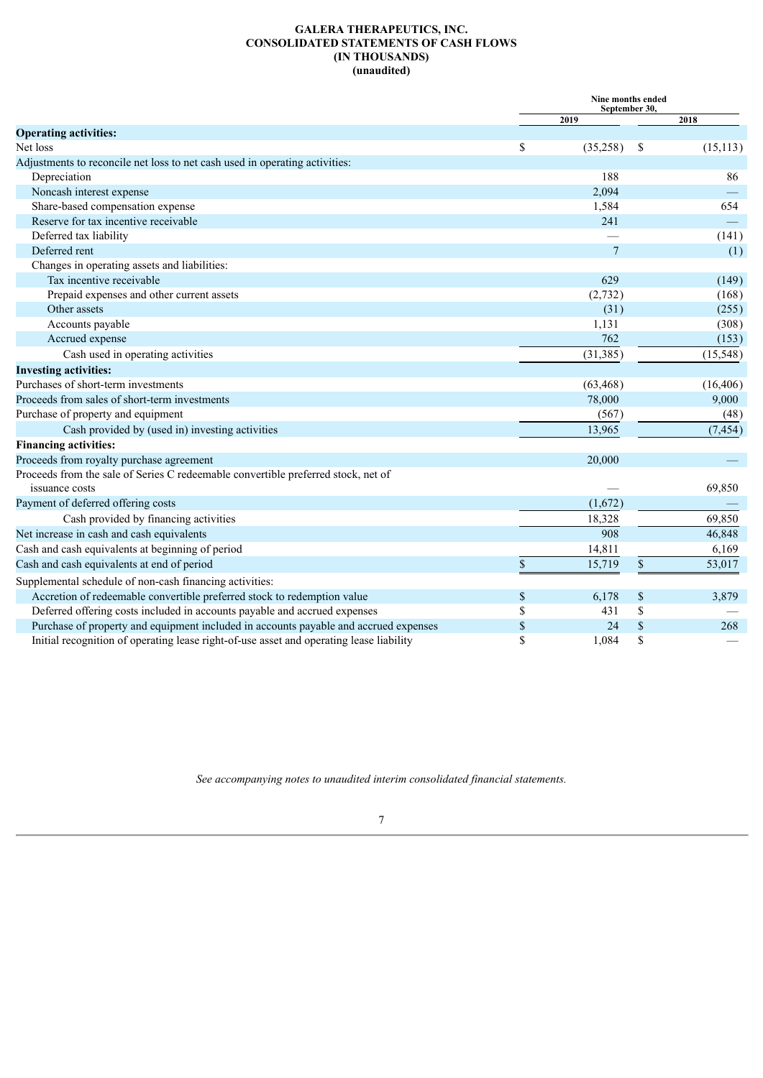#### **GALERA THERAPEUTICS, INC. CONSOLIDATED STATEMENTS OF CASH FLOWS (IN THOUSANDS) (unaudited)**

<span id="page-7-0"></span>

|                                                                                         |             | Nine months ended | September 30, |           |
|-----------------------------------------------------------------------------------------|-------------|-------------------|---------------|-----------|
|                                                                                         |             | 2019              |               | 2018      |
| <b>Operating activities:</b>                                                            |             |                   |               |           |
| Net loss                                                                                | \$          | (35,258)          | \$            | (15, 113) |
| Adjustments to reconcile net loss to net cash used in operating activities:             |             |                   |               |           |
| Depreciation                                                                            |             | 188               |               | 86        |
| Noncash interest expense                                                                |             | 2,094             |               |           |
| Share-based compensation expense                                                        |             | 1,584             |               | 654       |
| Reserve for tax incentive receivable                                                    |             | 241               |               |           |
| Deferred tax liability                                                                  |             |                   |               | (141)     |
| Deferred rent                                                                           |             | $\overline{7}$    |               | (1)       |
| Changes in operating assets and liabilities:                                            |             |                   |               |           |
| Tax incentive receivable                                                                |             | 629               |               | (149)     |
| Prepaid expenses and other current assets                                               |             | (2, 732)          |               | (168)     |
| Other assets                                                                            |             | (31)              |               | (255)     |
| Accounts payable                                                                        |             | 1,131             |               | (308)     |
| Accrued expense                                                                         |             | 762               |               | (153)     |
| Cash used in operating activities                                                       |             | (31, 385)         |               | (15, 548) |
| <b>Investing activities:</b>                                                            |             |                   |               |           |
| Purchases of short-term investments                                                     |             | (63, 468)         |               | (16, 406) |
| Proceeds from sales of short-term investments                                           |             | 78,000            |               | 9,000     |
| Purchase of property and equipment                                                      |             | (567)             |               | (48)      |
| Cash provided by (used in) investing activities                                         |             | 13,965            |               | (7, 454)  |
| <b>Financing activities:</b>                                                            |             |                   |               |           |
| Proceeds from royalty purchase agreement                                                |             | 20,000            |               |           |
| Proceeds from the sale of Series C redeemable convertible preferred stock, net of       |             |                   |               |           |
| issuance costs                                                                          |             |                   |               | 69,850    |
| Payment of deferred offering costs                                                      |             | (1,672)           |               |           |
| Cash provided by financing activities                                                   |             | 18,328            |               | 69,850    |
| Net increase in cash and cash equivalents                                               |             | 908               |               | 46,848    |
| Cash and cash equivalents at beginning of period                                        |             | 14,811            |               | 6,169     |
| Cash and cash equivalents at end of period                                              | $\mathbb S$ | 15,719            | \$            | 53,017    |
| Supplemental schedule of non-cash financing activities:                                 |             |                   |               |           |
| Accretion of redeemable convertible preferred stock to redemption value                 | \$          | 6,178             | \$            | 3,879     |
| Deferred offering costs included in accounts payable and accrued expenses               | \$          | 431               | \$            |           |
| Purchase of property and equipment included in accounts payable and accrued expenses    | \$          | 24                | \$            | 268       |
| Initial recognition of operating lease right-of-use asset and operating lease liability | \$          | 1,084             | \$            |           |

*See accompanying notes to unaudited interim consolidated financial statements.*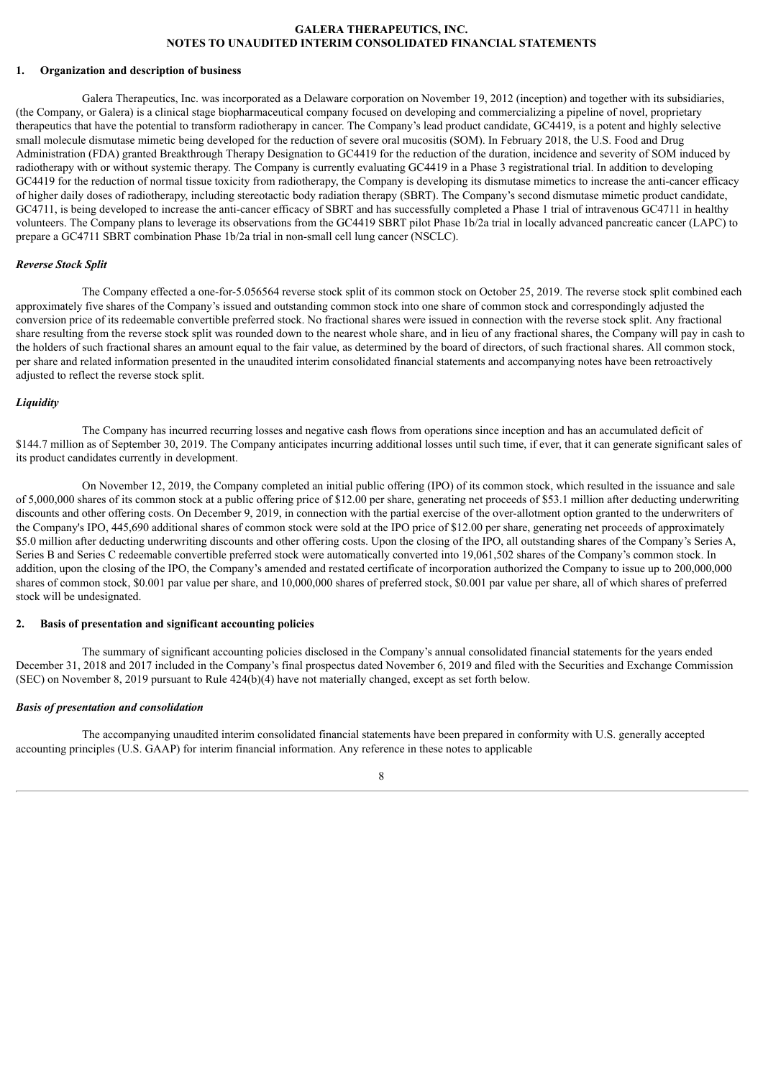#### **GALERA THERAPEUTICS, INC. NOTES TO UNAUDITED INTERIM CONSOLIDATED FINANCIAL STATEMENTS**

#### <span id="page-8-0"></span>**1. Organization and description of business**

Galera Therapeutics, Inc. was incorporated as a Delaware corporation on November 19, 2012 (inception) and together with its subsidiaries, (the Company, or Galera) is a clinical stage biopharmaceutical company focused on developing and commercializing a pipeline of novel, proprietary therapeutics that have the potential to transform radiotherapy in cancer. The Company's lead product candidate, GC4419, is a potent and highly selective small molecule dismutase mimetic being developed for the reduction of severe oral mucositis (SOM). In February 2018, the U.S. Food and Drug Administration (FDA) granted Breakthrough Therapy Designation to GC4419 for the reduction of the duration, incidence and severity of SOM induced by radiotherapy with or without systemic therapy. The Company is currently evaluating GC4419 in a Phase 3 registrational trial. In addition to developing GC4419 for the reduction of normal tissue toxicity from radiotherapy, the Company is developing its dismutase mimetics to increase the anti-cancer efficacy of higher daily doses of radiotherapy, including stereotactic body radiation therapy (SBRT). The Company's second dismutase mimetic product candidate, GC4711, is being developed to increase the anti-cancer efficacy of SBRT and has successfully completed a Phase 1 trial of intravenous GC4711 in healthy volunteers. The Company plans to leverage its observations from the GC4419 SBRT pilot Phase 1b/2a trial in locally advanced pancreatic cancer (LAPC) to prepare a GC4711 SBRT combination Phase 1b/2a trial in non-small cell lung cancer (NSCLC).

#### *Reverse Stock Split*

The Company effected a one-for-5.056564 reverse stock split of its common stock on October 25, 2019. The reverse stock split combined each approximately five shares of the Company's issued and outstanding common stock into one share of common stock and correspondingly adjusted the conversion price of its redeemable convertible preferred stock. No fractional shares were issued in connection with the reverse stock split. Any fractional share resulting from the reverse stock split was rounded down to the nearest whole share, and in lieu of any fractional shares, the Company will pay in cash to the holders of such fractional shares an amount equal to the fair value, as determined by the board of directors, of such fractional shares. All common stock, per share and related information presented in the unaudited interim consolidated financial statements and accompanying notes have been retroactively adjusted to reflect the reverse stock split.

#### *Liquidity*

The Company has incurred recurring losses and negative cash flows from operations since inception and has an accumulated deficit of \$144.7 million as of September 30, 2019. The Company anticipates incurring additional losses until such time, if ever, that it can generate significant sales of its product candidates currently in development.

On November 12, 2019, the Company completed an initial public offering (IPO) of its common stock, which resulted in the issuance and sale of 5,000,000 shares of its common stock at a public offering price of \$12.00 per share, generating net proceeds of \$53.1 million after deducting underwriting discounts and other offering costs. On December 9, 2019, in connection with the partial exercise of the over-allotment option granted to the underwriters of the Company's IPO, 445,690 additional shares of common stock were sold at the IPO price of \$12.00 per share, generating net proceeds of approximately \$5.0 million after deducting underwriting discounts and other offering costs. Upon the closing of the IPO, all outstanding shares of the Company's Series A, Series B and Series C redeemable convertible preferred stock were automatically converted into 19,061,502 shares of the Company's common stock. In addition, upon the closing of the IPO, the Company's amended and restated certificate of incorporation authorized the Company to issue up to 200,000,000 shares of common stock, \$0.001 par value per share, and 10,000,000 shares of preferred stock, \$0.001 par value per share, all of which shares of preferred stock will be undesignated.

#### **2. Basis of presentation and significant accounting policies**

The summary of significant accounting policies disclosed in the Company's annual consolidated financial statements for the years ended December 31, 2018 and 2017 included in the Company's final prospectus dated November 6, 2019 and filed with the Securities and Exchange Commission (SEC) on November 8, 2019 pursuant to Rule 424(b)(4) have not materially changed, except as set forth below.

#### *Basis of presentation and consolidation*

The accompanying unaudited interim consolidated financial statements have been prepared in conformity with U.S. generally accepted accounting principles (U.S. GAAP) for interim financial information. Any reference in these notes to applicable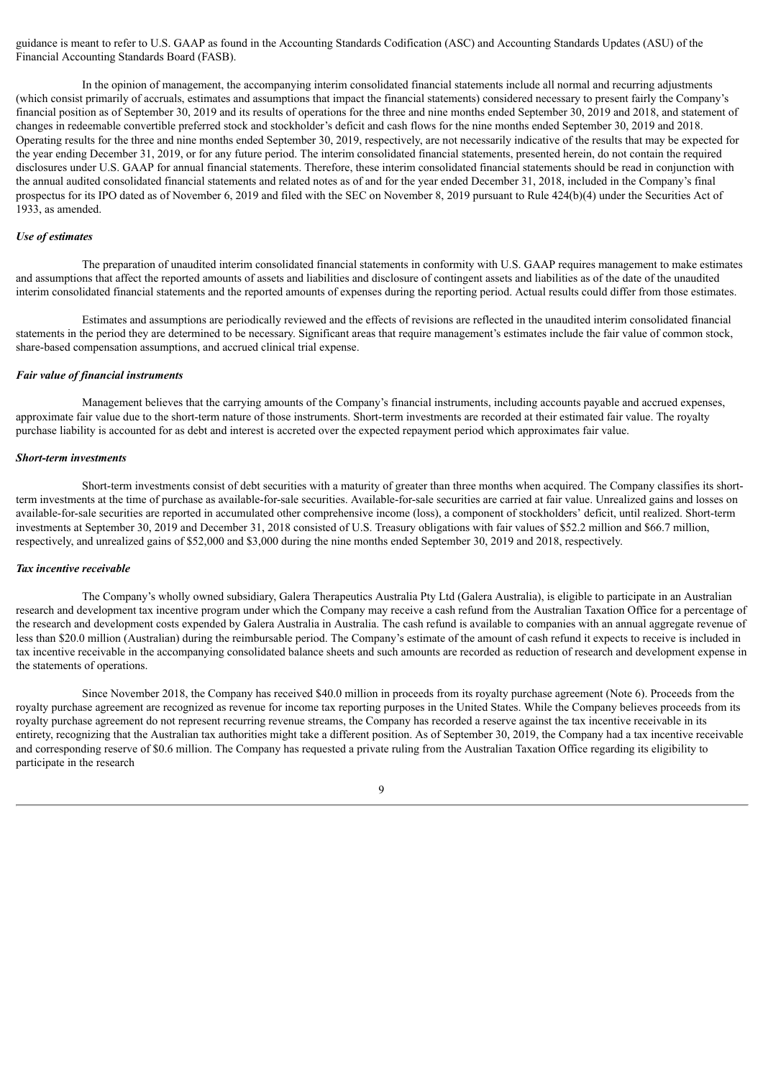guidance is meant to refer to U.S. GAAP as found in the Accounting Standards Codification (ASC) and Accounting Standards Updates (ASU) of the Financial Accounting Standards Board (FASB).

In the opinion of management, the accompanying interim consolidated financial statements include all normal and recurring adjustments (which consist primarily of accruals, estimates and assumptions that impact the financial statements) considered necessary to present fairly the Company's financial position as of September 30, 2019 and its results of operations for the three and nine months ended September 30, 2019 and 2018, and statement of changes in redeemable convertible preferred stock and stockholder's deficit and cash flows for the nine months ended September 30, 2019 and 2018. Operating results for the three and nine months ended September 30, 2019, respectively, are not necessarily indicative of the results that may be expected for the year ending December 31, 2019, or for any future period. The interim consolidated financial statements, presented herein, do not contain the required disclosures under U.S. GAAP for annual financial statements. Therefore, these interim consolidated financial statements should be read in conjunction with the annual audited consolidated financial statements and related notes as of and for the year ended December 31, 2018, included in the Company's final prospectus for its IPO dated as of November 6, 2019 and filed with the SEC on November 8, 2019 pursuant to Rule 424(b)(4) under the Securities Act of 1933, as amended.

#### *Use of estimates*

The preparation of unaudited interim consolidated financial statements in conformity with U.S. GAAP requires management to make estimates and assumptions that affect the reported amounts of assets and liabilities and disclosure of contingent assets and liabilities as of the date of the unaudited interim consolidated financial statements and the reported amounts of expenses during the reporting period. Actual results could differ from those estimates.

Estimates and assumptions are periodically reviewed and the effects of revisions are reflected in the unaudited interim consolidated financial statements in the period they are determined to be necessary. Significant areas that require management's estimates include the fair value of common stock, share-based compensation assumptions, and accrued clinical trial expense.

#### *Fair value of financial instruments*

Management believes that the carrying amounts of the Company's financial instruments, including accounts payable and accrued expenses, approximate fair value due to the short-term nature of those instruments. Short-term investments are recorded at their estimated fair value. The royalty purchase liability is accounted for as debt and interest is accreted over the expected repayment period which approximates fair value.

#### *Short-term investments*

Short-term investments consist of debt securities with a maturity of greater than three months when acquired. The Company classifies its shortterm investments at the time of purchase as available-for-sale securities. Available-for-sale securities are carried at fair value. Unrealized gains and losses on available-for-sale securities are reported in accumulated other comprehensive income (loss), a component of stockholders' deficit, until realized. Short-term investments at September 30, 2019 and December 31, 2018 consisted of U.S. Treasury obligations with fair values of \$52.2 million and \$66.7 million, respectively, and unrealized gains of \$52,000 and \$3,000 during the nine months ended September 30, 2019 and 2018, respectively.

#### *Tax incentive receivable*

The Company's wholly owned subsidiary, Galera Therapeutics Australia Pty Ltd (Galera Australia), is eligible to participate in an Australian research and development tax incentive program under which the Company may receive a cash refund from the Australian Taxation Office for a percentage of the research and development costs expended by Galera Australia in Australia. The cash refund is available to companies with an annual aggregate revenue of less than \$20.0 million (Australian) during the reimbursable period. The Company's estimate of the amount of cash refund it expects to receive is included in tax incentive receivable in the accompanying consolidated balance sheets and such amounts are recorded as reduction of research and development expense in the statements of operations.

Since November 2018, the Company has received \$40.0 million in proceeds from its royalty purchase agreement (Note 6). Proceeds from the royalty purchase agreement are recognized as revenue for income tax reporting purposes in the United States. While the Company believes proceeds from its royalty purchase agreement do not represent recurring revenue streams, the Company has recorded a reserve against the tax incentive receivable in its entirety, recognizing that the Australian tax authorities might take a different position. As of September 30, 2019, the Company had a tax incentive receivable and corresponding reserve of \$0.6 million. The Company has requested a private ruling from the Australian Taxation Office regarding its eligibility to participate in the research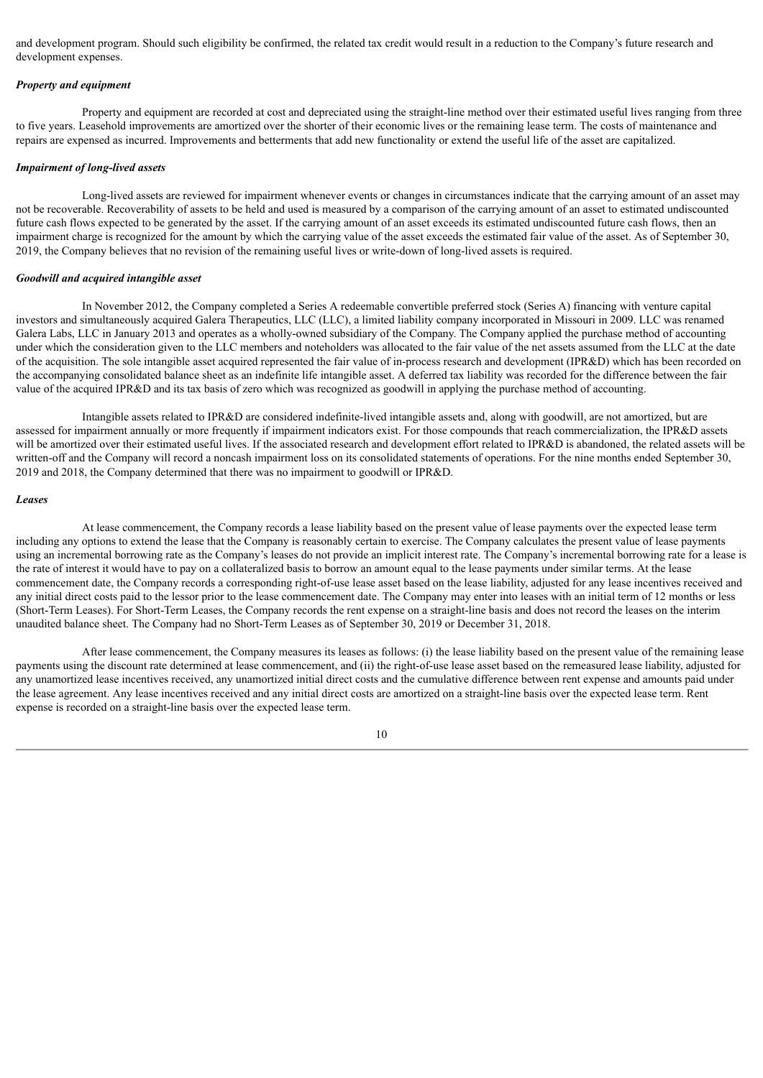and development program. Should such eligibility be confirmed, the related tax credit would result in a reduction to the Company's future research and development expenses.

#### *Property and equipment*

Property and equipment are recorded at cost and depreciated using the straight-line method over their estimated useful lives ranging from three to five years. Leasehold improvements are amortized over the shorter of their economic lives or the remaining lease term. The costs of maintenance and repairs are expensed as incurred. Improvements and betterments that add new functionality or extend the useful life of the asset are capitalized.

#### *Impairment of long-lived assets*

Long-lived assets are reviewed for impairment whenever events or changes in circumstances indicate that the carrying amount of an asset may not be recoverable. Recoverability of assets to be held and used is measured by a comparison of the carrying amount of an asset to estimated undiscounted future cash flows expected to be generated by the asset. If the carrying amount of an asset exceeds its estimated undiscounted future cash flows, then an impairment charge is recognized for the amount by which the carrying value of the asset exceeds the estimated fair value of the asset. As of September 30, 2019, the Company believes that no revision of the remaining useful lives or write-down of long-lived assets is required.

#### *Goodwill and acquired intangible asset*

In November 2012, the Company completed a Series A redeemable convertible preferred stock (Series A) financing with venture capital investors and simultaneously acquired Galera Therapeutics, LLC (LLC), a limited liability company incorporated in Missouri in 2009. LLC was renamed Galera Labs, LLC in January 2013 and operates as a wholly-owned subsidiary of the Company. The Company applied the purchase method of accounting under which the consideration given to the LLC members and noteholders was allocated to the fair value of the net assets assumed from the LLC at the date of the acquisition. The sole intangible asset acquired represented the fair value of in-process research and development (IPR&D) which has been recorded on the accompanying consolidated balance sheet as an indefinite life intangible asset. A deferred tax liability was recorded for the difference between the fair value of the acquired IPR&D and its tax basis of zero which was recognized as goodwill in applying the purchase method of accounting.

Intangible assets related to IPR&D are considered indefinite-lived intangible assets and, along with goodwill, are not amortized, but are assessed for impairment annually or more frequently if impairment indicators exist. For those compounds that reach commercialization, the IPR&D assets will be amortized over their estimated useful lives. If the associated research and development effort related to IPR&D is abandoned, the related assets will be written-off and the Company will record a noncash impairment loss on its consolidated statements of operations. For the nine months ended September 30, 2019 and 2018, the Company determined that there was no impairment to goodwill or IPR&D.

#### *Leases*

At lease commencement, the Company records a lease liability based on the present value of lease payments over the expected lease term including any options to extend the lease that the Company is reasonably certain to exercise. The Company calculates the present value of lease payments using an incremental borrowing rate as the Company's leases do not provide an implicit interest rate. The Company's incremental borrowing rate for a lease is the rate of interest it would have to pay on a collateralized basis to borrow an amount equal to the lease payments under similar terms. At the lease commencement date, the Company records a corresponding right-of-use lease asset based on the lease liability, adjusted for any lease incentives received and any initial direct costs paid to the lessor prior to the lease commencement date. The Company may enter into leases with an initial term of 12 months or less (Short-Term Leases). For Short-Term Leases, the Company records the rent expense on a straight-line basis and does not record the leases on the interim unaudited balance sheet. The Company had no Short-Term Leases as of September 30, 2019 or December 31, 2018.

After lease commencement, the Company measures its leases as follows: (i) the lease liability based on the present value of the remaining lease payments using the discount rate determined at lease commencement, and (ii) the right-of-use lease asset based on the remeasured lease liability, adjusted for any unamortized lease incentives received, any unamortized initial direct costs and the cumulative difference between rent expense and amounts paid under the lease agreement. Any lease incentives received and any initial direct costs are amortized on a straight-line basis over the expected lease term. Rent expense is recorded on a straight-line basis over the expected lease term.

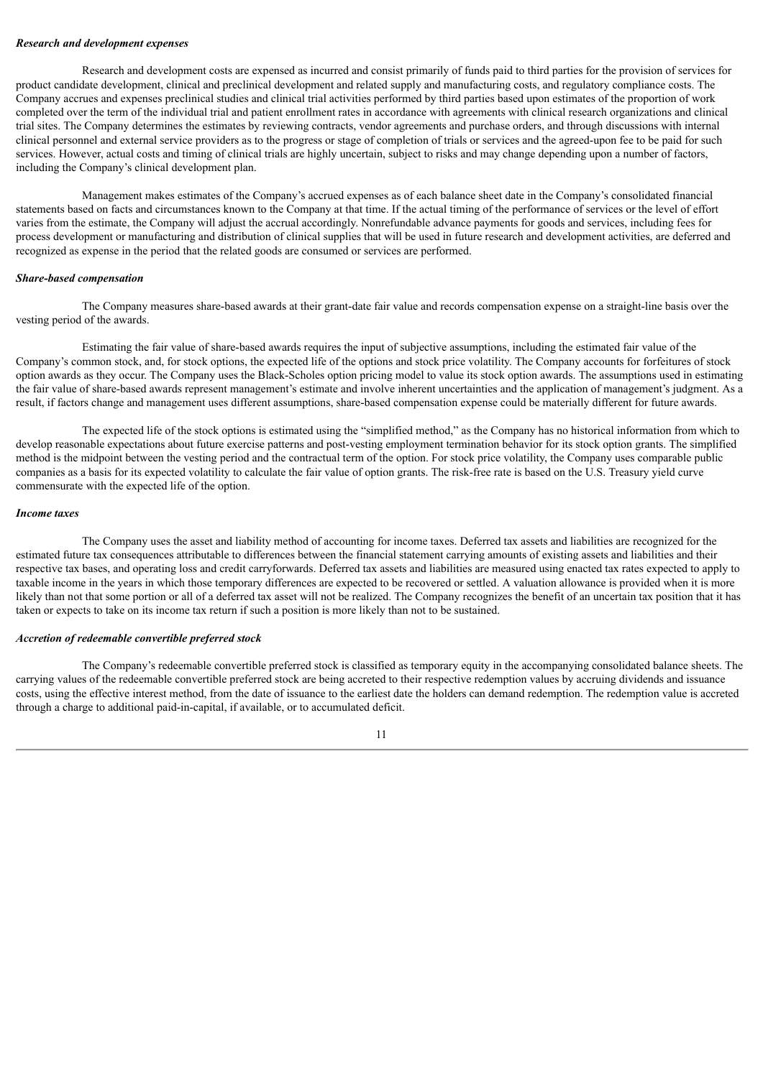#### *Research and development expenses*

Research and development costs are expensed as incurred and consist primarily of funds paid to third parties for the provision of services for product candidate development, clinical and preclinical development and related supply and manufacturing costs, and regulatory compliance costs. The Company accrues and expenses preclinical studies and clinical trial activities performed by third parties based upon estimates of the proportion of work completed over the term of the individual trial and patient enrollment rates in accordance with agreements with clinical research organizations and clinical trial sites. The Company determines the estimates by reviewing contracts, vendor agreements and purchase orders, and through discussions with internal clinical personnel and external service providers as to the progress or stage of completion of trials or services and the agreed-upon fee to be paid for such services. However, actual costs and timing of clinical trials are highly uncertain, subject to risks and may change depending upon a number of factors, including the Company's clinical development plan.

Management makes estimates of the Company's accrued expenses as of each balance sheet date in the Company's consolidated financial statements based on facts and circumstances known to the Company at that time. If the actual timing of the performance of services or the level of effort varies from the estimate, the Company will adjust the accrual accordingly. Nonrefundable advance payments for goods and services, including fees for process development or manufacturing and distribution of clinical supplies that will be used in future research and development activities, are deferred and recognized as expense in the period that the related goods are consumed or services are performed.

#### *Share-based compensation*

The Company measures share-based awards at their grant-date fair value and records compensation expense on a straight-line basis over the vesting period of the awards.

Estimating the fair value of share-based awards requires the input of subjective assumptions, including the estimated fair value of the Company's common stock, and, for stock options, the expected life of the options and stock price volatility. The Company accounts for forfeitures of stock option awards as they occur. The Company uses the Black-Scholes option pricing model to value its stock option awards. The assumptions used in estimating the fair value of share-based awards represent management's estimate and involve inherent uncertainties and the application of management's judgment. As a result, if factors change and management uses different assumptions, share-based compensation expense could be materially different for future awards.

The expected life of the stock options is estimated using the "simplified method," as the Company has no historical information from which to develop reasonable expectations about future exercise patterns and post-vesting employment termination behavior for its stock option grants. The simplified method is the midpoint between the vesting period and the contractual term of the option. For stock price volatility, the Company uses comparable public companies as a basis for its expected volatility to calculate the fair value of option grants. The risk-free rate is based on the U.S. Treasury yield curve commensurate with the expected life of the option.

#### *Income taxes*

The Company uses the asset and liability method of accounting for income taxes. Deferred tax assets and liabilities are recognized for the estimated future tax consequences attributable to differences between the financial statement carrying amounts of existing assets and liabilities and their respective tax bases, and operating loss and credit carryforwards. Deferred tax assets and liabilities are measured using enacted tax rates expected to apply to taxable income in the years in which those temporary differences are expected to be recovered or settled. A valuation allowance is provided when it is more likely than not that some portion or all of a deferred tax asset will not be realized. The Company recognizes the benefit of an uncertain tax position that it has taken or expects to take on its income tax return if such a position is more likely than not to be sustained.

#### *Accretion of redeemable convertible preferred stock*

The Company's redeemable convertible preferred stock is classified as temporary equity in the accompanying consolidated balance sheets. The carrying values of the redeemable convertible preferred stock are being accreted to their respective redemption values by accruing dividends and issuance costs, using the effective interest method, from the date of issuance to the earliest date the holders can demand redemption. The redemption value is accreted through a charge to additional paid-in-capital, if available, or to accumulated deficit.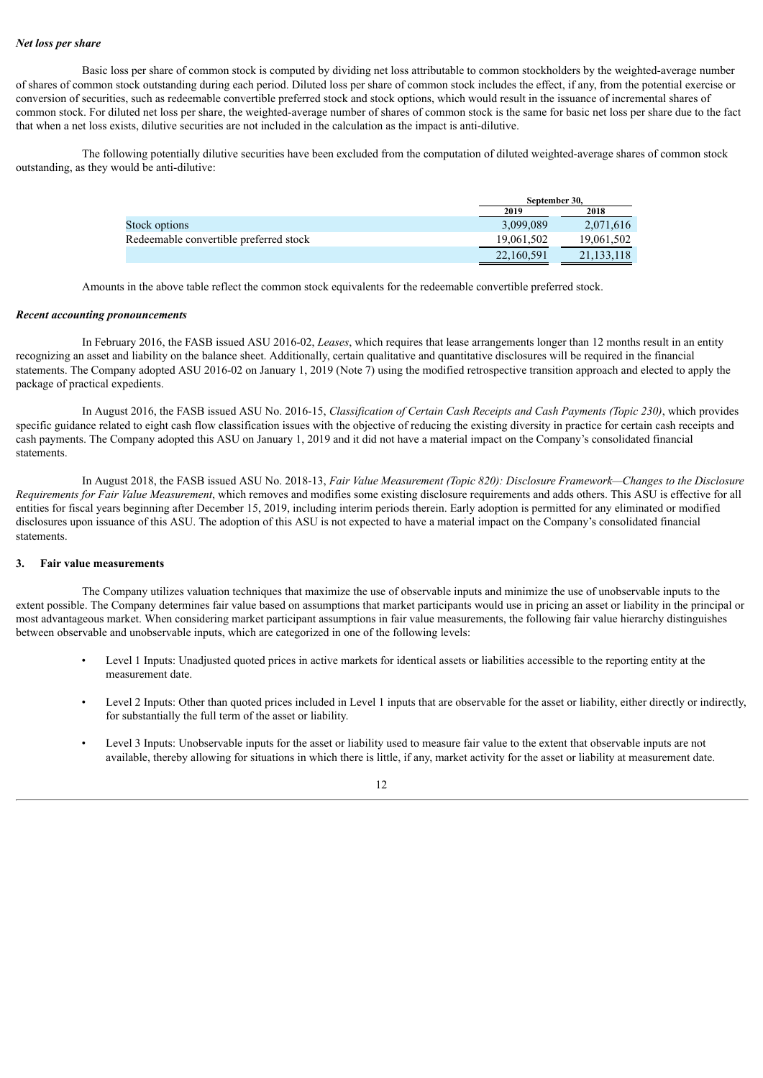#### *Net loss per share*

Basic loss per share of common stock is computed by dividing net loss attributable to common stockholders by the weighted-average number of shares of common stock outstanding during each period. Diluted loss per share of common stock includes the effect, if any, from the potential exercise or conversion of securities, such as redeemable convertible preferred stock and stock options, which would result in the issuance of incremental shares of common stock. For diluted net loss per share, the weighted-average number of shares of common stock is the same for basic net loss per share due to the fact that when a net loss exists, dilutive securities are not included in the calculation as the impact is anti-dilutive.

The following potentially dilutive securities have been excluded from the computation of diluted weighted-average shares of common stock outstanding, as they would be anti-dilutive:

|                                        | September 30. |              |
|----------------------------------------|---------------|--------------|
|                                        | 2019          | 2018         |
| Stock options                          | 3,099,089     | 2,071,616    |
| Redeemable convertible preferred stock | 19.061.502    | 19,061,502   |
|                                        | 22,160,591    | 21, 133, 118 |

Amounts in the above table reflect the common stock equivalents for the redeemable convertible preferred stock.

#### *Recent accounting pronouncements*

In February 2016, the FASB issued ASU 2016-02, *Leases*, which requires that lease arrangements longer than 12 months result in an entity recognizing an asset and liability on the balance sheet. Additionally, certain qualitative and quantitative disclosures will be required in the financial statements. The Company adopted ASU 2016-02 on January 1, 2019 (Note 7) using the modified retrospective transition approach and elected to apply the package of practical expedients.

In August 2016, the FASB issued ASU No. 2016-15, *Classification of Certain Cash Receipts and Cash Payments (Topic 230)*, which provides specific guidance related to eight cash flow classification issues with the objective of reducing the existing diversity in practice for certain cash receipts and cash payments. The Company adopted this ASU on January 1, 2019 and it did not have a material impact on the Company's consolidated financial statements.

In August 2018, the FASB issued ASU No. 2018-13, *Fair Value Measurement (Topic 820): Disclosure Framework—Changes to the Disclosure Requirements for Fair Value Measurement*, which removes and modifies some existing disclosure requirements and adds others. This ASU is effective for all entities for fiscal years beginning after December 15, 2019, including interim periods therein. Early adoption is permitted for any eliminated or modified disclosures upon issuance of this ASU. The adoption of this ASU is not expected to have a material impact on the Company's consolidated financial statements.

#### **3. Fair value measurements**

The Company utilizes valuation techniques that maximize the use of observable inputs and minimize the use of unobservable inputs to the extent possible. The Company determines fair value based on assumptions that market participants would use in pricing an asset or liability in the principal or most advantageous market. When considering market participant assumptions in fair value measurements, the following fair value hierarchy distinguishes between observable and unobservable inputs, which are categorized in one of the following levels:

- Level 1 Inputs: Unadjusted quoted prices in active markets for identical assets or liabilities accessible to the reporting entity at the measurement date.
- Level 2 Inputs: Other than quoted prices included in Level 1 inputs that are observable for the asset or liability, either directly or indirectly, for substantially the full term of the asset or liability.
- Level 3 Inputs: Unobservable inputs for the asset or liability used to measure fair value to the extent that observable inputs are not available, thereby allowing for situations in which there is little, if any, market activity for the asset or liability at measurement date.

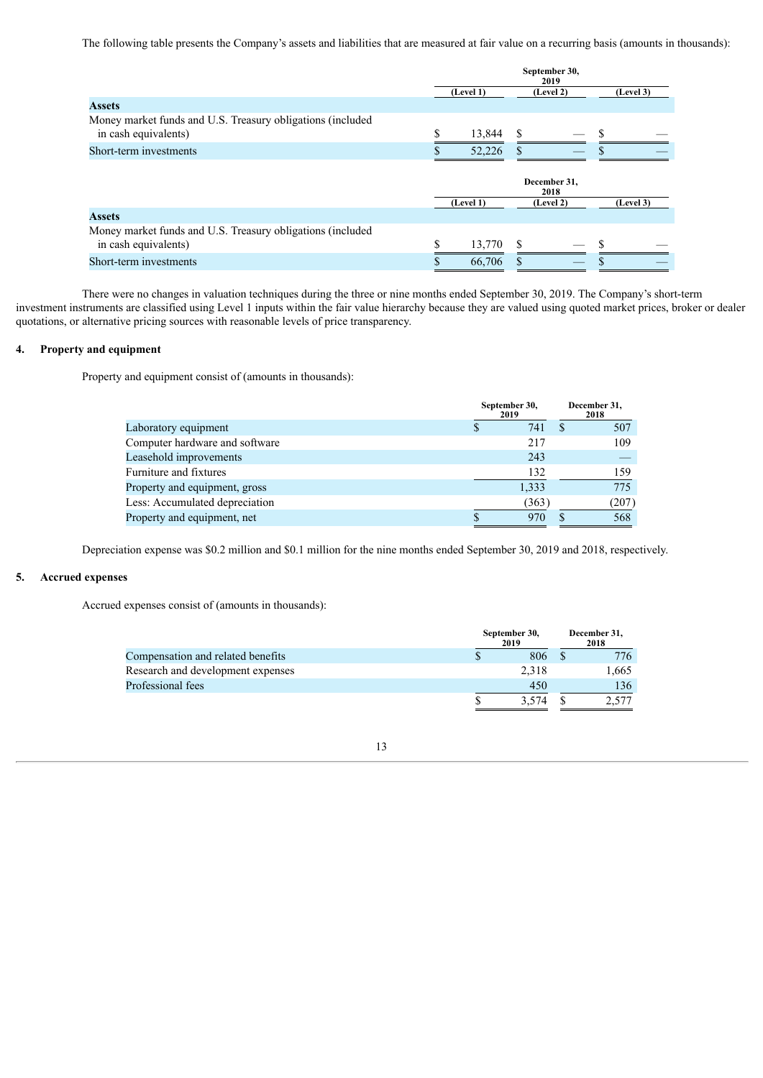The following table presents the Company's assets and liabilities that are measured at fair value on a recurring basis (amounts in thousands):

|                                                                                    |                        | September 30,<br>2019 |           |
|------------------------------------------------------------------------------------|------------------------|-----------------------|-----------|
|                                                                                    | (Level 1)<br>(Level 2) |                       | (Level 3) |
| <b>Assets</b>                                                                      |                        |                       |           |
| Money market funds and U.S. Treasury obligations (included<br>in cash equivalents) | 13,844                 |                       |           |
| Short-term investments                                                             | 52,226                 |                       |           |
|                                                                                    |                        | December 31,<br>2018  |           |
|                                                                                    | (Level 1)              | (Level 2)             | (Level 3) |
| <b>Assets</b>                                                                      |                        |                       |           |
| Money market funds and U.S. Treasury obligations (included<br>in cash equivalents) | \$<br>13,770           |                       |           |
| Short-term investments                                                             | 66,706                 |                       |           |

There were no changes in valuation techniques during the three or nine months ended September 30, 2019. The Company's short-term investment instruments are classified using Level 1 inputs within the fair value hierarchy because they are valued using quoted market prices, broker or dealer quotations, or alternative pricing sources with reasonable levels of price transparency.

#### **4. Property and equipment**

Property and equipment consist of (amounts in thousands):

|                                | September 30,<br>2019 | December 31,<br>2018 |
|--------------------------------|-----------------------|----------------------|
| Laboratory equipment           | 741                   | 507                  |
| Computer hardware and software | 217                   | 109                  |
| Leasehold improvements         | 243                   |                      |
| Furniture and fixtures         | 132                   | 159                  |
| Property and equipment, gross  | 1,333                 | 775                  |
| Less: Accumulated depreciation | (363)                 | (207)                |
| Property and equipment, net    | 970                   | 568                  |

Depreciation expense was \$0.2 million and \$0.1 million for the nine months ended September 30, 2019 and 2018, respectively.

#### **5. Accrued expenses**

Accrued expenses consist of (amounts in thousands):

|                                   | September 30,<br>2019 | December 31,<br>2018 |  |       |  |
|-----------------------------------|-----------------------|----------------------|--|-------|--|
| Compensation and related benefits |                       | 806                  |  | 776   |  |
| Research and development expenses |                       | 2.318                |  | 1,665 |  |
| Professional fees                 |                       | 450                  |  | 136   |  |
|                                   |                       | 3.574                |  |       |  |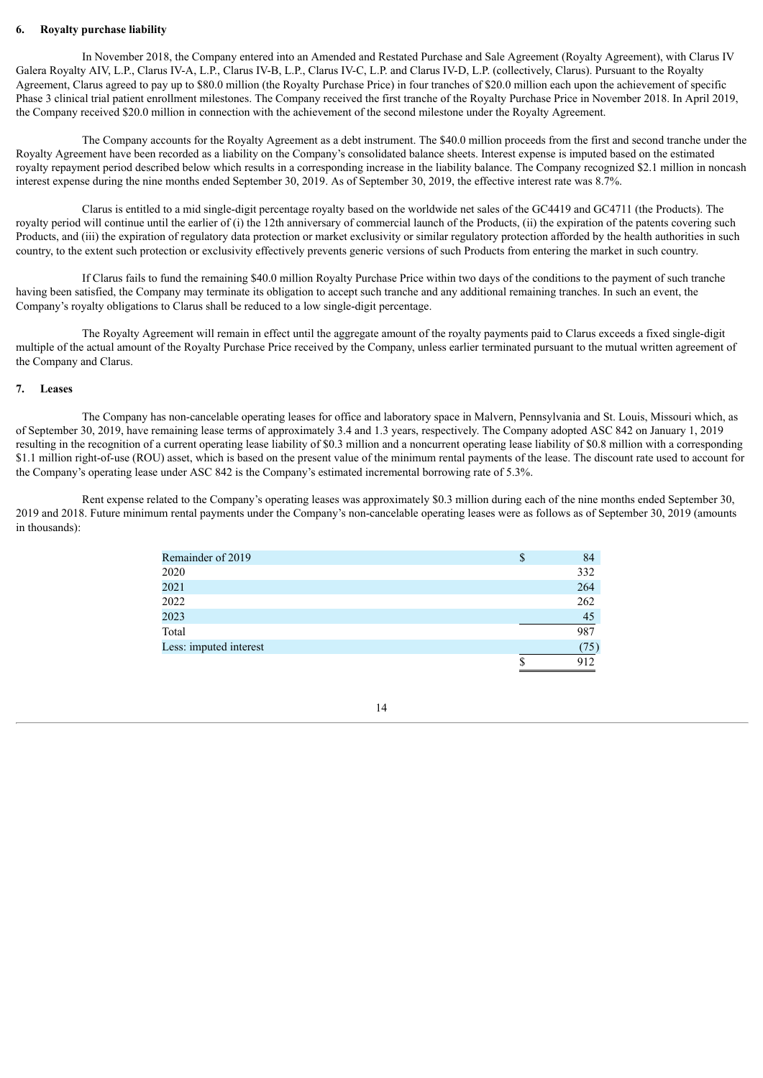#### **6. Royalty purchase liability**

In November 2018, the Company entered into an Amended and Restated Purchase and Sale Agreement (Royalty Agreement), with Clarus IV Galera Royalty AIV, L.P., Clarus IV-A, L.P., Clarus IV-B, L.P., Clarus IV-C, L.P. and Clarus IV-D, L.P. (collectively, Clarus). Pursuant to the Royalty Agreement, Clarus agreed to pay up to \$80.0 million (the Royalty Purchase Price) in four tranches of \$20.0 million each upon the achievement of specific Phase 3 clinical trial patient enrollment milestones. The Company received the first tranche of the Royalty Purchase Price in November 2018. In April 2019, the Company received \$20.0 million in connection with the achievement of the second milestone under the Royalty Agreement.

The Company accounts for the Royalty Agreement as a debt instrument. The \$40.0 million proceeds from the first and second tranche under the Royalty Agreement have been recorded as a liability on the Company's consolidated balance sheets. Interest expense is imputed based on the estimated royalty repayment period described below which results in a corresponding increase in the liability balance. The Company recognized \$2.1 million in noncash interest expense during the nine months ended September 30, 2019. As of September 30, 2019, the effective interest rate was 8.7%.

Clarus is entitled to a mid single-digit percentage royalty based on the worldwide net sales of the GC4419 and GC4711 (the Products). The royalty period will continue until the earlier of (i) the 12th anniversary of commercial launch of the Products. (ii) the expiration of the patents covering such Products, and (iii) the expiration of regulatory data protection or market exclusivity or similar regulatory protection afforded by the health authorities in such country, to the extent such protection or exclusivity effectively prevents generic versions of such Products from entering the market in such country.

If Clarus fails to fund the remaining \$40.0 million Royalty Purchase Price within two days of the conditions to the payment of such tranche having been satisfied, the Company may terminate its obligation to accept such tranche and any additional remaining tranches. In such an event, the Company's royalty obligations to Clarus shall be reduced to a low single-digit percentage.

The Royalty Agreement will remain in effect until the aggregate amount of the royalty payments paid to Clarus exceeds a fixed single-digit multiple of the actual amount of the Royalty Purchase Price received by the Company, unless earlier terminated pursuant to the mutual written agreement of the Company and Clarus.

#### **7. Leases**

The Company has non-cancelable operating leases for office and laboratory space in Malvern, Pennsylvania and St. Louis, Missouri which, as of September 30, 2019, have remaining lease terms of approximately 3.4 and 1.3 years, respectively. The Company adopted ASC 842 on January 1, 2019 resulting in the recognition of a current operating lease liability of \$0.3 million and a noncurrent operating lease liability of \$0.8 million with a corresponding \$1.1 million right-of-use (ROU) asset, which is based on the present value of the minimum rental payments of the lease. The discount rate used to account for the Company's operating lease under ASC 842 is the Company's estimated incremental borrowing rate of 5.3%.

Rent expense related to the Company's operating leases was approximately \$0.3 million during each of the nine months ended September 30, 2019 and 2018. Future minimum rental payments under the Company's non-cancelable operating leases were as follows as of September 30, 2019 (amounts in thousands):

| Remainder of 2019      | Φ | 84         |
|------------------------|---|------------|
| 2020                   |   | 332        |
| 2021                   |   | 264        |
| 2022                   |   | 262        |
| 2023                   |   | 45         |
| Total                  |   | 987        |
| Less: imputed interest |   | $75^\circ$ |
|                        |   |            |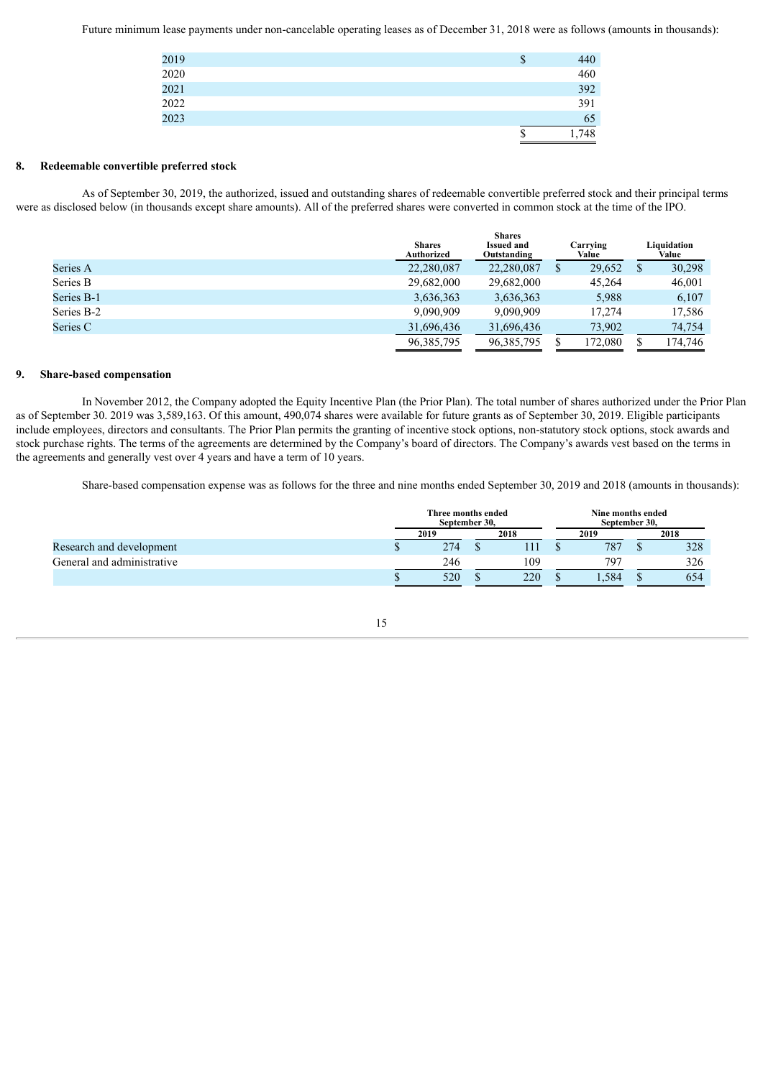Future minimum lease payments under non-cancelable operating leases as of December 31, 2018 were as follows (amounts in thousands):

| 2019     | 440<br>P |
|----------|----------|
| $2020\,$ | 460      |
| 2021     | 392      |
| $2022\,$ | 391      |
| 2023     | 65       |
|          | 748      |

#### **8. Redeemable convertible preferred stock**

As of September 30, 2019, the authorized, issued and outstanding shares of redeemable convertible preferred stock and their principal terms were as disclosed below (in thousands except share amounts). All of the preferred shares were converted in common stock at the time of the IPO.

|            | <b>Shares</b><br>Authorized | <b>Shares</b><br><b>Issued and</b><br>Outstanding | Carrving<br>Value | Liauidation<br>Value |
|------------|-----------------------------|---------------------------------------------------|-------------------|----------------------|
| Series A   | 22,280,087                  | 22,280,087                                        | 29,652            | 30,298               |
| Series B   | 29,682,000                  | 29,682,000                                        | 45.264            | 46,001               |
| Series B-1 | 3,636,363                   | 3,636,363                                         | 5,988             | 6,107                |
| Series B-2 | 9.090.909                   | 9,090,909                                         | 17.274            | 17,586               |
| Series C   | 31.696.436                  | 31.696.436                                        | 73.902            | 74.754               |
|            | 96, 385, 795                | 96, 385, 795                                      | 172,080           | 174.746              |

#### **9. Share-based compensation**

In November 2012, the Company adopted the Equity Incentive Plan (the Prior Plan). The total number of shares authorized under the Prior Plan as of September 30. 2019 was 3,589,163. Of this amount, 490,074 shares were available for future grants as of September 30, 2019. Eligible participants include employees, directors and consultants. The Prior Plan permits the granting of incentive stock options, non-statutory stock options, stock awards and stock purchase rights. The terms of the agreements are determined by the Company's board of directors. The Company's awards vest based on the terms in the agreements and generally vest over 4 years and have a term of 10 years.

Share-based compensation expense was as follows for the three and nine months ended September 30, 2019 and 2018 (amounts in thousands):

|                            | Three months ended<br>September 30, |      |  | Nine months ended<br>September 30, |  |       |  |      |
|----------------------------|-------------------------------------|------|--|------------------------------------|--|-------|--|------|
|                            |                                     | 2019 |  | 2018                               |  | 2019  |  | 2018 |
| Research and development   |                                     | 274  |  |                                    |  | 787   |  | 328  |
| General and administrative |                                     | 246  |  | 109                                |  | 797   |  | 326  |
|                            |                                     | 520  |  | 220                                |  | 1.584 |  | 654  |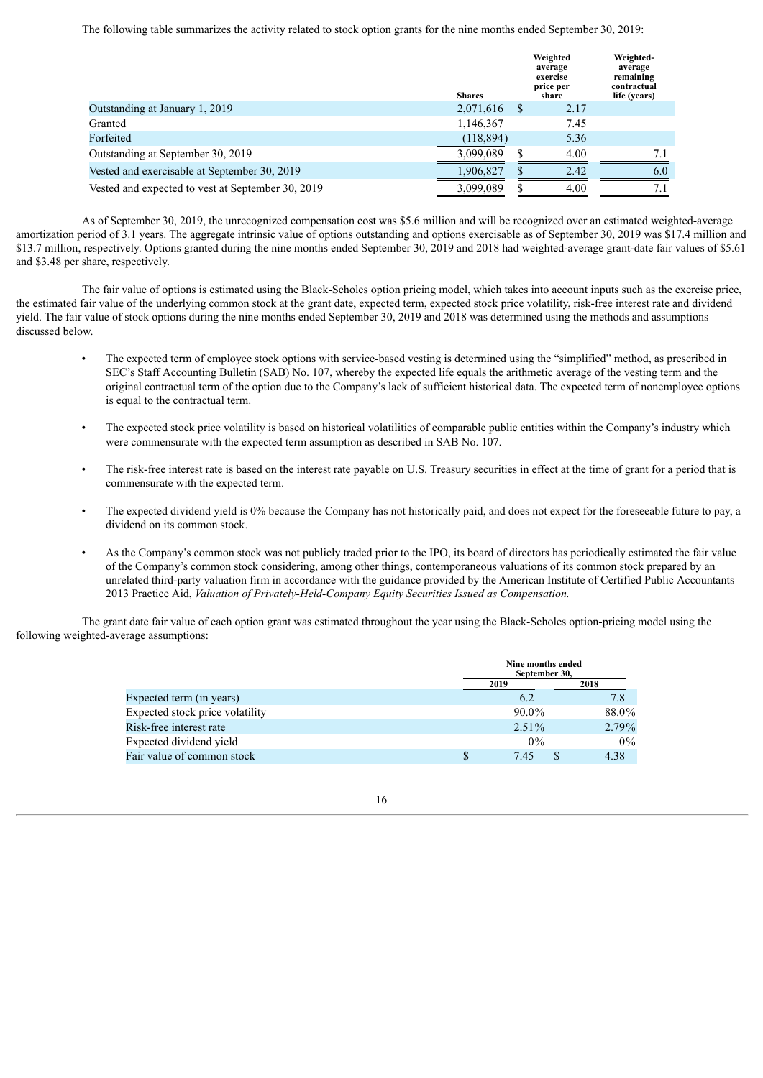The following table summarizes the activity related to stock option grants for the nine months ended September 30, 2019:

|                                                   | <b>Shares</b> |   | Weighted<br>average<br>exercise<br>price per<br>share | Weighted-<br>average<br>remaining<br>contractual<br>life (years) |  |
|---------------------------------------------------|---------------|---|-------------------------------------------------------|------------------------------------------------------------------|--|
| Outstanding at January 1, 2019                    | 2,071,616     | S | 2.17                                                  |                                                                  |  |
| Granted                                           | 1,146,367     |   | 7.45                                                  |                                                                  |  |
| Forfeited                                         | (118, 894)    |   | 5.36                                                  |                                                                  |  |
| Outstanding at September 30, 2019                 | 3,099,089     |   | 4.00                                                  | 7.1                                                              |  |
| Vested and exercisable at September 30, 2019      | 1,906,827     |   | 2.42                                                  | 6.0                                                              |  |
| Vested and expected to vest at September 30, 2019 | 3,099,089     |   | 4.00                                                  | 7.1                                                              |  |

As of September 30, 2019, the unrecognized compensation cost was \$5.6 million and will be recognized over an estimated weighted-average amortization period of 3.1 years. The aggregate intrinsic value of options outstanding and options exercisable as of September 30, 2019 was \$17.4 million and \$13.7 million, respectively. Options granted during the nine months ended September 30, 2019 and 2018 had weighted-average grant-date fair values of \$5.61 and \$3.48 per share, respectively.

The fair value of options is estimated using the Black-Scholes option pricing model, which takes into account inputs such as the exercise price, the estimated fair value of the underlying common stock at the grant date, expected term, expected stock price volatility, risk-free interest rate and dividend yield. The fair value of stock options during the nine months ended September 30, 2019 and 2018 was determined using the methods and assumptions discussed below.

- The expected term of employee stock options with service-based vesting is determined using the "simplified" method, as prescribed in SEC's Staff Accounting Bulletin (SAB) No. 107, whereby the expected life equals the arithmetic average of the vesting term and the original contractual term of the option due to the Company's lack of sufficient historical data. The expected term of nonemployee options is equal to the contractual term.
- The expected stock price volatility is based on historical volatilities of comparable public entities within the Company's industry which were commensurate with the expected term assumption as described in SAB No. 107.
- The risk-free interest rate is based on the interest rate payable on U.S. Treasury securities in effect at the time of grant for a period that is commensurate with the expected term.
- The expected dividend yield is 0% because the Company has not historically paid, and does not expect for the foreseeable future to pay, a dividend on its common stock.
- As the Company's common stock was not publicly traded prior to the IPO, its board of directors has periodically estimated the fair value of the Company's common stock considering, among other things, contemporaneous valuations of its common stock prepared by an unrelated third-party valuation firm in accordance with the guidance provided by the American Institute of Certified Public Accountants 2013 Practice Aid, *Valuation of Privately-Held-Company Equity Securities Issued as Compensation.*

The grant date fair value of each option grant was estimated throughout the year using the Black-Scholes option-pricing model using the following weighted-average assumptions:

|                                 |      | Nine months ended<br>September 30, |          |  |  |  |  |
|---------------------------------|------|------------------------------------|----------|--|--|--|--|
|                                 | 2019 |                                    | 2018     |  |  |  |  |
| Expected term (in years)        |      | 6.2                                | 7.8      |  |  |  |  |
| Expected stock price volatility |      | $90.0\%$                           | 88.0%    |  |  |  |  |
| Risk-free interest rate         |      | $2.51\%$                           | $2.79\%$ |  |  |  |  |
| Expected dividend yield         |      | $0\%$                              | $0\%$    |  |  |  |  |
| Fair value of common stock      |      | 7.45                               | 4.38     |  |  |  |  |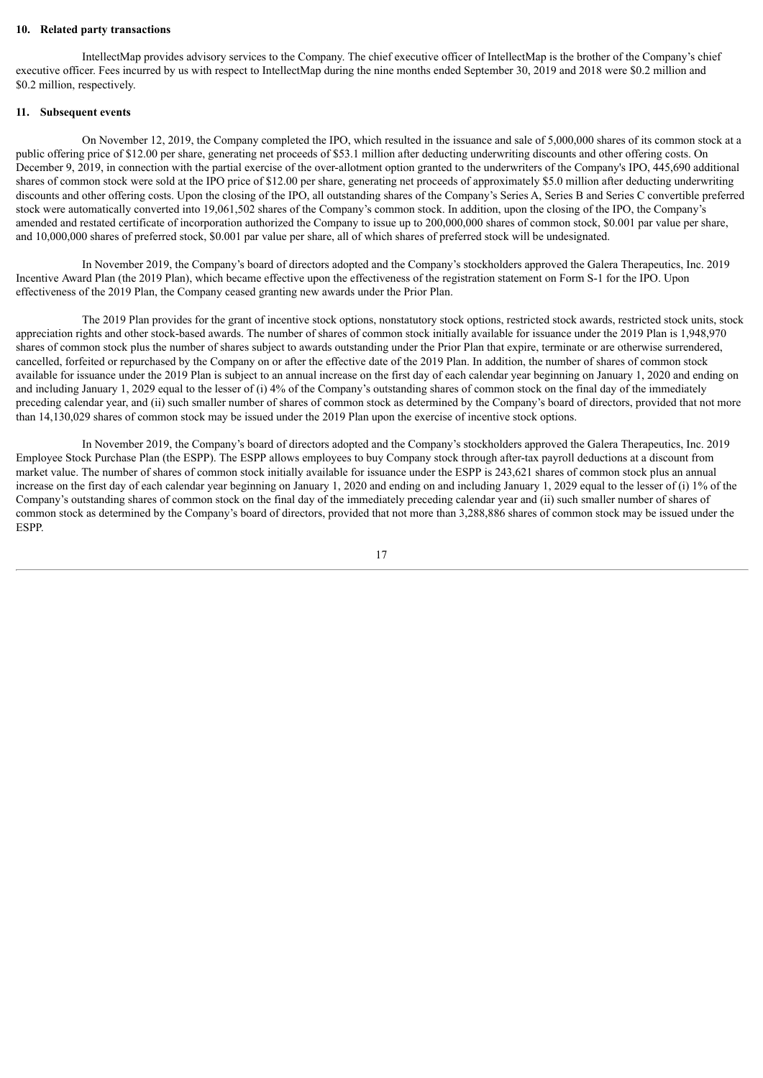#### **10. Related party transactions**

IntellectMap provides advisory services to the Company. The chief executive officer of IntellectMap is the brother of the Company's chief executive officer. Fees incurred by us with respect to IntellectMap during the nine months ended September 30, 2019 and 2018 were \$0.2 million and \$0.2 million, respectively.

#### **11. Subsequent events**

On November 12, 2019, the Company completed the IPO, which resulted in the issuance and sale of 5,000,000 shares of its common stock at a public offering price of \$12.00 per share, generating net proceeds of \$53.1 million after deducting underwriting discounts and other offering costs. On December 9, 2019, in connection with the partial exercise of the over-allotment option granted to the underwriters of the Company's IPO, 445,690 additional shares of common stock were sold at the IPO price of \$12.00 per share, generating net proceeds of approximately \$5.0 million after deducting underwriting discounts and other offering costs. Upon the closing of the IPO, all outstanding shares of the Company's Series A, Series B and Series C convertible preferred stock were automatically converted into 19,061,502 shares of the Company's common stock. In addition, upon the closing of the IPO, the Company's amended and restated certificate of incorporation authorized the Company to issue up to 200,000,000 shares of common stock, \$0.001 par value per share, and 10,000,000 shares of preferred stock, \$0.001 par value per share, all of which shares of preferred stock will be undesignated.

In November 2019, the Company's board of directors adopted and the Company's stockholders approved the Galera Therapeutics, Inc. 2019 Incentive Award Plan (the 2019 Plan), which became effective upon the effectiveness of the registration statement on Form S-1 for the IPO. Upon effectiveness of the 2019 Plan, the Company ceased granting new awards under the Prior Plan.

The 2019 Plan provides for the grant of incentive stock options, nonstatutory stock options, restricted stock awards, restricted stock units, stock appreciation rights and other stock-based awards. The number of shares of common stock initially available for issuance under the 2019 Plan is 1,948,970 shares of common stock plus the number of shares subject to awards outstanding under the Prior Plan that expire, terminate or are otherwise surrendered, cancelled, forfeited or repurchased by the Company on or after the effective date of the 2019 Plan. In addition, the number of shares of common stock available for issuance under the 2019 Plan is subject to an annual increase on the first day of each calendar year beginning on January 1, 2020 and ending on and including January 1, 2029 equal to the lesser of (i) 4% of the Company's outstanding shares of common stock on the final day of the immediately preceding calendar year, and (ii) such smaller number of shares of common stock as determined by the Company's board of directors, provided that not more than 14,130,029 shares of common stock may be issued under the 2019 Plan upon the exercise of incentive stock options.

In November 2019, the Company's board of directors adopted and the Company's stockholders approved the Galera Therapeutics, Inc. 2019 Employee Stock Purchase Plan (the ESPP). The ESPP allows employees to buy Company stock through after-tax payroll deductions at a discount from market value. The number of shares of common stock initially available for issuance under the ESPP is 243,621 shares of common stock plus an annual increase on the first day of each calendar year beginning on January 1, 2020 and ending on and including January 1, 2029 equal to the lesser of (i) 1% of the Company's outstanding shares of common stock on the final day of the immediately preceding calendar year and (ii) such smaller number of shares of common stock as determined by the Company's board of directors, provided that not more than 3,288,886 shares of common stock may be issued under the ESPP.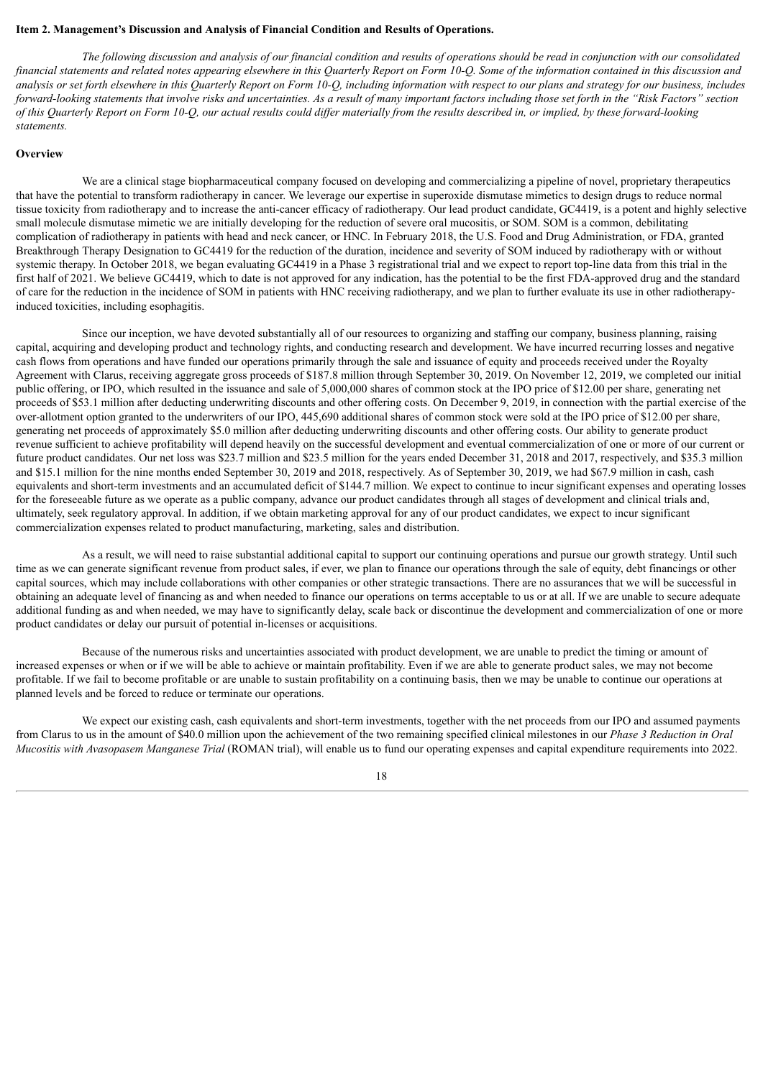#### <span id="page-18-0"></span>**Item 2. Management's Discussion and Analysis of Financial Condition and Results of Operations.**

The following discussion and analysis of our financial condition and results of operations should be read in conjunction with our consolidated financial statements and related notes appearing elsewhere in this Quarterly Report on Form 10-Q. Some of the information contained in this discussion and analysis or set forth elsewhere in this Quarterly Report on Form 10-Q, including information with respect to our plans and strategy for our business, includes forward-looking statements that involve risks and uncertainties. As a result of many important factors including those set forth in the "Risk Factors" section of this Quarterly Report on Form 10-Q, our actual results could differ materially from the results described in, or implied, by these forward-looking *statements.*

#### **Overview**

We are a clinical stage biopharmaceutical company focused on developing and commercializing a pipeline of novel, proprietary therapeutics that have the potential to transform radiotherapy in cancer. We leverage our expertise in superoxide dismutase mimetics to design drugs to reduce normal tissue toxicity from radiotherapy and to increase the anti-cancer efficacy of radiotherapy. Our lead product candidate, GC4419, is a potent and highly selective small molecule dismutase mimetic we are initially developing for the reduction of severe oral mucositis, or SOM. SOM is a common, debilitating complication of radiotherapy in patients with head and neck cancer, or HNC. In February 2018, the U.S. Food and Drug Administration, or FDA, granted Breakthrough Therapy Designation to GC4419 for the reduction of the duration, incidence and severity of SOM induced by radiotherapy with or without systemic therapy. In October 2018, we began evaluating GC4419 in a Phase 3 registrational trial and we expect to report top-line data from this trial in the first half of 2021. We believe GC4419, which to date is not approved for any indication, has the potential to be the first FDA-approved drug and the standard of care for the reduction in the incidence of SOM in patients with HNC receiving radiotherapy, and we plan to further evaluate its use in other radiotherapyinduced toxicities, including esophagitis.

Since our inception, we have devoted substantially all of our resources to organizing and staffing our company, business planning, raising capital, acquiring and developing product and technology rights, and conducting research and development. We have incurred recurring losses and negative cash flows from operations and have funded our operations primarily through the sale and issuance of equity and proceeds received under the Royalty Agreement with Clarus, receiving aggregate gross proceeds of \$187.8 million through September 30, 2019. On November 12, 2019, we completed our initial public offering, or IPO, which resulted in the issuance and sale of 5,000,000 shares of common stock at the IPO price of \$12.00 per share, generating net proceeds of \$53.1 million after deducting underwriting discounts and other offering costs. On December 9, 2019, in connection with the partial exercise of the over-allotment option granted to the underwriters of our IPO, 445,690 additional shares of common stock were sold at the IPO price of \$12.00 per share, generating net proceeds of approximately \$5.0 million after deducting underwriting discounts and other offering costs. Our ability to generate product revenue sufficient to achieve profitability will depend heavily on the successful development and eventual commercialization of one or more of our current or future product candidates. Our net loss was \$23.7 million and \$23.5 million for the years ended December 31, 2018 and 2017, respectively, and \$35.3 million and \$15.1 million for the nine months ended September 30, 2019 and 2018, respectively. As of September 30, 2019, we had \$67.9 million in cash, cash equivalents and short-term investments and an accumulated deficit of \$144.7 million. We expect to continue to incur significant expenses and operating losses for the foreseeable future as we operate as a public company, advance our product candidates through all stages of development and clinical trials and, ultimately, seek regulatory approval. In addition, if we obtain marketing approval for any of our product candidates, we expect to incur significant commercialization expenses related to product manufacturing, marketing, sales and distribution.

As a result, we will need to raise substantial additional capital to support our continuing operations and pursue our growth strategy. Until such time as we can generate significant revenue from product sales, if ever, we plan to finance our operations through the sale of equity, debt financings or other capital sources, which may include collaborations with other companies or other strategic transactions. There are no assurances that we will be successful in obtaining an adequate level of financing as and when needed to finance our operations on terms acceptable to us or at all. If we are unable to secure adequate additional funding as and when needed, we may have to significantly delay, scale back or discontinue the development and commercialization of one or more product candidates or delay our pursuit of potential in-licenses or acquisitions.

Because of the numerous risks and uncertainties associated with product development, we are unable to predict the timing or amount of increased expenses or when or if we will be able to achieve or maintain profitability. Even if we are able to generate product sales, we may not become profitable. If we fail to become profitable or are unable to sustain profitability on a continuing basis, then we may be unable to continue our operations at planned levels and be forced to reduce or terminate our operations.

We expect our existing cash, cash equivalents and short-term investments, together with the net proceeds from our IPO and assumed payments from Clarus to us in the amount of \$40.0 million upon the achievement of the two remaining specified clinical milestones in our *Phase 3 Reduction in Oral Mucositis with Avasopasem Manganese Trial* (ROMAN trial), will enable us to fund our operating expenses and capital expenditure requirements into 2022.

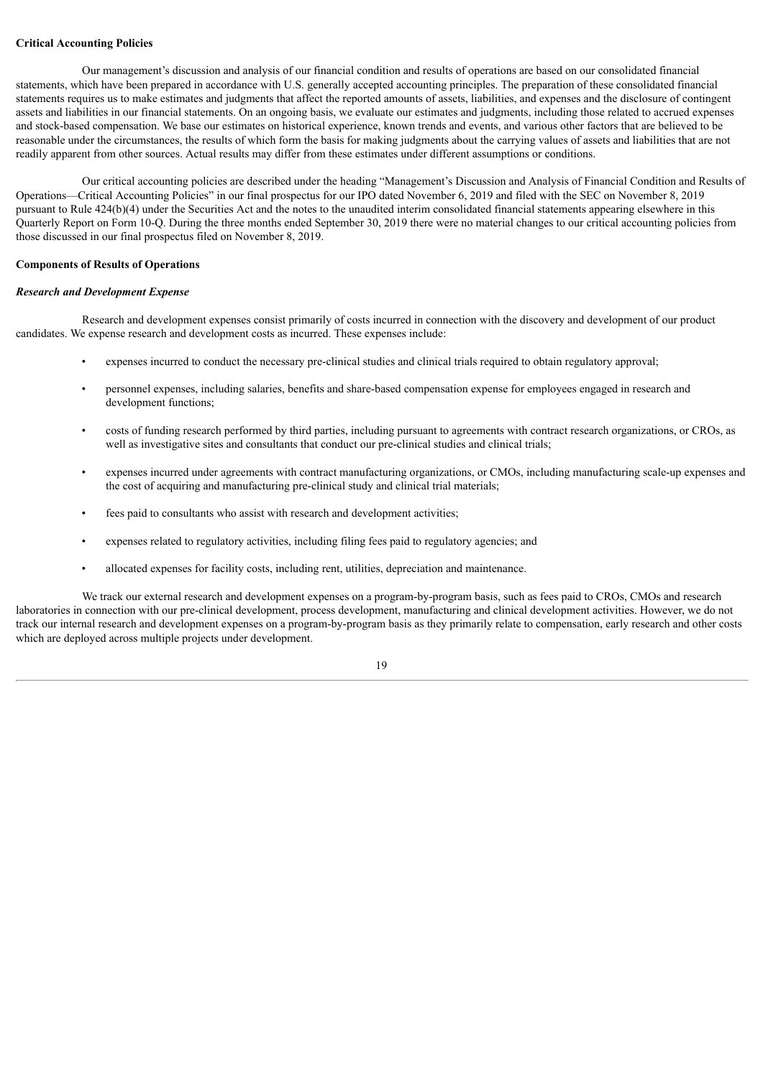#### **Critical Accounting Policies**

Our management's discussion and analysis of our financial condition and results of operations are based on our consolidated financial statements, which have been prepared in accordance with U.S. generally accepted accounting principles. The preparation of these consolidated financial statements requires us to make estimates and judgments that affect the reported amounts of assets, liabilities, and expenses and the disclosure of contingent assets and liabilities in our financial statements. On an ongoing basis, we evaluate our estimates and judgments, including those related to accrued expenses and stock-based compensation. We base our estimates on historical experience, known trends and events, and various other factors that are believed to be reasonable under the circumstances, the results of which form the basis for making judgments about the carrying values of assets and liabilities that are not readily apparent from other sources. Actual results may differ from these estimates under different assumptions or conditions.

Our critical accounting policies are described under the heading "Management's Discussion and Analysis of Financial Condition and Results of Operations—Critical Accounting Policies" in our final prospectus for our IPO dated November 6, 2019 and filed with the SEC on November 8, 2019 pursuant to Rule 424(b)(4) under the Securities Act and the notes to the unaudited interim consolidated financial statements appearing elsewhere in this Quarterly Report on Form 10-Q. During the three months ended September 30, 2019 there were no material changes to our critical accounting policies from those discussed in our final prospectus filed on November 8, 2019.

#### **Components of Results of Operations**

#### *Research and Development Expense*

Research and development expenses consist primarily of costs incurred in connection with the discovery and development of our product candidates. We expense research and development costs as incurred. These expenses include:

- expenses incurred to conduct the necessary pre-clinical studies and clinical trials required to obtain regulatory approval;
- personnel expenses, including salaries, benefits and share-based compensation expense for employees engaged in research and development functions;
- costs of funding research performed by third parties, including pursuant to agreements with contract research organizations, or CROs, as well as investigative sites and consultants that conduct our pre-clinical studies and clinical trials;
- expenses incurred under agreements with contract manufacturing organizations, or CMOs, including manufacturing scale-up expenses and the cost of acquiring and manufacturing pre-clinical study and clinical trial materials;
- fees paid to consultants who assist with research and development activities;
- expenses related to regulatory activities, including filing fees paid to regulatory agencies; and
- allocated expenses for facility costs, including rent, utilities, depreciation and maintenance.

We track our external research and development expenses on a program-by-program basis, such as fees paid to CROs, CMOs and research laboratories in connection with our pre-clinical development, process development, manufacturing and clinical development activities. However, we do not track our internal research and development expenses on a program-by-program basis as they primarily relate to compensation, early research and other costs which are deployed across multiple projects under development.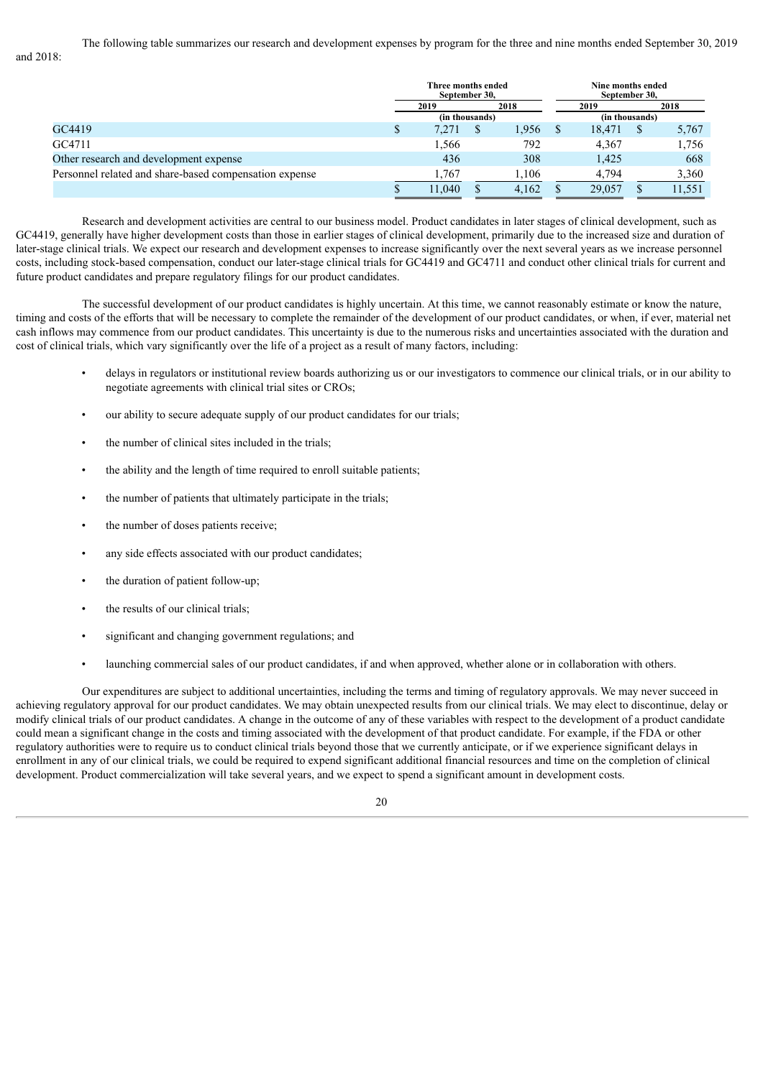The following table summarizes our research and development expenses by program for the three and nine months ended September 30, 2019 and 2018:

|                                                        | Three months ended<br>September 30, |  |       | Nine months ended<br>September 30, |                |  |        |
|--------------------------------------------------------|-------------------------------------|--|-------|------------------------------------|----------------|--|--------|
|                                                        | 2019                                |  | 2018  |                                    | 2019           |  | 2018   |
|                                                        | (in thousands)                      |  |       |                                    | (in thousands) |  |        |
| GC4419                                                 | 7.271                               |  | 1.956 |                                    | 18,471         |  | 5,767  |
| GC4711                                                 | 1,566                               |  | 792   |                                    | 4.367          |  | 1,756  |
| Other research and development expense                 | 436                                 |  | 308   |                                    | 1,425          |  | 668    |
| Personnel related and share-based compensation expense | 1.767                               |  | 1.106 |                                    | 4.794          |  | 3,360  |
|                                                        | 1.040                               |  | 4.162 |                                    | 29,057         |  | 11,551 |

Research and development activities are central to our business model. Product candidates in later stages of clinical development, such as GC4419, generally have higher development costs than those in earlier stages of clinical development, primarily due to the increased size and duration of later-stage clinical trials. We expect our research and development expenses to increase significantly over the next several years as we increase personnel costs, including stock-based compensation, conduct our later-stage clinical trials for GC4419 and GC4711 and conduct other clinical trials for current and future product candidates and prepare regulatory filings for our product candidates.

The successful development of our product candidates is highly uncertain. At this time, we cannot reasonably estimate or know the nature, timing and costs of the efforts that will be necessary to complete the remainder of the development of our product candidates, or when, if ever, material net cash inflows may commence from our product candidates. This uncertainty is due to the numerous risks and uncertainties associated with the duration and cost of clinical trials, which vary significantly over the life of a project as a result of many factors, including:

- delays in regulators or institutional review boards authorizing us or our investigators to commence our clinical trials, or in our ability to negotiate agreements with clinical trial sites or CROs;
- our ability to secure adequate supply of our product candidates for our trials;
- the number of clinical sites included in the trials;
- the ability and the length of time required to enroll suitable patients;
- the number of patients that ultimately participate in the trials;
- the number of doses patients receive;
- any side effects associated with our product candidates;
- the duration of patient follow-up;
- the results of our clinical trials;
- significant and changing government regulations; and
- launching commercial sales of our product candidates, if and when approved, whether alone or in collaboration with others.

Our expenditures are subject to additional uncertainties, including the terms and timing of regulatory approvals. We may never succeed in achieving regulatory approval for our product candidates. We may obtain unexpected results from our clinical trials. We may elect to discontinue, delay or modify clinical trials of our product candidates. A change in the outcome of any of these variables with respect to the development of a product candidate could mean a significant change in the costs and timing associated with the development of that product candidate. For example, if the FDA or other regulatory authorities were to require us to conduct clinical trials beyond those that we currently anticipate, or if we experience significant delays in enrollment in any of our clinical trials, we could be required to expend significant additional financial resources and time on the completion of clinical development. Product commercialization will take several years, and we expect to spend a significant amount in development costs.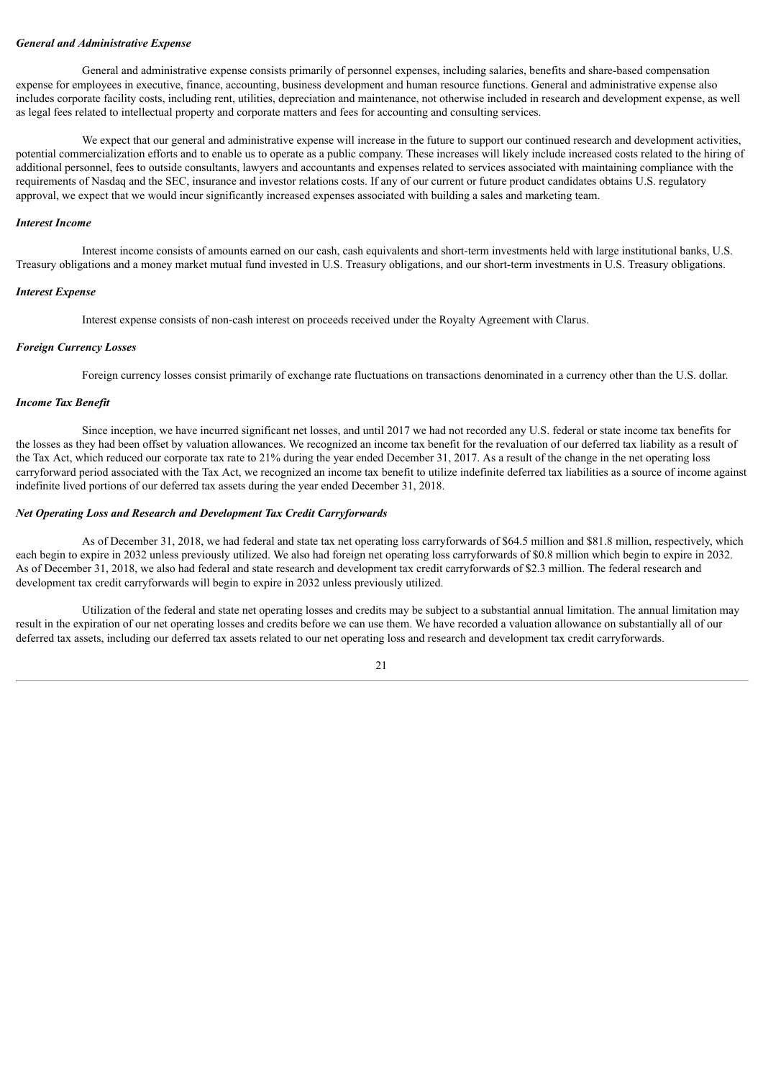#### *General and Administrative Expense*

General and administrative expense consists primarily of personnel expenses, including salaries, benefits and share-based compensation expense for employees in executive, finance, accounting, business development and human resource functions. General and administrative expense also includes corporate facility costs, including rent, utilities, depreciation and maintenance, not otherwise included in research and development expense, as well as legal fees related to intellectual property and corporate matters and fees for accounting and consulting services.

We expect that our general and administrative expense will increase in the future to support our continued research and development activities, potential commercialization efforts and to enable us to operate as a public company. These increases will likely include increased costs related to the hiring of additional personnel, fees to outside consultants, lawyers and accountants and expenses related to services associated with maintaining compliance with the requirements of Nasdaq and the SEC, insurance and investor relations costs. If any of our current or future product candidates obtains U.S. regulatory approval, we expect that we would incur significantly increased expenses associated with building a sales and marketing team.

#### *Interest Income*

Interest income consists of amounts earned on our cash, cash equivalents and short-term investments held with large institutional banks, U.S. Treasury obligations and a money market mutual fund invested in U.S. Treasury obligations, and our short-term investments in U.S. Treasury obligations.

#### *Interest Expense*

Interest expense consists of non-cash interest on proceeds received under the Royalty Agreement with Clarus.

#### *Foreign Currency Losses*

Foreign currency losses consist primarily of exchange rate fluctuations on transactions denominated in a currency other than the U.S. dollar.

#### *Income Tax Benefit*

Since inception, we have incurred significant net losses, and until 2017 we had not recorded any U.S. federal or state income tax benefits for the losses as they had been offset by valuation allowances. We recognized an income tax benefit for the revaluation of our deferred tax liability as a result of the Tax Act, which reduced our corporate tax rate to 21% during the year ended December 31, 2017. As a result of the change in the net operating loss carryforward period associated with the Tax Act, we recognized an income tax benefit to utilize indefinite deferred tax liabilities as a source of income against indefinite lived portions of our deferred tax assets during the year ended December 31, 2018.

#### *Net Operating Loss and Research and Development Tax Credit Carryforwards*

As of December 31, 2018, we had federal and state tax net operating loss carryforwards of \$64.5 million and \$81.8 million, respectively, which each begin to expire in 2032 unless previously utilized. We also had foreign net operating loss carryforwards of \$0.8 million which begin to expire in 2032. As of December 31, 2018, we also had federal and state research and development tax credit carryforwards of \$2.3 million. The federal research and development tax credit carryforwards will begin to expire in 2032 unless previously utilized.

Utilization of the federal and state net operating losses and credits may be subject to a substantial annual limitation. The annual limitation may result in the expiration of our net operating losses and credits before we can use them. We have recorded a valuation allowance on substantially all of our deferred tax assets, including our deferred tax assets related to our net operating loss and research and development tax credit carryforwards.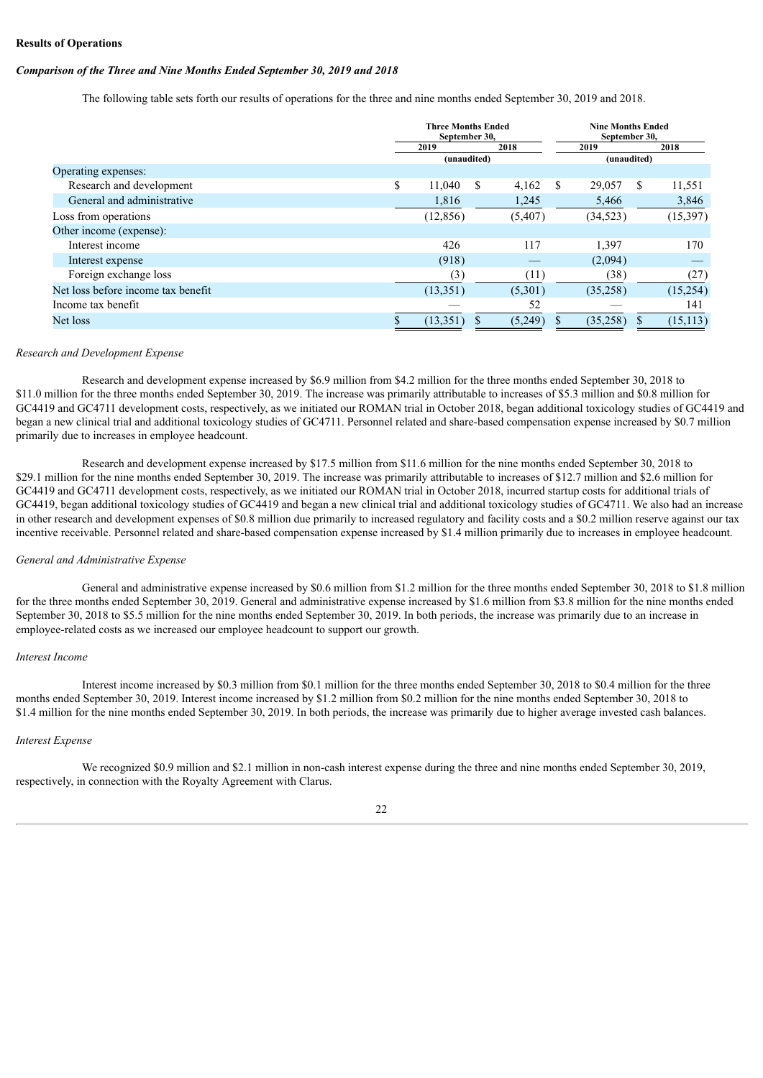#### **Results of Operations**

#### *Comparison of the Three and Nine Months Ended September 30, 2019 and 2018*

The following table sets forth our results of operations for the three and nine months ended September 30, 2019 and 2018.

|                                    | <b>Three Months Ended</b><br>September 30, |             |   |         | <b>Nine Months Ended</b><br>September 30, |             |    |           |
|------------------------------------|--------------------------------------------|-------------|---|---------|-------------------------------------------|-------------|----|-----------|
|                                    |                                            | 2019        |   | 2018    |                                           | 2019        |    | 2018      |
|                                    |                                            | (unaudited) |   |         |                                           | (unaudited) |    |           |
| Operating expenses:                |                                            |             |   |         |                                           |             |    |           |
| Research and development           | \$                                         | 11,040      | S | 4,162   | -S                                        | 29,057      | -S | 11,551    |
| General and administrative         |                                            | 1,816       |   | 1,245   |                                           | 5,466       |    | 3,846     |
| Loss from operations               |                                            | (12, 856)   |   | (5,407) |                                           | (34, 523)   |    | (15, 397) |
| Other income (expense):            |                                            |             |   |         |                                           |             |    |           |
| Interest income                    |                                            | 426         |   | 117     |                                           | 1,397       |    | 170       |
| Interest expense                   |                                            | (918)       |   |         |                                           | (2,094)     |    |           |
| Foreign exchange loss              |                                            | (3)         |   | (11)    |                                           | (38)        |    | (27)      |
| Net loss before income tax benefit |                                            | (13,351)    |   | (5,301) |                                           | (35,258)    |    | (15,254)  |
| Income tax benefit                 |                                            |             |   | 52      |                                           |             |    | 141       |
| Net loss                           |                                            | (13, 351)   |   | (5,249) |                                           | (35,258)    |    | (15, 113) |

#### *Research and Development Expense*

Research and development expense increased by \$6.9 million from \$4.2 million for the three months ended September 30, 2018 to \$11.0 million for the three months ended September 30, 2019. The increase was primarily attributable to increases of \$5.3 million and \$0.8 million for GC4419 and GC4711 development costs, respectively, as we initiated our ROMAN trial in October 2018, began additional toxicology studies of GC4419 and began a new clinical trial and additional toxicology studies of GC4711. Personnel related and share-based compensation expense increased by \$0.7 million primarily due to increases in employee headcount.

Research and development expense increased by \$17.5 million from \$11.6 million for the nine months ended September 30, 2018 to \$29.1 million for the nine months ended September 30, 2019. The increase was primarily attributable to increases of \$12.7 million and \$2.6 million for GC4419 and GC4711 development costs, respectively, as we initiated our ROMAN trial in October 2018, incurred startup costs for additional trials of GC4419, began additional toxicology studies of GC4419 and began a new clinical trial and additional toxicology studies of GC4711. We also had an increase in other research and development expenses of \$0.8 million due primarily to increased regulatory and facility costs and a \$0.2 million reserve against our tax incentive receivable. Personnel related and share-based compensation expense increased by \$1.4 million primarily due to increases in employee headcount.

#### *General and Administrative Expense*

General and administrative expense increased by \$0.6 million from \$1.2 million for the three months ended September 30, 2018 to \$1.8 million for the three months ended September 30, 2019. General and administrative expense increased by \$1.6 million from \$3.8 million for the nine months ended September 30, 2018 to \$5.5 million for the nine months ended September 30, 2019. In both periods, the increase was primarily due to an increase in employee-related costs as we increased our employee headcount to support our growth.

#### *Interest Income*

Interest income increased by \$0.3 million from \$0.1 million for the three months ended September 30, 2018 to \$0.4 million for the three months ended September 30, 2019. Interest income increased by \$1.2 million from \$0.2 million for the nine months ended September 30, 2018 to \$1.4 million for the nine months ended September 30, 2019. In both periods, the increase was primarily due to higher average invested cash balances.

#### *Interest Expense*

We recognized \$0.9 million and \$2.1 million in non-cash interest expense during the three and nine months ended September 30, 2019, respectively, in connection with the Royalty Agreement with Clarus.

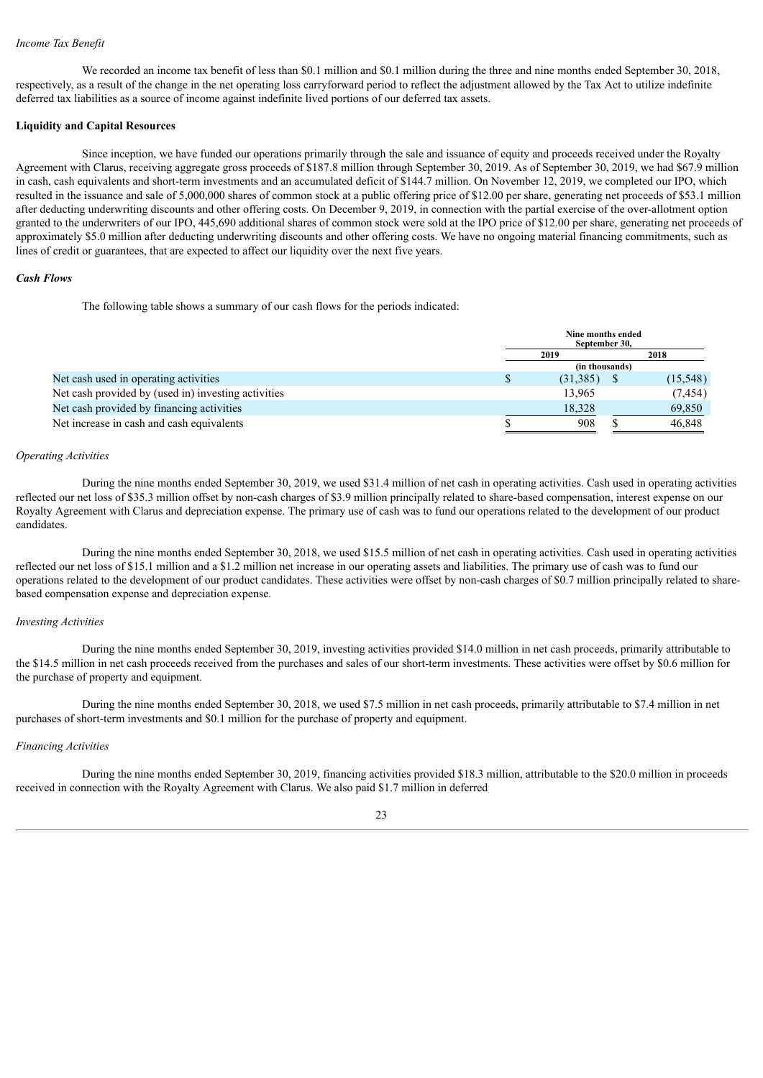#### *Income Tax Benefit*

We recorded an income tax benefit of less than \$0.1 million and \$0.1 million during the three and nine months ended September 30, 2018, respectively, as a result of the change in the net operating loss carryforward period to reflect the adjustment allowed by the Tax Act to utilize indefinite deferred tax liabilities as a source of income against indefinite lived portions of our deferred tax assets.

#### **Liquidity and Capital Resources**

Since inception, we have funded our operations primarily through the sale and issuance of equity and proceeds received under the Royalty Agreement with Clarus, receiving aggregate gross proceeds of \$187.8 million through September 30, 2019. As of September 30, 2019, we had \$67.9 million in cash, cash equivalents and short-term investments and an accumulated deficit of \$144.7 million. On November 12, 2019, we completed our IPO, which resulted in the issuance and sale of 5,000,000 shares of common stock at a public offering price of \$12.00 per share, generating net proceeds of \$53.1 million after deducting underwriting discounts and other offering costs. On December 9, 2019, in connection with the partial exercise of the over-allotment option granted to the underwriters of our IPO, 445,690 additional shares of common stock were sold at the IPO price of \$12.00 per share, generating net proceeds of approximately \$5.0 million after deducting underwriting discounts and other offering costs. We have no ongoing material financing commitments, such as lines of credit or guarantees, that are expected to affect our liquidity over the next five years.

#### *Cash Flows*

The following table shows a summary of our cash flows for the periods indicated:

|                                                     | Nine months ended | September 30. |           |  |  |
|-----------------------------------------------------|-------------------|---------------|-----------|--|--|
|                                                     | 2018<br>2019      |               |           |  |  |
|                                                     | (in thousands)    |               |           |  |  |
| Net cash used in operating activities               | (31,385)          |               | (15, 548) |  |  |
| Net cash provided by (used in) investing activities | 13,965            |               | (7, 454)  |  |  |
| Net cash provided by financing activities           | 18.328            |               | 69,850    |  |  |
| Net increase in cash and cash equivalents           | 908               |               | 46,848    |  |  |

#### *Operating Activities*

During the nine months ended September 30, 2019, we used \$31.4 million of net cash in operating activities. Cash used in operating activities reflected our net loss of \$35.3 million offset by non-cash charges of \$3.9 million principally related to share-based compensation, interest expense on our Royalty Agreement with Clarus and depreciation expense. The primary use of cash was to fund our operations related to the development of our product candidates.

During the nine months ended September 30, 2018, we used \$15.5 million of net cash in operating activities. Cash used in operating activities reflected our net loss of \$15.1 million and a \$1.2 million net increase in our operating assets and liabilities. The primary use of cash was to fund our operations related to the development of our product candidates. These activities were offset by non-cash charges of \$0.7 million principally related to sharebased compensation expense and depreciation expense.

#### *Investing Activities*

During the nine months ended September 30, 2019, investing activities provided \$14.0 million in net cash proceeds, primarily attributable to the \$14.5 million in net cash proceeds received from the purchases and sales of our short-term investments. These activities were offset by \$0.6 million for the purchase of property and equipment.

During the nine months ended September 30, 2018, we used \$7.5 million in net cash proceeds, primarily attributable to \$7.4 million in net purchases of short-term investments and \$0.1 million for the purchase of property and equipment.

#### *Financing Activities*

During the nine months ended September 30, 2019, financing activities provided \$18.3 million, attributable to the \$20.0 million in proceeds received in connection with the Royalty Agreement with Clarus. We also paid \$1.7 million in deferred

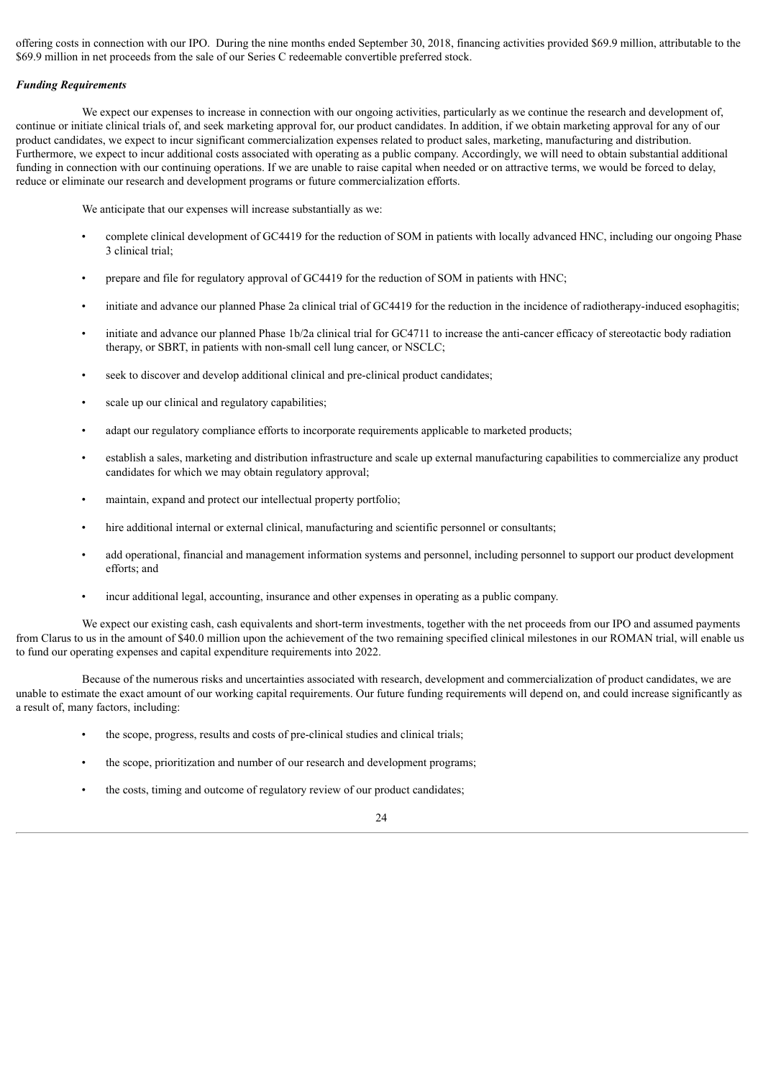offering costs in connection with our IPO. During the nine months ended September 30, 2018, financing activities provided \$69.9 million, attributable to the \$69.9 million in net proceeds from the sale of our Series C redeemable convertible preferred stock.

#### *Funding Requirements*

We expect our expenses to increase in connection with our ongoing activities, particularly as we continue the research and development of, continue or initiate clinical trials of, and seek marketing approval for, our product candidates. In addition, if we obtain marketing approval for any of our product candidates, we expect to incur significant commercialization expenses related to product sales, marketing, manufacturing and distribution. Furthermore, we expect to incur additional costs associated with operating as a public company. Accordingly, we will need to obtain substantial additional funding in connection with our continuing operations. If we are unable to raise capital when needed or on attractive terms, we would be forced to delay, reduce or eliminate our research and development programs or future commercialization efforts.

We anticipate that our expenses will increase substantially as we:

- complete clinical development of GC4419 for the reduction of SOM in patients with locally advanced HNC, including our ongoing Phase 3 clinical trial;
- prepare and file for regulatory approval of GC4419 for the reduction of SOM in patients with HNC;
- initiate and advance our planned Phase 2a clinical trial of GC4419 for the reduction in the incidence of radiotherapy-induced esophagitis;
- initiate and advance our planned Phase 1b/2a clinical trial for GC4711 to increase the anti-cancer efficacy of stereotactic body radiation therapy, or SBRT, in patients with non-small cell lung cancer, or NSCLC;
- seek to discover and develop additional clinical and pre-clinical product candidates;
- scale up our clinical and regulatory capabilities;
- adapt our regulatory compliance efforts to incorporate requirements applicable to marketed products;
- establish a sales, marketing and distribution infrastructure and scale up external manufacturing capabilities to commercialize any product candidates for which we may obtain regulatory approval;
- maintain, expand and protect our intellectual property portfolio;
- hire additional internal or external clinical, manufacturing and scientific personnel or consultants;
- add operational, financial and management information systems and personnel, including personnel to support our product development efforts; and
- incur additional legal, accounting, insurance and other expenses in operating as a public company.

We expect our existing cash, cash equivalents and short-term investments, together with the net proceeds from our IPO and assumed payments from Clarus to us in the amount of \$40.0 million upon the achievement of the two remaining specified clinical milestones in our ROMAN trial, will enable us to fund our operating expenses and capital expenditure requirements into 2022.

Because of the numerous risks and uncertainties associated with research, development and commercialization of product candidates, we are unable to estimate the exact amount of our working capital requirements. Our future funding requirements will depend on, and could increase significantly as a result of, many factors, including:

- the scope, progress, results and costs of pre-clinical studies and clinical trials;
- the scope, prioritization and number of our research and development programs;
- the costs, timing and outcome of regulatory review of our product candidates;

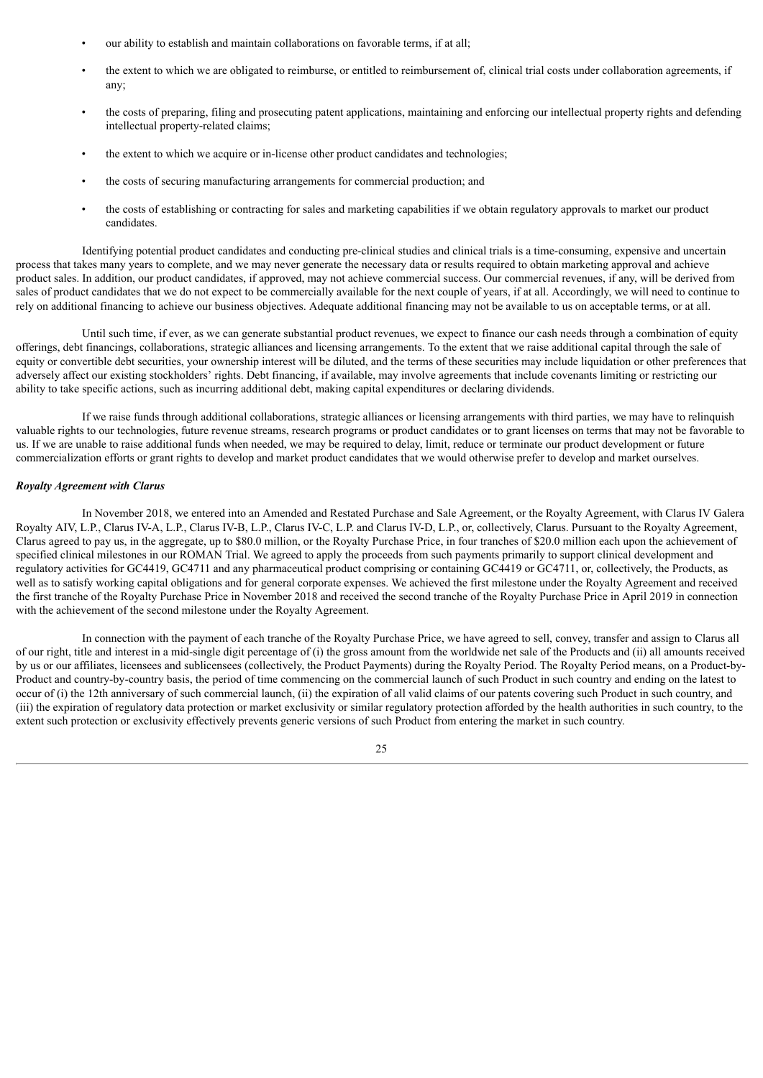- our ability to establish and maintain collaborations on favorable terms, if at all;
- the extent to which we are obligated to reimburse, or entitled to reimbursement of, clinical trial costs under collaboration agreements, if any;
- the costs of preparing, filing and prosecuting patent applications, maintaining and enforcing our intellectual property rights and defending intellectual property-related claims;
- the extent to which we acquire or in-license other product candidates and technologies;
- the costs of securing manufacturing arrangements for commercial production; and
- the costs of establishing or contracting for sales and marketing capabilities if we obtain regulatory approvals to market our product candidates.

Identifying potential product candidates and conducting pre-clinical studies and clinical trials is a time-consuming, expensive and uncertain process that takes many years to complete, and we may never generate the necessary data or results required to obtain marketing approval and achieve product sales. In addition, our product candidates, if approved, may not achieve commercial success. Our commercial revenues, if any, will be derived from sales of product candidates that we do not expect to be commercially available for the next couple of years, if at all. Accordingly, we will need to continue to rely on additional financing to achieve our business objectives. Adequate additional financing may not be available to us on acceptable terms, or at all.

Until such time, if ever, as we can generate substantial product revenues, we expect to finance our cash needs through a combination of equity offerings, debt financings, collaborations, strategic alliances and licensing arrangements. To the extent that we raise additional capital through the sale of equity or convertible debt securities, your ownership interest will be diluted, and the terms of these securities may include liquidation or other preferences that adversely affect our existing stockholders' rights. Debt financing, if available, may involve agreements that include covenants limiting or restricting our ability to take specific actions, such as incurring additional debt, making capital expenditures or declaring dividends.

If we raise funds through additional collaborations, strategic alliances or licensing arrangements with third parties, we may have to relinquish valuable rights to our technologies, future revenue streams, research programs or product candidates or to grant licenses on terms that may not be favorable to us. If we are unable to raise additional funds when needed, we may be required to delay, limit, reduce or terminate our product development or future commercialization efforts or grant rights to develop and market product candidates that we would otherwise prefer to develop and market ourselves.

#### *Royalty Agreement with Clarus*

In November 2018, we entered into an Amended and Restated Purchase and Sale Agreement, or the Royalty Agreement, with Clarus IV Galera Royalty AIV, L.P., Clarus IV-A, L.P., Clarus IV-B, L.P., Clarus IV-C, L.P. and Clarus IV-D, L.P., or, collectively, Clarus. Pursuant to the Royalty Agreement, Clarus agreed to pay us, in the aggregate, up to \$80.0 million, or the Royalty Purchase Price, in four tranches of \$20.0 million each upon the achievement of specified clinical milestones in our ROMAN Trial. We agreed to apply the proceeds from such payments primarily to support clinical development and regulatory activities for GC4419, GC4711 and any pharmaceutical product comprising or containing GC4419 or GC4711, or, collectively, the Products, as well as to satisfy working capital obligations and for general corporate expenses. We achieved the first milestone under the Royalty Agreement and received the first tranche of the Royalty Purchase Price in November 2018 and received the second tranche of the Royalty Purchase Price in April 2019 in connection with the achievement of the second milestone under the Royalty Agreement.

In connection with the payment of each tranche of the Royalty Purchase Price, we have agreed to sell, convey, transfer and assign to Clarus all of our right, title and interest in a mid-single digit percentage of (i) the gross amount from the worldwide net sale of the Products and (ii) all amounts received by us or our affiliates, licensees and sublicensees (collectively, the Product Payments) during the Royalty Period. The Royalty Period means, on a Product-by-Product and country-by-country basis, the period of time commencing on the commercial launch of such Product in such country and ending on the latest to occur of (i) the 12th anniversary of such commercial launch, (ii) the expiration of all valid claims of our patents covering such Product in such country, and (iii) the expiration of regulatory data protection or market exclusivity or similar regulatory protection afforded by the health authorities in such country, to the extent such protection or exclusivity effectively prevents generic versions of such Product from entering the market in such country.

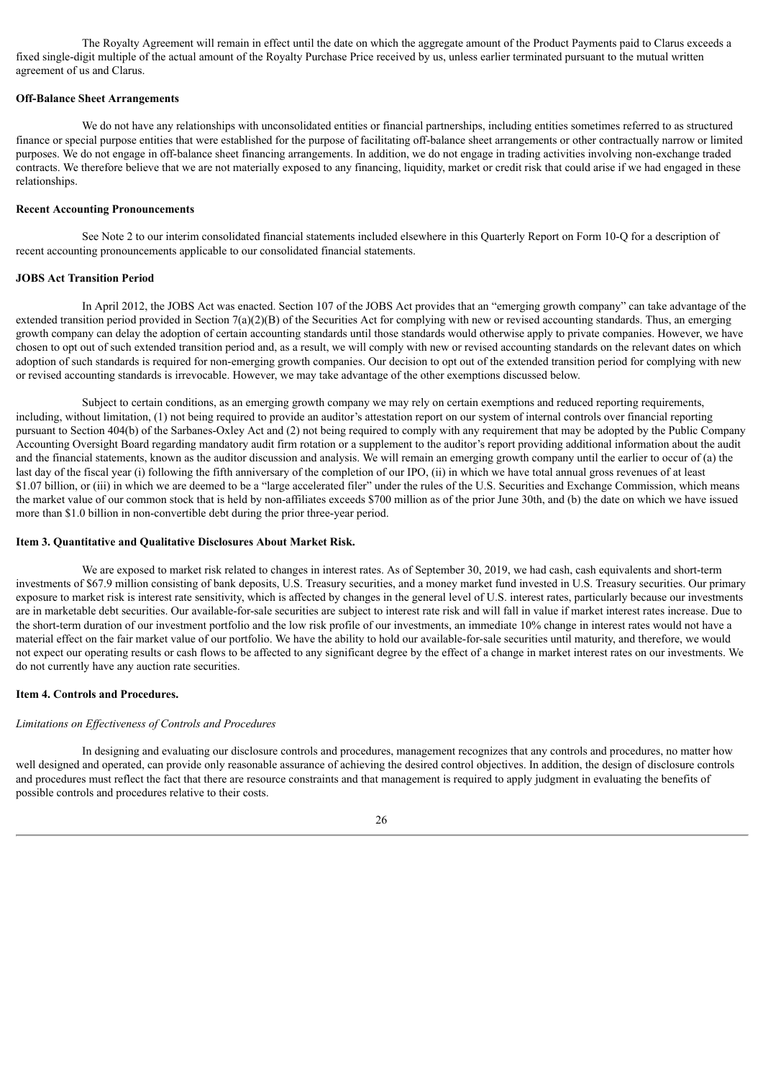The Royalty Agreement will remain in effect until the date on which the aggregate amount of the Product Payments paid to Clarus exceeds a fixed single-digit multiple of the actual amount of the Royalty Purchase Price received by us, unless earlier terminated pursuant to the mutual written agreement of us and Clarus.

#### **Off-Balance Sheet Arrangements**

We do not have any relationships with unconsolidated entities or financial partnerships, including entities sometimes referred to as structured finance or special purpose entities that were established for the purpose of facilitating off-balance sheet arrangements or other contractually narrow or limited purposes. We do not engage in off-balance sheet financing arrangements. In addition, we do not engage in trading activities involving non-exchange traded contracts. We therefore believe that we are not materially exposed to any financing, liquidity, market or credit risk that could arise if we had engaged in these relationships.

#### **Recent Accounting Pronouncements**

See Note 2 to our interim consolidated financial statements included elsewhere in this Quarterly Report on Form 10-Q for a description of recent accounting pronouncements applicable to our consolidated financial statements.

#### **JOBS Act Transition Period**

In April 2012, the JOBS Act was enacted. Section 107 of the JOBS Act provides that an "emerging growth company" can take advantage of the extended transition period provided in Section  $7(a)(2)(B)$  of the Securities Act for complying with new or revised accounting standards. Thus, an emerging growth company can delay the adoption of certain accounting standards until those standards would otherwise apply to private companies. However, we have chosen to opt out of such extended transition period and, as a result, we will comply with new or revised accounting standards on the relevant dates on which adoption of such standards is required for non-emerging growth companies. Our decision to opt out of the extended transition period for complying with new or revised accounting standards is irrevocable. However, we may take advantage of the other exemptions discussed below.

Subject to certain conditions, as an emerging growth company we may rely on certain exemptions and reduced reporting requirements, including, without limitation, (1) not being required to provide an auditor's attestation report on our system of internal controls over financial reporting pursuant to Section 404(b) of the Sarbanes-Oxley Act and (2) not being required to comply with any requirement that may be adopted by the Public Company Accounting Oversight Board regarding mandatory audit firm rotation or a supplement to the auditor's report providing additional information about the audit and the financial statements, known as the auditor discussion and analysis. We will remain an emerging growth company until the earlier to occur of (a) the last day of the fiscal year (i) following the fifth anniversary of the completion of our IPO, (ii) in which we have total annual gross revenues of at least \$1.07 billion, or (iii) in which we are deemed to be a "large accelerated filer" under the rules of the U.S. Securities and Exchange Commission, which means the market value of our common stock that is held by non-affiliates exceeds \$700 million as of the prior June 30th, and (b) the date on which we have issued more than \$1.0 billion in non-convertible debt during the prior three-year period.

#### <span id="page-26-0"></span>**Item 3. Quantitative and Qualitative Disclosures About Market Risk.**

We are exposed to market risk related to changes in interest rates. As of September 30, 2019, we had cash, cash equivalents and short-term investments of \$67.9 million consisting of bank deposits, U.S. Treasury securities, and a money market fund invested in U.S. Treasury securities. Our primary exposure to market risk is interest rate sensitivity, which is affected by changes in the general level of U.S. interest rates, particularly because our investments are in marketable debt securities. Our available-for-sale securities are subject to interest rate risk and will fall in value if market interest rates increase. Due to the short-term duration of our investment portfolio and the low risk profile of our investments, an immediate 10% change in interest rates would not have a material effect on the fair market value of our portfolio. We have the ability to hold our available-for-sale securities until maturity, and therefore, we would not expect our operating results or cash flows to be affected to any significant degree by the effect of a change in market interest rates on our investments. We do not currently have any auction rate securities.

#### <span id="page-26-1"></span>**Item 4. Controls and Procedures.**

#### *Limitations on Ef ectiveness of Controls and Procedures*

In designing and evaluating our disclosure controls and procedures, management recognizes that any controls and procedures, no matter how well designed and operated, can provide only reasonable assurance of achieving the desired control objectives. In addition, the design of disclosure controls and procedures must reflect the fact that there are resource constraints and that management is required to apply judgment in evaluating the benefits of possible controls and procedures relative to their costs.

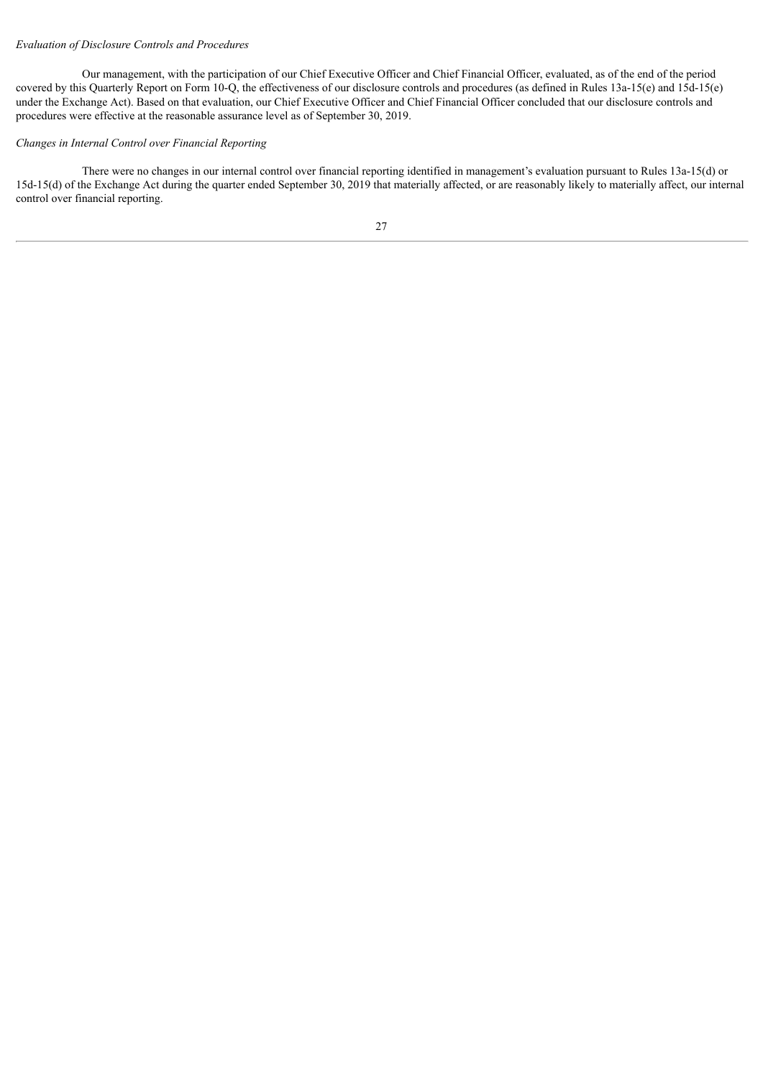#### *Evaluation of Disclosure Controls and Procedures*

Our management, with the participation of our Chief Executive Officer and Chief Financial Officer, evaluated, as of the end of the period covered by this Quarterly Report on Form 10-Q, the effectiveness of our disclosure controls and procedures (as defined in Rules 13a-15(e) and 15d-15(e) under the Exchange Act). Based on that evaluation, our Chief Executive Officer and Chief Financial Officer concluded that our disclosure controls and procedures were effective at the reasonable assurance level as of September 30, 2019.

#### *Changes in Internal Control over Financial Reporting*

There were no changes in our internal control over financial reporting identified in management's evaluation pursuant to Rules 13a-15(d) or 15d-15(d) of the Exchange Act during the quarter ended September 30, 2019 that materially affected, or are reasonably likely to materially affect, our internal control over financial reporting.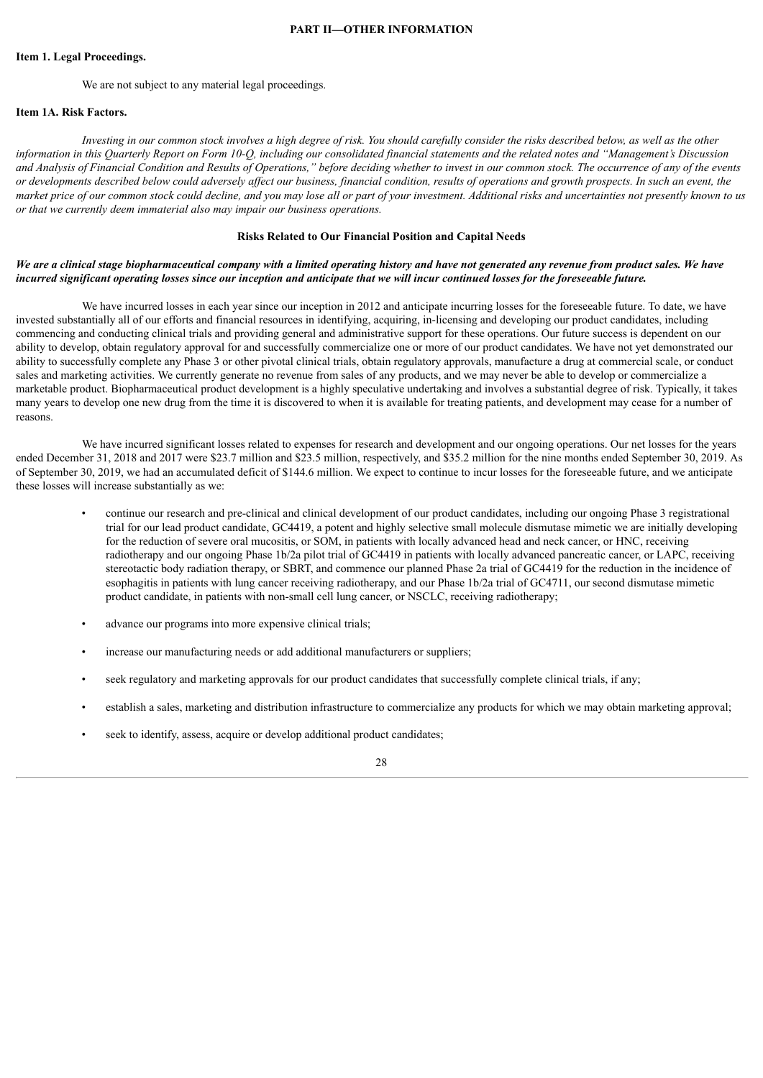#### **PART II—OTHER INFORMATION**

#### <span id="page-28-1"></span><span id="page-28-0"></span>**Item 1. Legal Proceedings.**

We are not subject to any material legal proceedings.

#### <span id="page-28-2"></span>**Item 1A. Risk Factors.**

Investing in our common stock involves a high degree of risk. You should carefully consider the risks described below, as well as the other information in this Quarterly Report on Form 10-Q, including our consolidated financial statements and the related notes and "Management's Discussion and Analysis of Financial Condition and Results of Operations," before deciding whether to invest in our common stock. The occurrence of any of the events or developments described below could adversely affect our business, financial condition, results of operations and growth prospects. In such an event, the market price of our common stock could decline, and you may lose all or part of your investment. Additional risks and uncertainties not presently known to us *or that we currently deem immaterial also may impair our business operations.*

#### **Risks Related to Our Financial Position and Capital Needs**

#### We are a clinical stage biopharmaceutical company with a limited operating history and have not generated any revenue from product sales. We have incurred significant operating losses since our inception and anticipate that we will incur continued losses for the foreseeable future.

We have incurred losses in each year since our inception in 2012 and anticipate incurring losses for the foreseeable future. To date, we have invested substantially all of our efforts and financial resources in identifying, acquiring, in-licensing and developing our product candidates, including commencing and conducting clinical trials and providing general and administrative support for these operations. Our future success is dependent on our ability to develop, obtain regulatory approval for and successfully commercialize one or more of our product candidates. We have not yet demonstrated our ability to successfully complete any Phase 3 or other pivotal clinical trials, obtain regulatory approvals, manufacture a drug at commercial scale, or conduct sales and marketing activities. We currently generate no revenue from sales of any products, and we may never be able to develop or commercialize a marketable product. Biopharmaceutical product development is a highly speculative undertaking and involves a substantial degree of risk. Typically, it takes many years to develop one new drug from the time it is discovered to when it is available for treating patients, and development may cease for a number of reasons.

We have incurred significant losses related to expenses for research and development and our ongoing operations. Our net losses for the years ended December 31, 2018 and 2017 were \$23.7 million and \$23.5 million, respectively, and \$35.2 million for the nine months ended September 30, 2019. As of September 30, 2019, we had an accumulated deficit of \$144.6 million. We expect to continue to incur losses for the foreseeable future, and we anticipate these losses will increase substantially as we:

- continue our research and pre-clinical and clinical development of our product candidates, including our ongoing Phase 3 registrational trial for our lead product candidate, GC4419, a potent and highly selective small molecule dismutase mimetic we are initially developing for the reduction of severe oral mucositis, or SOM, in patients with locally advanced head and neck cancer, or HNC, receiving radiotherapy and our ongoing Phase 1b/2a pilot trial of GC4419 in patients with locally advanced pancreatic cancer, or LAPC, receiving stereotactic body radiation therapy, or SBRT, and commence our planned Phase 2a trial of GC4419 for the reduction in the incidence of esophagitis in patients with lung cancer receiving radiotherapy, and our Phase 1b/2a trial of GC4711, our second dismutase mimetic product candidate, in patients with non-small cell lung cancer, or NSCLC, receiving radiotherapy;
- advance our programs into more expensive clinical trials;
- increase our manufacturing needs or add additional manufacturers or suppliers;
- seek regulatory and marketing approvals for our product candidates that successfully complete clinical trials, if any;
- establish a sales, marketing and distribution infrastructure to commercialize any products for which we may obtain marketing approval;
- seek to identify, assess, acquire or develop additional product candidates;

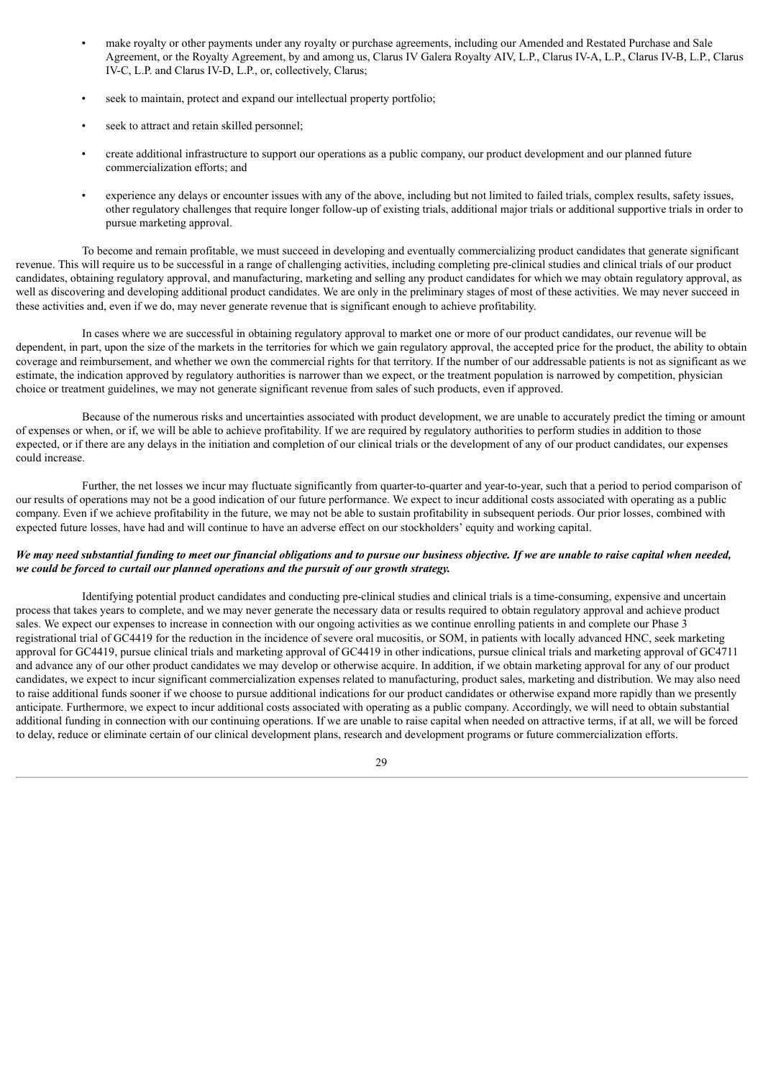- make royalty or other payments under any royalty or purchase agreements, including our Amended and Restated Purchase and Sale Agreement, or the Royalty Agreement, by and among us, Clarus IV Galera Royalty AIV, L.P., Clarus IV-A, L.P., Clarus IV-B, L.P., Clarus IV-C, L.P. and Clarus IV-D, L.P., or, collectively, Clarus;
- seek to maintain, protect and expand our intellectual property portfolio;
- seek to attract and retain skilled personnel:
- create additional infrastructure to support our operations as a public company, our product development and our planned future commercialization efforts; and
- experience any delays or encounter issues with any of the above, including but not limited to failed trials, complex results, safety issues, other regulatory challenges that require longer follow-up of existing trials, additional major trials or additional supportive trials in order to pursue marketing approval.

To become and remain profitable, we must succeed in developing and eventually commercializing product candidates that generate significant revenue. This will require us to be successful in a range of challenging activities, including completing pre-clinical studies and clinical trials of our product candidates, obtaining regulatory approval, and manufacturing, marketing and selling any product candidates for which we may obtain regulatory approval, as well as discovering and developing additional product candidates. We are only in the preliminary stages of most of these activities. We may never succeed in these activities and, even if we do, may never generate revenue that is significant enough to achieve profitability.

In cases where we are successful in obtaining regulatory approval to market one or more of our product candidates, our revenue will be dependent, in part, upon the size of the markets in the territories for which we gain regulatory approval, the accepted price for the product, the ability to obtain coverage and reimbursement, and whether we own the commercial rights for that territory. If the number of our addressable patients is not as significant as we estimate, the indication approved by regulatory authorities is narrower than we expect, or the treatment population is narrowed by competition, physician choice or treatment guidelines, we may not generate significant revenue from sales of such products, even if approved.

Because of the numerous risks and uncertainties associated with product development, we are unable to accurately predict the timing or amount of expenses or when, or if, we will be able to achieve profitability. If we are required by regulatory authorities to perform studies in addition to those expected, or if there are any delays in the initiation and completion of our clinical trials or the development of any of our product candidates, our expenses could increase.

Further, the net losses we incur may fluctuate significantly from quarter-to-quarter and year-to-year, such that a period to period comparison of our results of operations may not be a good indication of our future performance. We expect to incur additional costs associated with operating as a public company. Even if we achieve profitability in the future, we may not be able to sustain profitability in subsequent periods. Our prior losses, combined with expected future losses, have had and will continue to have an adverse effect on our stockholders' equity and working capital.

#### We may need substantial funding to meet our financial obligations and to pursue our business objective. If we are unable to raise capital when needed, *we could be forced to curtail our planned operations and the pursuit of our growth strategy.*

Identifying potential product candidates and conducting pre-clinical studies and clinical trials is a time-consuming, expensive and uncertain process that takes years to complete, and we may never generate the necessary data or results required to obtain regulatory approval and achieve product sales. We expect our expenses to increase in connection with our ongoing activities as we continue enrolling patients in and complete our Phase 3 registrational trial of GC4419 for the reduction in the incidence of severe oral mucositis, or SOM, in patients with locally advanced HNC, seek marketing approval for GC4419, pursue clinical trials and marketing approval of GC4419 in other indications, pursue clinical trials and marketing approval of GC4711 and advance any of our other product candidates we may develop or otherwise acquire. In addition, if we obtain marketing approval for any of our product candidates, we expect to incur significant commercialization expenses related to manufacturing, product sales, marketing and distribution. We may also need to raise additional funds sooner if we choose to pursue additional indications for our product candidates or otherwise expand more rapidly than we presently anticipate. Furthermore, we expect to incur additional costs associated with operating as a public company. Accordingly, we will need to obtain substantial additional funding in connection with our continuing operations. If we are unable to raise capital when needed on attractive terms, if at all, we will be forced to delay, reduce or eliminate certain of our clinical development plans, research and development programs or future commercialization efforts.

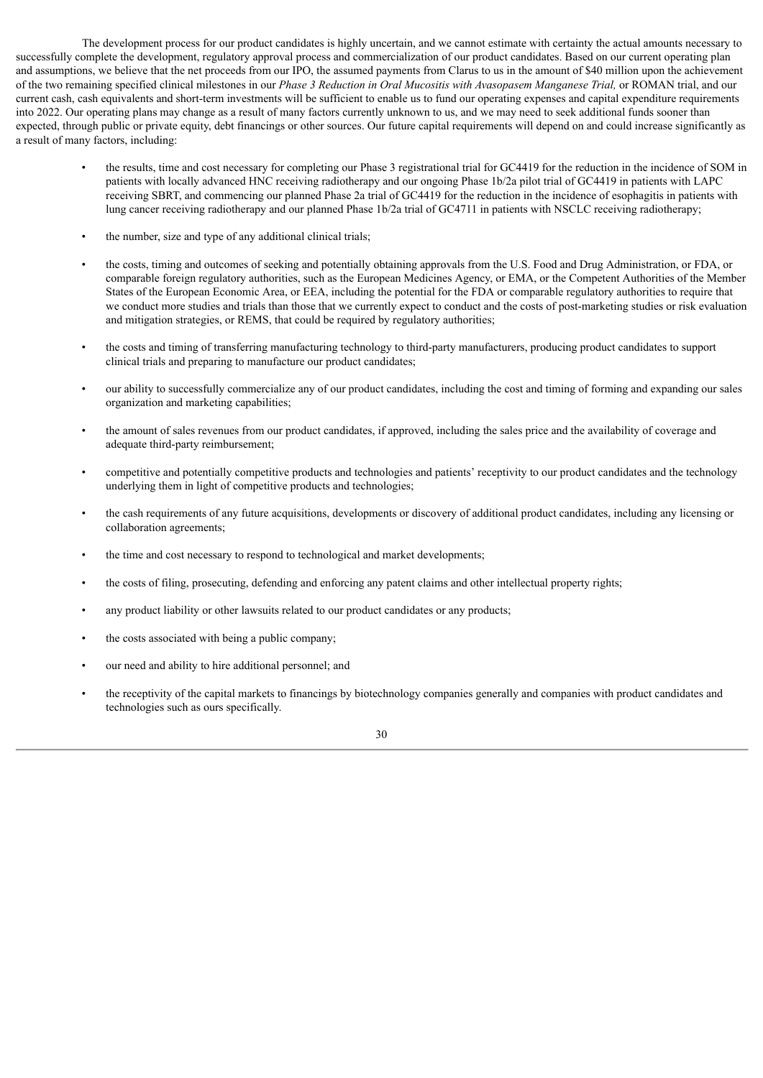The development process for our product candidates is highly uncertain, and we cannot estimate with certainty the actual amounts necessary to successfully complete the development, regulatory approval process and commercialization of our product candidates. Based on our current operating plan and assumptions, we believe that the net proceeds from our IPO, the assumed payments from Clarus to us in the amount of \$40 million upon the achievement of the two remaining specified clinical milestones in our *Phase 3 Reduction in Oral Mucositis with Avasopasem Manganese Trial,* or ROMAN trial, and our current cash, cash equivalents and short-term investments will be sufficient to enable us to fund our operating expenses and capital expenditure requirements into 2022. Our operating plans may change as a result of many factors currently unknown to us, and we may need to seek additional funds sooner than expected, through public or private equity, debt financings or other sources. Our future capital requirements will depend on and could increase significantly as a result of many factors, including:

- the results, time and cost necessary for completing our Phase 3 registrational trial for GC4419 for the reduction in the incidence of SOM in patients with locally advanced HNC receiving radiotherapy and our ongoing Phase 1b/2a pilot trial of GC4419 in patients with LAPC receiving SBRT, and commencing our planned Phase 2a trial of GC4419 for the reduction in the incidence of esophagitis in patients with lung cancer receiving radiotherapy and our planned Phase 1b/2a trial of GC4711 in patients with NSCLC receiving radiotherapy;
- the number, size and type of any additional clinical trials;
- the costs, timing and outcomes of seeking and potentially obtaining approvals from the U.S. Food and Drug Administration, or FDA, or comparable foreign regulatory authorities, such as the European Medicines Agency, or EMA, or the Competent Authorities of the Member States of the European Economic Area, or EEA, including the potential for the FDA or comparable regulatory authorities to require that we conduct more studies and trials than those that we currently expect to conduct and the costs of post-marketing studies or risk evaluation and mitigation strategies, or REMS, that could be required by regulatory authorities;
- the costs and timing of transferring manufacturing technology to third-party manufacturers, producing product candidates to support clinical trials and preparing to manufacture our product candidates;
- our ability to successfully commercialize any of our product candidates, including the cost and timing of forming and expanding our sales organization and marketing capabilities;
- the amount of sales revenues from our product candidates, if approved, including the sales price and the availability of coverage and adequate third-party reimbursement;
- competitive and potentially competitive products and technologies and patients' receptivity to our product candidates and the technology underlying them in light of competitive products and technologies;
- the cash requirements of any future acquisitions, developments or discovery of additional product candidates, including any licensing or collaboration agreements;
- the time and cost necessary to respond to technological and market developments;
- the costs of filing, prosecuting, defending and enforcing any patent claims and other intellectual property rights;
- any product liability or other lawsuits related to our product candidates or any products;
- the costs associated with being a public company;
- our need and ability to hire additional personnel; and
- the receptivity of the capital markets to financings by biotechnology companies generally and companies with product candidates and technologies such as ours specifically.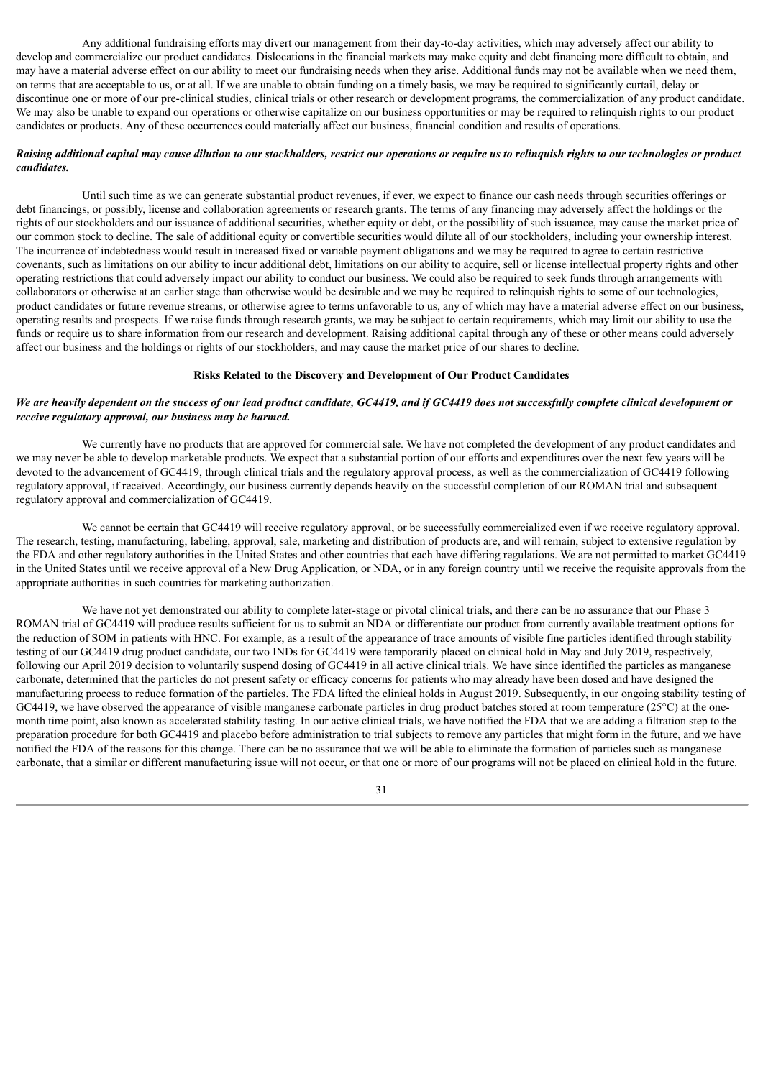Any additional fundraising efforts may divert our management from their day-to-day activities, which may adversely affect our ability to develop and commercialize our product candidates. Dislocations in the financial markets may make equity and debt financing more difficult to obtain, and may have a material adverse effect on our ability to meet our fundraising needs when they arise. Additional funds may not be available when we need them, on terms that are acceptable to us, or at all. If we are unable to obtain funding on a timely basis, we may be required to significantly curtail, delay or discontinue one or more of our pre-clinical studies, clinical trials or other research or development programs, the commercialization of any product candidate. We may also be unable to expand our operations or otherwise capitalize on our business opportunities or may be required to relinquish rights to our product candidates or products. Any of these occurrences could materially affect our business, financial condition and results of operations.

#### Raising additional capital may cause dilution to our stockholders, restrict our operations or require us to relinguish rights to our technologies or product *candidates.*

Until such time as we can generate substantial product revenues, if ever, we expect to finance our cash needs through securities offerings or debt financings, or possibly, license and collaboration agreements or research grants. The terms of any financing may adversely affect the holdings or the rights of our stockholders and our issuance of additional securities, whether equity or debt, or the possibility of such issuance, may cause the market price of our common stock to decline. The sale of additional equity or convertible securities would dilute all of our stockholders, including your ownership interest. The incurrence of indebtedness would result in increased fixed or variable payment obligations and we may be required to agree to certain restrictive covenants, such as limitations on our ability to incur additional debt, limitations on our ability to acquire, sell or license intellectual property rights and other operating restrictions that could adversely impact our ability to conduct our business. We could also be required to seek funds through arrangements with collaborators or otherwise at an earlier stage than otherwise would be desirable and we may be required to relinquish rights to some of our technologies, product candidates or future revenue streams, or otherwise agree to terms unfavorable to us, any of which may have a material adverse effect on our business, operating results and prospects. If we raise funds through research grants, we may be subject to certain requirements, which may limit our ability to use the funds or require us to share information from our research and development. Raising additional capital through any of these or other means could adversely affect our business and the holdings or rights of our stockholders, and may cause the market price of our shares to decline.

#### **Risks Related to the Discovery and Development of Our Product Candidates**

#### We are heavily dependent on the success of our lead product candidate, GC4419, and if GC4419 does not successfully complete clinical development or *receive regulatory approval, our business may be harmed.*

We currently have no products that are approved for commercial sale. We have not completed the development of any product candidates and we may never be able to develop marketable products. We expect that a substantial portion of our efforts and expenditures over the next few years will be devoted to the advancement of GC4419, through clinical trials and the regulatory approval process, as well as the commercialization of GC4419 following regulatory approval, if received. Accordingly, our business currently depends heavily on the successful completion of our ROMAN trial and subsequent regulatory approval and commercialization of GC4419.

We cannot be certain that GC4419 will receive regulatory approval, or be successfully commercialized even if we receive regulatory approval. The research, testing, manufacturing, labeling, approval, sale, marketing and distribution of products are, and will remain, subject to extensive regulation by the FDA and other regulatory authorities in the United States and other countries that each have differing regulations. We are not permitted to market GC4419 in the United States until we receive approval of a New Drug Application, or NDA, or in any foreign country until we receive the requisite approvals from the appropriate authorities in such countries for marketing authorization.

We have not yet demonstrated our ability to complete later-stage or pivotal clinical trials, and there can be no assurance that our Phase 3 ROMAN trial of GC4419 will produce results sufficient for us to submit an NDA or differentiate our product from currently available treatment options for the reduction of SOM in patients with HNC. For example, as a result of the appearance of trace amounts of visible fine particles identified through stability testing of our GC4419 drug product candidate, our two INDs for GC4419 were temporarily placed on clinical hold in May and July 2019, respectively, following our April 2019 decision to voluntarily suspend dosing of GC4419 in all active clinical trials. We have since identified the particles as manganese carbonate, determined that the particles do not present safety or efficacy concerns for patients who may already have been dosed and have designed the manufacturing process to reduce formation of the particles. The FDA lifted the clinical holds in August 2019. Subsequently, in our ongoing stability testing of GC4419, we have observed the appearance of visible manganese carbonate particles in drug product batches stored at room temperature  $(25^{\circ}C)$  at the onemonth time point, also known as accelerated stability testing. In our active clinical trials, we have notified the FDA that we are adding a filtration step to the preparation procedure for both GC4419 and placebo before administration to trial subjects to remove any particles that might form in the future, and we have notified the FDA of the reasons for this change. There can be no assurance that we will be able to eliminate the formation of particles such as manganese carbonate, that a similar or different manufacturing issue will not occur, or that one or more of our programs will not be placed on clinical hold in the future.

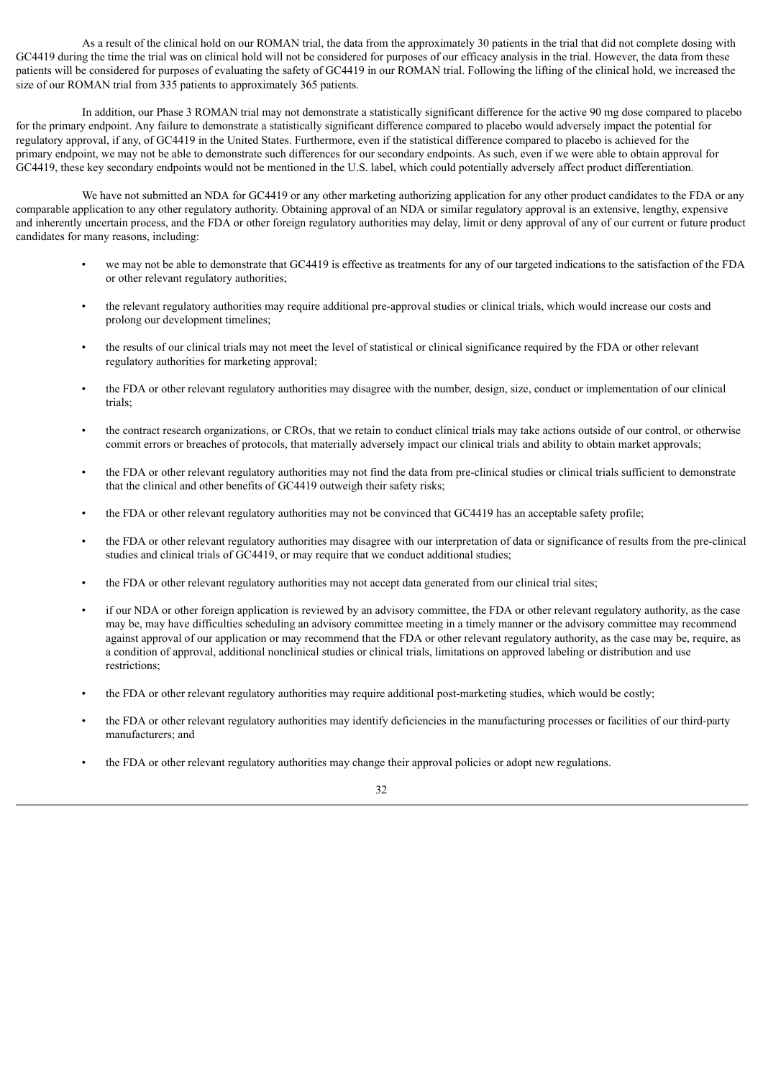As a result of the clinical hold on our ROMAN trial, the data from the approximately 30 patients in the trial that did not complete dosing with GC4419 during the time the trial was on clinical hold will not be considered for purposes of our efficacy analysis in the trial. However, the data from these patients will be considered for purposes of evaluating the safety of GC4419 in our ROMAN trial. Following the lifting of the clinical hold, we increased the size of our ROMAN trial from 335 patients to approximately 365 patients.

In addition, our Phase 3 ROMAN trial may not demonstrate a statistically significant difference for the active 90 mg dose compared to placebo for the primary endpoint. Any failure to demonstrate a statistically significant difference compared to placebo would adversely impact the potential for regulatory approval, if any, of GC4419 in the United States. Furthermore, even if the statistical difference compared to placebo is achieved for the primary endpoint, we may not be able to demonstrate such differences for our secondary endpoints. As such, even if we were able to obtain approval for GC4419, these key secondary endpoints would not be mentioned in the U.S. label, which could potentially adversely affect product differentiation.

We have not submitted an NDA for GC4419 or any other marketing authorizing application for any other product candidates to the FDA or any comparable application to any other regulatory authority. Obtaining approval of an NDA or similar regulatory approval is an extensive, lengthy, expensive and inherently uncertain process, and the FDA or other foreign regulatory authorities may delay, limit or deny approval of any of our current or future product candidates for many reasons, including:

- we may not be able to demonstrate that GC4419 is effective as treatments for any of our targeted indications to the satisfaction of the FDA or other relevant regulatory authorities;
- the relevant regulatory authorities may require additional pre-approval studies or clinical trials, which would increase our costs and prolong our development timelines;
- the results of our clinical trials may not meet the level of statistical or clinical significance required by the FDA or other relevant regulatory authorities for marketing approval;
- the FDA or other relevant regulatory authorities may disagree with the number, design, size, conduct or implementation of our clinical trials;
- the contract research organizations, or CROs, that we retain to conduct clinical trials may take actions outside of our control, or otherwise commit errors or breaches of protocols, that materially adversely impact our clinical trials and ability to obtain market approvals;
- the FDA or other relevant regulatory authorities may not find the data from pre-clinical studies or clinical trials sufficient to demonstrate that the clinical and other benefits of GC4419 outweigh their safety risks;
- the FDA or other relevant regulatory authorities may not be convinced that GC4419 has an acceptable safety profile;
- the FDA or other relevant regulatory authorities may disagree with our interpretation of data or significance of results from the pre-clinical studies and clinical trials of GC4419, or may require that we conduct additional studies;
- the FDA or other relevant regulatory authorities may not accept data generated from our clinical trial sites;
- if our NDA or other foreign application is reviewed by an advisory committee, the FDA or other relevant regulatory authority, as the case may be, may have difficulties scheduling an advisory committee meeting in a timely manner or the advisory committee may recommend against approval of our application or may recommend that the FDA or other relevant regulatory authority, as the case may be, require, as a condition of approval, additional nonclinical studies or clinical trials, limitations on approved labeling or distribution and use restrictions;
- the FDA or other relevant regulatory authorities may require additional post-marketing studies, which would be costly;
- the FDA or other relevant regulatory authorities may identify deficiencies in the manufacturing processes or facilities of our third-party manufacturers; and
- the FDA or other relevant regulatory authorities may change their approval policies or adopt new regulations.

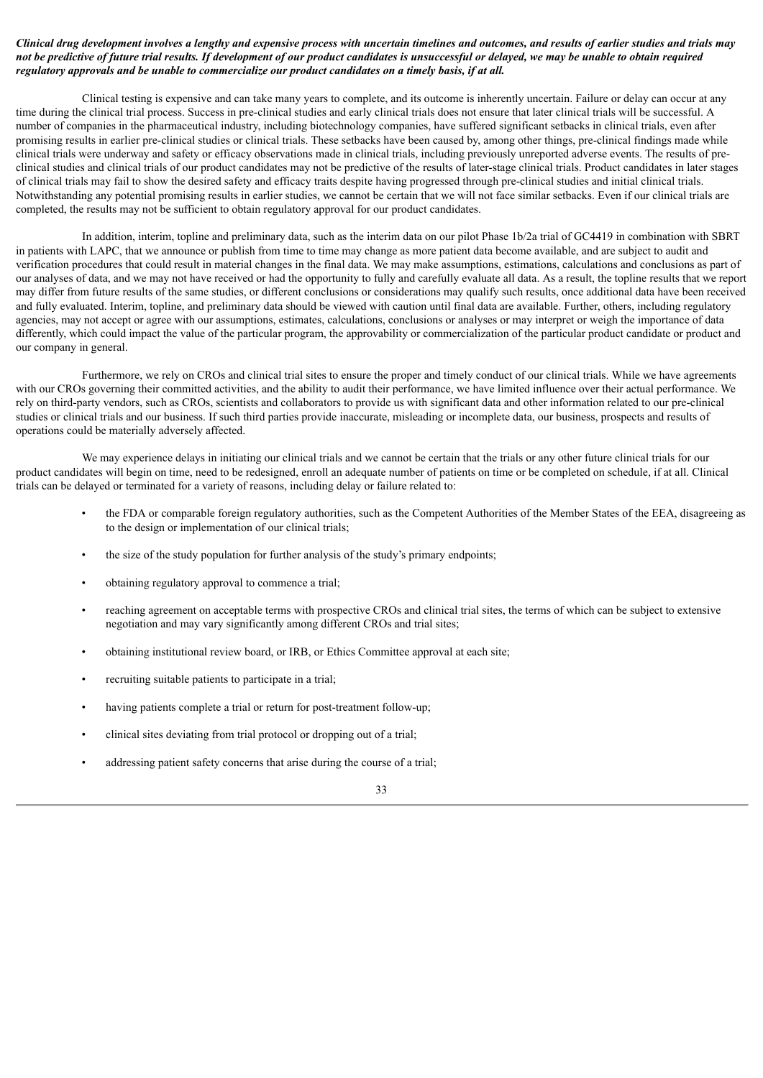#### Clinical drug development involves a lengthy and expensive process with uncertain timelines and outcomes, and results of earlier studies and trials may not be predictive of future trial results. If development of our product candidates is unsuccessful or delayed, we may be unable to obtain required *regulatory approvals and be unable to commercialize our product candidates on a timely basis, if at all.*

Clinical testing is expensive and can take many years to complete, and its outcome is inherently uncertain. Failure or delay can occur at any time during the clinical trial process. Success in pre-clinical studies and early clinical trials does not ensure that later clinical trials will be successful. A number of companies in the pharmaceutical industry, including biotechnology companies, have suffered significant setbacks in clinical trials, even after promising results in earlier pre-clinical studies or clinical trials. These setbacks have been caused by, among other things, pre-clinical findings made while clinical trials were underway and safety or efficacy observations made in clinical trials, including previously unreported adverse events. The results of preclinical studies and clinical trials of our product candidates may not be predictive of the results of later-stage clinical trials. Product candidates in later stages of clinical trials may fail to show the desired safety and efficacy traits despite having progressed through pre-clinical studies and initial clinical trials. Notwithstanding any potential promising results in earlier studies, we cannot be certain that we will not face similar setbacks. Even if our clinical trials are completed, the results may not be sufficient to obtain regulatory approval for our product candidates.

In addition, interim, topline and preliminary data, such as the interim data on our pilot Phase 1b/2a trial of GC4419 in combination with SBRT in patients with LAPC, that we announce or publish from time to time may change as more patient data become available, and are subject to audit and verification procedures that could result in material changes in the final data. We may make assumptions, estimations, calculations and conclusions as part of our analyses of data, and we may not have received or had the opportunity to fully and carefully evaluate all data. As a result, the topline results that we report may differ from future results of the same studies, or different conclusions or considerations may qualify such results, once additional data have been received and fully evaluated. Interim, topline, and preliminary data should be viewed with caution until final data are available. Further, others, including regulatory agencies, may not accept or agree with our assumptions, estimates, calculations, conclusions or analyses or may interpret or weigh the importance of data differently, which could impact the value of the particular program, the approvability or commercialization of the particular product candidate or product and our company in general.

Furthermore, we rely on CROs and clinical trial sites to ensure the proper and timely conduct of our clinical trials. While we have agreements with our CROs governing their committed activities, and the ability to audit their performance, we have limited influence over their actual performance. We rely on third-party vendors, such as CROs, scientists and collaborators to provide us with significant data and other information related to our pre-clinical studies or clinical trials and our business. If such third parties provide inaccurate, misleading or incomplete data, our business, prospects and results of operations could be materially adversely affected.

We may experience delays in initiating our clinical trials and we cannot be certain that the trials or any other future clinical trials for our product candidates will begin on time, need to be redesigned, enroll an adequate number of patients on time or be completed on schedule, if at all. Clinical trials can be delayed or terminated for a variety of reasons, including delay or failure related to:

- the FDA or comparable foreign regulatory authorities, such as the Competent Authorities of the Member States of the EEA, disagreeing as to the design or implementation of our clinical trials;
- the size of the study population for further analysis of the study's primary endpoints;
- obtaining regulatory approval to commence a trial;
- reaching agreement on acceptable terms with prospective CROs and clinical trial sites, the terms of which can be subject to extensive negotiation and may vary significantly among different CROs and trial sites;
- obtaining institutional review board, or IRB, or Ethics Committee approval at each site;
- recruiting suitable patients to participate in a trial;
- having patients complete a trial or return for post-treatment follow-up;
- clinical sites deviating from trial protocol or dropping out of a trial;
- addressing patient safety concerns that arise during the course of a trial;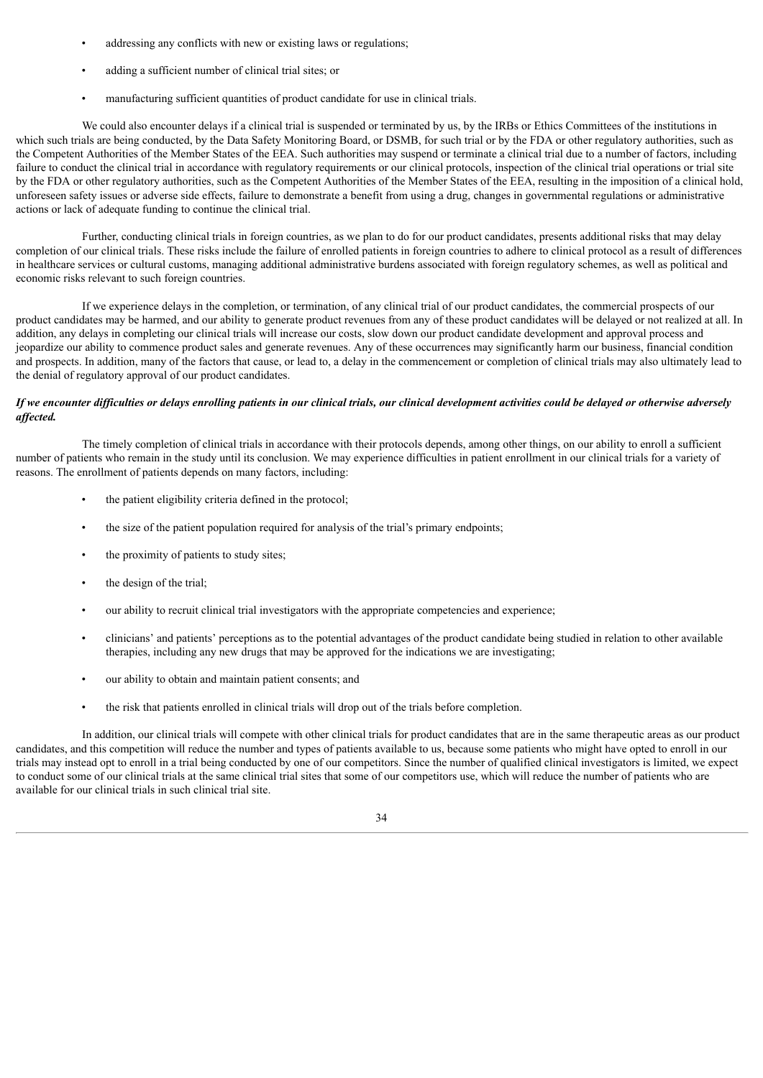- addressing any conflicts with new or existing laws or regulations;
- adding a sufficient number of clinical trial sites; or
- manufacturing sufficient quantities of product candidate for use in clinical trials.

We could also encounter delays if a clinical trial is suspended or terminated by us, by the IRBs or Ethics Committees of the institutions in which such trials are being conducted, by the Data Safety Monitoring Board, or DSMB, for such trial or by the FDA or other regulatory authorities, such as the Competent Authorities of the Member States of the EEA. Such authorities may suspend or terminate a clinical trial due to a number of factors, including failure to conduct the clinical trial in accordance with regulatory requirements or our clinical protocols, inspection of the clinical trial operations or trial site by the FDA or other regulatory authorities, such as the Competent Authorities of the Member States of the EEA, resulting in the imposition of a clinical hold, unforeseen safety issues or adverse side effects, failure to demonstrate a benefit from using a drug, changes in governmental regulations or administrative actions or lack of adequate funding to continue the clinical trial.

Further, conducting clinical trials in foreign countries, as we plan to do for our product candidates, presents additional risks that may delay completion of our clinical trials. These risks include the failure of enrolled patients in foreign countries to adhere to clinical protocol as a result of differences in healthcare services or cultural customs, managing additional administrative burdens associated with foreign regulatory schemes, as well as political and economic risks relevant to such foreign countries.

If we experience delays in the completion, or termination, of any clinical trial of our product candidates, the commercial prospects of our product candidates may be harmed, and our ability to generate product revenues from any of these product candidates will be delayed or not realized at all. In addition, any delays in completing our clinical trials will increase our costs, slow down our product candidate development and approval process and jeopardize our ability to commence product sales and generate revenues. Any of these occurrences may significantly harm our business, financial condition and prospects. In addition, many of the factors that cause, or lead to, a delay in the commencement or completion of clinical trials may also ultimately lead to the denial of regulatory approval of our product candidates.

#### If we encounter difficulties or delays enrolling patients in our clinical trials, our clinical development activities could be delayed or otherwise adversely *af ected.*

The timely completion of clinical trials in accordance with their protocols depends, among other things, on our ability to enroll a sufficient number of patients who remain in the study until its conclusion. We may experience difficulties in patient enrollment in our clinical trials for a variety of reasons. The enrollment of patients depends on many factors, including:

- the patient eligibility criteria defined in the protocol:
- the size of the patient population required for analysis of the trial's primary endpoints;
- the proximity of patients to study sites;
- the design of the trial;
- our ability to recruit clinical trial investigators with the appropriate competencies and experience;
- clinicians' and patients' perceptions as to the potential advantages of the product candidate being studied in relation to other available therapies, including any new drugs that may be approved for the indications we are investigating;
- our ability to obtain and maintain patient consents; and
- the risk that patients enrolled in clinical trials will drop out of the trials before completion.

In addition, our clinical trials will compete with other clinical trials for product candidates that are in the same therapeutic areas as our product candidates, and this competition will reduce the number and types of patients available to us, because some patients who might have opted to enroll in our trials may instead opt to enroll in a trial being conducted by one of our competitors. Since the number of qualified clinical investigators is limited, we expect to conduct some of our clinical trials at the same clinical trial sites that some of our competitors use, which will reduce the number of patients who are available for our clinical trials in such clinical trial site.

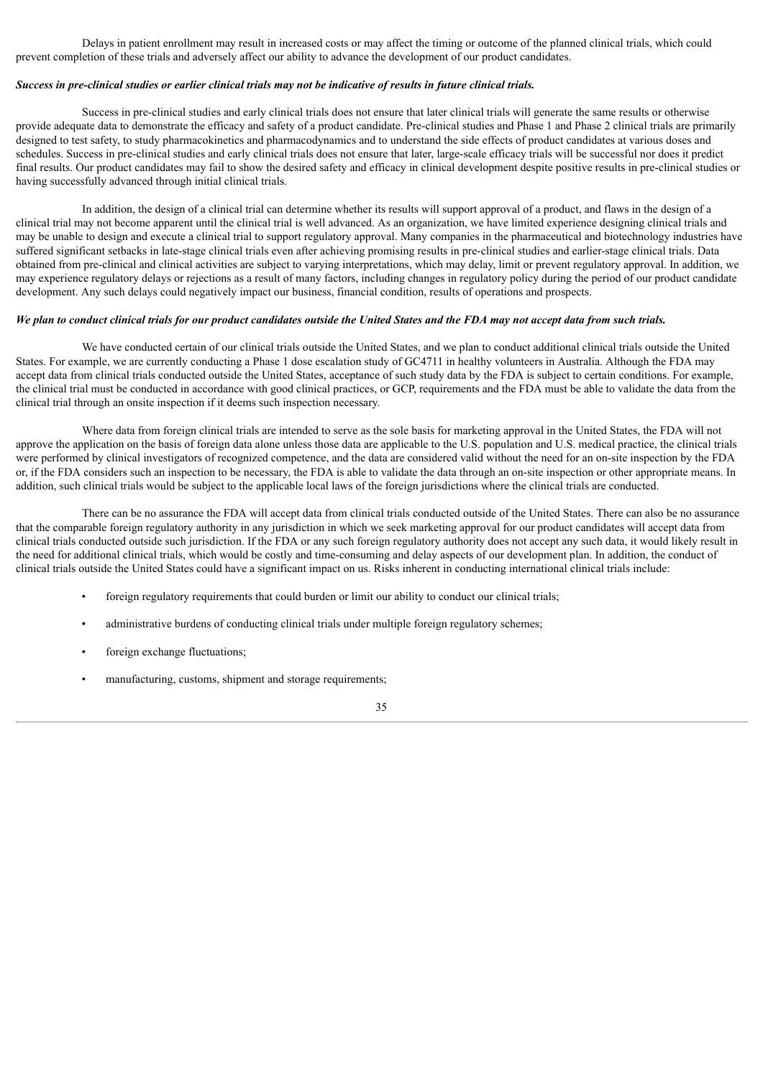Delays in patient enrollment may result in increased costs or may affect the timing or outcome of the planned clinical trials, which could prevent completion of these trials and adversely affect our ability to advance the development of our product candidates.

#### Success in pre-clinical studies or earlier clinical trials may not be indicative of results in future clinical trials.

Success in pre-clinical studies and early clinical trials does not ensure that later clinical trials will generate the same results or otherwise provide adequate data to demonstrate the efficacy and safety of a product candidate. Pre-clinical studies and Phase 1 and Phase 2 clinical trials are primarily designed to test safety, to study pharmacokinetics and pharmacodynamics and to understand the side effects of product candidates at various doses and schedules. Success in pre-clinical studies and early clinical trials does not ensure that later, large-scale efficacy trials will be successful nor does it predict final results. Our product candidates may fail to show the desired safety and efficacy in clinical development despite positive results in pre-clinical studies or having successfully advanced through initial clinical trials.

In addition, the design of a clinical trial can determine whether its results will support approval of a product, and flaws in the design of a clinical trial may not become apparent until the clinical trial is well advanced. As an organization, we have limited experience designing clinical trials and may be unable to design and execute a clinical trial to support regulatory approval. Many companies in the pharmaceutical and biotechnology industries have suffered significant setbacks in late-stage clinical trials even after achieving promising results in pre-clinical studies and earlier-stage clinical trials. Data obtained from pre-clinical and clinical activities are subject to varying interpretations, which may delay, limit or prevent regulatory approval. In addition, we may experience regulatory delays or rejections as a result of many factors, including changes in regulatory policy during the period of our product candidate development. Any such delays could negatively impact our business, financial condition, results of operations and prospects.

#### We plan to conduct clinical trials for our product candidates outside the United States and the FDA may not accept data from such trials.

We have conducted certain of our clinical trials outside the United States, and we plan to conduct additional clinical trials outside the United States. For example, we are currently conducting a Phase 1 dose escalation study of GC4711 in healthy volunteers in Australia. Although the FDA may accept data from clinical trials conducted outside the United States, acceptance of such study data by the FDA is subject to certain conditions. For example, the clinical trial must be conducted in accordance with good clinical practices, or GCP, requirements and the FDA must be able to validate the data from the clinical trial through an onsite inspection if it deems such inspection necessary.

Where data from foreign clinical trials are intended to serve as the sole basis for marketing approval in the United States, the FDA will not approve the application on the basis of foreign data alone unless those data are applicable to the U.S. population and U.S. medical practice, the clinical trials were performed by clinical investigators of recognized competence, and the data are considered valid without the need for an on-site inspection by the FDA or, if the FDA considers such an inspection to be necessary, the FDA is able to validate the data through an on-site inspection or other appropriate means. In addition, such clinical trials would be subject to the applicable local laws of the foreign jurisdictions where the clinical trials are conducted.

There can be no assurance the FDA will accept data from clinical trials conducted outside of the United States. There can also be no assurance that the comparable foreign regulatory authority in any jurisdiction in which we seek marketing approval for our product candidates will accept data from clinical trials conducted outside such jurisdiction. If the FDA or any such foreign regulatory authority does not accept any such data, it would likely result in the need for additional clinical trials, which would be costly and time-consuming and delay aspects of our development plan. In addition, the conduct of clinical trials outside the United States could have a significant impact on us. Risks inherent in conducting international clinical trials include:

- foreign regulatory requirements that could burden or limit our ability to conduct our clinical trials;
- administrative burdens of conducting clinical trials under multiple foreign regulatory schemes;
- foreign exchange fluctuations;
- manufacturing, customs, shipment and storage requirements;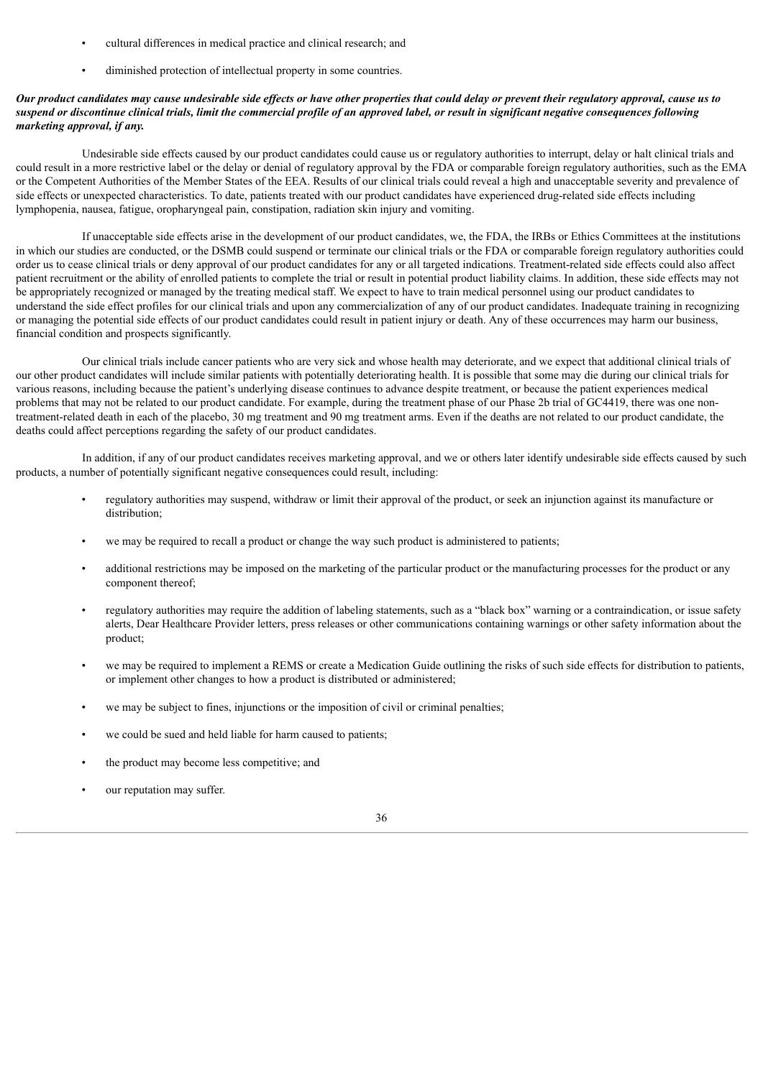- cultural differences in medical practice and clinical research; and
- diminished protection of intellectual property in some countries.

### Our product candidates may cause undesirable side effects or have other properties that could delay or prevent their regulatory approval, cause us to suspend or discontinue clinical trials, limit the commercial profile of an approved label, or result in significant negative consequences following *marketing approval, if any.*

Undesirable side effects caused by our product candidates could cause us or regulatory authorities to interrupt, delay or halt clinical trials and could result in a more restrictive label or the delay or denial of regulatory approval by the FDA or comparable foreign regulatory authorities, such as the EMA or the Competent Authorities of the Member States of the EEA. Results of our clinical trials could reveal a high and unacceptable severity and prevalence of side effects or unexpected characteristics. To date, patients treated with our product candidates have experienced drug-related side effects including lymphopenia, nausea, fatigue, oropharyngeal pain, constipation, radiation skin injury and vomiting.

If unacceptable side effects arise in the development of our product candidates, we, the FDA, the IRBs or Ethics Committees at the institutions in which our studies are conducted, or the DSMB could suspend or terminate our clinical trials or the FDA or comparable foreign regulatory authorities could order us to cease clinical trials or deny approval of our product candidates for any or all targeted indications. Treatment-related side effects could also affect patient recruitment or the ability of enrolled patients to complete the trial or result in potential product liability claims. In addition, these side effects may not be appropriately recognized or managed by the treating medical staff. We expect to have to train medical personnel using our product candidates to understand the side effect profiles for our clinical trials and upon any commercialization of any of our product candidates. Inadequate training in recognizing or managing the potential side effects of our product candidates could result in patient injury or death. Any of these occurrences may harm our business, financial condition and prospects significantly.

Our clinical trials include cancer patients who are very sick and whose health may deteriorate, and we expect that additional clinical trials of our other product candidates will include similar patients with potentially deteriorating health. It is possible that some may die during our clinical trials for various reasons, including because the patient's underlying disease continues to advance despite treatment, or because the patient experiences medical problems that may not be related to our product candidate. For example, during the treatment phase of our Phase 2b trial of GC4419, there was one nontreatment-related death in each of the placebo, 30 mg treatment and 90 mg treatment arms. Even if the deaths are not related to our product candidate, the deaths could affect perceptions regarding the safety of our product candidates.

In addition, if any of our product candidates receives marketing approval, and we or others later identify undesirable side effects caused by such products, a number of potentially significant negative consequences could result, including:

- regulatory authorities may suspend, withdraw or limit their approval of the product, or seek an injunction against its manufacture or distribution;
- we may be required to recall a product or change the way such product is administered to patients;
- additional restrictions may be imposed on the marketing of the particular product or the manufacturing processes for the product or any component thereof;
- regulatory authorities may require the addition of labeling statements, such as a "black box" warning or a contraindication, or issue safety alerts, Dear Healthcare Provider letters, press releases or other communications containing warnings or other safety information about the product;
- we may be required to implement a REMS or create a Medication Guide outlining the risks of such side effects for distribution to patients, or implement other changes to how a product is distributed or administered;
- we may be subject to fines, injunctions or the imposition of civil or criminal penalties;
- we could be sued and held liable for harm caused to patients;
- the product may become less competitive; and
- our reputation may suffer.

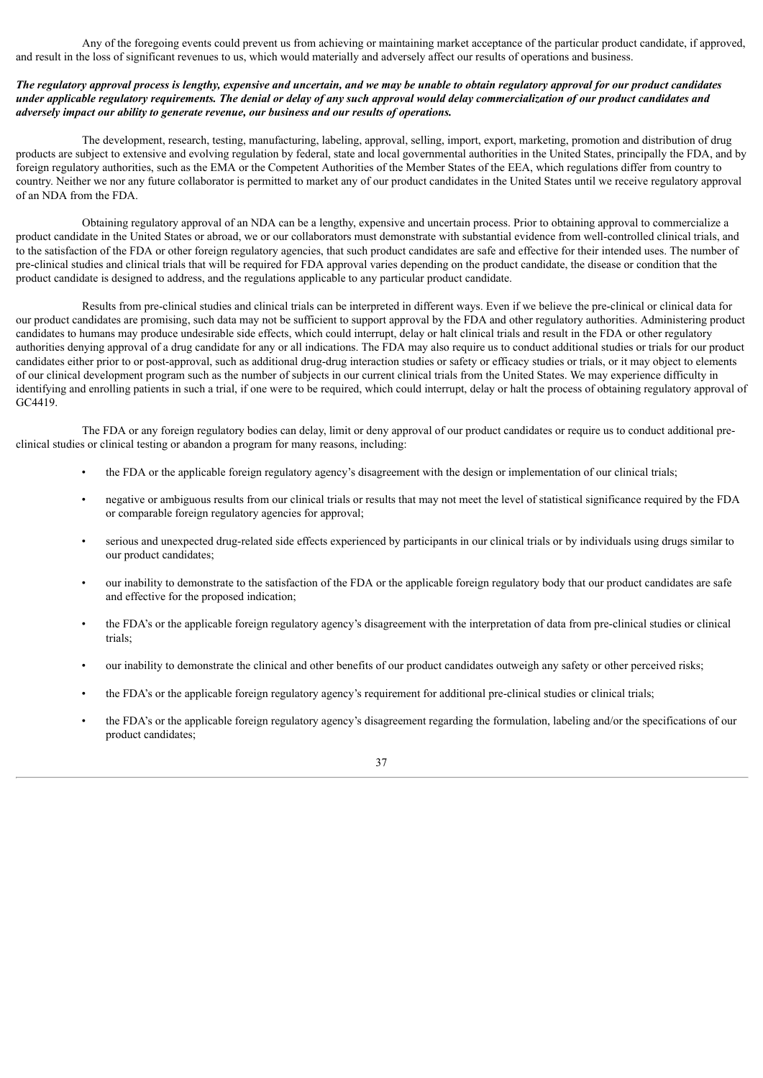Any of the foregoing events could prevent us from achieving or maintaining market acceptance of the particular product candidate, if approved, and result in the loss of significant revenues to us, which would materially and adversely affect our results of operations and business.

# The regulatory approval process is lengthy, expensive and uncertain, and we may be unable to obtain regulatory approval for our product candidates under applicable regulatory requirements. The denial or delay of any such approval would delay commercialization of our product candidates and *adversely impact our ability to generate revenue, our business and our results of operations.*

The development, research, testing, manufacturing, labeling, approval, selling, import, export, marketing, promotion and distribution of drug products are subject to extensive and evolving regulation by federal, state and local governmental authorities in the United States, principally the FDA, and by foreign regulatory authorities, such as the EMA or the Competent Authorities of the Member States of the EEA, which regulations differ from country to country. Neither we nor any future collaborator is permitted to market any of our product candidates in the United States until we receive regulatory approval of an NDA from the FDA.

Obtaining regulatory approval of an NDA can be a lengthy, expensive and uncertain process. Prior to obtaining approval to commercialize a product candidate in the United States or abroad, we or our collaborators must demonstrate with substantial evidence from well-controlled clinical trials, and to the satisfaction of the FDA or other foreign regulatory agencies, that such product candidates are safe and effective for their intended uses. The number of pre-clinical studies and clinical trials that will be required for FDA approval varies depending on the product candidate, the disease or condition that the product candidate is designed to address, and the regulations applicable to any particular product candidate.

Results from pre-clinical studies and clinical trials can be interpreted in different ways. Even if we believe the pre-clinical or clinical data for our product candidates are promising, such data may not be sufficient to support approval by the FDA and other regulatory authorities. Administering product candidates to humans may produce undesirable side effects, which could interrupt, delay or halt clinical trials and result in the FDA or other regulatory authorities denying approval of a drug candidate for any or all indications. The FDA may also require us to conduct additional studies or trials for our product candidates either prior to or post-approval, such as additional drug-drug interaction studies or safety or efficacy studies or trials, or it may object to elements of our clinical development program such as the number of subjects in our current clinical trials from the United States. We may experience difficulty in identifying and enrolling patients in such a trial, if one were to be required, which could interrupt, delay or halt the process of obtaining regulatory approval of GC4419.

The FDA or any foreign regulatory bodies can delay, limit or deny approval of our product candidates or require us to conduct additional preclinical studies or clinical testing or abandon a program for many reasons, including:

- the FDA or the applicable foreign regulatory agency's disagreement with the design or implementation of our clinical trials;
- negative or ambiguous results from our clinical trials or results that may not meet the level of statistical significance required by the FDA or comparable foreign regulatory agencies for approval;
- serious and unexpected drug-related side effects experienced by participants in our clinical trials or by individuals using drugs similar to our product candidates;
- our inability to demonstrate to the satisfaction of the FDA or the applicable foreign regulatory body that our product candidates are safe and effective for the proposed indication;
- the FDA's or the applicable foreign regulatory agency's disagreement with the interpretation of data from pre-clinical studies or clinical trials;
- our inability to demonstrate the clinical and other benefits of our product candidates outweigh any safety or other perceived risks;
- the FDA's or the applicable foreign regulatory agency's requirement for additional pre-clinical studies or clinical trials;
- the FDA's or the applicable foreign regulatory agency's disagreement regarding the formulation, labeling and/or the specifications of our product candidates;

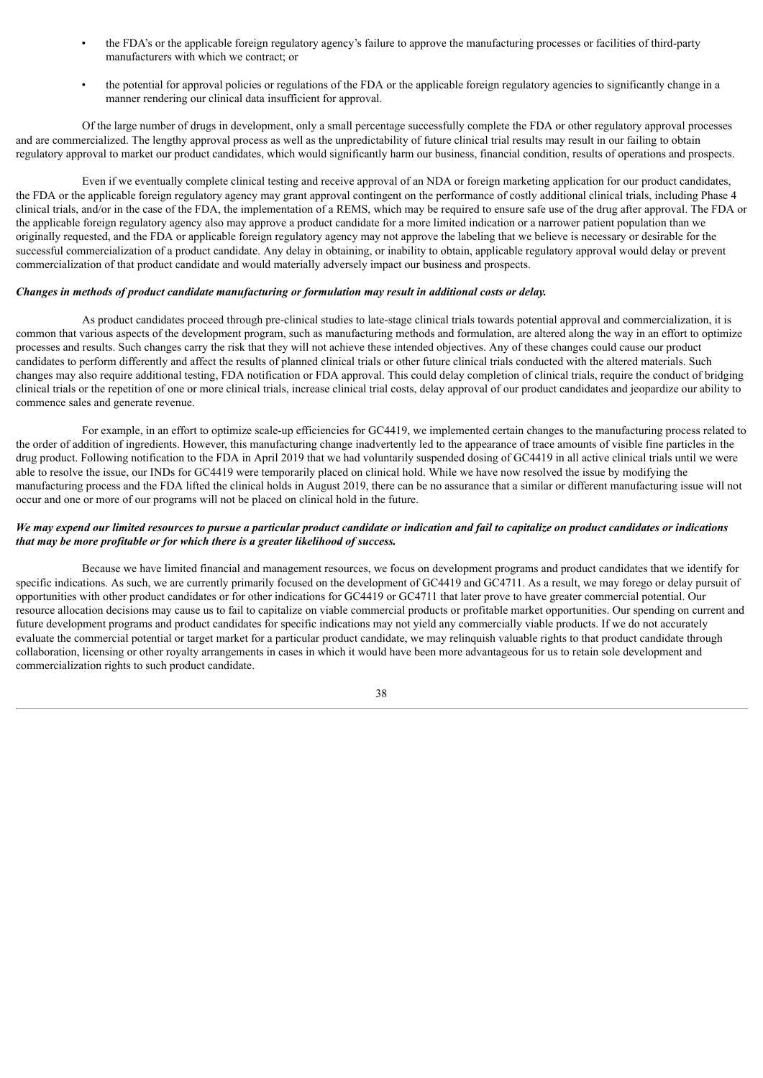- the FDA's or the applicable foreign regulatory agency's failure to approve the manufacturing processes or facilities of third-party manufacturers with which we contract; or
- the potential for approval policies or regulations of the FDA or the applicable foreign regulatory agencies to significantly change in a manner rendering our clinical data insufficient for approval.

Of the large number of drugs in development, only a small percentage successfully complete the FDA or other regulatory approval processes and are commercialized. The lengthy approval process as well as the unpredictability of future clinical trial results may result in our failing to obtain regulatory approval to market our product candidates, which would significantly harm our business, financial condition, results of operations and prospects.

Even if we eventually complete clinical testing and receive approval of an NDA or foreign marketing application for our product candidates, the FDA or the applicable foreign regulatory agency may grant approval contingent on the performance of costly additional clinical trials, including Phase 4 clinical trials, and/or in the case of the FDA, the implementation of a REMS, which may be required to ensure safe use of the drug after approval. The FDA or the applicable foreign regulatory agency also may approve a product candidate for a more limited indication or a narrower patient population than we originally requested, and the FDA or applicable foreign regulatory agency may not approve the labeling that we believe is necessary or desirable for the successful commercialization of a product candidate. Any delay in obtaining, or inability to obtain, applicable regulatory approval would delay or prevent commercialization of that product candidate and would materially adversely impact our business and prospects.

# *Changes in methods of product candidate manufacturing or formulation may result in additional costs or delay.*

As product candidates proceed through pre-clinical studies to late-stage clinical trials towards potential approval and commercialization, it is common that various aspects of the development program, such as manufacturing methods and formulation, are altered along the way in an effort to optimize processes and results. Such changes carry the risk that they will not achieve these intended objectives. Any of these changes could cause our product candidates to perform differently and affect the results of planned clinical trials or other future clinical trials conducted with the altered materials. Such changes may also require additional testing, FDA notification or FDA approval. This could delay completion of clinical trials, require the conduct of bridging clinical trials or the repetition of one or more clinical trials, increase clinical trial costs, delay approval of our product candidates and jeopardize our ability to commence sales and generate revenue.

For example, in an effort to optimize scale-up efficiencies for GC4419, we implemented certain changes to the manufacturing process related to the order of addition of ingredients. However, this manufacturing change inadvertently led to the appearance of trace amounts of visible fine particles in the drug product. Following notification to the FDA in April 2019 that we had voluntarily suspended dosing of GC4419 in all active clinical trials until we were able to resolve the issue, our INDs for GC4419 were temporarily placed on clinical hold. While we have now resolved the issue by modifying the manufacturing process and the FDA lifted the clinical holds in August 2019, there can be no assurance that a similar or different manufacturing issue will not occur and one or more of our programs will not be placed on clinical hold in the future.

# We may expend our limited resources to pursue a particular product candidate or indication and fail to capitalize on product candidates or indications *that may be more profitable or for which there is a greater likelihood of success.*

Because we have limited financial and management resources, we focus on development programs and product candidates that we identify for specific indications. As such, we are currently primarily focused on the development of GC4419 and GC4711. As a result, we may forego or delay pursuit of opportunities with other product candidates or for other indications for GC4419 or GC4711 that later prove to have greater commercial potential. Our resource allocation decisions may cause us to fail to capitalize on viable commercial products or profitable market opportunities. Our spending on current and future development programs and product candidates for specific indications may not yield any commercially viable products. If we do not accurately evaluate the commercial potential or target market for a particular product candidate, we may relinquish valuable rights to that product candidate through collaboration, licensing or other royalty arrangements in cases in which it would have been more advantageous for us to retain sole development and commercialization rights to such product candidate.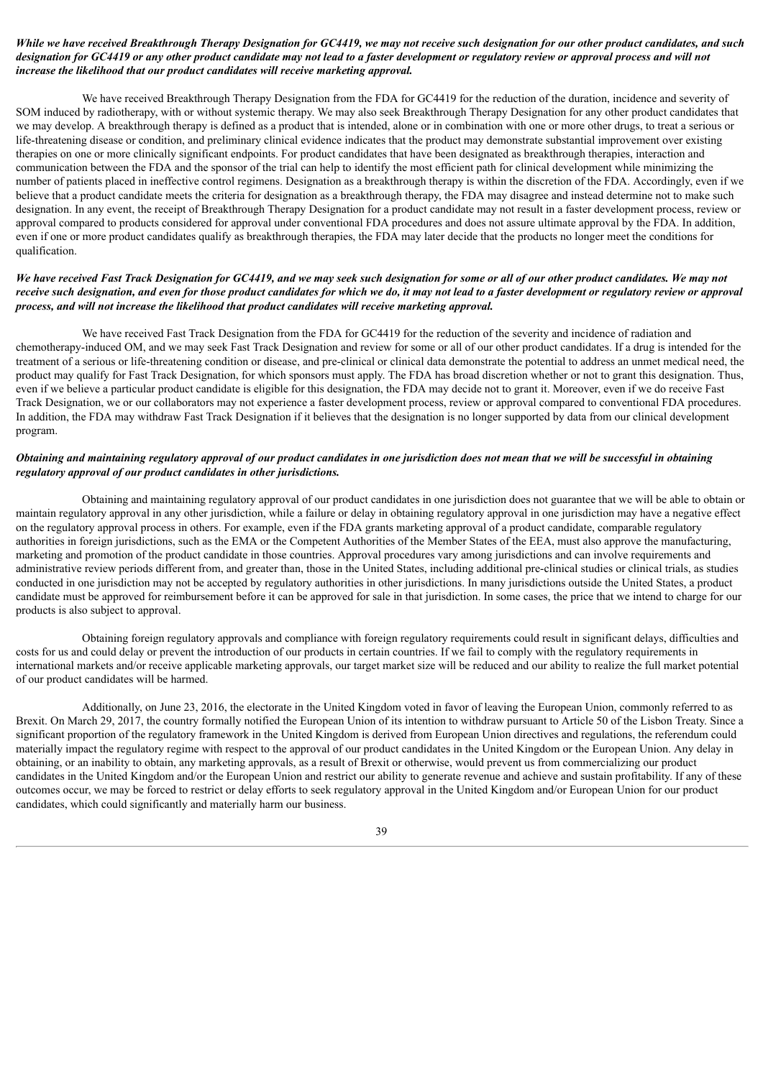# While we have received Breakthrough Therapy Designation for GC4419, we may not receive such designation for our other product candidates, and such designation for GC4419 or any other product candidate may not lead to a faster development or regulatory review or approval process and will not *increase the likelihood that our product candidates will receive marketing approval.*

We have received Breakthrough Therapy Designation from the FDA for GC4419 for the reduction of the duration, incidence and severity of SOM induced by radiotherapy, with or without systemic therapy. We may also seek Breakthrough Therapy Designation for any other product candidates that we may develop. A breakthrough therapy is defined as a product that is intended, alone or in combination with one or more other drugs, to treat a serious or life-threatening disease or condition, and preliminary clinical evidence indicates that the product may demonstrate substantial improvement over existing therapies on one or more clinically significant endpoints. For product candidates that have been designated as breakthrough therapies, interaction and communication between the FDA and the sponsor of the trial can help to identify the most efficient path for clinical development while minimizing the number of patients placed in ineffective control regimens. Designation as a breakthrough therapy is within the discretion of the FDA. Accordingly, even if we believe that a product candidate meets the criteria for designation as a breakthrough therapy, the FDA may disagree and instead determine not to make such designation. In any event, the receipt of Breakthrough Therapy Designation for a product candidate may not result in a faster development process, review or approval compared to products considered for approval under conventional FDA procedures and does not assure ultimate approval by the FDA. In addition, even if one or more product candidates qualify as breakthrough therapies, the FDA may later decide that the products no longer meet the conditions for qualification.

# We have received Fast Track Designation for GC4419, and we may seek such designation for some or all of our other product candidates. We may not receive such designation, and even for those product candidates for which we do, it may not lead to a faster development or regulatory review or approval *process, and will not increase the likelihood that product candidates will receive marketing approval.*

We have received Fast Track Designation from the FDA for GC4419 for the reduction of the severity and incidence of radiation and chemotherapy-induced OM, and we may seek Fast Track Designation and review for some or all of our other product candidates. If a drug is intended for the treatment of a serious or life-threatening condition or disease, and pre-clinical or clinical data demonstrate the potential to address an unmet medical need, the product may qualify for Fast Track Designation, for which sponsors must apply. The FDA has broad discretion whether or not to grant this designation. Thus, even if we believe a particular product candidate is eligible for this designation, the FDA may decide not to grant it. Moreover, even if we do receive Fast Track Designation, we or our collaborators may not experience a faster development process, review or approval compared to conventional FDA procedures. In addition, the FDA may withdraw Fast Track Designation if it believes that the designation is no longer supported by data from our clinical development program.

# Obtaining and maintaining regulatory approval of our product candidates in one jurisdiction does not mean that we will be successful in obtaining *regulatory approval of our product candidates in other jurisdictions.*

Obtaining and maintaining regulatory approval of our product candidates in one jurisdiction does not guarantee that we will be able to obtain or maintain regulatory approval in any other jurisdiction, while a failure or delay in obtaining regulatory approval in one jurisdiction may have a negative effect on the regulatory approval process in others. For example, even if the FDA grants marketing approval of a product candidate, comparable regulatory authorities in foreign jurisdictions, such as the EMA or the Competent Authorities of the Member States of the EEA, must also approve the manufacturing, marketing and promotion of the product candidate in those countries. Approval procedures vary among jurisdictions and can involve requirements and administrative review periods different from, and greater than, those in the United States, including additional pre-clinical studies or clinical trials, as studies conducted in one jurisdiction may not be accepted by regulatory authorities in other jurisdictions. In many jurisdictions outside the United States, a product candidate must be approved for reimbursement before it can be approved for sale in that jurisdiction. In some cases, the price that we intend to charge for our products is also subject to approval.

Obtaining foreign regulatory approvals and compliance with foreign regulatory requirements could result in significant delays, difficulties and costs for us and could delay or prevent the introduction of our products in certain countries. If we fail to comply with the regulatory requirements in international markets and/or receive applicable marketing approvals, our target market size will be reduced and our ability to realize the full market potential of our product candidates will be harmed.

Additionally, on June 23, 2016, the electorate in the United Kingdom voted in favor of leaving the European Union, commonly referred to as Brexit. On March 29, 2017, the country formally notified the European Union of its intention to withdraw pursuant to Article 50 of the Lisbon Treaty. Since a significant proportion of the regulatory framework in the United Kingdom is derived from European Union directives and regulations, the referendum could materially impact the regulatory regime with respect to the approval of our product candidates in the United Kingdom or the European Union. Any delay in obtaining, or an inability to obtain, any marketing approvals, as a result of Brexit or otherwise, would prevent us from commercializing our product candidates in the United Kingdom and/or the European Union and restrict our ability to generate revenue and achieve and sustain profitability. If any of these outcomes occur, we may be forced to restrict or delay efforts to seek regulatory approval in the United Kingdom and/or European Union for our product candidates, which could significantly and materially harm our business.

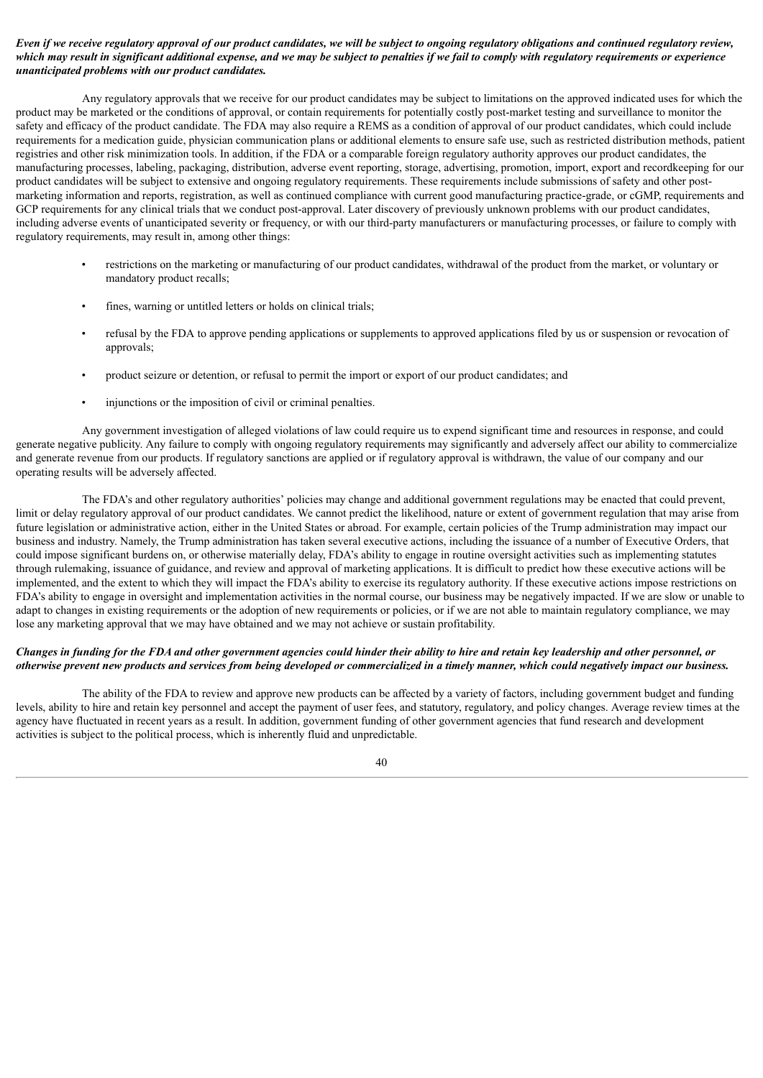# Even if we receive regulatory approval of our product candidates, we will be subject to ongoing regulatory obligations and continued regulatory review, which may result in significant additional expense, and we may be subject to penalties if we fail to comply with regulatory requirements or experience *unanticipated problems with our product candidates.*

Any regulatory approvals that we receive for our product candidates may be subject to limitations on the approved indicated uses for which the product may be marketed or the conditions of approval, or contain requirements for potentially costly post-market testing and surveillance to monitor the safety and efficacy of the product candidate. The FDA may also require a REMS as a condition of approval of our product candidates, which could include requirements for a medication guide, physician communication plans or additional elements to ensure safe use, such as restricted distribution methods, patient registries and other risk minimization tools. In addition, if the FDA or a comparable foreign regulatory authority approves our product candidates, the manufacturing processes, labeling, packaging, distribution, adverse event reporting, storage, advertising, promotion, import, export and recordkeeping for our product candidates will be subject to extensive and ongoing regulatory requirements. These requirements include submissions of safety and other postmarketing information and reports, registration, as well as continued compliance with current good manufacturing practice-grade, or cGMP, requirements and GCP requirements for any clinical trials that we conduct post-approval. Later discovery of previously unknown problems with our product candidates, including adverse events of unanticipated severity or frequency, or with our third-party manufacturers or manufacturing processes, or failure to comply with regulatory requirements, may result in, among other things:

- restrictions on the marketing or manufacturing of our product candidates, withdrawal of the product from the market, or voluntary or mandatory product recalls;
- fines, warning or untitled letters or holds on clinical trials;
- refusal by the FDA to approve pending applications or supplements to approved applications filed by us or suspension or revocation of approvals;
- product seizure or detention, or refusal to permit the import or export of our product candidates; and
- injunctions or the imposition of civil or criminal penalties.

Any government investigation of alleged violations of law could require us to expend significant time and resources in response, and could generate negative publicity. Any failure to comply with ongoing regulatory requirements may significantly and adversely affect our ability to commercialize and generate revenue from our products. If regulatory sanctions are applied or if regulatory approval is withdrawn, the value of our company and our operating results will be adversely affected.

The FDA's and other regulatory authorities' policies may change and additional government regulations may be enacted that could prevent, limit or delay regulatory approval of our product candidates. We cannot predict the likelihood, nature or extent of government regulation that may arise from future legislation or administrative action, either in the United States or abroad. For example, certain policies of the Trump administration may impact our business and industry. Namely, the Trump administration has taken several executive actions, including the issuance of a number of Executive Orders, that could impose significant burdens on, or otherwise materially delay, FDA's ability to engage in routine oversight activities such as implementing statutes through rulemaking, issuance of guidance, and review and approval of marketing applications. It is difficult to predict how these executive actions will be implemented, and the extent to which they will impact the FDA's ability to exercise its regulatory authority. If these executive actions impose restrictions on FDA's ability to engage in oversight and implementation activities in the normal course, our business may be negatively impacted. If we are slow or unable to adapt to changes in existing requirements or the adoption of new requirements or policies, or if we are not able to maintain regulatory compliance, we may lose any marketing approval that we may have obtained and we may not achieve or sustain profitability.

### Changes in funding for the FDA and other government agencies could hinder their ability to hire and retain key leadership and other personnel, or otherwise prevent new products and services from being developed or commercialized in a timely manner, which could negatively impact our business.

The ability of the FDA to review and approve new products can be affected by a variety of factors, including government budget and funding levels, ability to hire and retain key personnel and accept the payment of user fees, and statutory, regulatory, and policy changes. Average review times at the agency have fluctuated in recent years as a result. In addition, government funding of other government agencies that fund research and development activities is subject to the political process, which is inherently fluid and unpredictable.

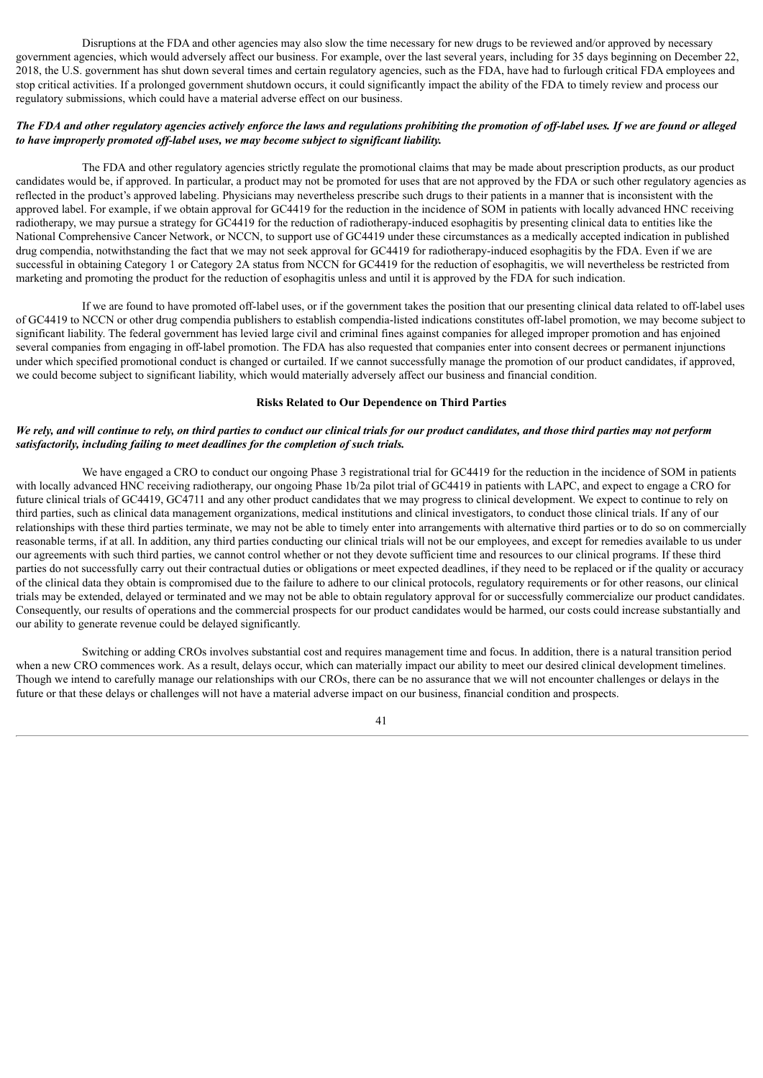Disruptions at the FDA and other agencies may also slow the time necessary for new drugs to be reviewed and/or approved by necessary government agencies, which would adversely affect our business. For example, over the last several years, including for 35 days beginning on December 22, 2018, the U.S. government has shut down several times and certain regulatory agencies, such as the FDA, have had to furlough critical FDA employees and stop critical activities. If a prolonged government shutdown occurs, it could significantly impact the ability of the FDA to timely review and process our regulatory submissions, which could have a material adverse effect on our business.

# The FDA and other regulatory agencies actively enforce the laws and regulations prohibiting the promotion of off-label uses. If we are found or alleged *to have improperly promoted of -label uses, we may become subject to significant liability.*

The FDA and other regulatory agencies strictly regulate the promotional claims that may be made about prescription products, as our product candidates would be, if approved. In particular, a product may not be promoted for uses that are not approved by the FDA or such other regulatory agencies as reflected in the product's approved labeling. Physicians may nevertheless prescribe such drugs to their patients in a manner that is inconsistent with the approved label. For example, if we obtain approval for GC4419 for the reduction in the incidence of SOM in patients with locally advanced HNC receiving radiotherapy, we may pursue a strategy for GC4419 for the reduction of radiotherapy-induced esophagitis by presenting clinical data to entities like the National Comprehensive Cancer Network, or NCCN, to support use of GC4419 under these circumstances as a medically accepted indication in published drug compendia, notwithstanding the fact that we may not seek approval for GC4419 for radiotherapy-induced esophagitis by the FDA. Even if we are successful in obtaining Category 1 or Category 2A status from NCCN for GC4419 for the reduction of esophagitis, we will nevertheless be restricted from marketing and promoting the product for the reduction of esophagitis unless and until it is approved by the FDA for such indication.

If we are found to have promoted off-label uses, or if the government takes the position that our presenting clinical data related to off-label uses of GC4419 to NCCN or other drug compendia publishers to establish compendia-listed indications constitutes off-label promotion, we may become subject to significant liability. The federal government has levied large civil and criminal fines against companies for alleged improper promotion and has enjoined several companies from engaging in off-label promotion. The FDA has also requested that companies enter into consent decrees or permanent injunctions under which specified promotional conduct is changed or curtailed. If we cannot successfully manage the promotion of our product candidates, if approved, we could become subject to significant liability, which would materially adversely affect our business and financial condition.

### **Risks Related to Our Dependence on Third Parties**

### We rely, and will continue to rely, on third parties to conduct our clinical trials for our product candidates, and those third parties may not perform *satisfactorily, including failing to meet deadlines for the completion of such trials.*

We have engaged a CRO to conduct our ongoing Phase 3 registrational trial for GC4419 for the reduction in the incidence of SOM in patients with locally advanced HNC receiving radiotherapy, our ongoing Phase 1b/2a pilot trial of GC4419 in patients with LAPC, and expect to engage a CRO for future clinical trials of GC4419, GC4711 and any other product candidates that we may progress to clinical development. We expect to continue to rely on third parties, such as clinical data management organizations, medical institutions and clinical investigators, to conduct those clinical trials. If any of our relationships with these third parties terminate, we may not be able to timely enter into arrangements with alternative third parties or to do so on commercially reasonable terms, if at all. In addition, any third parties conducting our clinical trials will not be our employees, and except for remedies available to us under our agreements with such third parties, we cannot control whether or not they devote sufficient time and resources to our clinical programs. If these third parties do not successfully carry out their contractual duties or obligations or meet expected deadlines, if they need to be replaced or if the quality or accuracy of the clinical data they obtain is compromised due to the failure to adhere to our clinical protocols, regulatory requirements or for other reasons, our clinical trials may be extended, delayed or terminated and we may not be able to obtain regulatory approval for or successfully commercialize our product candidates. Consequently, our results of operations and the commercial prospects for our product candidates would be harmed, our costs could increase substantially and our ability to generate revenue could be delayed significantly.

Switching or adding CROs involves substantial cost and requires management time and focus. In addition, there is a natural transition period when a new CRO commences work. As a result, delays occur, which can materially impact our ability to meet our desired clinical development timelines. Though we intend to carefully manage our relationships with our CROs, there can be no assurance that we will not encounter challenges or delays in the future or that these delays or challenges will not have a material adverse impact on our business, financial condition and prospects.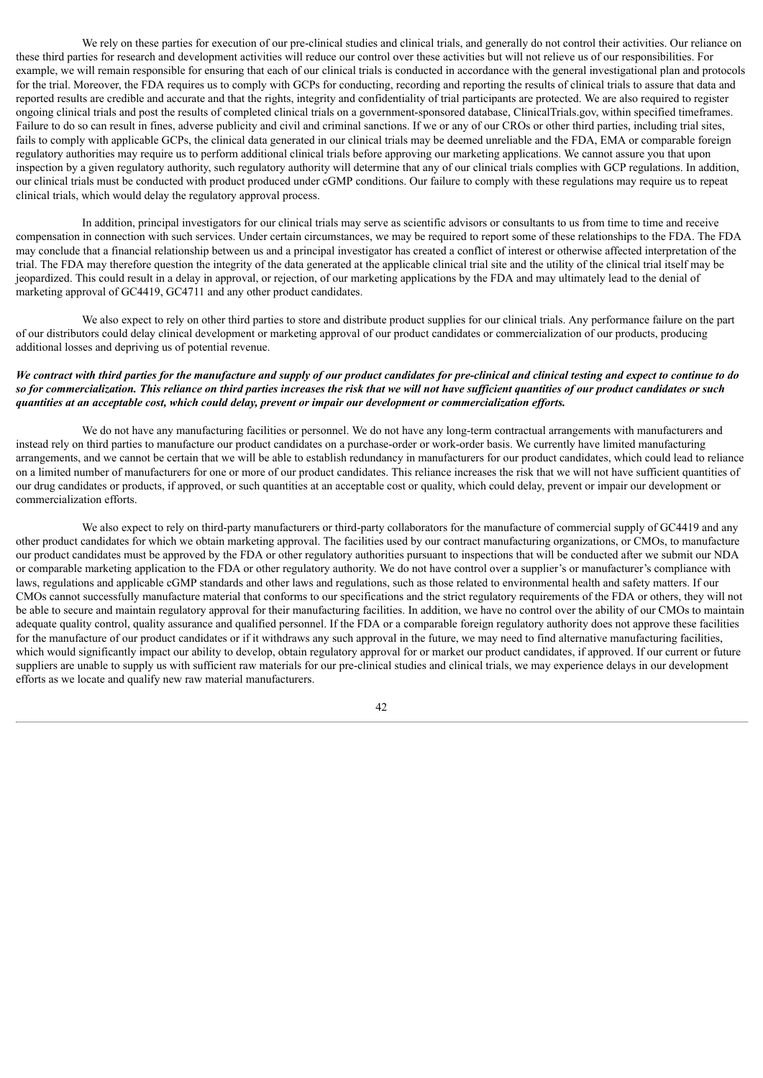We rely on these parties for execution of our pre-clinical studies and clinical trials, and generally do not control their activities. Our reliance on these third parties for research and development activities will reduce our control over these activities but will not relieve us of our responsibilities. For example, we will remain responsible for ensuring that each of our clinical trials is conducted in accordance with the general investigational plan and protocols for the trial. Moreover, the FDA requires us to comply with GCPs for conducting, recording and reporting the results of clinical trials to assure that data and reported results are credible and accurate and that the rights, integrity and confidentiality of trial participants are protected. We are also required to register ongoing clinical trials and post the results of completed clinical trials on a government-sponsored database, ClinicalTrials.gov, within specified timeframes. Failure to do so can result in fines, adverse publicity and civil and criminal sanctions. If we or any of our CROs or other third parties, including trial sites, fails to comply with applicable GCPs, the clinical data generated in our clinical trials may be deemed unreliable and the FDA, EMA or comparable foreign regulatory authorities may require us to perform additional clinical trials before approving our marketing applications. We cannot assure you that upon inspection by a given regulatory authority, such regulatory authority will determine that any of our clinical trials complies with GCP regulations. In addition, our clinical trials must be conducted with product produced under cGMP conditions. Our failure to comply with these regulations may require us to repeat clinical trials, which would delay the regulatory approval process.

In addition, principal investigators for our clinical trials may serve as scientific advisors or consultants to us from time to time and receive compensation in connection with such services. Under certain circumstances, we may be required to report some of these relationships to the FDA. The FDA may conclude that a financial relationship between us and a principal investigator has created a conflict of interest or otherwise affected interpretation of the trial. The FDA may therefore question the integrity of the data generated at the applicable clinical trial site and the utility of the clinical trial itself may be jeopardized. This could result in a delay in approval, or rejection, of our marketing applications by the FDA and may ultimately lead to the denial of marketing approval of GC4419, GC4711 and any other product candidates.

We also expect to rely on other third parties to store and distribute product supplies for our clinical trials. Any performance failure on the part of our distributors could delay clinical development or marketing approval of our product candidates or commercialization of our products, producing additional losses and depriving us of potential revenue.

# We contract with third parties for the manufacture and supply of our product candidates for pre-clinical and clinical testing and expect to continue to do so for commercialization. This reliance on third parties increases the risk that we will not have sufficient auantities of our product candidates or such quantities at an acceptable cost, which could delay, prevent or impair our development or commercialization efforts.

We do not have any manufacturing facilities or personnel. We do not have any long-term contractual arrangements with manufacturers and instead rely on third parties to manufacture our product candidates on a purchase-order or work-order basis. We currently have limited manufacturing arrangements, and we cannot be certain that we will be able to establish redundancy in manufacturers for our product candidates, which could lead to reliance on a limited number of manufacturers for one or more of our product candidates. This reliance increases the risk that we will not have sufficient quantities of our drug candidates or products, if approved, or such quantities at an acceptable cost or quality, which could delay, prevent or impair our development or commercialization efforts.

We also expect to rely on third-party manufacturers or third-party collaborators for the manufacture of commercial supply of GC4419 and any other product candidates for which we obtain marketing approval. The facilities used by our contract manufacturing organizations, or CMOs, to manufacture our product candidates must be approved by the FDA or other regulatory authorities pursuant to inspections that will be conducted after we submit our NDA or comparable marketing application to the FDA or other regulatory authority. We do not have control over a supplier's or manufacturer's compliance with laws, regulations and applicable cGMP standards and other laws and regulations, such as those related to environmental health and safety matters. If our CMOs cannot successfully manufacture material that conforms to our specifications and the strict regulatory requirements of the FDA or others, they will not be able to secure and maintain regulatory approval for their manufacturing facilities. In addition, we have no control over the ability of our CMOs to maintain adequate quality control, quality assurance and qualified personnel. If the FDA or a comparable foreign regulatory authority does not approve these facilities for the manufacture of our product candidates or if it withdraws any such approval in the future, we may need to find alternative manufacturing facilities, which would significantly impact our ability to develop, obtain regulatory approval for or market our product candidates, if approved. If our current or future suppliers are unable to supply us with sufficient raw materials for our pre-clinical studies and clinical trials, we may experience delays in our development efforts as we locate and qualify new raw material manufacturers.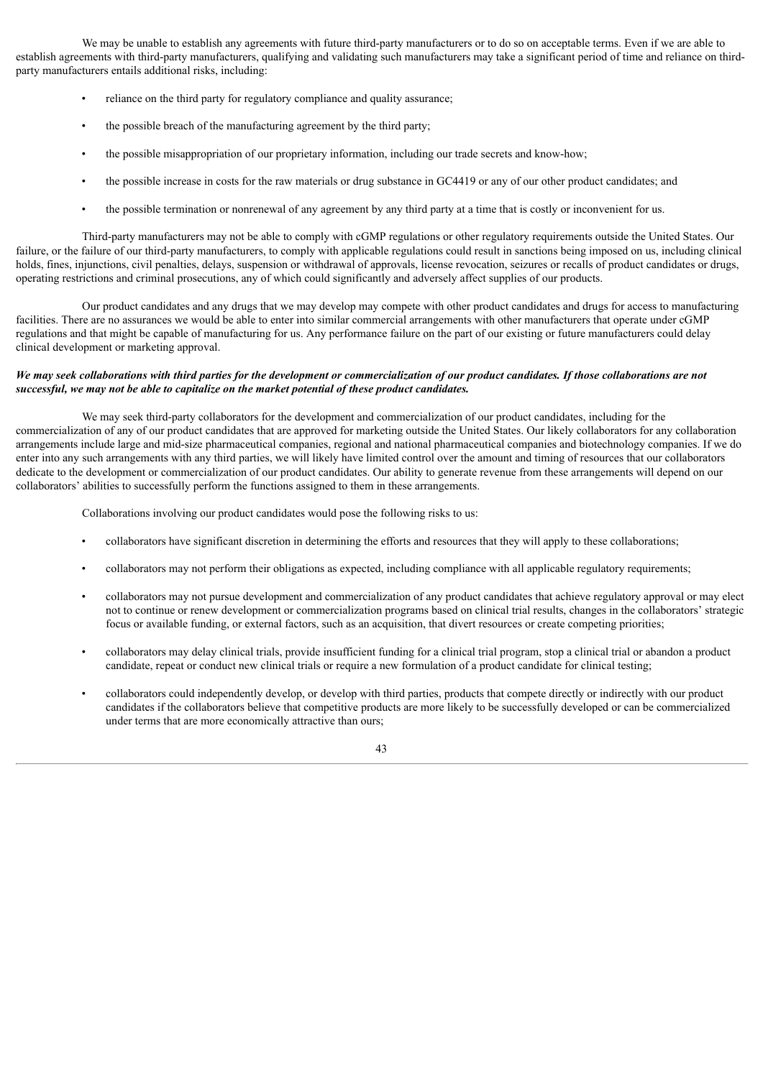We may be unable to establish any agreements with future third-party manufacturers or to do so on acceptable terms. Even if we are able to establish agreements with third-party manufacturers, qualifying and validating such manufacturers may take a significant period of time and reliance on thirdparty manufacturers entails additional risks, including:

- reliance on the third party for regulatory compliance and quality assurance;
- the possible breach of the manufacturing agreement by the third party;
- the possible misappropriation of our proprietary information, including our trade secrets and know-how;
- the possible increase in costs for the raw materials or drug substance in GC4419 or any of our other product candidates; and
- the possible termination or nonrenewal of any agreement by any third party at a time that is costly or inconvenient for us.

Third-party manufacturers may not be able to comply with cGMP regulations or other regulatory requirements outside the United States. Our failure, or the failure of our third-party manufacturers, to comply with applicable regulations could result in sanctions being imposed on us, including clinical holds, fines, injunctions, civil penalties, delays, suspension or withdrawal of approvals, license revocation, seizures or recalls of product candidates or drugs, operating restrictions and criminal prosecutions, any of which could significantly and adversely affect supplies of our products.

Our product candidates and any drugs that we may develop may compete with other product candidates and drugs for access to manufacturing facilities. There are no assurances we would be able to enter into similar commercial arrangements with other manufacturers that operate under cGMP regulations and that might be capable of manufacturing for us. Any performance failure on the part of our existing or future manufacturers could delay clinical development or marketing approval.

### We may seek collaborations with third parties for the development or commercialization of our product candidates. If those collaborations are not *successful, we may not be able to capitalize on the market potential of these product candidates.*

We may seek third-party collaborators for the development and commercialization of our product candidates, including for the commercialization of any of our product candidates that are approved for marketing outside the United States. Our likely collaborators for any collaboration arrangements include large and mid-size pharmaceutical companies, regional and national pharmaceutical companies and biotechnology companies. If we do enter into any such arrangements with any third parties, we will likely have limited control over the amount and timing of resources that our collaborators dedicate to the development or commercialization of our product candidates. Our ability to generate revenue from these arrangements will depend on our collaborators' abilities to successfully perform the functions assigned to them in these arrangements.

Collaborations involving our product candidates would pose the following risks to us:

- collaborators have significant discretion in determining the efforts and resources that they will apply to these collaborations;
- collaborators may not perform their obligations as expected, including compliance with all applicable regulatory requirements;
- collaborators may not pursue development and commercialization of any product candidates that achieve regulatory approval or may elect not to continue or renew development or commercialization programs based on clinical trial results, changes in the collaborators' strategic focus or available funding, or external factors, such as an acquisition, that divert resources or create competing priorities;
- collaborators may delay clinical trials, provide insufficient funding for a clinical trial program, stop a clinical trial or abandon a product candidate, repeat or conduct new clinical trials or require a new formulation of a product candidate for clinical testing;
- collaborators could independently develop, or develop with third parties, products that compete directly or indirectly with our product candidates if the collaborators believe that competitive products are more likely to be successfully developed or can be commercialized under terms that are more economically attractive than ours;

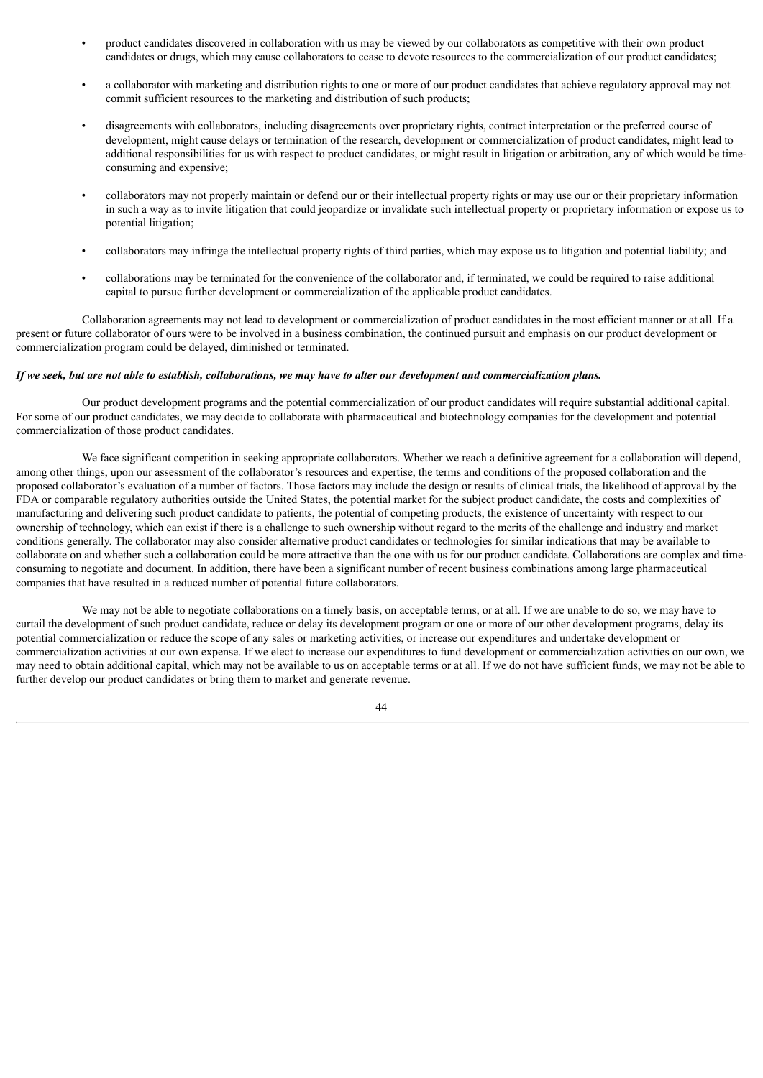- product candidates discovered in collaboration with us may be viewed by our collaborators as competitive with their own product candidates or drugs, which may cause collaborators to cease to devote resources to the commercialization of our product candidates;
- a collaborator with marketing and distribution rights to one or more of our product candidates that achieve regulatory approval may not commit sufficient resources to the marketing and distribution of such products;
- disagreements with collaborators, including disagreements over proprietary rights, contract interpretation or the preferred course of development, might cause delays or termination of the research, development or commercialization of product candidates, might lead to additional responsibilities for us with respect to product candidates, or might result in litigation or arbitration, any of which would be timeconsuming and expensive;
- collaborators may not properly maintain or defend our or their intellectual property rights or may use our or their proprietary information in such a way as to invite litigation that could jeopardize or invalidate such intellectual property or proprietary information or expose us to potential litigation;
- collaborators may infringe the intellectual property rights of third parties, which may expose us to litigation and potential liability; and
- collaborations may be terminated for the convenience of the collaborator and, if terminated, we could be required to raise additional capital to pursue further development or commercialization of the applicable product candidates.

Collaboration agreements may not lead to development or commercialization of product candidates in the most efficient manner or at all. If a present or future collaborator of ours were to be involved in a business combination, the continued pursuit and emphasis on our product development or commercialization program could be delayed, diminished or terminated.

### If we seek, but are not able to establish, collaborations, we may have to alter our development and commercialization plans.

Our product development programs and the potential commercialization of our product candidates will require substantial additional capital. For some of our product candidates, we may decide to collaborate with pharmaceutical and biotechnology companies for the development and potential commercialization of those product candidates.

We face significant competition in seeking appropriate collaborators. Whether we reach a definitive agreement for a collaboration will depend, among other things, upon our assessment of the collaborator's resources and expertise, the terms and conditions of the proposed collaboration and the proposed collaborator's evaluation of a number of factors. Those factors may include the design or results of clinical trials, the likelihood of approval by the FDA or comparable regulatory authorities outside the United States, the potential market for the subject product candidate, the costs and complexities of manufacturing and delivering such product candidate to patients, the potential of competing products, the existence of uncertainty with respect to our ownership of technology, which can exist if there is a challenge to such ownership without regard to the merits of the challenge and industry and market conditions generally. The collaborator may also consider alternative product candidates or technologies for similar indications that may be available to collaborate on and whether such a collaboration could be more attractive than the one with us for our product candidate. Collaborations are complex and timeconsuming to negotiate and document. In addition, there have been a significant number of recent business combinations among large pharmaceutical companies that have resulted in a reduced number of potential future collaborators.

We may not be able to negotiate collaborations on a timely basis, on acceptable terms, or at all. If we are unable to do so, we may have to curtail the development of such product candidate, reduce or delay its development program or one or more of our other development programs, delay its potential commercialization or reduce the scope of any sales or marketing activities, or increase our expenditures and undertake development or commercialization activities at our own expense. If we elect to increase our expenditures to fund development or commercialization activities on our own, we may need to obtain additional capital, which may not be available to us on acceptable terms or at all. If we do not have sufficient funds, we may not be able to further develop our product candidates or bring them to market and generate revenue.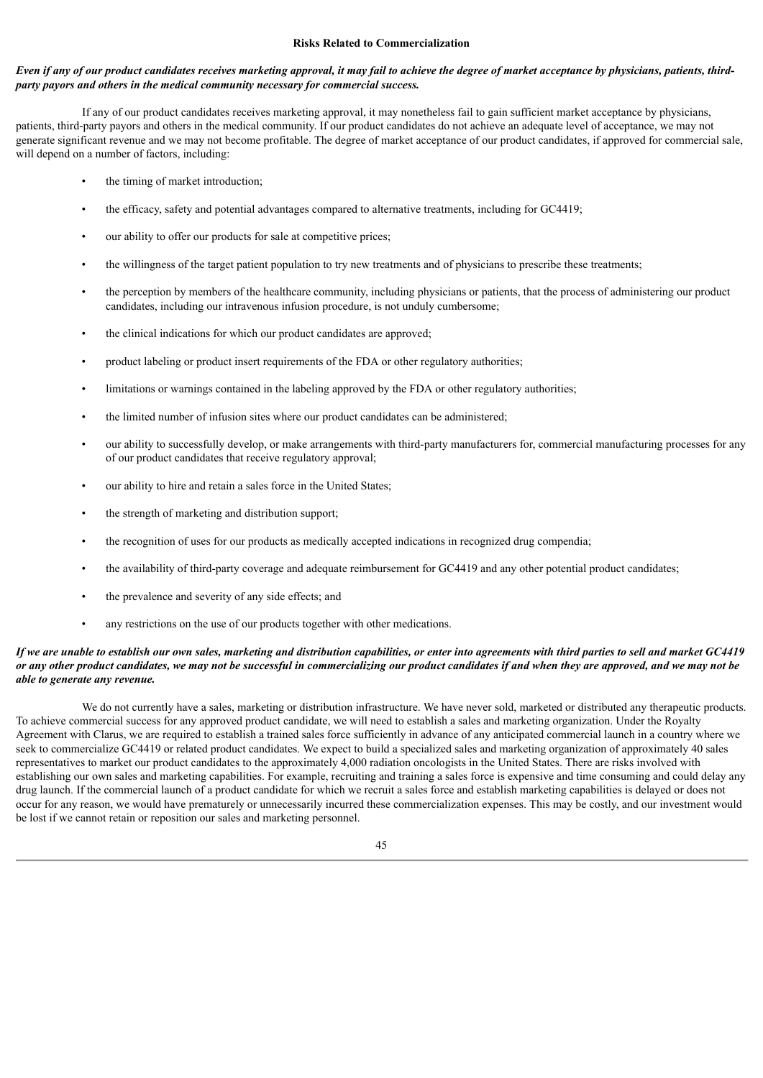### **Risks Related to Commercialization**

### Even if any of our product candidates receives marketing approval, it may fail to achieve the degree of market acceptance by physicians, patients, third*party payors and others in the medical community necessary for commercial success.*

If any of our product candidates receives marketing approval, it may nonetheless fail to gain sufficient market acceptance by physicians, patients, third-party payors and others in the medical community. If our product candidates do not achieve an adequate level of acceptance, we may not generate significant revenue and we may not become profitable. The degree of market acceptance of our product candidates, if approved for commercial sale, will depend on a number of factors, including:

- the timing of market introduction;
- the efficacy, safety and potential advantages compared to alternative treatments, including for GC4419;
- our ability to offer our products for sale at competitive prices;
- the willingness of the target patient population to try new treatments and of physicians to prescribe these treatments;
- the perception by members of the healthcare community, including physicians or patients, that the process of administering our product candidates, including our intravenous infusion procedure, is not unduly cumbersome;
- the clinical indications for which our product candidates are approved;
- product labeling or product insert requirements of the FDA or other regulatory authorities;
- limitations or warnings contained in the labeling approved by the FDA or other regulatory authorities;
- the limited number of infusion sites where our product candidates can be administered;
- our ability to successfully develop, or make arrangements with third-party manufacturers for, commercial manufacturing processes for any of our product candidates that receive regulatory approval;
- our ability to hire and retain a sales force in the United States;
- the strength of marketing and distribution support;
- the recognition of uses for our products as medically accepted indications in recognized drug compendia;
- the availability of third-party coverage and adequate reimbursement for GC4419 and any other potential product candidates;
- the prevalence and severity of any side effects; and
- any restrictions on the use of our products together with other medications.

# If we are unable to establish our own sales, marketing and distribution capabilities, or enter into agreements with third parties to sell and market GC4419 or any other product candidates, we may not be successful in commercializing our product candidates if and when they are approved, and we may not be *able to generate any revenue.*

We do not currently have a sales, marketing or distribution infrastructure. We have never sold, marketed or distributed any therapeutic products. To achieve commercial success for any approved product candidate, we will need to establish a sales and marketing organization. Under the Royalty Agreement with Clarus, we are required to establish a trained sales force sufficiently in advance of any anticipated commercial launch in a country where we seek to commercialize GC4419 or related product candidates. We expect to build a specialized sales and marketing organization of approximately 40 sales representatives to market our product candidates to the approximately 4,000 radiation oncologists in the United States. There are risks involved with establishing our own sales and marketing capabilities. For example, recruiting and training a sales force is expensive and time consuming and could delay any drug launch. If the commercial launch of a product candidate for which we recruit a sales force and establish marketing capabilities is delayed or does not occur for any reason, we would have prematurely or unnecessarily incurred these commercialization expenses. This may be costly, and our investment would be lost if we cannot retain or reposition our sales and marketing personnel.

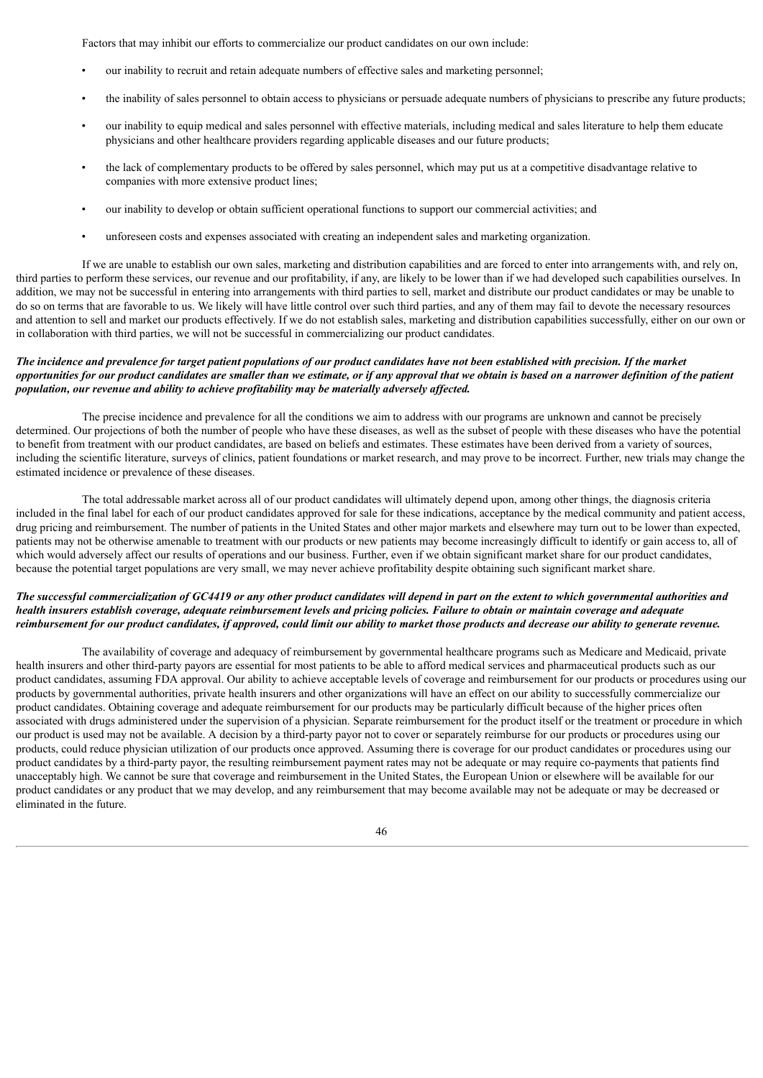Factors that may inhibit our efforts to commercialize our product candidates on our own include:

- our inability to recruit and retain adequate numbers of effective sales and marketing personnel;
- the inability of sales personnel to obtain access to physicians or persuade adequate numbers of physicians to prescribe any future products;
- our inability to equip medical and sales personnel with effective materials, including medical and sales literature to help them educate physicians and other healthcare providers regarding applicable diseases and our future products;
- the lack of complementary products to be offered by sales personnel, which may put us at a competitive disadvantage relative to companies with more extensive product lines;
- our inability to develop or obtain sufficient operational functions to support our commercial activities; and
- unforeseen costs and expenses associated with creating an independent sales and marketing organization.

If we are unable to establish our own sales, marketing and distribution capabilities and are forced to enter into arrangements with, and rely on, third parties to perform these services, our revenue and our profitability, if any, are likely to be lower than if we had developed such capabilities ourselves. In addition, we may not be successful in entering into arrangements with third parties to sell, market and distribute our product candidates or may be unable to do so on terms that are favorable to us. We likely will have little control over such third parties, and any of them may fail to devote the necessary resources and attention to sell and market our products effectively. If we do not establish sales, marketing and distribution capabilities successfully, either on our own or in collaboration with third parties, we will not be successful in commercializing our product candidates.

# The incidence and prevalence for target patient populations of our product candidates have not been established with precision. If the market opportunities for our product candidates are smaller than we estimate, or if any approval that we obtain is based on a narrower definition of the patient *population, our revenue and ability to achieve profitability may be materially adversely af ected.*

The precise incidence and prevalence for all the conditions we aim to address with our programs are unknown and cannot be precisely determined. Our projections of both the number of people who have these diseases, as well as the subset of people with these diseases who have the potential to benefit from treatment with our product candidates, are based on beliefs and estimates. These estimates have been derived from a variety of sources, including the scientific literature, surveys of clinics, patient foundations or market research, and may prove to be incorrect. Further, new trials may change the estimated incidence or prevalence of these diseases.

The total addressable market across all of our product candidates will ultimately depend upon, among other things, the diagnosis criteria included in the final label for each of our product candidates approved for sale for these indications, acceptance by the medical community and patient access, drug pricing and reimbursement. The number of patients in the United States and other major markets and elsewhere may turn out to be lower than expected, patients may not be otherwise amenable to treatment with our products or new patients may become increasingly difficult to identify or gain access to, all of which would adversely affect our results of operations and our business. Further, even if we obtain significant market share for our product candidates, because the potential target populations are very small, we may never achieve profitability despite obtaining such significant market share.

# The successful commercialization of GC4419 or any other product candidates will depend in part on the extent to which governmental authorities and health insurers establish coverage, adequate reimbursement levels and pricing policies. Failure to obtain or maintain coverage and adequate reimbursement for our product candidates, if approved, could limit our ability to market those products and decrease our ability to generate revenue.

The availability of coverage and adequacy of reimbursement by governmental healthcare programs such as Medicare and Medicaid, private health insurers and other third-party payors are essential for most patients to be able to afford medical services and pharmaceutical products such as our product candidates, assuming FDA approval. Our ability to achieve acceptable levels of coverage and reimbursement for our products or procedures using our products by governmental authorities, private health insurers and other organizations will have an effect on our ability to successfully commercialize our product candidates. Obtaining coverage and adequate reimbursement for our products may be particularly difficult because of the higher prices often associated with drugs administered under the supervision of a physician. Separate reimbursement for the product itself or the treatment or procedure in which our product is used may not be available. A decision by a third-party payor not to cover or separately reimburse for our products or procedures using our products, could reduce physician utilization of our products once approved. Assuming there is coverage for our product candidates or procedures using our product candidates by a third-party payor, the resulting reimbursement payment rates may not be adequate or may require co-payments that patients find unacceptably high. We cannot be sure that coverage and reimbursement in the United States, the European Union or elsewhere will be available for our product candidates or any product that we may develop, and any reimbursement that may become available may not be adequate or may be decreased or eliminated in the future.

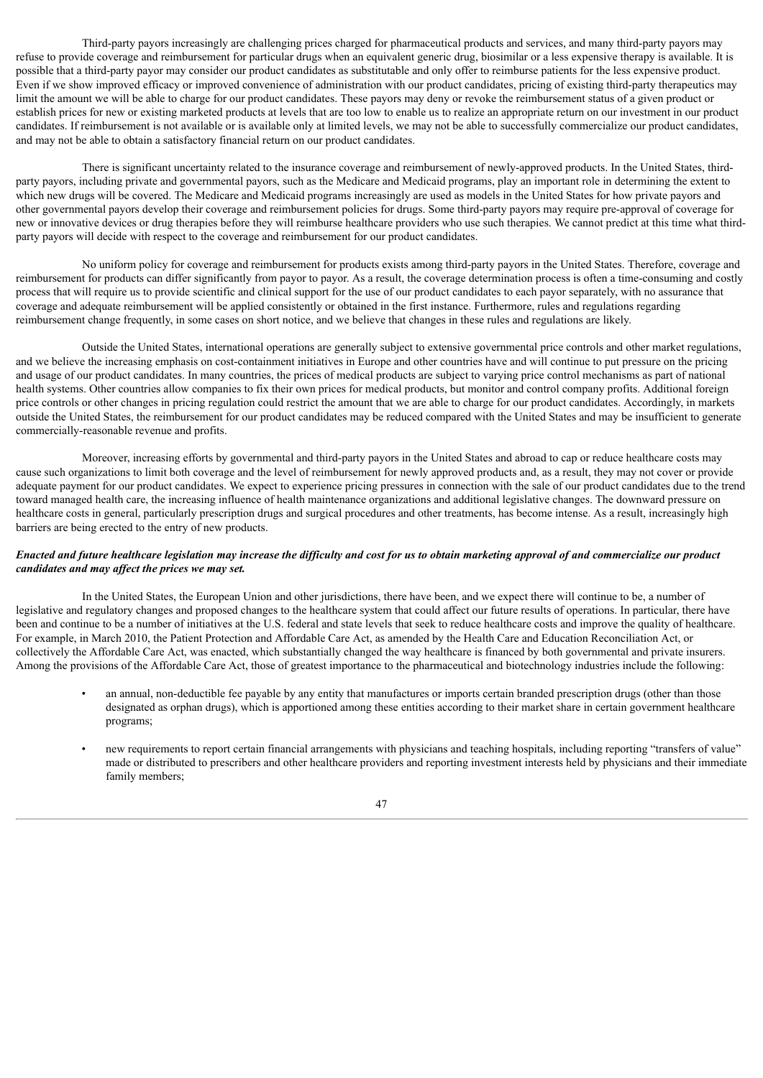Third-party payors increasingly are challenging prices charged for pharmaceutical products and services, and many third-party payors may refuse to provide coverage and reimbursement for particular drugs when an equivalent generic drug, biosimilar or a less expensive therapy is available. It is possible that a third-party payor may consider our product candidates as substitutable and only offer to reimburse patients for the less expensive product. Even if we show improved efficacy or improved convenience of administration with our product candidates, pricing of existing third-party therapeutics may limit the amount we will be able to charge for our product candidates. These payors may deny or revoke the reimbursement status of a given product or establish prices for new or existing marketed products at levels that are too low to enable us to realize an appropriate return on our investment in our product candidates. If reimbursement is not available or is available only at limited levels, we may not be able to successfully commercialize our product candidates, and may not be able to obtain a satisfactory financial return on our product candidates.

There is significant uncertainty related to the insurance coverage and reimbursement of newly-approved products. In the United States, thirdparty payors, including private and governmental payors, such as the Medicare and Medicaid programs, play an important role in determining the extent to which new drugs will be covered. The Medicare and Medicaid programs increasingly are used as models in the United States for how private payors and other governmental payors develop their coverage and reimbursement policies for drugs. Some third-party payors may require pre-approval of coverage for new or innovative devices or drug therapies before they will reimburse healthcare providers who use such therapies. We cannot predict at this time what thirdparty payors will decide with respect to the coverage and reimbursement for our product candidates.

No uniform policy for coverage and reimbursement for products exists among third-party payors in the United States. Therefore, coverage and reimbursement for products can differ significantly from payor to payor. As a result, the coverage determination process is often a time-consuming and costly process that will require us to provide scientific and clinical support for the use of our product candidates to each payor separately, with no assurance that coverage and adequate reimbursement will be applied consistently or obtained in the first instance. Furthermore, rules and regulations regarding reimbursement change frequently, in some cases on short notice, and we believe that changes in these rules and regulations are likely.

Outside the United States, international operations are generally subject to extensive governmental price controls and other market regulations, and we believe the increasing emphasis on cost-containment initiatives in Europe and other countries have and will continue to put pressure on the pricing and usage of our product candidates. In many countries, the prices of medical products are subject to varying price control mechanisms as part of national health systems. Other countries allow companies to fix their own prices for medical products, but monitor and control company profits. Additional foreign price controls or other changes in pricing regulation could restrict the amount that we are able to charge for our product candidates. Accordingly, in markets outside the United States, the reimbursement for our product candidates may be reduced compared with the United States and may be insufficient to generate commercially-reasonable revenue and profits.

Moreover, increasing efforts by governmental and third-party payors in the United States and abroad to cap or reduce healthcare costs may cause such organizations to limit both coverage and the level of reimbursement for newly approved products and, as a result, they may not cover or provide adequate payment for our product candidates. We expect to experience pricing pressures in connection with the sale of our product candidates due to the trend toward managed health care, the increasing influence of health maintenance organizations and additional legislative changes. The downward pressure on healthcare costs in general, particularly prescription drugs and surgical procedures and other treatments, has become intense. As a result, increasingly high barriers are being erected to the entry of new products.

# Enacted and future healthcare legislation may increase the difficulty and cost for us to obtain marketing approval of and commercialize our product *candidates and may af ect the prices we may set.*

In the United States, the European Union and other jurisdictions, there have been, and we expect there will continue to be, a number of legislative and regulatory changes and proposed changes to the healthcare system that could affect our future results of operations. In particular, there have been and continue to be a number of initiatives at the U.S. federal and state levels that seek to reduce healthcare costs and improve the quality of healthcare. For example, in March 2010, the Patient Protection and Affordable Care Act, as amended by the Health Care and Education Reconciliation Act, or collectively the Affordable Care Act, was enacted, which substantially changed the way healthcare is financed by both governmental and private insurers. Among the provisions of the Affordable Care Act, those of greatest importance to the pharmaceutical and biotechnology industries include the following:

- an annual, non-deductible fee payable by any entity that manufactures or imports certain branded prescription drugs (other than those designated as orphan drugs), which is apportioned among these entities according to their market share in certain government healthcare programs;
- new requirements to report certain financial arrangements with physicians and teaching hospitals, including reporting "transfers of value" made or distributed to prescribers and other healthcare providers and reporting investment interests held by physicians and their immediate family members;

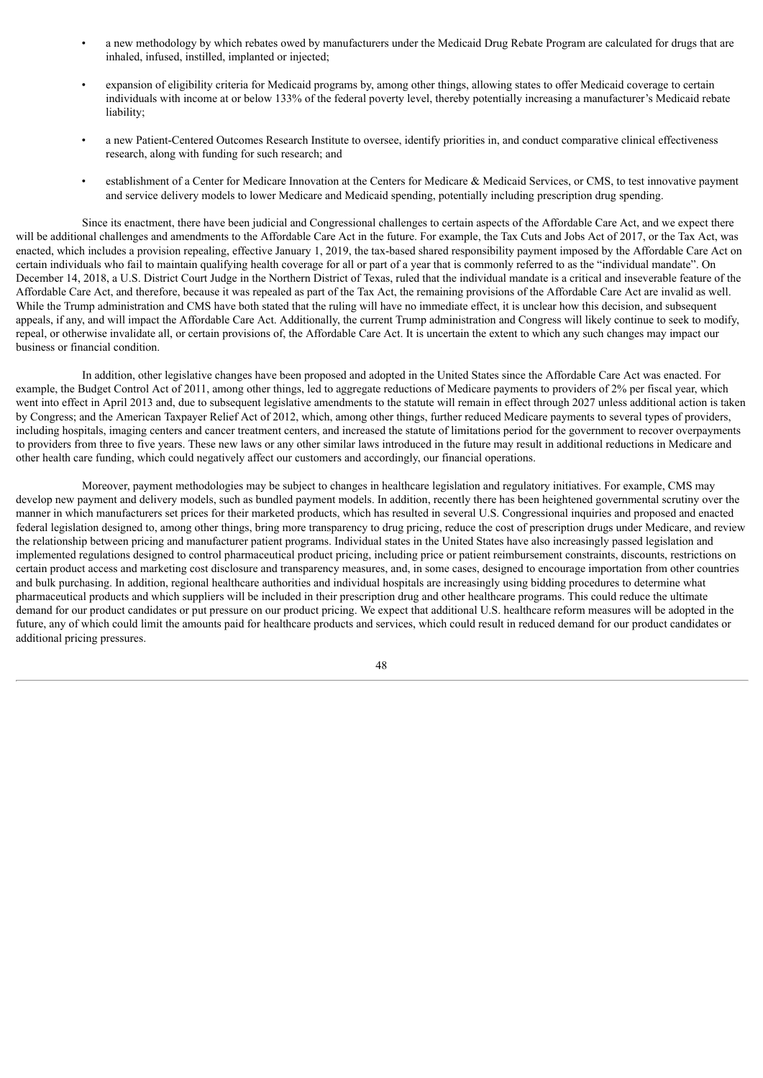- a new methodology by which rebates owed by manufacturers under the Medicaid Drug Rebate Program are calculated for drugs that are inhaled, infused, instilled, implanted or injected;
- expansion of eligibility criteria for Medicaid programs by, among other things, allowing states to offer Medicaid coverage to certain individuals with income at or below 133% of the federal poverty level, thereby potentially increasing a manufacturer's Medicaid rebate liability;
- a new Patient-Centered Outcomes Research Institute to oversee, identify priorities in, and conduct comparative clinical effectiveness research, along with funding for such research; and
- establishment of a Center for Medicare Innovation at the Centers for Medicare & Medicaid Services, or CMS, to test innovative payment and service delivery models to lower Medicare and Medicaid spending, potentially including prescription drug spending.

Since its enactment, there have been judicial and Congressional challenges to certain aspects of the Affordable Care Act, and we expect there will be additional challenges and amendments to the Affordable Care Act in the future. For example, the Tax Cuts and Jobs Act of 2017, or the Tax Act, was enacted, which includes a provision repealing, effective January 1, 2019, the tax-based shared responsibility payment imposed by the Affordable Care Act on certain individuals who fail to maintain qualifying health coverage for all or part of a year that is commonly referred to as the "individual mandate". On December 14, 2018, a U.S. District Court Judge in the Northern District of Texas, ruled that the individual mandate is a critical and inseverable feature of the Affordable Care Act, and therefore, because it was repealed as part of the Tax Act, the remaining provisions of the Affordable Care Act are invalid as well. While the Trump administration and CMS have both stated that the ruling will have no immediate effect, it is unclear how this decision, and subsequent appeals, if any, and will impact the Affordable Care Act. Additionally, the current Trump administration and Congress will likely continue to seek to modify, repeal, or otherwise invalidate all, or certain provisions of, the Affordable Care Act. It is uncertain the extent to which any such changes may impact our business or financial condition.

In addition, other legislative changes have been proposed and adopted in the United States since the Affordable Care Act was enacted. For example, the Budget Control Act of 2011, among other things, led to aggregate reductions of Medicare payments to providers of 2% per fiscal year, which went into effect in April 2013 and, due to subsequent legislative amendments to the statute will remain in effect through 2027 unless additional action is taken by Congress; and the American Taxpayer Relief Act of 2012, which, among other things, further reduced Medicare payments to several types of providers, including hospitals, imaging centers and cancer treatment centers, and increased the statute of limitations period for the government to recover overpayments to providers from three to five years. These new laws or any other similar laws introduced in the future may result in additional reductions in Medicare and other health care funding, which could negatively affect our customers and accordingly, our financial operations.

Moreover, payment methodologies may be subject to changes in healthcare legislation and regulatory initiatives. For example, CMS may develop new payment and delivery models, such as bundled payment models. In addition, recently there has been heightened governmental scrutiny over the manner in which manufacturers set prices for their marketed products, which has resulted in several U.S. Congressional inquiries and proposed and enacted federal legislation designed to, among other things, bring more transparency to drug pricing, reduce the cost of prescription drugs under Medicare, and review the relationship between pricing and manufacturer patient programs. Individual states in the United States have also increasingly passed legislation and implemented regulations designed to control pharmaceutical product pricing, including price or patient reimbursement constraints, discounts, restrictions on certain product access and marketing cost disclosure and transparency measures, and, in some cases, designed to encourage importation from other countries and bulk purchasing. In addition, regional healthcare authorities and individual hospitals are increasingly using bidding procedures to determine what pharmaceutical products and which suppliers will be included in their prescription drug and other healthcare programs. This could reduce the ultimate demand for our product candidates or put pressure on our product pricing. We expect that additional U.S. healthcare reform measures will be adopted in the future, any of which could limit the amounts paid for healthcare products and services, which could result in reduced demand for our product candidates or additional pricing pressures.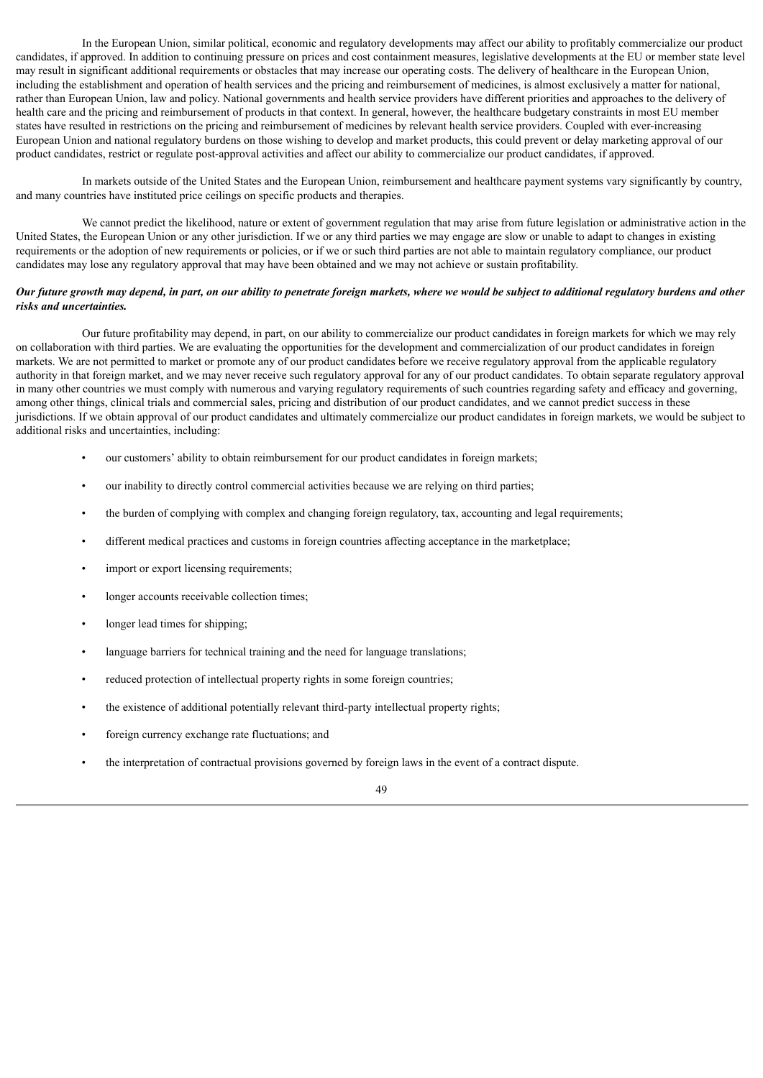In the European Union, similar political, economic and regulatory developments may affect our ability to profitably commercialize our product candidates, if approved. In addition to continuing pressure on prices and cost containment measures, legislative developments at the EU or member state level may result in significant additional requirements or obstacles that may increase our operating costs. The delivery of healthcare in the European Union, including the establishment and operation of health services and the pricing and reimbursement of medicines, is almost exclusively a matter for national, rather than European Union, law and policy. National governments and health service providers have different priorities and approaches to the delivery of health care and the pricing and reimbursement of products in that context. In general, however, the healthcare budgetary constraints in most EU member states have resulted in restrictions on the pricing and reimbursement of medicines by relevant health service providers. Coupled with ever-increasing European Union and national regulatory burdens on those wishing to develop and market products, this could prevent or delay marketing approval of our product candidates, restrict or regulate post-approval activities and affect our ability to commercialize our product candidates, if approved.

In markets outside of the United States and the European Union, reimbursement and healthcare payment systems vary significantly by country, and many countries have instituted price ceilings on specific products and therapies.

We cannot predict the likelihood, nature or extent of government regulation that may arise from future legislation or administrative action in the United States, the European Union or any other jurisdiction. If we or any third parties we may engage are slow or unable to adapt to changes in existing requirements or the adoption of new requirements or policies, or if we or such third parties are not able to maintain regulatory compliance, our product candidates may lose any regulatory approval that may have been obtained and we may not achieve or sustain profitability.

# Our future growth may depend, in part, on our ability to penetrate foreign markets, where we would be subject to additional regulatory burdens and other *risks and uncertainties.*

Our future profitability may depend, in part, on our ability to commercialize our product candidates in foreign markets for which we may rely on collaboration with third parties. We are evaluating the opportunities for the development and commercialization of our product candidates in foreign markets. We are not permitted to market or promote any of our product candidates before we receive regulatory approval from the applicable regulatory authority in that foreign market, and we may never receive such regulatory approval for any of our product candidates. To obtain separate regulatory approval in many other countries we must comply with numerous and varying regulatory requirements of such countries regarding safety and efficacy and governing, among other things, clinical trials and commercial sales, pricing and distribution of our product candidates, and we cannot predict success in these jurisdictions. If we obtain approval of our product candidates and ultimately commercialize our product candidates in foreign markets, we would be subject to additional risks and uncertainties, including:

- our customers' ability to obtain reimbursement for our product candidates in foreign markets;
- our inability to directly control commercial activities because we are relying on third parties;
- the burden of complying with complex and changing foreign regulatory, tax, accounting and legal requirements;
- different medical practices and customs in foreign countries affecting acceptance in the marketplace;
- import or export licensing requirements;
- longer accounts receivable collection times;
- longer lead times for shipping;
- language barriers for technical training and the need for language translations;
- reduced protection of intellectual property rights in some foreign countries;
- the existence of additional potentially relevant third-party intellectual property rights;
- foreign currency exchange rate fluctuations; and
- the interpretation of contractual provisions governed by foreign laws in the event of a contract dispute.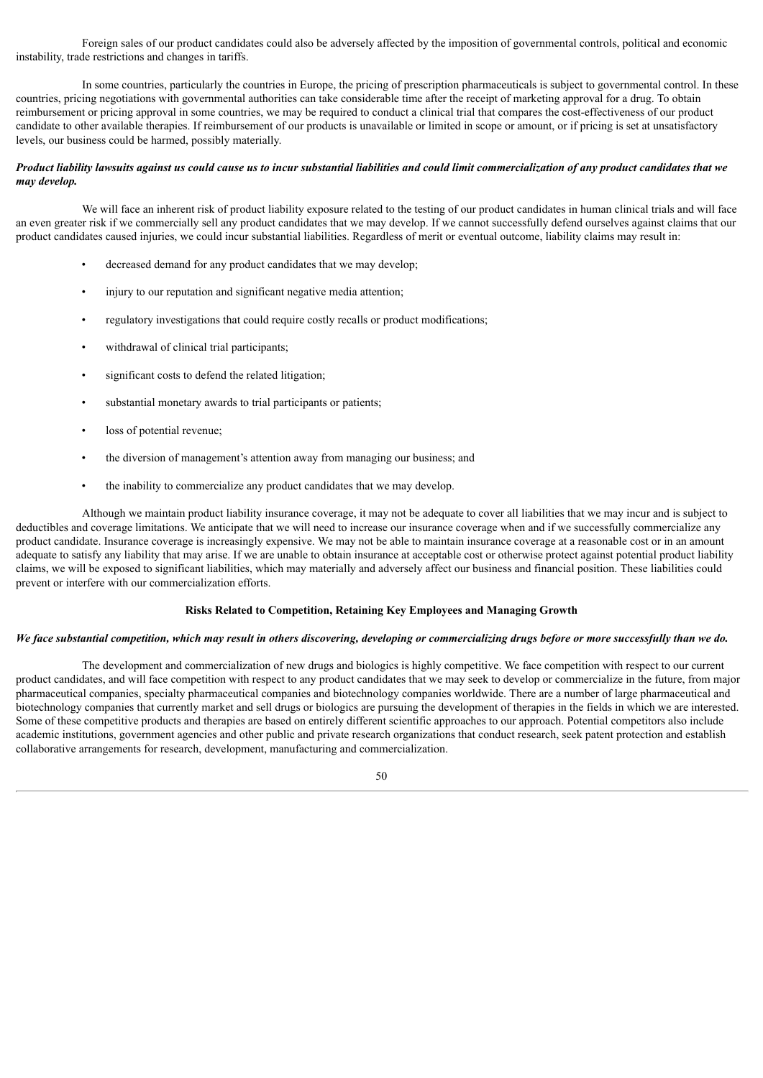Foreign sales of our product candidates could also be adversely affected by the imposition of governmental controls, political and economic instability, trade restrictions and changes in tariffs.

In some countries, particularly the countries in Europe, the pricing of prescription pharmaceuticals is subject to governmental control. In these countries, pricing negotiations with governmental authorities can take considerable time after the receipt of marketing approval for a drug. To obtain reimbursement or pricing approval in some countries, we may be required to conduct a clinical trial that compares the cost-effectiveness of our product candidate to other available therapies. If reimbursement of our products is unavailable or limited in scope or amount, or if pricing is set at unsatisfactory levels, our business could be harmed, possibly materially.

### Product liability lawsuits against us could cause us to incur substantial liabilities and could limit commercialization of any product candidates that we *may develop.*

We will face an inherent risk of product liability exposure related to the testing of our product candidates in human clinical trials and will face an even greater risk if we commercially sell any product candidates that we may develop. If we cannot successfully defend ourselves against claims that our product candidates caused injuries, we could incur substantial liabilities. Regardless of merit or eventual outcome, liability claims may result in:

- decreased demand for any product candidates that we may develop;
- injury to our reputation and significant negative media attention;
- regulatory investigations that could require costly recalls or product modifications;
- withdrawal of clinical trial participants;
- significant costs to defend the related litigation;
- substantial monetary awards to trial participants or patients;
- loss of potential revenue;
- the diversion of management's attention away from managing our business: and
- the inability to commercialize any product candidates that we may develop.

Although we maintain product liability insurance coverage, it may not be adequate to cover all liabilities that we may incur and is subject to deductibles and coverage limitations. We anticipate that we will need to increase our insurance coverage when and if we successfully commercialize any product candidate. Insurance coverage is increasingly expensive. We may not be able to maintain insurance coverage at a reasonable cost or in an amount adequate to satisfy any liability that may arise. If we are unable to obtain insurance at acceptable cost or otherwise protect against potential product liability claims, we will be exposed to significant liabilities, which may materially and adversely affect our business and financial position. These liabilities could prevent or interfere with our commercialization efforts.

# **Risks Related to Competition, Retaining Key Employees and Managing Growth**

#### We face substantial competition, which may result in others discovering, developing or commercializing drugs before or more successfully than we do.

The development and commercialization of new drugs and biologics is highly competitive. We face competition with respect to our current product candidates, and will face competition with respect to any product candidates that we may seek to develop or commercialize in the future, from major pharmaceutical companies, specialty pharmaceutical companies and biotechnology companies worldwide. There are a number of large pharmaceutical and biotechnology companies that currently market and sell drugs or biologics are pursuing the development of therapies in the fields in which we are interested. Some of these competitive products and therapies are based on entirely different scientific approaches to our approach. Potential competitors also include academic institutions, government agencies and other public and private research organizations that conduct research, seek patent protection and establish collaborative arrangements for research, development, manufacturing and commercialization.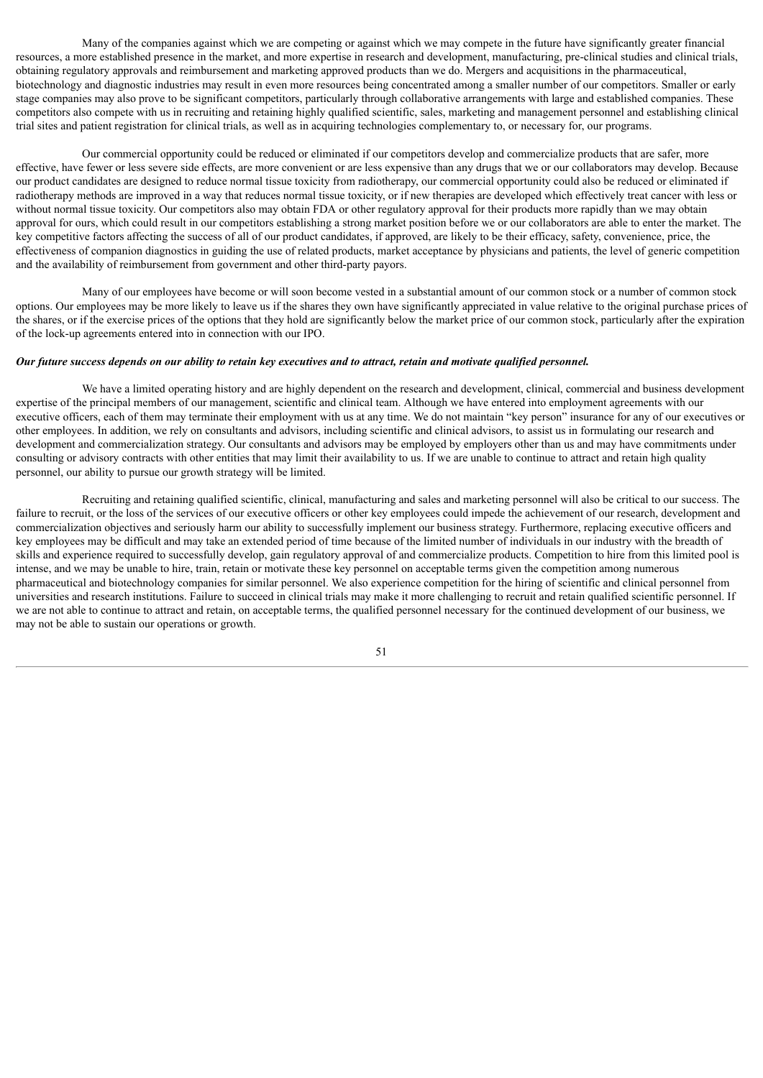Many of the companies against which we are competing or against which we may compete in the future have significantly greater financial resources, a more established presence in the market, and more expertise in research and development, manufacturing, pre-clinical studies and clinical trials, obtaining regulatory approvals and reimbursement and marketing approved products than we do. Mergers and acquisitions in the pharmaceutical, biotechnology and diagnostic industries may result in even more resources being concentrated among a smaller number of our competitors. Smaller or early stage companies may also prove to be significant competitors, particularly through collaborative arrangements with large and established companies. These competitors also compete with us in recruiting and retaining highly qualified scientific, sales, marketing and management personnel and establishing clinical trial sites and patient registration for clinical trials, as well as in acquiring technologies complementary to, or necessary for, our programs.

Our commercial opportunity could be reduced or eliminated if our competitors develop and commercialize products that are safer, more effective, have fewer or less severe side effects, are more convenient or are less expensive than any drugs that we or our collaborators may develop. Because our product candidates are designed to reduce normal tissue toxicity from radiotherapy, our commercial opportunity could also be reduced or eliminated if radiotherapy methods are improved in a way that reduces normal tissue toxicity, or if new therapies are developed which effectively treat cancer with less or without normal tissue toxicity. Our competitors also may obtain FDA or other regulatory approval for their products more rapidly than we may obtain approval for ours, which could result in our competitors establishing a strong market position before we or our collaborators are able to enter the market. The key competitive factors affecting the success of all of our product candidates, if approved, are likely to be their efficacy, safety, convenience, price, the effectiveness of companion diagnostics in guiding the use of related products, market acceptance by physicians and patients, the level of generic competition and the availability of reimbursement from government and other third-party payors.

Many of our employees have become or will soon become vested in a substantial amount of our common stock or a number of common stock options. Our employees may be more likely to leave us if the shares they own have significantly appreciated in value relative to the original purchase prices of the shares, or if the exercise prices of the options that they hold are significantly below the market price of our common stock, particularly after the expiration of the lock-up agreements entered into in connection with our IPO.

#### Our future success depends on our ability to retain key executives and to attract, retain and motivate aualified personnel.

We have a limited operating history and are highly dependent on the research and development, clinical, commercial and business development expertise of the principal members of our management, scientific and clinical team. Although we have entered into employment agreements with our executive officers, each of them may terminate their employment with us at any time. We do not maintain "key person" insurance for any of our executives or other employees. In addition, we rely on consultants and advisors, including scientific and clinical advisors, to assist us in formulating our research and development and commercialization strategy. Our consultants and advisors may be employed by employers other than us and may have commitments under consulting or advisory contracts with other entities that may limit their availability to us. If we are unable to continue to attract and retain high quality personnel, our ability to pursue our growth strategy will be limited.

Recruiting and retaining qualified scientific, clinical, manufacturing and sales and marketing personnel will also be critical to our success. The failure to recruit, or the loss of the services of our executive officers or other key employees could impede the achievement of our research, development and commercialization objectives and seriously harm our ability to successfully implement our business strategy. Furthermore, replacing executive officers and key employees may be difficult and may take an extended period of time because of the limited number of individuals in our industry with the breadth of skills and experience required to successfully develop, gain regulatory approval of and commercialize products. Competition to hire from this limited pool is intense, and we may be unable to hire, train, retain or motivate these key personnel on acceptable terms given the competition among numerous pharmaceutical and biotechnology companies for similar personnel. We also experience competition for the hiring of scientific and clinical personnel from universities and research institutions. Failure to succeed in clinical trials may make it more challenging to recruit and retain qualified scientific personnel. If we are not able to continue to attract and retain, on acceptable terms, the qualified personnel necessary for the continued development of our business, we may not be able to sustain our operations or growth.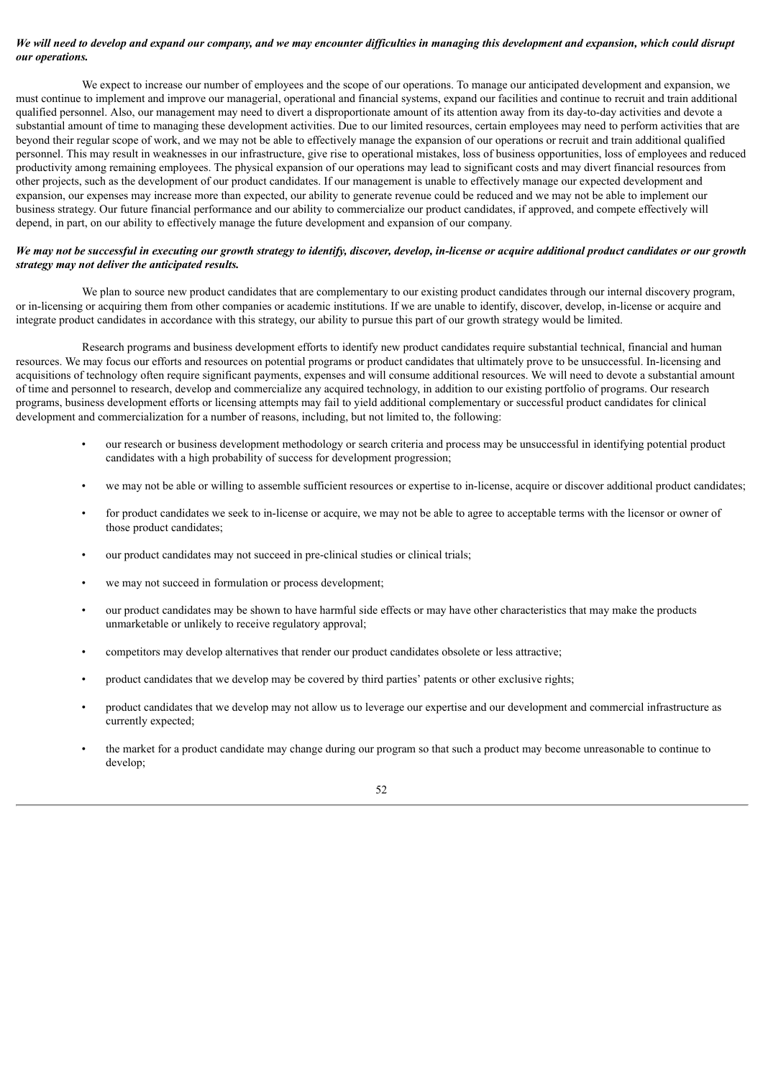# We will need to develop and expand our company, and we may encounter difficulties in managing this development and expansion, which could disrupt *our operations.*

We expect to increase our number of employees and the scope of our operations. To manage our anticipated development and expansion, we must continue to implement and improve our managerial, operational and financial systems, expand our facilities and continue to recruit and train additional qualified personnel. Also, our management may need to divert a disproportionate amount of its attention away from its day-to-day activities and devote a substantial amount of time to managing these development activities. Due to our limited resources, certain employees may need to perform activities that are beyond their regular scope of work, and we may not be able to effectively manage the expansion of our operations or recruit and train additional qualified personnel. This may result in weaknesses in our infrastructure, give rise to operational mistakes, loss of business opportunities, loss of employees and reduced productivity among remaining employees. The physical expansion of our operations may lead to significant costs and may divert financial resources from other projects, such as the development of our product candidates. If our management is unable to effectively manage our expected development and expansion, our expenses may increase more than expected, our ability to generate revenue could be reduced and we may not be able to implement our business strategy. Our future financial performance and our ability to commercialize our product candidates, if approved, and compete effectively will depend, in part, on our ability to effectively manage the future development and expansion of our company.

# We may not be successful in executing our growth strategy to identify, discover, develop, in-license or acquire additional product candidates or our growth *strategy may not deliver the anticipated results.*

We plan to source new product candidates that are complementary to our existing product candidates through our internal discovery program, or in-licensing or acquiring them from other companies or academic institutions. If we are unable to identify, discover, develop, in-license or acquire and integrate product candidates in accordance with this strategy, our ability to pursue this part of our growth strategy would be limited.

Research programs and business development efforts to identify new product candidates require substantial technical, financial and human resources. We may focus our efforts and resources on potential programs or product candidates that ultimately prove to be unsuccessful. In-licensing and acquisitions of technology often require significant payments, expenses and will consume additional resources. We will need to devote a substantial amount of time and personnel to research, develop and commercialize any acquired technology, in addition to our existing portfolio of programs. Our research programs, business development efforts or licensing attempts may fail to yield additional complementary or successful product candidates for clinical development and commercialization for a number of reasons, including, but not limited to, the following:

- our research or business development methodology or search criteria and process may be unsuccessful in identifying potential product candidates with a high probability of success for development progression;
- we may not be able or willing to assemble sufficient resources or expertise to in-license, acquire or discover additional product candidates;
- for product candidates we seek to in-license or acquire, we may not be able to agree to acceptable terms with the licensor or owner of those product candidates;
- our product candidates may not succeed in pre-clinical studies or clinical trials;
- we may not succeed in formulation or process development;
- our product candidates may be shown to have harmful side effects or may have other characteristics that may make the products unmarketable or unlikely to receive regulatory approval;
- competitors may develop alternatives that render our product candidates obsolete or less attractive;
- product candidates that we develop may be covered by third parties' patents or other exclusive rights;
- product candidates that we develop may not allow us to leverage our expertise and our development and commercial infrastructure as currently expected;
- the market for a product candidate may change during our program so that such a product may become unreasonable to continue to develop;

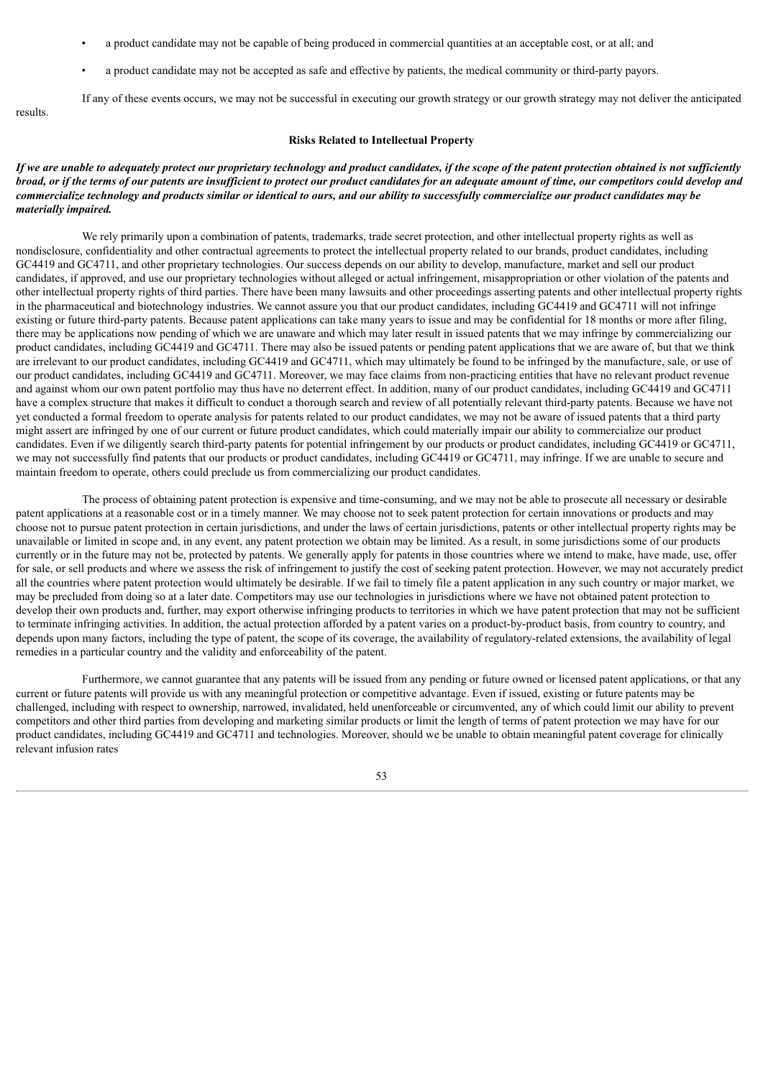- a product candidate may not be capable of being produced in commercial quantities at an acceptable cost, or at all; and
- a product candidate may not be accepted as safe and effective by patients, the medical community or third-party payors.

If any of these events occurs, we may not be successful in executing our growth strategy or our growth strategy may not deliver the anticipated results.

### **Risks Related to Intellectual Property**

### If we are unable to adequately protect our proprietary technology and product candidates, if the scope of the patent protection obtained is not sufficiently broad, or if the terms of our patents are insufficient to protect our product candidates for an adequate amount of time, our competitors could develop and commercialize technology and products similar or identical to ours, and our ability to successfully commercialize our product candidates may be *materially impaired.*

We rely primarily upon a combination of patents, trademarks, trade secret protection, and other intellectual property rights as well as nondisclosure, confidentiality and other contractual agreements to protect the intellectual property related to our brands, product candidates, including GC4419 and GC4711, and other proprietary technologies. Our success depends on our ability to develop, manufacture, market and sell our product candidates, if approved, and use our proprietary technologies without alleged or actual infringement, misappropriation or other violation of the patents and other intellectual property rights of third parties. There have been many lawsuits and other proceedings asserting patents and other intellectual property rights in the pharmaceutical and biotechnology industries. We cannot assure you that our product candidates, including GC4419 and GC4711 will not infringe existing or future third-party patents. Because patent applications can take many years to issue and may be confidential for 18 months or more after filing, there may be applications now pending of which we are unaware and which may later result in issued patents that we may infringe by commercializing our product candidates, including GC4419 and GC4711. There may also be issued patents or pending patent applications that we are aware of, but that we think are irrelevant to our product candidates, including GC4419 and GC4711, which may ultimately be found to be infringed by the manufacture, sale, or use of our product candidates, including GC4419 and GC4711. Moreover, we may face claims from non-practicing entities that have no relevant product revenue and against whom our own patent portfolio may thus have no deterrent effect. In addition, many of our product candidates, including GC4419 and GC4711 have a complex structure that makes it difficult to conduct a thorough search and review of all potentially relevant third-party patents. Because we have not yet conducted a formal freedom to operate analysis for patents related to our product candidates, we may not be aware of issued patents that a third party might assert are infringed by one of our current or future product candidates, which could materially impair our ability to commercialize our product candidates. Even if we diligently search third-party patents for potential infringement by our products or product candidates, including GC4419 or GC4711, we may not successfully find patents that our products or product candidates, including GC4419 or GC4711, may infringe. If we are unable to secure and maintain freedom to operate, others could preclude us from commercializing our product candidates.

The process of obtaining patent protection is expensive and time-consuming, and we may not be able to prosecute all necessary or desirable patent applications at a reasonable cost or in a timely manner. We may choose not to seek patent protection for certain innovations or products and may choose not to pursue patent protection in certain jurisdictions, and under the laws of certain jurisdictions, patents or other intellectual property rights may be unavailable or limited in scope and, in any event, any patent protection we obtain may be limited. As a result, in some jurisdictions some of our products currently or in the future may not be, protected by patents. We generally apply for patents in those countries where we intend to make, have made, use, offer for sale, or sell products and where we assess the risk of infringement to justify the cost of seeking patent protection. However, we may not accurately predict all the countries where patent protection would ultimately be desirable. If we fail to timely file a patent application in any such country or major market, we may be precluded from doing so at a later date. Competitors may use our technologies in jurisdictions where we have not obtained patent protection to develop their own products and, further, may export otherwise infringing products to territories in which we have patent protection that may not be sufficient to terminate infringing activities. In addition, the actual protection afforded by a patent varies on a product-by-product basis, from country to country, and depends upon many factors, including the type of patent, the scope of its coverage, the availability of regulatory-related extensions, the availability of legal remedies in a particular country and the validity and enforceability of the patent.

Furthermore, we cannot guarantee that any patents will be issued from any pending or future owned or licensed patent applications, or that any current or future patents will provide us with any meaningful protection or competitive advantage. Even if issued, existing or future patents may be challenged, including with respect to ownership, narrowed, invalidated, held unenforceable or circumvented, any of which could limit our ability to prevent competitors and other third parties from developing and marketing similar products or limit the length of terms of patent protection we may have for our product candidates, including GC4419 and GC4711 and technologies. Moreover, should we be unable to obtain meaningful patent coverage for clinically relevant infusion rates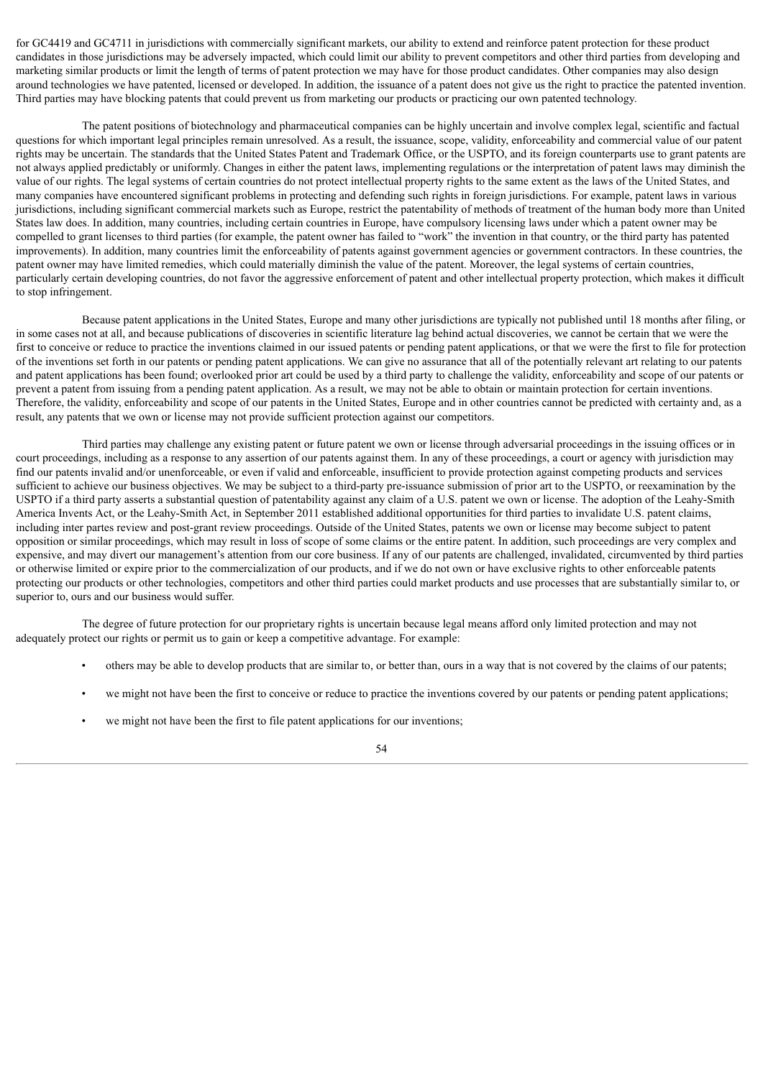for GC4419 and GC4711 in jurisdictions with commercially significant markets, our ability to extend and reinforce patent protection for these product candidates in those jurisdictions may be adversely impacted, which could limit our ability to prevent competitors and other third parties from developing and marketing similar products or limit the length of terms of patent protection we may have for those product candidates. Other companies may also design around technologies we have patented, licensed or developed. In addition, the issuance of a patent does not give us the right to practice the patented invention. Third parties may have blocking patents that could prevent us from marketing our products or practicing our own patented technology.

The patent positions of biotechnology and pharmaceutical companies can be highly uncertain and involve complex legal, scientific and factual questions for which important legal principles remain unresolved. As a result, the issuance, scope, validity, enforceability and commercial value of our patent rights may be uncertain. The standards that the United States Patent and Trademark Office, or the USPTO, and its foreign counterparts use to grant patents are not always applied predictably or uniformly. Changes in either the patent laws, implementing regulations or the interpretation of patent laws may diminish the value of our rights. The legal systems of certain countries do not protect intellectual property rights to the same extent as the laws of the United States, and many companies have encountered significant problems in protecting and defending such rights in foreign jurisdictions. For example, patent laws in various jurisdictions, including significant commercial markets such as Europe, restrict the patentability of methods of treatment of the human body more than United States law does. In addition, many countries, including certain countries in Europe, have compulsory licensing laws under which a patent owner may be compelled to grant licenses to third parties (for example, the patent owner has failed to "work" the invention in that country, or the third party has patented improvements). In addition, many countries limit the enforceability of patents against government agencies or government contractors. In these countries, the patent owner may have limited remedies, which could materially diminish the value of the patent. Moreover, the legal systems of certain countries, particularly certain developing countries, do not favor the aggressive enforcement of patent and other intellectual property protection, which makes it difficult to stop infringement.

Because patent applications in the United States, Europe and many other jurisdictions are typically not published until 18 months after filing, or in some cases not at all, and because publications of discoveries in scientific literature lag behind actual discoveries, we cannot be certain that we were the first to conceive or reduce to practice the inventions claimed in our issued patents or pending patent applications, or that we were the first to file for protection of the inventions set forth in our patents or pending patent applications. We can give no assurance that all of the potentially relevant art relating to our patents and patent applications has been found; overlooked prior art could be used by a third party to challenge the validity, enforceability and scope of our patents or prevent a patent from issuing from a pending patent application. As a result, we may not be able to obtain or maintain protection for certain inventions. Therefore, the validity, enforceability and scope of our patents in the United States, Europe and in other countries cannot be predicted with certainty and, as a result, any patents that we own or license may not provide sufficient protection against our competitors.

Third parties may challenge any existing patent or future patent we own or license through adversarial proceedings in the issuing offices or in court proceedings, including as a response to any assertion of our patents against them. In any of these proceedings, a court or agency with jurisdiction may find our patents invalid and/or unenforceable, or even if valid and enforceable, insufficient to provide protection against competing products and services sufficient to achieve our business objectives. We may be subject to a third-party pre-issuance submission of prior art to the USPTO, or reexamination by the USPTO if a third party asserts a substantial question of patentability against any claim of a U.S. patent we own or license. The adoption of the Leahy-Smith America Invents Act, or the Leahy-Smith Act, in September 2011 established additional opportunities for third parties to invalidate U.S. patent claims, including inter partes review and post-grant review proceedings. Outside of the United States, patents we own or license may become subject to patent opposition or similar proceedings, which may result in loss of scope of some claims or the entire patent. In addition, such proceedings are very complex and expensive, and may divert our management's attention from our core business. If any of our patents are challenged, invalidated, circumvented by third parties or otherwise limited or expire prior to the commercialization of our products, and if we do not own or have exclusive rights to other enforceable patents protecting our products or other technologies, competitors and other third parties could market products and use processes that are substantially similar to, or superior to, ours and our business would suffer.

The degree of future protection for our proprietary rights is uncertain because legal means afford only limited protection and may not adequately protect our rights or permit us to gain or keep a competitive advantage. For example:

- others may be able to develop products that are similar to, or better than, ours in a way that is not covered by the claims of our patents;
- we might not have been the first to conceive or reduce to practice the inventions covered by our patents or pending patent applications;
- we might not have been the first to file patent applications for our inventions;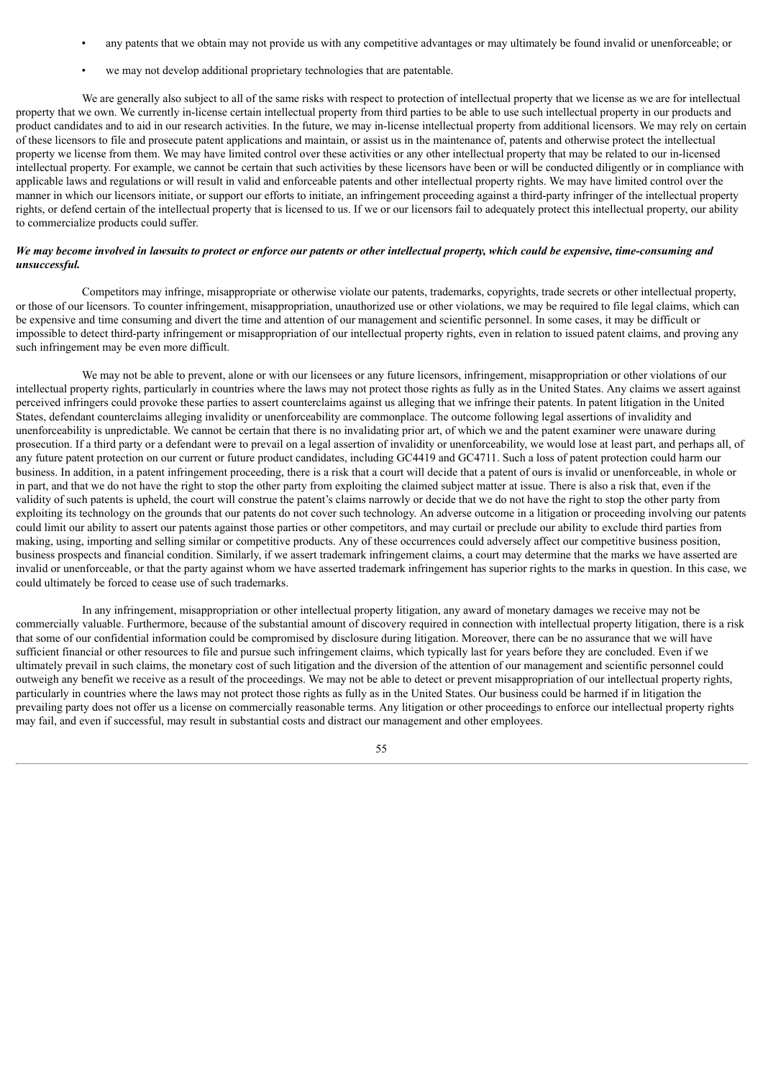- any patents that we obtain may not provide us with any competitive advantages or may ultimately be found invalid or unenforceable; or
- we may not develop additional proprietary technologies that are patentable.

We are generally also subject to all of the same risks with respect to protection of intellectual property that we license as we are for intellectual property that we own. We currently in-license certain intellectual property from third parties to be able to use such intellectual property in our products and product candidates and to aid in our research activities. In the future, we may in-license intellectual property from additional licensors. We may rely on certain of these licensors to file and prosecute patent applications and maintain, or assist us in the maintenance of, patents and otherwise protect the intellectual property we license from them. We may have limited control over these activities or any other intellectual property that may be related to our in-licensed intellectual property. For example, we cannot be certain that such activities by these licensors have been or will be conducted diligently or in compliance with applicable laws and regulations or will result in valid and enforceable patents and other intellectual property rights. We may have limited control over the manner in which our licensors initiate, or support our efforts to initiate, an infringement proceeding against a third-party infringer of the intellectual property rights, or defend certain of the intellectual property that is licensed to us. If we or our licensors fail to adequately protect this intellectual property, our ability to commercialize products could suffer.

# We may become involved in lawsuits to protect or enforce our patents or other intellectual property, which could be expensive, time-consuming and *unsuccessful.*

Competitors may infringe, misappropriate or otherwise violate our patents, trademarks, copyrights, trade secrets or other intellectual property, or those of our licensors. To counter infringement, misappropriation, unauthorized use or other violations, we may be required to file legal claims, which can be expensive and time consuming and divert the time and attention of our management and scientific personnel. In some cases, it may be difficult or impossible to detect third-party infringement or misappropriation of our intellectual property rights, even in relation to issued patent claims, and proving any such infringement may be even more difficult.

We may not be able to prevent, alone or with our licensees or any future licensors, infringement, misappropriation or other violations of our intellectual property rights, particularly in countries where the laws may not protect those rights as fully as in the United States. Any claims we assert against perceived infringers could provoke these parties to assert counterclaims against us alleging that we infringe their patents. In patent litigation in the United States, defendant counterclaims alleging invalidity or unenforceability are commonplace. The outcome following legal assertions of invalidity and unenforceability is unpredictable. We cannot be certain that there is no invalidating prior art, of which we and the patent examiner were unaware during prosecution. If a third party or a defendant were to prevail on a legal assertion of invalidity or unenforceability, we would lose at least part, and perhaps all, of any future patent protection on our current or future product candidates, including GC4419 and GC4711. Such a loss of patent protection could harm our business. In addition, in a patent infringement proceeding, there is a risk that a court will decide that a patent of ours is invalid or unenforceable, in whole or in part, and that we do not have the right to stop the other party from exploiting the claimed subject matter at issue. There is also a risk that, even if the validity of such patents is upheld, the court will construe the patent's claims narrowly or decide that we do not have the right to stop the other party from exploiting its technology on the grounds that our patents do not cover such technology. An adverse outcome in a litigation or proceeding involving our patents could limit our ability to assert our patents against those parties or other competitors, and may curtail or preclude our ability to exclude third parties from making, using, importing and selling similar or competitive products. Any of these occurrences could adversely affect our competitive business position, business prospects and financial condition. Similarly, if we assert trademark infringement claims, a court may determine that the marks we have asserted are invalid or unenforceable, or that the party against whom we have asserted trademark infringement has superior rights to the marks in question. In this case, we could ultimately be forced to cease use of such trademarks.

In any infringement, misappropriation or other intellectual property litigation, any award of monetary damages we receive may not be commercially valuable. Furthermore, because of the substantial amount of discovery required in connection with intellectual property litigation, there is a risk that some of our confidential information could be compromised by disclosure during litigation. Moreover, there can be no assurance that we will have sufficient financial or other resources to file and pursue such infringement claims, which typically last for years before they are concluded. Even if we ultimately prevail in such claims, the monetary cost of such litigation and the diversion of the attention of our management and scientific personnel could outweigh any benefit we receive as a result of the proceedings. We may not be able to detect or prevent misappropriation of our intellectual property rights, particularly in countries where the laws may not protect those rights as fully as in the United States. Our business could be harmed if in litigation the prevailing party does not offer us a license on commercially reasonable terms. Any litigation or other proceedings to enforce our intellectual property rights may fail, and even if successful, may result in substantial costs and distract our management and other employees.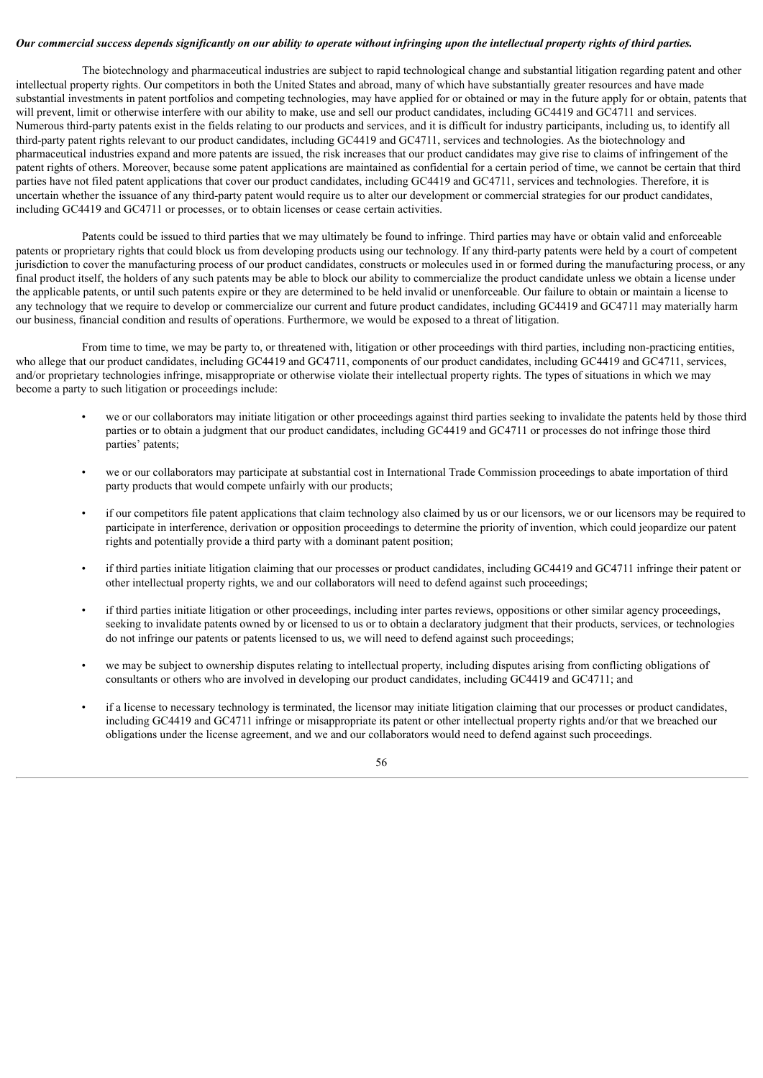# Our commercial success depends significantly on our ability to operate without infringing upon the intellectual property rights of third parties.

The biotechnology and pharmaceutical industries are subject to rapid technological change and substantial litigation regarding patent and other intellectual property rights. Our competitors in both the United States and abroad, many of which have substantially greater resources and have made substantial investments in patent portfolios and competing technologies, may have applied for or obtained or may in the future apply for or obtain, patents that will prevent, limit or otherwise interfere with our ability to make, use and sell our product candidates, including GC4419 and GC4711 and services. Numerous third-party patents exist in the fields relating to our products and services, and it is difficult for industry participants, including us, to identify all third-party patent rights relevant to our product candidates, including GC4419 and GC4711, services and technologies. As the biotechnology and pharmaceutical industries expand and more patents are issued, the risk increases that our product candidates may give rise to claims of infringement of the patent rights of others. Moreover, because some patent applications are maintained as confidential for a certain period of time, we cannot be certain that third parties have not filed patent applications that cover our product candidates, including GC4419 and GC4711, services and technologies. Therefore, it is uncertain whether the issuance of any third-party patent would require us to alter our development or commercial strategies for our product candidates, including GC4419 and GC4711 or processes, or to obtain licenses or cease certain activities.

Patents could be issued to third parties that we may ultimately be found to infringe. Third parties may have or obtain valid and enforceable patents or proprietary rights that could block us from developing products using our technology. If any third-party patents were held by a court of competent jurisdiction to cover the manufacturing process of our product candidates, constructs or molecules used in or formed during the manufacturing process, or any final product itself, the holders of any such patents may be able to block our ability to commercialize the product candidate unless we obtain a license under the applicable patents, or until such patents expire or they are determined to be held invalid or unenforceable. Our failure to obtain or maintain a license to any technology that we require to develop or commercialize our current and future product candidates, including GC4419 and GC4711 may materially harm our business, financial condition and results of operations. Furthermore, we would be exposed to a threat of litigation.

From time to time, we may be party to, or threatened with, litigation or other proceedings with third parties, including non-practicing entities, who allege that our product candidates, including GC4419 and GC4711, components of our product candidates, including GC4419 and GC4711, services, and/or proprietary technologies infringe, misappropriate or otherwise violate their intellectual property rights. The types of situations in which we may become a party to such litigation or proceedings include:

- we or our collaborators may initiate litigation or other proceedings against third parties seeking to invalidate the patents held by those third parties or to obtain a judgment that our product candidates, including GC4419 and GC4711 or processes do not infringe those third parties' patents;
- we or our collaborators may participate at substantial cost in International Trade Commission proceedings to abate importation of third party products that would compete unfairly with our products;
- if our competitors file patent applications that claim technology also claimed by us or our licensors, we or our licensors may be required to participate in interference, derivation or opposition proceedings to determine the priority of invention, which could jeopardize our patent rights and potentially provide a third party with a dominant patent position;
- if third parties initiate litigation claiming that our processes or product candidates, including GC4419 and GC4711 infringe their patent or other intellectual property rights, we and our collaborators will need to defend against such proceedings;
- if third parties initiate litigation or other proceedings, including inter partes reviews, oppositions or other similar agency proceedings, seeking to invalidate patents owned by or licensed to us or to obtain a declaratory judgment that their products, services, or technologies do not infringe our patents or patents licensed to us, we will need to defend against such proceedings;
- we may be subject to ownership disputes relating to intellectual property, including disputes arising from conflicting obligations of consultants or others who are involved in developing our product candidates, including GC4419 and GC4711; and
- if a license to necessary technology is terminated, the licensor may initiate litigation claiming that our processes or product candidates, including GC4419 and GC4711 infringe or misappropriate its patent or other intellectual property rights and/or that we breached our obligations under the license agreement, and we and our collaborators would need to defend against such proceedings.

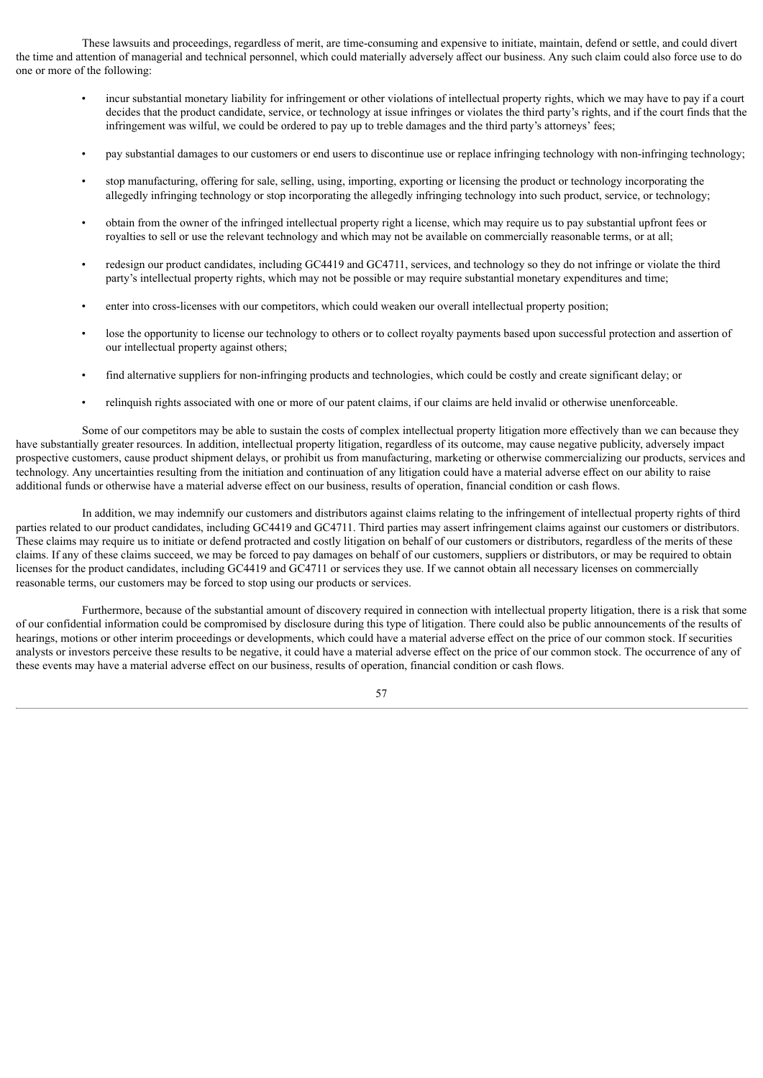These lawsuits and proceedings, regardless of merit, are time-consuming and expensive to initiate, maintain, defend or settle, and could divert the time and attention of managerial and technical personnel, which could materially adversely affect our business. Any such claim could also force use to do one or more of the following:

- incur substantial monetary liability for infringement or other violations of intellectual property rights, which we may have to pay if a court decides that the product candidate, service, or technology at issue infringes or violates the third party's rights, and if the court finds that the infringement was wilful, we could be ordered to pay up to treble damages and the third party's attorneys' fees;
- pay substantial damages to our customers or end users to discontinue use or replace infringing technology with non-infringing technology;
- stop manufacturing, offering for sale, selling, using, importing, exporting or licensing the product or technology incorporating the allegedly infringing technology or stop incorporating the allegedly infringing technology into such product, service, or technology;
- obtain from the owner of the infringed intellectual property right a license, which may require us to pay substantial upfront fees or royalties to sell or use the relevant technology and which may not be available on commercially reasonable terms, or at all;
- redesign our product candidates, including GC4419 and GC4711, services, and technology so they do not infringe or violate the third party's intellectual property rights, which may not be possible or may require substantial monetary expenditures and time;
- enter into cross-licenses with our competitors, which could weaken our overall intellectual property position;
- lose the opportunity to license our technology to others or to collect royalty payments based upon successful protection and assertion of our intellectual property against others;
- find alternative suppliers for non-infringing products and technologies, which could be costly and create significant delay; or
- relinquish rights associated with one or more of our patent claims, if our claims are held invalid or otherwise unenforceable.

Some of our competitors may be able to sustain the costs of complex intellectual property litigation more effectively than we can because they have substantially greater resources. In addition, intellectual property litigation, regardless of its outcome, may cause negative publicity, adversely impact prospective customers, cause product shipment delays, or prohibit us from manufacturing, marketing or otherwise commercializing our products, services and technology. Any uncertainties resulting from the initiation and continuation of any litigation could have a material adverse effect on our ability to raise additional funds or otherwise have a material adverse effect on our business, results of operation, financial condition or cash flows.

In addition, we may indemnify our customers and distributors against claims relating to the infringement of intellectual property rights of third parties related to our product candidates, including GC4419 and GC4711. Third parties may assert infringement claims against our customers or distributors. These claims may require us to initiate or defend protracted and costly litigation on behalf of our customers or distributors, regardless of the merits of these claims. If any of these claims succeed, we may be forced to pay damages on behalf of our customers, suppliers or distributors, or may be required to obtain licenses for the product candidates, including GC4419 and GC4711 or services they use. If we cannot obtain all necessary licenses on commercially reasonable terms, our customers may be forced to stop using our products or services.

Furthermore, because of the substantial amount of discovery required in connection with intellectual property litigation, there is a risk that some of our confidential information could be compromised by disclosure during this type of litigation. There could also be public announcements of the results of hearings, motions or other interim proceedings or developments, which could have a material adverse effect on the price of our common stock. If securities analysts or investors perceive these results to be negative, it could have a material adverse effect on the price of our common stock. The occurrence of any of these events may have a material adverse effect on our business, results of operation, financial condition or cash flows.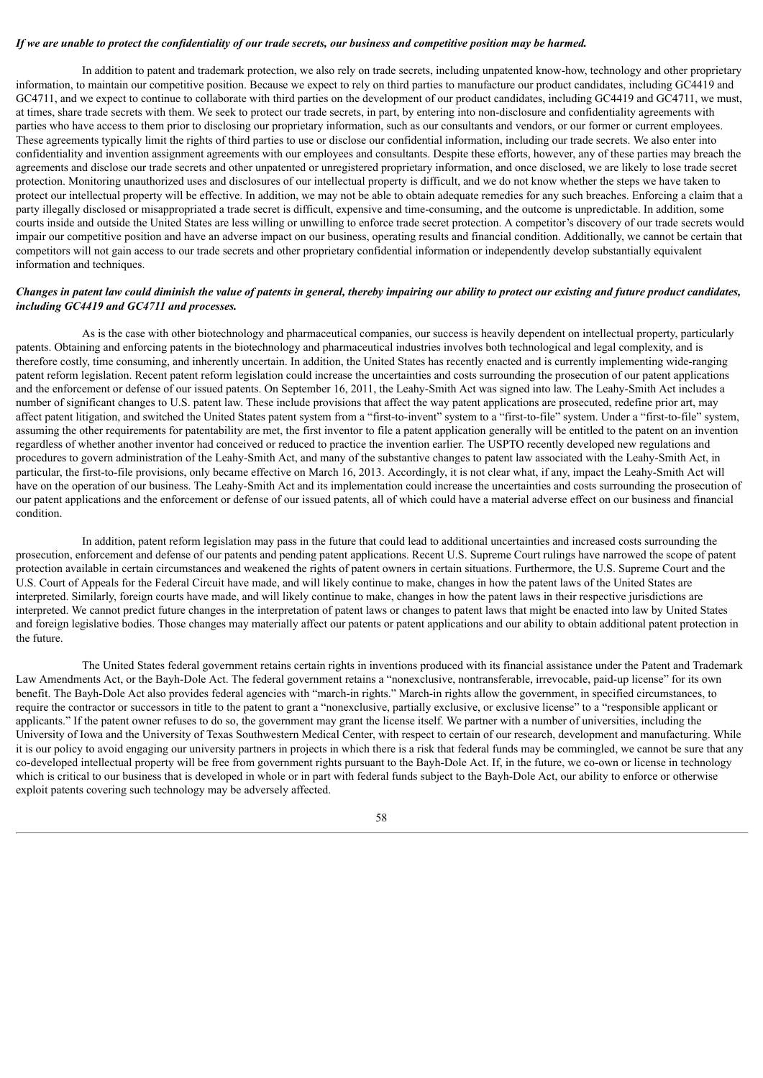#### If we are unable to protect the confidentiality of our trade secrets, our business and competitive position may be harmed.

In addition to patent and trademark protection, we also rely on trade secrets, including unpatented know-how, technology and other proprietary information, to maintain our competitive position. Because we expect to rely on third parties to manufacture our product candidates, including GC4419 and GC4711, and we expect to continue to collaborate with third parties on the development of our product candidates, including GC4419 and GC4711, we must, at times, share trade secrets with them. We seek to protect our trade secrets, in part, by entering into non-disclosure and confidentiality agreements with parties who have access to them prior to disclosing our proprietary information, such as our consultants and vendors, or our former or current employees. These agreements typically limit the rights of third parties to use or disclose our confidential information, including our trade secrets. We also enter into confidentiality and invention assignment agreements with our employees and consultants. Despite these efforts, however, any of these parties may breach the agreements and disclose our trade secrets and other unpatented or unregistered proprietary information, and once disclosed, we are likely to lose trade secret protection. Monitoring unauthorized uses and disclosures of our intellectual property is difficult, and we do not know whether the steps we have taken to protect our intellectual property will be effective. In addition, we may not be able to obtain adequate remedies for any such breaches. Enforcing a claim that a party illegally disclosed or misappropriated a trade secret is difficult, expensive and time-consuming, and the outcome is unpredictable. In addition, some courts inside and outside the United States are less willing or unwilling to enforce trade secret protection. A competitor's discovery of our trade secrets would impair our competitive position and have an adverse impact on our business, operating results and financial condition. Additionally, we cannot be certain that competitors will not gain access to our trade secrets and other proprietary confidential information or independently develop substantially equivalent information and techniques.

# Changes in patent law could diminish the value of patents in general, thereby impairing our ability to protect our existing and future product candidates, *including GC4419 and GC4711 and processes.*

As is the case with other biotechnology and pharmaceutical companies, our success is heavily dependent on intellectual property, particularly patents. Obtaining and enforcing patents in the biotechnology and pharmaceutical industries involves both technological and legal complexity, and is therefore costly, time consuming, and inherently uncertain. In addition, the United States has recently enacted and is currently implementing wide-ranging patent reform legislation. Recent patent reform legislation could increase the uncertainties and costs surrounding the prosecution of our patent applications and the enforcement or defense of our issued patents. On September 16, 2011, the Leahy-Smith Act was signed into law. The Leahy-Smith Act includes a number of significant changes to U.S. patent law. These include provisions that affect the way patent applications are prosecuted, redefine prior art, may affect patent litigation, and switched the United States patent system from a "first-to-invent" system to a "first-to-file" system. Under a "first-to-file" system, assuming the other requirements for patentability are met, the first inventor to file a patent application generally will be entitled to the patent on an invention regardless of whether another inventor had conceived or reduced to practice the invention earlier. The USPTO recently developed new regulations and procedures to govern administration of the Leahy-Smith Act, and many of the substantive changes to patent law associated with the Leahy-Smith Act, in particular, the first-to-file provisions, only became effective on March 16, 2013. Accordingly, it is not clear what, if any, impact the Leahy-Smith Act will have on the operation of our business. The Leahy-Smith Act and its implementation could increase the uncertainties and costs surrounding the prosecution of our patent applications and the enforcement or defense of our issued patents, all of which could have a material adverse effect on our business and financial condition.

In addition, patent reform legislation may pass in the future that could lead to additional uncertainties and increased costs surrounding the prosecution, enforcement and defense of our patents and pending patent applications. Recent U.S. Supreme Court rulings have narrowed the scope of patent protection available in certain circumstances and weakened the rights of patent owners in certain situations. Furthermore, the U.S. Supreme Court and the U.S. Court of Appeals for the Federal Circuit have made, and will likely continue to make, changes in how the patent laws of the United States are interpreted. Similarly, foreign courts have made, and will likely continue to make, changes in how the patent laws in their respective jurisdictions are interpreted. We cannot predict future changes in the interpretation of patent laws or changes to patent laws that might be enacted into law by United States and foreign legislative bodies. Those changes may materially affect our patents or patent applications and our ability to obtain additional patent protection in the future.

The United States federal government retains certain rights in inventions produced with its financial assistance under the Patent and Trademark Law Amendments Act, or the Bayh-Dole Act. The federal government retains a "nonexclusive, nontransferable, irrevocable, paid-up license" for its own benefit. The Bayh-Dole Act also provides federal agencies with "march-in rights." March-in rights allow the government, in specified circumstances, to require the contractor or successors in title to the patent to grant a "nonexclusive, partially exclusive, or exclusive license" to a "responsible applicant or applicants." If the patent owner refuses to do so, the government may grant the license itself. We partner with a number of universities, including the University of Iowa and the University of Texas Southwestern Medical Center, with respect to certain of our research, development and manufacturing. While it is our policy to avoid engaging our university partners in projects in which there is a risk that federal funds may be commingled, we cannot be sure that any co-developed intellectual property will be free from government rights pursuant to the Bayh-Dole Act. If, in the future, we co-own or license in technology which is critical to our business that is developed in whole or in part with federal funds subject to the Bayh-Dole Act, our ability to enforce or otherwise exploit patents covering such technology may be adversely affected.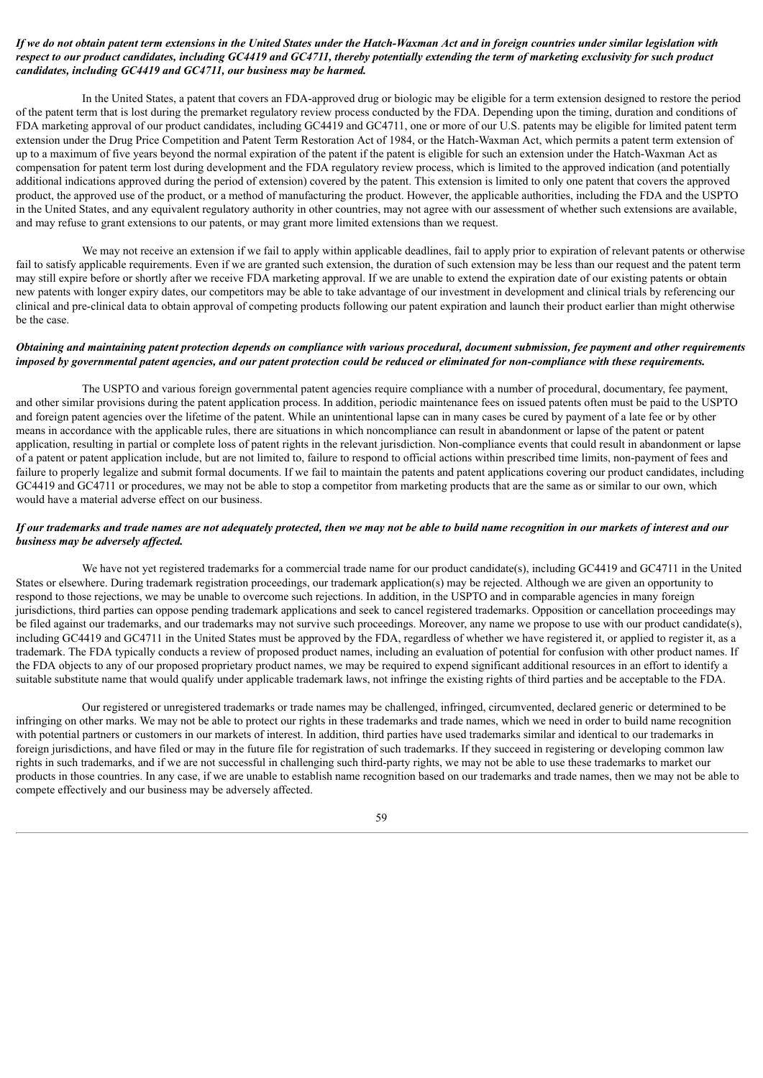# If we do not obtain patent term extensions in the United States under the Hatch-Waxman Act and in foreign countries under similar legislation with respect to our product candidates, including GC4419 and GC4711, thereby potentially extending the term of marketing exclusivity for such product *candidates, including GC4419 and GC4711, our business may be harmed.*

In the United States, a patent that covers an FDA-approved drug or biologic may be eligible for a term extension designed to restore the period of the patent term that is lost during the premarket regulatory review process conducted by the FDA. Depending upon the timing, duration and conditions of FDA marketing approval of our product candidates, including GC4419 and GC4711, one or more of our U.S. patents may be eligible for limited patent term extension under the Drug Price Competition and Patent Term Restoration Act of 1984, or the Hatch-Waxman Act, which permits a patent term extension of up to a maximum of five years beyond the normal expiration of the patent if the patent is eligible for such an extension under the Hatch-Waxman Act as compensation for patent term lost during development and the FDA regulatory review process, which is limited to the approved indication (and potentially additional indications approved during the period of extension) covered by the patent. This extension is limited to only one patent that covers the approved product, the approved use of the product, or a method of manufacturing the product. However, the applicable authorities, including the FDA and the USPTO in the United States, and any equivalent regulatory authority in other countries, may not agree with our assessment of whether such extensions are available, and may refuse to grant extensions to our patents, or may grant more limited extensions than we request.

We may not receive an extension if we fail to apply within applicable deadlines, fail to apply prior to expiration of relevant patents or otherwise fail to satisfy applicable requirements. Even if we are granted such extension, the duration of such extension may be less than our request and the patent term may still expire before or shortly after we receive FDA marketing approval. If we are unable to extend the expiration date of our existing patents or obtain new patents with longer expiry dates, our competitors may be able to take advantage of our investment in development and clinical trials by referencing our clinical and pre-clinical data to obtain approval of competing products following our patent expiration and launch their product earlier than might otherwise be the case.

### Obtaining and maintaining patent protection depends on compliance with various procedural, document submission, fee payment and other requirements imposed by governmental patent agencies, and our patent protection could be reduced or eliminated for non-compliance with these requirements.

The USPTO and various foreign governmental patent agencies require compliance with a number of procedural, documentary, fee payment, and other similar provisions during the patent application process. In addition, periodic maintenance fees on issued patents often must be paid to the USPTO and foreign patent agencies over the lifetime of the patent. While an unintentional lapse can in many cases be cured by payment of a late fee or by other means in accordance with the applicable rules, there are situations in which noncompliance can result in abandonment or lapse of the patent or patent application, resulting in partial or complete loss of patent rights in the relevant jurisdiction. Non-compliance events that could result in abandonment or lapse of a patent or patent application include, but are not limited to, failure to respond to official actions within prescribed time limits, non-payment of fees and failure to properly legalize and submit formal documents. If we fail to maintain the patents and patent applications covering our product candidates, including GC4419 and GC4711 or procedures, we may not be able to stop a competitor from marketing products that are the same as or similar to our own, which would have a material adverse effect on our business.

# If our trademarks and trade names are not adequately protected, then we may not be able to build name recognition in our markets of interest and our *business may be adversely af ected.*

We have not yet registered trademarks for a commercial trade name for our product candidate(s), including GC4419 and GC4711 in the United States or elsewhere. During trademark registration proceedings, our trademark application(s) may be rejected. Although we are given an opportunity to respond to those rejections, we may be unable to overcome such rejections. In addition, in the USPTO and in comparable agencies in many foreign jurisdictions, third parties can oppose pending trademark applications and seek to cancel registered trademarks. Opposition or cancellation proceedings may be filed against our trademarks, and our trademarks may not survive such proceedings. Moreover, any name we propose to use with our product candidate(s), including GC4419 and GC4711 in the United States must be approved by the FDA, regardless of whether we have registered it, or applied to register it, as a trademark. The FDA typically conducts a review of proposed product names, including an evaluation of potential for confusion with other product names. If the FDA objects to any of our proposed proprietary product names, we may be required to expend significant additional resources in an effort to identify a suitable substitute name that would qualify under applicable trademark laws, not infringe the existing rights of third parties and be acceptable to the FDA.

Our registered or unregistered trademarks or trade names may be challenged, infringed, circumvented, declared generic or determined to be infringing on other marks. We may not be able to protect our rights in these trademarks and trade names, which we need in order to build name recognition with potential partners or customers in our markets of interest. In addition, third parties have used trademarks similar and identical to our trademarks in foreign jurisdictions, and have filed or may in the future file for registration of such trademarks. If they succeed in registering or developing common law rights in such trademarks, and if we are not successful in challenging such third-party rights, we may not be able to use these trademarks to market our products in those countries. In any case, if we are unable to establish name recognition based on our trademarks and trade names, then we may not be able to compete effectively and our business may be adversely affected.

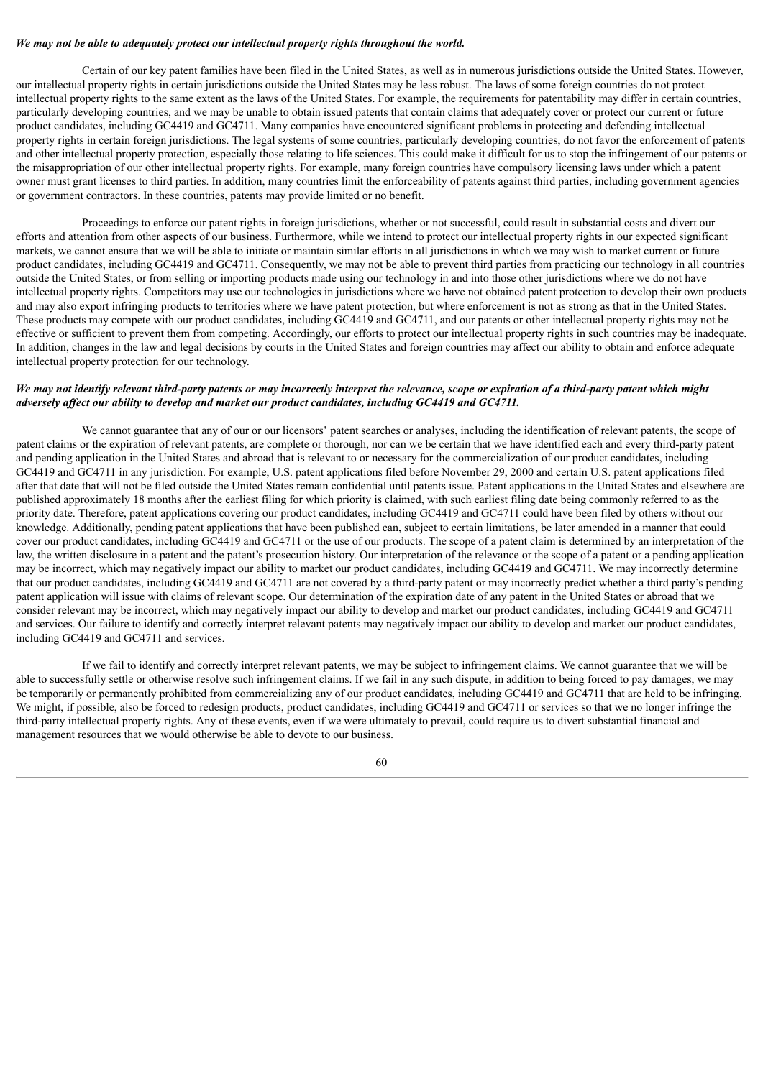#### *We may not be able to adequately protect our intellectual property rights throughout the world.*

Certain of our key patent families have been filed in the United States, as well as in numerous jurisdictions outside the United States. However, our intellectual property rights in certain jurisdictions outside the United States may be less robust. The laws of some foreign countries do not protect intellectual property rights to the same extent as the laws of the United States. For example, the requirements for patentability may differ in certain countries, particularly developing countries, and we may be unable to obtain issued patents that contain claims that adequately cover or protect our current or future product candidates, including GC4419 and GC4711. Many companies have encountered significant problems in protecting and defending intellectual property rights in certain foreign jurisdictions. The legal systems of some countries, particularly developing countries, do not favor the enforcement of patents and other intellectual property protection, especially those relating to life sciences. This could make it difficult for us to stop the infringement of our patents or the misappropriation of our other intellectual property rights. For example, many foreign countries have compulsory licensing laws under which a patent owner must grant licenses to third parties. In addition, many countries limit the enforceability of patents against third parties, including government agencies or government contractors. In these countries, patents may provide limited or no benefit.

Proceedings to enforce our patent rights in foreign jurisdictions, whether or not successful, could result in substantial costs and divert our efforts and attention from other aspects of our business. Furthermore, while we intend to protect our intellectual property rights in our expected significant markets, we cannot ensure that we will be able to initiate or maintain similar efforts in all jurisdictions in which we may wish to market current or future product candidates, including GC4419 and GC4711. Consequently, we may not be able to prevent third parties from practicing our technology in all countries outside the United States, or from selling or importing products made using our technology in and into those other jurisdictions where we do not have intellectual property rights. Competitors may use our technologies in jurisdictions where we have not obtained patent protection to develop their own products and may also export infringing products to territories where we have patent protection, but where enforcement is not as strong as that in the United States. These products may compete with our product candidates, including GC4419 and GC4711, and our patents or other intellectual property rights may not be effective or sufficient to prevent them from competing. Accordingly, our efforts to protect our intellectual property rights in such countries may be inadequate. In addition, changes in the law and legal decisions by courts in the United States and foreign countries may affect our ability to obtain and enforce adequate intellectual property protection for our technology.

# We may not identify relevant third-party patents or may incorrectly interpret the relevance, scope or expiration of a third-party patent which might *adversely af ect our ability to develop and market our product candidates, including GC4419 and GC4711.*

We cannot guarantee that any of our or our licensors' patent searches or analyses, including the identification of relevant patents, the scope of patent claims or the expiration of relevant patents, are complete or thorough, nor can we be certain that we have identified each and every third-party patent and pending application in the United States and abroad that is relevant to or necessary for the commercialization of our product candidates, including GC4419 and GC4711 in any jurisdiction. For example, U.S. patent applications filed before November 29, 2000 and certain U.S. patent applications filed after that date that will not be filed outside the United States remain confidential until patents issue. Patent applications in the United States and elsewhere are published approximately 18 months after the earliest filing for which priority is claimed, with such earliest filing date being commonly referred to as the priority date. Therefore, patent applications covering our product candidates, including GC4419 and GC4711 could have been filed by others without our knowledge. Additionally, pending patent applications that have been published can, subject to certain limitations, be later amended in a manner that could cover our product candidates, including GC4419 and GC4711 or the use of our products. The scope of a patent claim is determined by an interpretation of the law, the written disclosure in a patent and the patent's prosecution history. Our interpretation of the relevance or the scope of a patent or a pending application may be incorrect, which may negatively impact our ability to market our product candidates, including GC4419 and GC4711. We may incorrectly determine that our product candidates, including GC4419 and GC4711 are not covered by a third-party patent or may incorrectly predict whether a third party's pending patent application will issue with claims of relevant scope. Our determination of the expiration date of any patent in the United States or abroad that we consider relevant may be incorrect, which may negatively impact our ability to develop and market our product candidates, including GC4419 and GC4711 and services. Our failure to identify and correctly interpret relevant patents may negatively impact our ability to develop and market our product candidates, including GC4419 and GC4711 and services.

If we fail to identify and correctly interpret relevant patents, we may be subject to infringement claims. We cannot guarantee that we will be able to successfully settle or otherwise resolve such infringement claims. If we fail in any such dispute, in addition to being forced to pay damages, we may be temporarily or permanently prohibited from commercializing any of our product candidates, including GC4419 and GC4711 that are held to be infringing. We might, if possible, also be forced to redesign products, product candidates, including GC4419 and GC4711 or services so that we no longer infringe the third-party intellectual property rights. Any of these events, even if we were ultimately to prevail, could require us to divert substantial financial and management resources that we would otherwise be able to devote to our business.

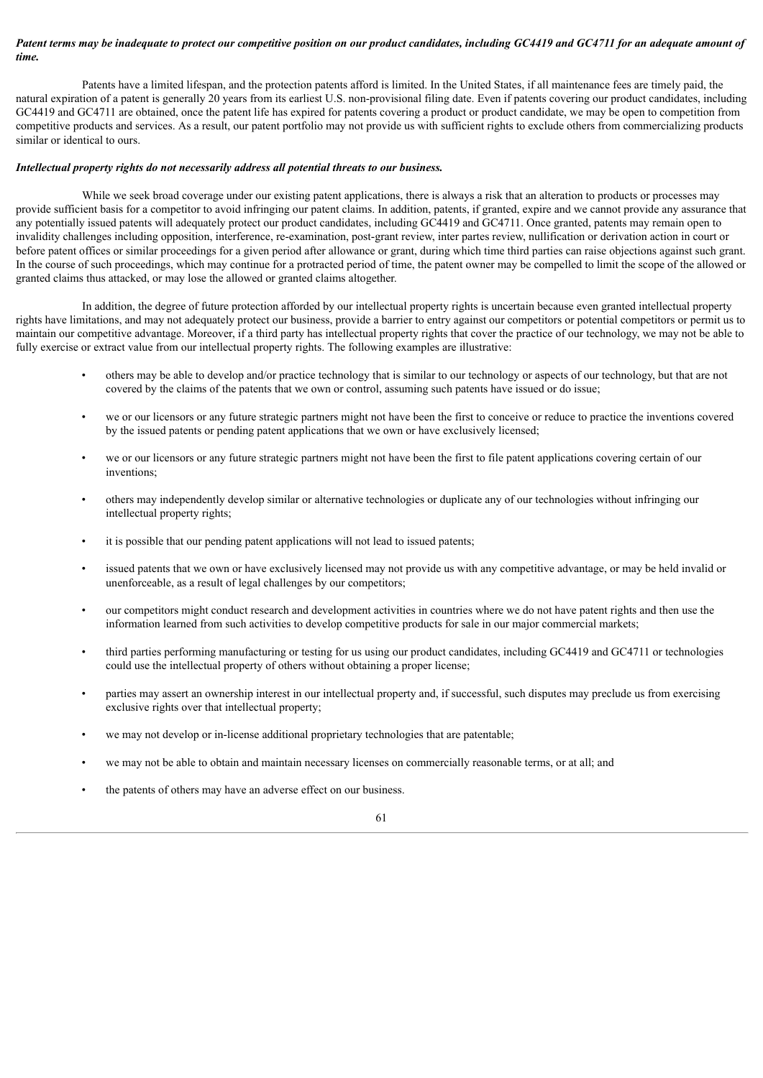### Patent terms may be inadequate to protect our competitive position on our product candidates, including GC4419 and GC4711 for an adequate amount of *time.*

Patents have a limited lifespan, and the protection patents afford is limited. In the United States, if all maintenance fees are timely paid, the natural expiration of a patent is generally 20 years from its earliest U.S. non-provisional filing date. Even if patents covering our product candidates, including GC4419 and GC4711 are obtained, once the patent life has expired for patents covering a product or product candidate, we may be open to competition from competitive products and services. As a result, our patent portfolio may not provide us with sufficient rights to exclude others from commercializing products similar or identical to ours.

### *Intellectual property rights do not necessarily address all potential threats to our business.*

While we seek broad coverage under our existing patent applications, there is always a risk that an alteration to products or processes may provide sufficient basis for a competitor to avoid infringing our patent claims. In addition, patents, if granted, expire and we cannot provide any assurance that any potentially issued patents will adequately protect our product candidates, including GC4419 and GC4711. Once granted, patents may remain open to invalidity challenges including opposition, interference, re-examination, post-grant review, inter partes review, nullification or derivation action in court or before patent offices or similar proceedings for a given period after allowance or grant, during which time third parties can raise objections against such grant. In the course of such proceedings, which may continue for a protracted period of time, the patent owner may be compelled to limit the scope of the allowed or granted claims thus attacked, or may lose the allowed or granted claims altogether.

In addition, the degree of future protection afforded by our intellectual property rights is uncertain because even granted intellectual property rights have limitations, and may not adequately protect our business, provide a barrier to entry against our competitors or potential competitors or permit us to maintain our competitive advantage. Moreover, if a third party has intellectual property rights that cover the practice of our technology, we may not be able to fully exercise or extract value from our intellectual property rights. The following examples are illustrative:

- others may be able to develop and/or practice technology that is similar to our technology or aspects of our technology, but that are not covered by the claims of the patents that we own or control, assuming such patents have issued or do issue;
- we or our licensors or any future strategic partners might not have been the first to conceive or reduce to practice the inventions covered by the issued patents or pending patent applications that we own or have exclusively licensed;
- we or our licensors or any future strategic partners might not have been the first to file patent applications covering certain of our inventions;
- others may independently develop similar or alternative technologies or duplicate any of our technologies without infringing our intellectual property rights;
- it is possible that our pending patent applications will not lead to issued patents;
- issued patents that we own or have exclusively licensed may not provide us with any competitive advantage, or may be held invalid or unenforceable, as a result of legal challenges by our competitors;
- our competitors might conduct research and development activities in countries where we do not have patent rights and then use the information learned from such activities to develop competitive products for sale in our major commercial markets;
- third parties performing manufacturing or testing for us using our product candidates, including GC4419 and GC4711 or technologies could use the intellectual property of others without obtaining a proper license;
- parties may assert an ownership interest in our intellectual property and, if successful, such disputes may preclude us from exercising exclusive rights over that intellectual property;
- we may not develop or in-license additional proprietary technologies that are patentable;
- we may not be able to obtain and maintain necessary licenses on commercially reasonable terms, or at all; and
- the patents of others may have an adverse effect on our business.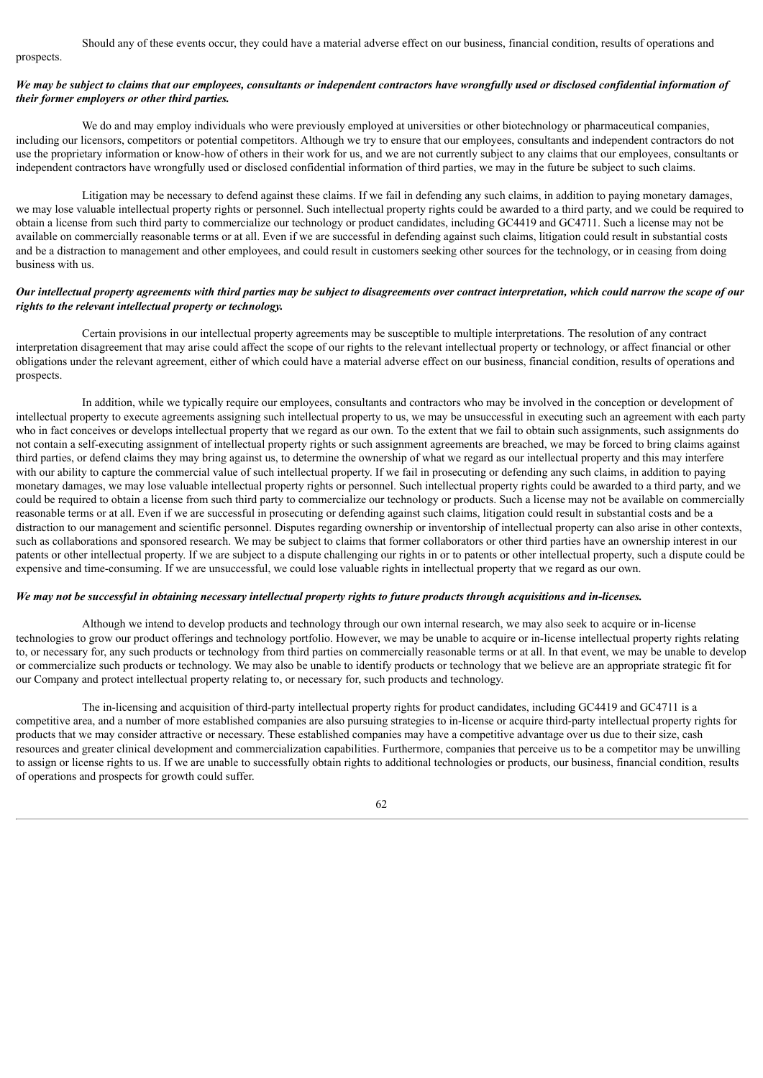#### prospects.

### We may be subject to claims that our employees, consultants or independent contractors have wrongfully used or disclosed confidential information of *their former employers or other third parties.*

We do and may employ individuals who were previously employed at universities or other biotechnology or pharmaceutical companies. including our licensors, competitors or potential competitors. Although we try to ensure that our employees, consultants and independent contractors do not use the proprietary information or know-how of others in their work for us, and we are not currently subject to any claims that our employees, consultants or independent contractors have wrongfully used or disclosed confidential information of third parties, we may in the future be subject to such claims.

Litigation may be necessary to defend against these claims. If we fail in defending any such claims, in addition to paying monetary damages, we may lose valuable intellectual property rights or personnel. Such intellectual property rights could be awarded to a third party, and we could be required to obtain a license from such third party to commercialize our technology or product candidates, including GC4419 and GC4711. Such a license may not be available on commercially reasonable terms or at all. Even if we are successful in defending against such claims, litigation could result in substantial costs and be a distraction to management and other employees, and could result in customers seeking other sources for the technology, or in ceasing from doing business with us.

# Our intellectual property agreements with third parties may be subject to disagreements over contract interpretation, which could narrow the scope of our *rights to the relevant intellectual property or technology.*

Certain provisions in our intellectual property agreements may be susceptible to multiple interpretations. The resolution of any contract interpretation disagreement that may arise could affect the scope of our rights to the relevant intellectual property or technology, or affect financial or other obligations under the relevant agreement, either of which could have a material adverse effect on our business, financial condition, results of operations and prospects.

In addition, while we typically require our employees, consultants and contractors who may be involved in the conception or development of intellectual property to execute agreements assigning such intellectual property to us, we may be unsuccessful in executing such an agreement with each party who in fact conceives or develops intellectual property that we regard as our own. To the extent that we fail to obtain such assignments, such assignments do not contain a self-executing assignment of intellectual property rights or such assignment agreements are breached, we may be forced to bring claims against third parties, or defend claims they may bring against us, to determine the ownership of what we regard as our intellectual property and this may interfere with our ability to capture the commercial value of such intellectual property. If we fail in prosecuting or defending any such claims, in addition to paying monetary damages, we may lose valuable intellectual property rights or personnel. Such intellectual property rights could be awarded to a third party, and we could be required to obtain a license from such third party to commercialize our technology or products. Such a license may not be available on commercially reasonable terms or at all. Even if we are successful in prosecuting or defending against such claims, litigation could result in substantial costs and be a distraction to our management and scientific personnel. Disputes regarding ownership or inventorship of intellectual property can also arise in other contexts, such as collaborations and sponsored research. We may be subject to claims that former collaborators or other third parties have an ownership interest in our patents or other intellectual property. If we are subject to a dispute challenging our rights in or to patents or other intellectual property, such a dispute could be expensive and time-consuming. If we are unsuccessful, we could lose valuable rights in intellectual property that we regard as our own.

### We may not be successful in obtaining necessary intellectual property rights to future products through acquisitions and in-licenses.

Although we intend to develop products and technology through our own internal research, we may also seek to acquire or in-license technologies to grow our product offerings and technology portfolio. However, we may be unable to acquire or in-license intellectual property rights relating to, or necessary for, any such products or technology from third parties on commercially reasonable terms or at all. In that event, we may be unable to develop or commercialize such products or technology. We may also be unable to identify products or technology that we believe are an appropriate strategic fit for our Company and protect intellectual property relating to, or necessary for, such products and technology.

The in-licensing and acquisition of third-party intellectual property rights for product candidates, including GC4419 and GC4711 is a competitive area, and a number of more established companies are also pursuing strategies to in-license or acquire third-party intellectual property rights for products that we may consider attractive or necessary. These established companies may have a competitive advantage over us due to their size, cash resources and greater clinical development and commercialization capabilities. Furthermore, companies that perceive us to be a competitor may be unwilling to assign or license rights to us. If we are unable to successfully obtain rights to additional technologies or products, our business, financial condition, results of operations and prospects for growth could suffer.

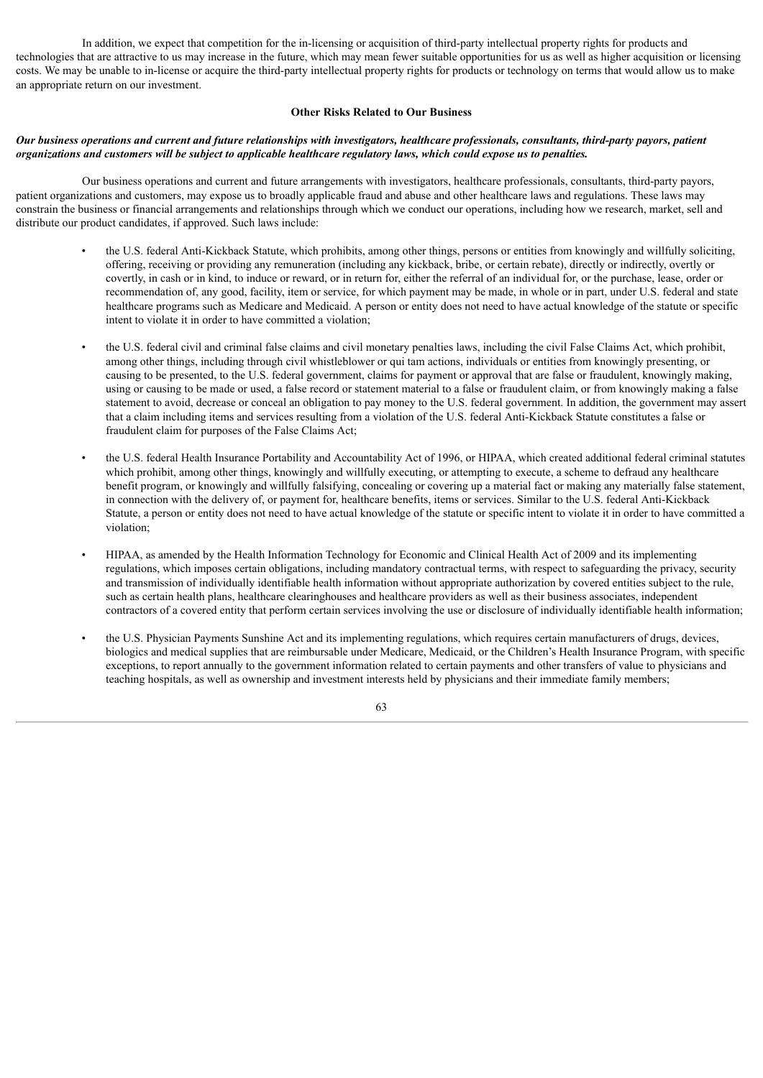In addition, we expect that competition for the in-licensing or acquisition of third-party intellectual property rights for products and technologies that are attractive to us may increase in the future, which may mean fewer suitable opportunities for us as well as higher acquisition or licensing costs. We may be unable to in-license or acquire the third-party intellectual property rights for products or technology on terms that would allow us to make an appropriate return on our investment.

# **Other Risks Related to Our Business**

### Our business operations and current and future relationships with investigators, healthcare professionals, consultants, third-party payors, patient organizations and customers will be subject to applicable healthcare regulatory laws, which could expose us to penalties.

Our business operations and current and future arrangements with investigators, healthcare professionals, consultants, third-party payors, patient organizations and customers, may expose us to broadly applicable fraud and abuse and other healthcare laws and regulations. These laws may constrain the business or financial arrangements and relationships through which we conduct our operations, including how we research, market, sell and distribute our product candidates, if approved. Such laws include:

- the U.S. federal Anti-Kickback Statute, which prohibits, among other things, persons or entities from knowingly and willfully soliciting, offering, receiving or providing any remuneration (including any kickback, bribe, or certain rebate), directly or indirectly, overtly or covertly, in cash or in kind, to induce or reward, or in return for, either the referral of an individual for, or the purchase, lease, order or recommendation of, any good, facility, item or service, for which payment may be made, in whole or in part, under U.S. federal and state healthcare programs such as Medicare and Medicaid. A person or entity does not need to have actual knowledge of the statute or specific intent to violate it in order to have committed a violation;
- the U.S. federal civil and criminal false claims and civil monetary penalties laws, including the civil False Claims Act, which prohibit, among other things, including through civil whistleblower or qui tam actions, individuals or entities from knowingly presenting, or causing to be presented, to the U.S. federal government, claims for payment or approval that are false or fraudulent, knowingly making, using or causing to be made or used, a false record or statement material to a false or fraudulent claim, or from knowingly making a false statement to avoid, decrease or conceal an obligation to pay money to the U.S. federal government. In addition, the government may assert that a claim including items and services resulting from a violation of the U.S. federal Anti-Kickback Statute constitutes a false or fraudulent claim for purposes of the False Claims Act;
- the U.S. federal Health Insurance Portability and Accountability Act of 1996, or HIPAA, which created additional federal criminal statutes which prohibit, among other things, knowingly and willfully executing, or attempting to execute, a scheme to defraud any healthcare benefit program, or knowingly and willfully falsifying, concealing or covering up a material fact or making any materially false statement, in connection with the delivery of, or payment for, healthcare benefits, items or services. Similar to the U.S. federal Anti-Kickback Statute, a person or entity does not need to have actual knowledge of the statute or specific intent to violate it in order to have committed a violation;
- HIPAA, as amended by the Health Information Technology for Economic and Clinical Health Act of 2009 and its implementing regulations, which imposes certain obligations, including mandatory contractual terms, with respect to safeguarding the privacy, security and transmission of individually identifiable health information without appropriate authorization by covered entities subject to the rule, such as certain health plans, healthcare clearinghouses and healthcare providers as well as their business associates, independent contractors of a covered entity that perform certain services involving the use or disclosure of individually identifiable health information;
- the U.S. Physician Payments Sunshine Act and its implementing regulations, which requires certain manufacturers of drugs, devices, biologics and medical supplies that are reimbursable under Medicare, Medicaid, or the Children's Health Insurance Program, with specific exceptions, to report annually to the government information related to certain payments and other transfers of value to physicians and teaching hospitals, as well as ownership and investment interests held by physicians and their immediate family members;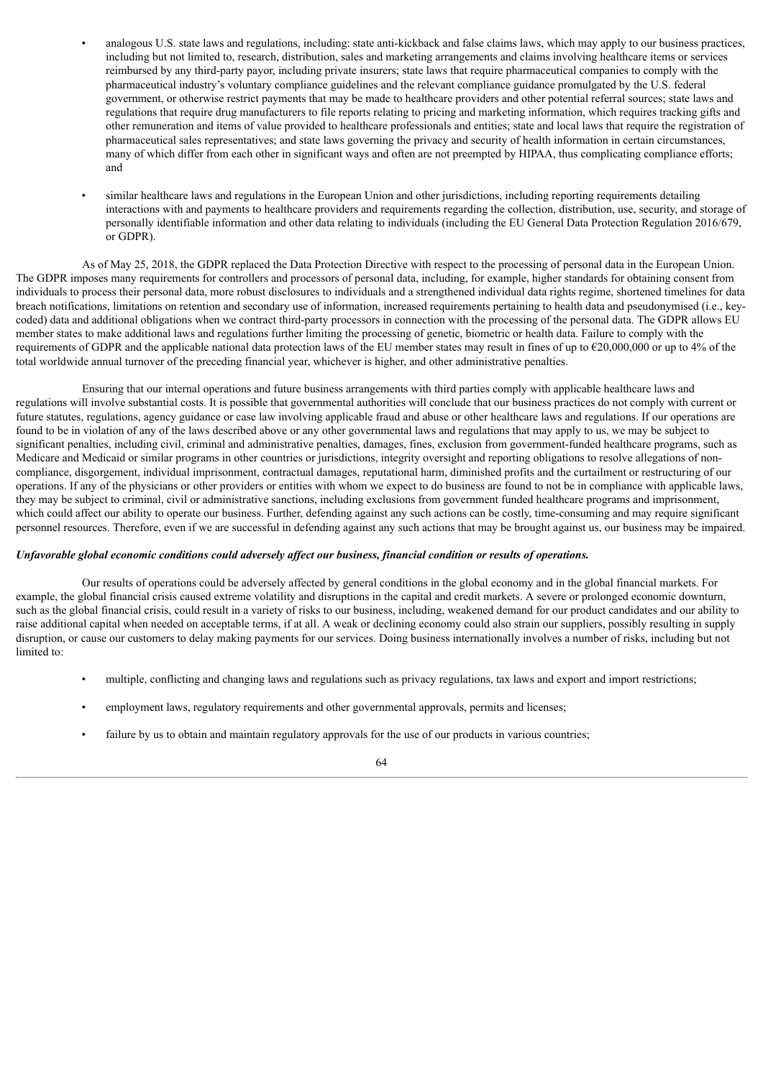- analogous U.S. state laws and regulations, including: state anti-kickback and false claims laws, which may apply to our business practices, including but not limited to, research, distribution, sales and marketing arrangements and claims involving healthcare items or services reimbursed by any third-party payor, including private insurers; state laws that require pharmaceutical companies to comply with the pharmaceutical industry's voluntary compliance guidelines and the relevant compliance guidance promulgated by the U.S. federal government, or otherwise restrict payments that may be made to healthcare providers and other potential referral sources; state laws and regulations that require drug manufacturers to file reports relating to pricing and marketing information, which requires tracking gifts and other remuneration and items of value provided to healthcare professionals and entities; state and local laws that require the registration of pharmaceutical sales representatives; and state laws governing the privacy and security of health information in certain circumstances, many of which differ from each other in significant ways and often are not preempted by HIPAA, thus complicating compliance efforts; and
- similar healthcare laws and regulations in the European Union and other jurisdictions, including reporting requirements detailing interactions with and payments to healthcare providers and requirements regarding the collection, distribution, use, security, and storage of personally identifiable information and other data relating to individuals (including the EU General Data Protection Regulation 2016/679, or GDPR).

As of May 25, 2018, the GDPR replaced the Data Protection Directive with respect to the processing of personal data in the European Union. The GDPR imposes many requirements for controllers and processors of personal data, including, for example, higher standards for obtaining consent from individuals to process their personal data, more robust disclosures to individuals and a strengthened individual data rights regime, shortened timelines for data breach notifications, limitations on retention and secondary use of information, increased requirements pertaining to health data and pseudonymised (i.e., keycoded) data and additional obligations when we contract third-party processors in connection with the processing of the personal data. The GDPR allows EU member states to make additional laws and regulations further limiting the processing of genetic, biometric or health data. Failure to comply with the requirements of GDPR and the applicable national data protection laws of the EU member states may result in fines of up to  $\epsilon$ 20,000,000 or up to 4% of the total worldwide annual turnover of the preceding financial year, whichever is higher, and other administrative penalties.

Ensuring that our internal operations and future business arrangements with third parties comply with applicable healthcare laws and regulations will involve substantial costs. It is possible that governmental authorities will conclude that our business practices do not comply with current or future statutes, regulations, agency guidance or case law involving applicable fraud and abuse or other healthcare laws and regulations. If our operations are found to be in violation of any of the laws described above or any other governmental laws and regulations that may apply to us, we may be subject to significant penalties, including civil, criminal and administrative penalties, damages, fines, exclusion from government-funded healthcare programs, such as Medicare and Medicaid or similar programs in other countries or jurisdictions, integrity oversight and reporting obligations to resolve allegations of noncompliance, disgorgement, individual imprisonment, contractual damages, reputational harm, diminished profits and the curtailment or restructuring of our operations. If any of the physicians or other providers or entities with whom we expect to do business are found to not be in compliance with applicable laws, they may be subject to criminal, civil or administrative sanctions, including exclusions from government funded healthcare programs and imprisonment, which could affect our ability to operate our business. Further, defending against any such actions can be costly, time-consuming and may require significant personnel resources. Therefore, even if we are successful in defending against any such actions that may be brought against us, our business may be impaired.

### Unfavorable global economic conditions could adversely affect our business, financial condition or results of operations.

Our results of operations could be adversely affected by general conditions in the global economy and in the global financial markets. For example, the global financial crisis caused extreme volatility and disruptions in the capital and credit markets. A severe or prolonged economic downturn, such as the global financial crisis, could result in a variety of risks to our business, including, weakened demand for our product candidates and our ability to raise additional capital when needed on acceptable terms, if at all. A weak or declining economy could also strain our suppliers, possibly resulting in supply disruption, or cause our customers to delay making payments for our services. Doing business internationally involves a number of risks, including but not limited to:

- multiple, conflicting and changing laws and regulations such as privacy regulations, tax laws and export and import restrictions;
- employment laws, regulatory requirements and other governmental approvals, permits and licenses;
- failure by us to obtain and maintain regulatory approvals for the use of our products in various countries;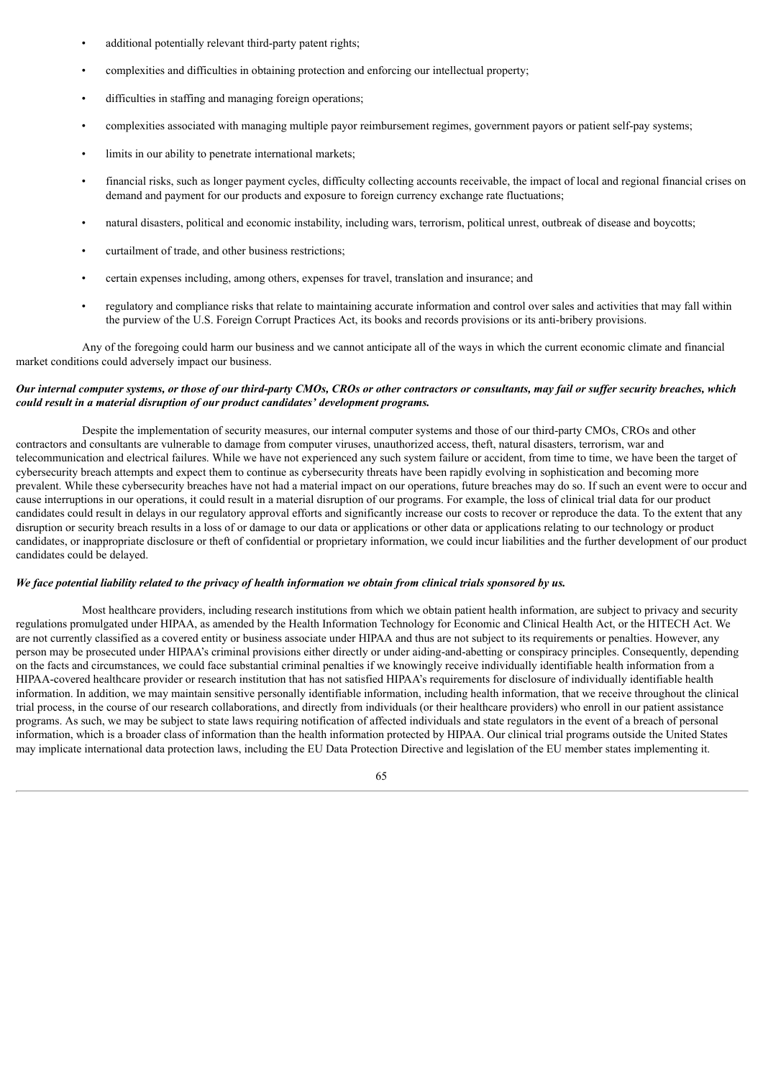- additional potentially relevant third-party patent rights;
- complexities and difficulties in obtaining protection and enforcing our intellectual property;
- difficulties in staffing and managing foreign operations;
- complexities associated with managing multiple payor reimbursement regimes, government payors or patient self-pay systems;
- limits in our ability to penetrate international markets;
- financial risks, such as longer payment cycles, difficulty collecting accounts receivable, the impact of local and regional financial crises on demand and payment for our products and exposure to foreign currency exchange rate fluctuations;
- natural disasters, political and economic instability, including wars, terrorism, political unrest, outbreak of disease and boycotts;
- curtailment of trade, and other business restrictions;
- certain expenses including, among others, expenses for travel, translation and insurance; and
- regulatory and compliance risks that relate to maintaining accurate information and control over sales and activities that may fall within the purview of the U.S. Foreign Corrupt Practices Act, its books and records provisions or its anti-bribery provisions.

Any of the foregoing could harm our business and we cannot anticipate all of the ways in which the current economic climate and financial market conditions could adversely impact our business.

# Our internal computer systems, or those of our third-party CMOs, CROs or other contractors or consultants, may fail or suffer security breaches, which *could result in a material disruption of our product candidates' development programs.*

Despite the implementation of security measures, our internal computer systems and those of our third-party CMOs, CROs and other contractors and consultants are vulnerable to damage from computer viruses, unauthorized access, theft, natural disasters, terrorism, war and telecommunication and electrical failures. While we have not experienced any such system failure or accident, from time to time, we have been the target of cybersecurity breach attempts and expect them to continue as cybersecurity threats have been rapidly evolving in sophistication and becoming more prevalent. While these cybersecurity breaches have not had a material impact on our operations, future breaches may do so. If such an event were to occur and cause interruptions in our operations, it could result in a material disruption of our programs. For example, the loss of clinical trial data for our product candidates could result in delays in our regulatory approval efforts and significantly increase our costs to recover or reproduce the data. To the extent that any disruption or security breach results in a loss of or damage to our data or applications or other data or applications relating to our technology or product candidates, or inappropriate disclosure or theft of confidential or proprietary information, we could incur liabilities and the further development of our product candidates could be delayed.

# We face potential liability related to the privacy of health information we obtain from clinical trials sponsored by us.

Most healthcare providers, including research institutions from which we obtain patient health information, are subject to privacy and security regulations promulgated under HIPAA, as amended by the Health Information Technology for Economic and Clinical Health Act, or the HITECH Act. We are not currently classified as a covered entity or business associate under HIPAA and thus are not subject to its requirements or penalties. However, any person may be prosecuted under HIPAA's criminal provisions either directly or under aiding-and-abetting or conspiracy principles. Consequently, depending on the facts and circumstances, we could face substantial criminal penalties if we knowingly receive individually identifiable health information from a HIPAA-covered healthcare provider or research institution that has not satisfied HIPAA's requirements for disclosure of individually identifiable health information. In addition, we may maintain sensitive personally identifiable information, including health information, that we receive throughout the clinical trial process, in the course of our research collaborations, and directly from individuals (or their healthcare providers) who enroll in our patient assistance programs. As such, we may be subject to state laws requiring notification of affected individuals and state regulators in the event of a breach of personal information, which is a broader class of information than the health information protected by HIPAA. Our clinical trial programs outside the United States may implicate international data protection laws, including the EU Data Protection Directive and legislation of the EU member states implementing it.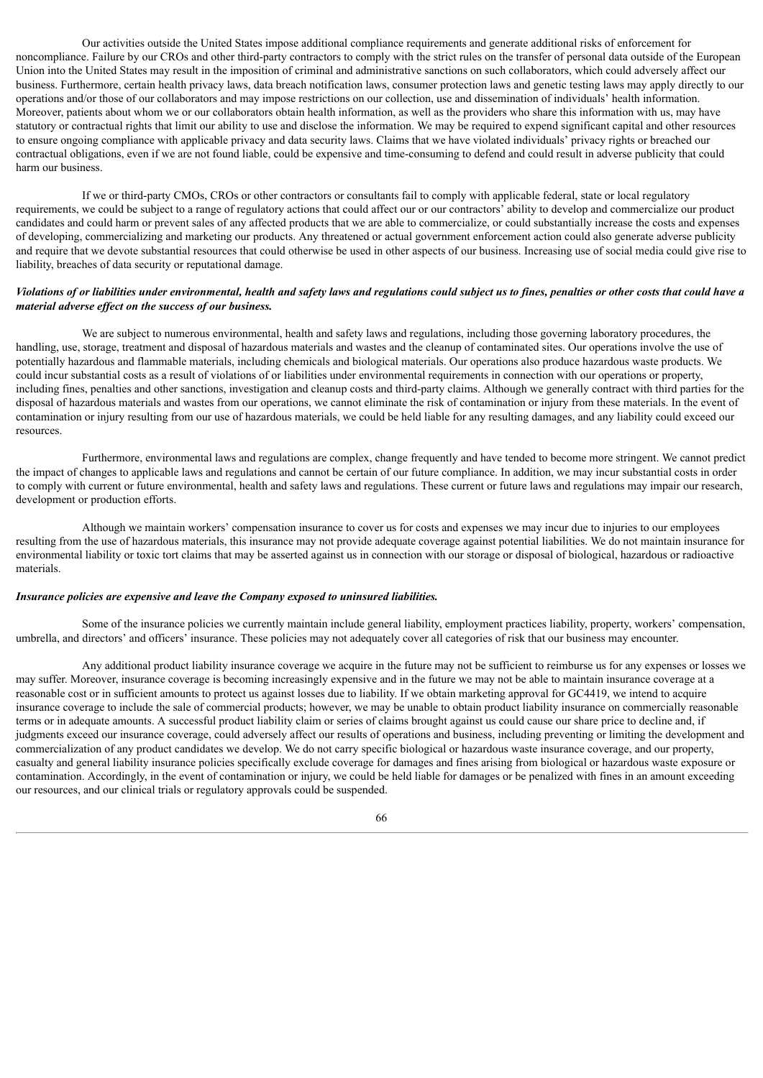Our activities outside the United States impose additional compliance requirements and generate additional risks of enforcement for noncompliance. Failure by our CROs and other third-party contractors to comply with the strict rules on the transfer of personal data outside of the European Union into the United States may result in the imposition of criminal and administrative sanctions on such collaborators, which could adversely affect our business. Furthermore, certain health privacy laws, data breach notification laws, consumer protection laws and genetic testing laws may apply directly to our operations and/or those of our collaborators and may impose restrictions on our collection, use and dissemination of individuals' health information. Moreover, patients about whom we or our collaborators obtain health information, as well as the providers who share this information with us, may have statutory or contractual rights that limit our ability to use and disclose the information. We may be required to expend significant capital and other resources to ensure ongoing compliance with applicable privacy and data security laws. Claims that we have violated individuals' privacy rights or breached our contractual obligations, even if we are not found liable, could be expensive and time-consuming to defend and could result in adverse publicity that could harm our business.

If we or third-party CMOs, CROs or other contractors or consultants fail to comply with applicable federal, state or local regulatory requirements, we could be subject to a range of regulatory actions that could affect our or our contractors' ability to develop and commercialize our product candidates and could harm or prevent sales of any affected products that we are able to commercialize, or could substantially increase the costs and expenses of developing, commercializing and marketing our products. Any threatened or actual government enforcement action could also generate adverse publicity and require that we devote substantial resources that could otherwise be used in other aspects of our business. Increasing use of social media could give rise to liability, breaches of data security or reputational damage.

# Violations of or liabilities under environmental, health and safety laws and regulations could subject us to fines, penalties or other costs that could have a *material adverse ef ect on the success of our business.*

We are subject to numerous environmental, health and safety laws and regulations, including those governing laboratory procedures, the handling, use, storage, treatment and disposal of hazardous materials and wastes and the cleanup of contaminated sites. Our operations involve the use of potentially hazardous and flammable materials, including chemicals and biological materials. Our operations also produce hazardous waste products. We could incur substantial costs as a result of violations of or liabilities under environmental requirements in connection with our operations or property, including fines, penalties and other sanctions, investigation and cleanup costs and third-party claims. Although we generally contract with third parties for the disposal of hazardous materials and wastes from our operations, we cannot eliminate the risk of contamination or injury from these materials. In the event of contamination or injury resulting from our use of hazardous materials, we could be held liable for any resulting damages, and any liability could exceed our resources.

Furthermore, environmental laws and regulations are complex, change frequently and have tended to become more stringent. We cannot predict the impact of changes to applicable laws and regulations and cannot be certain of our future compliance. In addition, we may incur substantial costs in order to comply with current or future environmental, health and safety laws and regulations. These current or future laws and regulations may impair our research, development or production efforts.

Although we maintain workers' compensation insurance to cover us for costs and expenses we may incur due to injuries to our employees resulting from the use of hazardous materials, this insurance may not provide adequate coverage against potential liabilities. We do not maintain insurance for environmental liability or toxic tort claims that may be asserted against us in connection with our storage or disposal of biological, hazardous or radioactive materials.

### *Insurance policies are expensive and leave the Company exposed to uninsured liabilities.*

Some of the insurance policies we currently maintain include general liability, employment practices liability, property, workers' compensation, umbrella, and directors' and officers' insurance. These policies may not adequately cover all categories of risk that our business may encounter.

Any additional product liability insurance coverage we acquire in the future may not be sufficient to reimburse us for any expenses or losses we may suffer. Moreover, insurance coverage is becoming increasingly expensive and in the future we may not be able to maintain insurance coverage at a reasonable cost or in sufficient amounts to protect us against losses due to liability. If we obtain marketing approval for GC4419, we intend to acquire insurance coverage to include the sale of commercial products; however, we may be unable to obtain product liability insurance on commercially reasonable terms or in adequate amounts. A successful product liability claim or series of claims brought against us could cause our share price to decline and, if judgments exceed our insurance coverage, could adversely affect our results of operations and business, including preventing or limiting the development and commercialization of any product candidates we develop. We do not carry specific biological or hazardous waste insurance coverage, and our property, casualty and general liability insurance policies specifically exclude coverage for damages and fines arising from biological or hazardous waste exposure or contamination. Accordingly, in the event of contamination or injury, we could be held liable for damages or be penalized with fines in an amount exceeding our resources, and our clinical trials or regulatory approvals could be suspended.

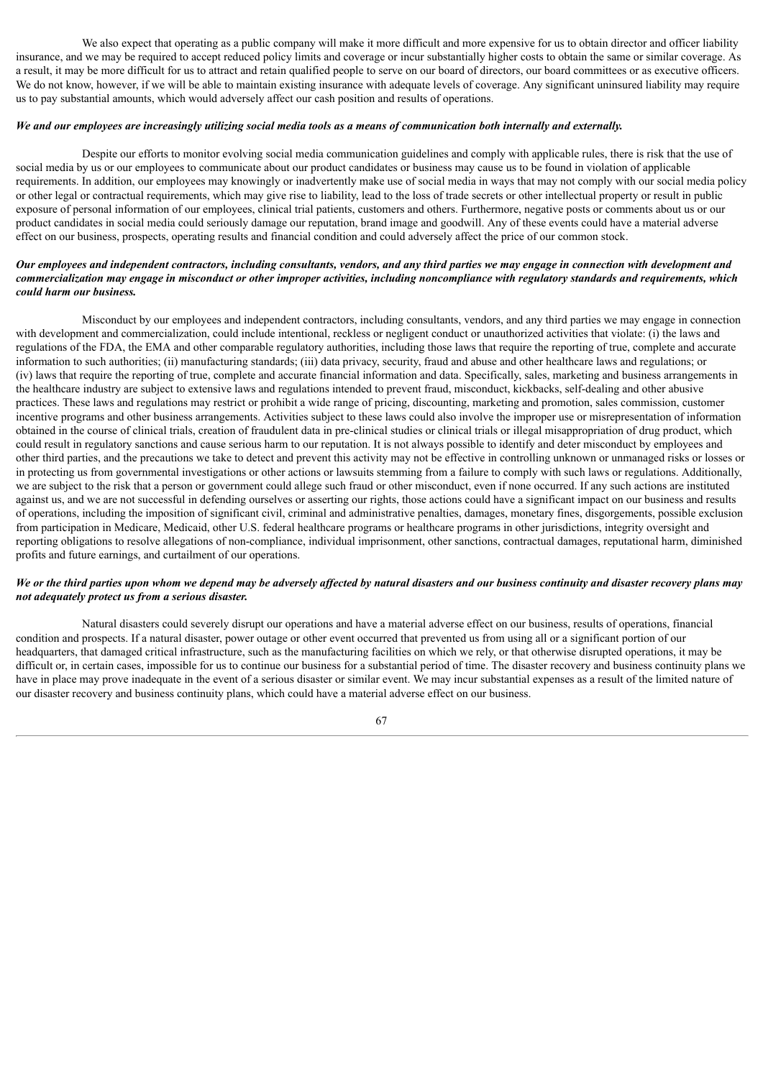We also expect that operating as a public company will make it more difficult and more expensive for us to obtain director and officer liability insurance, and we may be required to accept reduced policy limits and coverage or incur substantially higher costs to obtain the same or similar coverage. As a result, it may be more difficult for us to attract and retain qualified people to serve on our board of directors, our board committees or as executive officers. We do not know, however, if we will be able to maintain existing insurance with adequate levels of coverage. Any significant uninsured liability may require us to pay substantial amounts, which would adversely affect our cash position and results of operations.

### We and our employees are increasingly utilizing social media tools as a means of communication both internally and externally.

Despite our efforts to monitor evolving social media communication guidelines and comply with applicable rules, there is risk that the use of social media by us or our employees to communicate about our product candidates or business may cause us to be found in violation of applicable requirements. In addition, our employees may knowingly or inadvertently make use of social media in ways that may not comply with our social media policy or other legal or contractual requirements, which may give rise to liability, lead to the loss of trade secrets or other intellectual property or result in public exposure of personal information of our employees, clinical trial patients, customers and others. Furthermore, negative posts or comments about us or our product candidates in social media could seriously damage our reputation, brand image and goodwill. Any of these events could have a material adverse effect on our business, prospects, operating results and financial condition and could adversely affect the price of our common stock.

### Our employees and independent contractors, including consultants, vendors, and any third parties we may engage in connection with development and commercialization may engage in misconduct or other improper activities, including noncompliance with regulatory standards and requirements, which *could harm our business.*

Misconduct by our employees and independent contractors, including consultants, vendors, and any third parties we may engage in connection with development and commercialization, could include intentional, reckless or negligent conduct or unauthorized activities that violate: (i) the laws and regulations of the FDA, the EMA and other comparable regulatory authorities, including those laws that require the reporting of true, complete and accurate information to such authorities; (ii) manufacturing standards; (iii) data privacy, security, fraud and abuse and other healthcare laws and regulations; or (iv) laws that require the reporting of true, complete and accurate financial information and data. Specifically, sales, marketing and business arrangements in the healthcare industry are subject to extensive laws and regulations intended to prevent fraud, misconduct, kickbacks, self-dealing and other abusive practices. These laws and regulations may restrict or prohibit a wide range of pricing, discounting, marketing and promotion, sales commission, customer incentive programs and other business arrangements. Activities subject to these laws could also involve the improper use or misrepresentation of information obtained in the course of clinical trials, creation of fraudulent data in pre-clinical studies or clinical trials or illegal misappropriation of drug product, which could result in regulatory sanctions and cause serious harm to our reputation. It is not always possible to identify and deter misconduct by employees and other third parties, and the precautions we take to detect and prevent this activity may not be effective in controlling unknown or unmanaged risks or losses or in protecting us from governmental investigations or other actions or lawsuits stemming from a failure to comply with such laws or regulations. Additionally, we are subject to the risk that a person or government could allege such fraud or other misconduct, even if none occurred. If any such actions are instituted against us, and we are not successful in defending ourselves or asserting our rights, those actions could have a significant impact on our business and results of operations, including the imposition of significant civil, criminal and administrative penalties, damages, monetary fines, disgorgements, possible exclusion from participation in Medicare, Medicaid, other U.S. federal healthcare programs or healthcare programs in other jurisdictions, integrity oversight and reporting obligations to resolve allegations of non-compliance, individual imprisonment, other sanctions, contractual damages, reputational harm, diminished profits and future earnings, and curtailment of our operations.

# We or the third parties upon whom we depend may be adversely affected by natural disasters and our business continuity and disaster recovery plans may *not adequately protect us from a serious disaster.*

Natural disasters could severely disrupt our operations and have a material adverse effect on our business, results of operations, financial condition and prospects. If a natural disaster, power outage or other event occurred that prevented us from using all or a significant portion of our headquarters, that damaged critical infrastructure, such as the manufacturing facilities on which we rely, or that otherwise disrupted operations, it may be difficult or, in certain cases, impossible for us to continue our business for a substantial period of time. The disaster recovery and business continuity plans we have in place may prove inadequate in the event of a serious disaster or similar event. We may incur substantial expenses as a result of the limited nature of our disaster recovery and business continuity plans, which could have a material adverse effect on our business.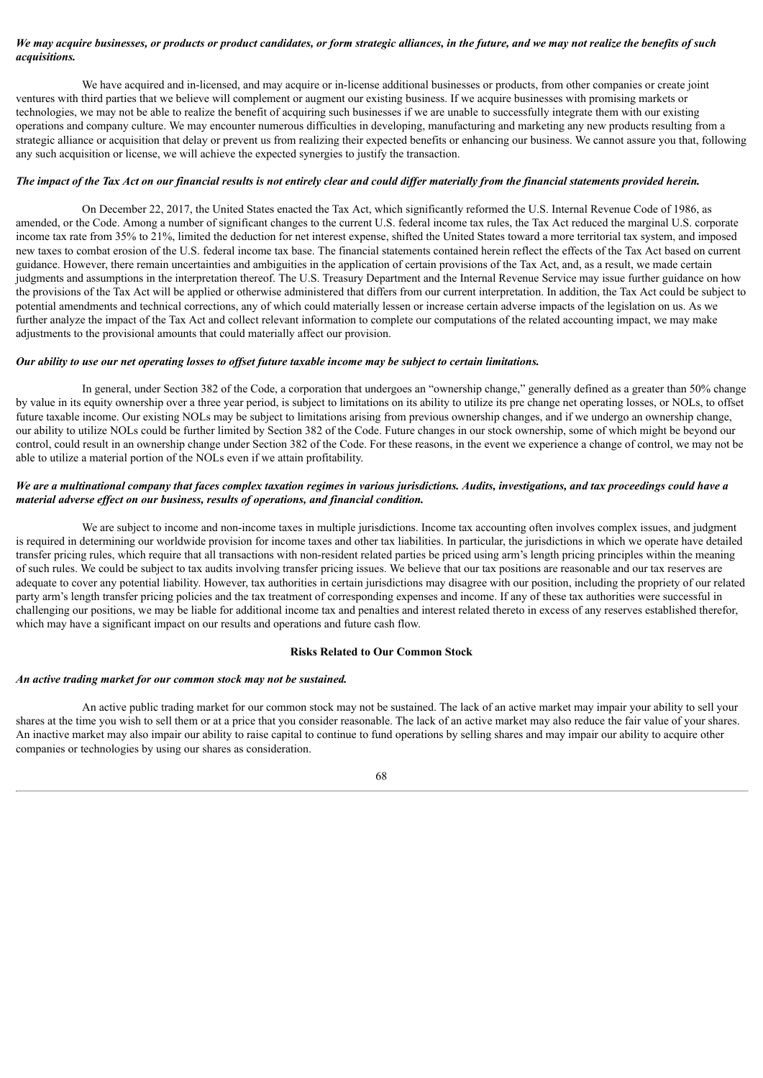# We may acquire businesses, or products or product candidates, or form strategic alliances, in the future, and we may not realize the benefits of such *acquisitions.*

We have acquired and in-licensed, and may acquire or in-license additional businesses or products, from other companies or create joint ventures with third parties that we believe will complement or augment our existing business. If we acquire businesses with promising markets or technologies, we may not be able to realize the benefit of acquiring such businesses if we are unable to successfully integrate them with our existing operations and company culture. We may encounter numerous difficulties in developing, manufacturing and marketing any new products resulting from a strategic alliance or acquisition that delay or prevent us from realizing their expected benefits or enhancing our business. We cannot assure you that, following any such acquisition or license, we will achieve the expected synergies to justify the transaction.

### The impact of the Tax Act on our financial results is not entirely clear and could differ materially from the financial statements provided herein.

On December 22, 2017, the United States enacted the Tax Act, which significantly reformed the U.S. Internal Revenue Code of 1986, as amended, or the Code. Among a number of significant changes to the current U.S. federal income tax rules, the Tax Act reduced the marginal U.S. corporate income tax rate from 35% to 21%, limited the deduction for net interest expense, shifted the United States toward a more territorial tax system, and imposed new taxes to combat erosion of the U.S. federal income tax base. The financial statements contained herein reflect the effects of the Tax Act based on current guidance. However, there remain uncertainties and ambiguities in the application of certain provisions of the Tax Act, and, as a result, we made certain judgments and assumptions in the interpretation thereof. The U.S. Treasury Department and the Internal Revenue Service may issue further guidance on how the provisions of the Tax Act will be applied or otherwise administered that differs from our current interpretation. In addition, the Tax Act could be subject to potential amendments and technical corrections, any of which could materially lessen or increase certain adverse impacts of the legislation on us. As we further analyze the impact of the Tax Act and collect relevant information to complete our computations of the related accounting impact, we may make adjustments to the provisional amounts that could materially affect our provision.

### Our ability to use our net operating losses to offset future taxable income may be subject to certain limitations.

In general, under Section 382 of the Code, a corporation that undergoes an "ownership change," generally defined as a greater than 50% change by value in its equity ownership over a three year period, is subject to limitations on its ability to utilize its pre change net operating losses, or NOLs, to offset future taxable income. Our existing NOLs may be subject to limitations arising from previous ownership changes, and if we undergo an ownership change, our ability to utilize NOLs could be further limited by Section 382 of the Code. Future changes in our stock ownership, some of which might be beyond our control, could result in an ownership change under Section 382 of the Code. For these reasons, in the event we experience a change of control, we may not be able to utilize a material portion of the NOLs even if we attain profitability.

# We are a multinational company that faces complex taxation regimes in various jurisdictions. Audits, investigations, and tax proceedings could have a *material adverse ef ect on our business, results of operations, and financial condition.*

We are subject to income and non-income taxes in multiple jurisdictions. Income tax accounting often involves complex issues, and judgment is required in determining our worldwide provision for income taxes and other tax liabilities. In particular, the jurisdictions in which we operate have detailed transfer pricing rules, which require that all transactions with non-resident related parties be priced using arm's length pricing principles within the meaning of such rules. We could be subject to tax audits involving transfer pricing issues. We believe that our tax positions are reasonable and our tax reserves are adequate to cover any potential liability. However, tax authorities in certain jurisdictions may disagree with our position, including the propriety of our related party arm's length transfer pricing policies and the tax treatment of corresponding expenses and income. If any of these tax authorities were successful in challenging our positions, we may be liable for additional income tax and penalties and interest related thereto in excess of any reserves established therefor, which may have a significant impact on our results and operations and future cash flow.

### **Risks Related to Our Common Stock**

# *An active trading market for our common stock may not be sustained.*

An active public trading market for our common stock may not be sustained. The lack of an active market may impair your ability to sell your shares at the time you wish to sell them or at a price that you consider reasonable. The lack of an active market may also reduce the fair value of your shares. An inactive market may also impair our ability to raise capital to continue to fund operations by selling shares and may impair our ability to acquire other companies or technologies by using our shares as consideration.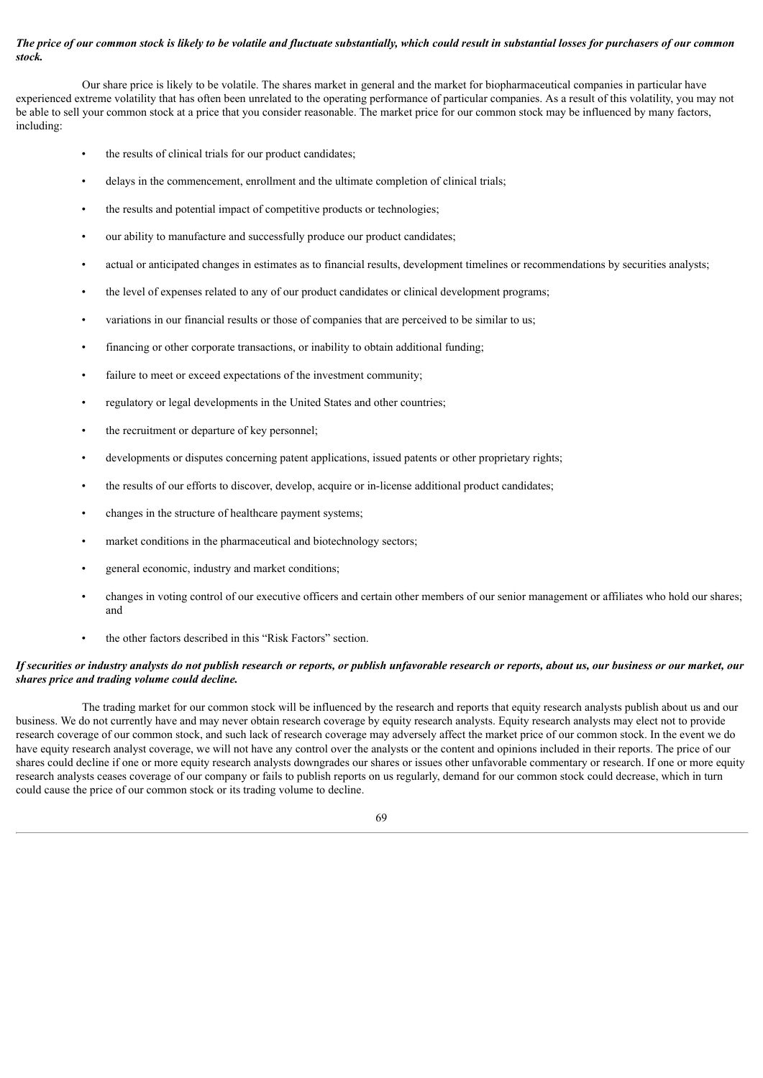### The price of our common stock is likely to be volatile and fluctuate substantially, which could result in substantial losses for purchasers of our common *stock.*

Our share price is likely to be volatile. The shares market in general and the market for biopharmaceutical companies in particular have experienced extreme volatility that has often been unrelated to the operating performance of particular companies. As a result of this volatility, you may not be able to sell your common stock at a price that you consider reasonable. The market price for our common stock may be influenced by many factors, including:

- the results of clinical trials for our product candidates;
- delays in the commencement, enrollment and the ultimate completion of clinical trials;
- the results and potential impact of competitive products or technologies;
- our ability to manufacture and successfully produce our product candidates;
- actual or anticipated changes in estimates as to financial results, development timelines or recommendations by securities analysts;
- the level of expenses related to any of our product candidates or clinical development programs;
- variations in our financial results or those of companies that are perceived to be similar to us;
- financing or other corporate transactions, or inability to obtain additional funding;
- failure to meet or exceed expectations of the investment community;
- regulatory or legal developments in the United States and other countries;
- the recruitment or departure of key personnel:
- developments or disputes concerning patent applications, issued patents or other proprietary rights;
- the results of our efforts to discover, develop, acquire or in-license additional product candidates;
- changes in the structure of healthcare payment systems;
- market conditions in the pharmaceutical and biotechnology sectors;
- general economic, industry and market conditions;
- changes in voting control of our executive officers and certain other members of our senior management or affiliates who hold our shares; and
- the other factors described in this "Risk Factors" section.

# If securities or industry analysts do not publish research or reports, or publish unfavorable research or reports, about us, our business or our market, our *shares price and trading volume could decline.*

The trading market for our common stock will be influenced by the research and reports that equity research analysts publish about us and our business. We do not currently have and may never obtain research coverage by equity research analysts. Equity research analysts may elect not to provide research coverage of our common stock, and such lack of research coverage may adversely affect the market price of our common stock. In the event we do have equity research analyst coverage, we will not have any control over the analysts or the content and opinions included in their reports. The price of our shares could decline if one or more equity research analysts downgrades our shares or issues other unfavorable commentary or research. If one or more equity research analysts ceases coverage of our company or fails to publish reports on us regularly, demand for our common stock could decrease, which in turn could cause the price of our common stock or its trading volume to decline.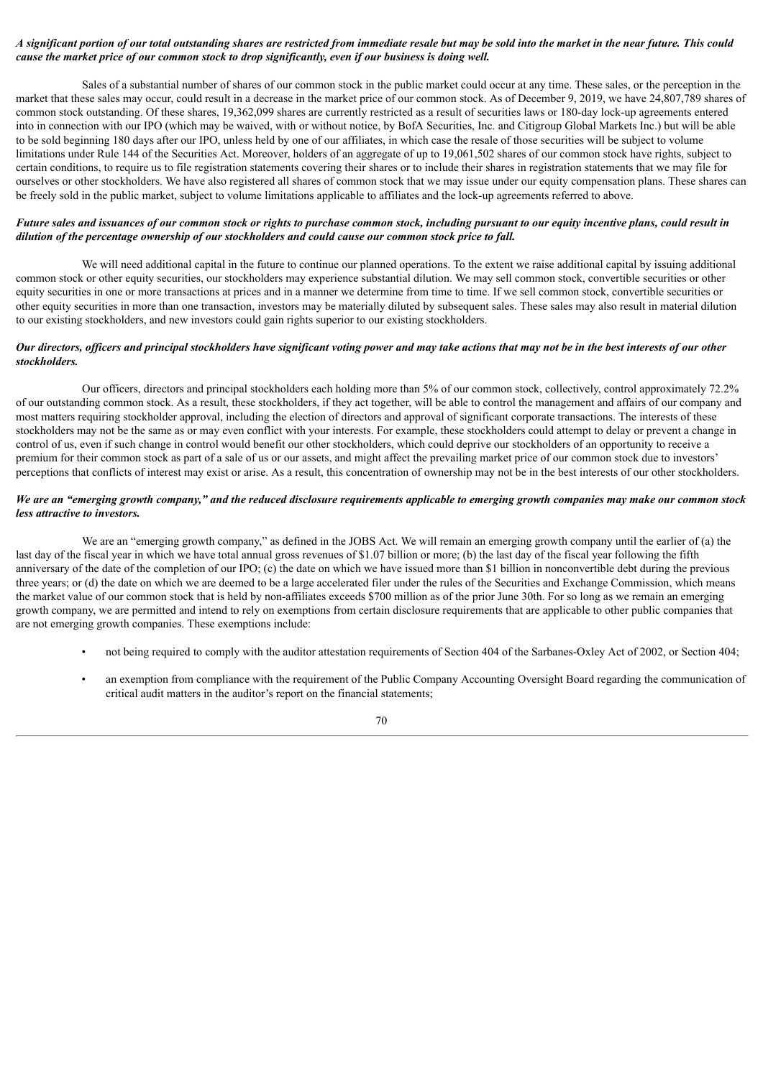# A significant portion of our total outstanding shares are restricted from immediate resale but may be sold into the market in the near future. This could cause the market price of our common stock to drop significantly, even if our business is doing well.

Sales of a substantial number of shares of our common stock in the public market could occur at any time. These sales, or the perception in the market that these sales may occur, could result in a decrease in the market price of our common stock. As of December 9, 2019, we have 24,807,789 shares of common stock outstanding. Of these shares, 19,362,099 shares are currently restricted as a result of securities laws or 180-day lock-up agreements entered into in connection with our IPO (which may be waived, with or without notice, by BofA Securities, Inc. and Citigroup Global Markets Inc.) but will be able to be sold beginning 180 days after our IPO, unless held by one of our affiliates, in which case the resale of those securities will be subject to volume limitations under Rule 144 of the Securities Act. Moreover, holders of an aggregate of up to 19,061,502 shares of our common stock have rights, subject to certain conditions, to require us to file registration statements covering their shares or to include their shares in registration statements that we may file for ourselves or other stockholders. We have also registered all shares of common stock that we may issue under our equity compensation plans. These shares can be freely sold in the public market, subject to volume limitations applicable to affiliates and the lock-up agreements referred to above.

# Future sales and issuances of our common stock or rights to purchase common stock, including pursuant to our equity incentive plans, could result in *dilution of the percentage ownership of our stockholders and could cause our common stock price to fall.*

We will need additional capital in the future to continue our planned operations. To the extent we raise additional capital by issuing additional common stock or other equity securities, our stockholders may experience substantial dilution. We may sell common stock, convertible securities or other equity securities in one or more transactions at prices and in a manner we determine from time to time. If we sell common stock, convertible securities or other equity securities in more than one transaction, investors may be materially diluted by subsequent sales. These sales may also result in material dilution to our existing stockholders, and new investors could gain rights superior to our existing stockholders.

### Our directors, officers and principal stockholders have significant voting power and may take actions that may not be in the best interests of our other *stockholders.*

Our officers, directors and principal stockholders each holding more than 5% of our common stock, collectively, control approximately 72.2% of our outstanding common stock. As a result, these stockholders, if they act together, will be able to control the management and affairs of our company and most matters requiring stockholder approval, including the election of directors and approval of significant corporate transactions. The interests of these stockholders may not be the same as or may even conflict with your interests. For example, these stockholders could attempt to delay or prevent a change in control of us, even if such change in control would benefit our other stockholders, which could deprive our stockholders of an opportunity to receive a premium for their common stock as part of a sale of us or our assets, and might affect the prevailing market price of our common stock due to investors' perceptions that conflicts of interest may exist or arise. As a result, this concentration of ownership may not be in the best interests of our other stockholders.

# We are an "emerging growth company," and the reduced disclosure requirements applicable to emerging growth companies may make our common stock *less attractive to investors.*

We are an "emerging growth company," as defined in the JOBS Act. We will remain an emerging growth company until the earlier of (a) the last day of the fiscal year in which we have total annual gross revenues of \$1.07 billion or more; (b) the last day of the fiscal year following the fifth anniversary of the date of the completion of our IPO; (c) the date on which we have issued more than \$1 billion in nonconvertible debt during the previous three years; or (d) the date on which we are deemed to be a large accelerated filer under the rules of the Securities and Exchange Commission, which means the market value of our common stock that is held by non-affiliates exceeds \$700 million as of the prior June 30th. For so long as we remain an emerging growth company, we are permitted and intend to rely on exemptions from certain disclosure requirements that are applicable to other public companies that are not emerging growth companies. These exemptions include:

- not being required to comply with the auditor attestation requirements of Section 404 of the Sarbanes-Oxley Act of 2002, or Section 404;
- an exemption from compliance with the requirement of the Public Company Accounting Oversight Board regarding the communication of critical audit matters in the auditor's report on the financial statements;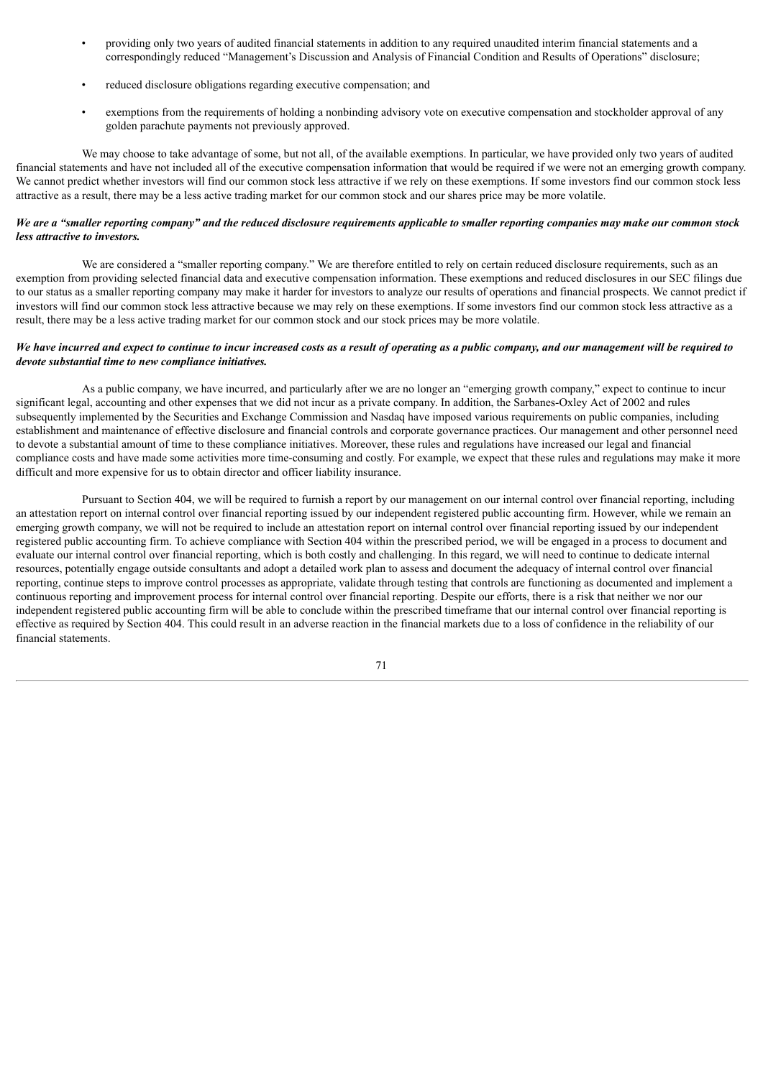- providing only two years of audited financial statements in addition to any required unaudited interim financial statements and a correspondingly reduced "Management's Discussion and Analysis of Financial Condition and Results of Operations" disclosure;
- reduced disclosure obligations regarding executive compensation; and
- exemptions from the requirements of holding a nonbinding advisory vote on executive compensation and stockholder approval of any golden parachute payments not previously approved.

We may choose to take advantage of some, but not all, of the available exemptions. In particular, we have provided only two years of audited financial statements and have not included all of the executive compensation information that would be required if we were not an emerging growth company. We cannot predict whether investors will find our common stock less attractive if we rely on these exemptions. If some investors find our common stock less attractive as a result, there may be a less active trading market for our common stock and our shares price may be more volatile.

# We are a "smaller reporting company" and the reduced disclosure requirements applicable to smaller reporting companies may make our common stock *less attractive to investors.*

We are considered a "smaller reporting company." We are therefore entitled to rely on certain reduced disclosure requirements, such as an exemption from providing selected financial data and executive compensation information. These exemptions and reduced disclosures in our SEC filings due to our status as a smaller reporting company may make it harder for investors to analyze our results of operations and financial prospects. We cannot predict if investors will find our common stock less attractive because we may rely on these exemptions. If some investors find our common stock less attractive as a result, there may be a less active trading market for our common stock and our stock prices may be more volatile.

# We have incurred and expect to continue to incur increased costs as a result of operating as a public company, and our management will be required to *devote substantial time to new compliance initiatives.*

As a public company, we have incurred, and particularly after we are no longer an "emerging growth company," expect to continue to incur significant legal, accounting and other expenses that we did not incur as a private company. In addition, the Sarbanes-Oxley Act of 2002 and rules subsequently implemented by the Securities and Exchange Commission and Nasdaq have imposed various requirements on public companies, including establishment and maintenance of effective disclosure and financial controls and corporate governance practices. Our management and other personnel need to devote a substantial amount of time to these compliance initiatives. Moreover, these rules and regulations have increased our legal and financial compliance costs and have made some activities more time-consuming and costly. For example, we expect that these rules and regulations may make it more difficult and more expensive for us to obtain director and officer liability insurance.

Pursuant to Section 404, we will be required to furnish a report by our management on our internal control over financial reporting, including an attestation report on internal control over financial reporting issued by our independent registered public accounting firm. However, while we remain an emerging growth company, we will not be required to include an attestation report on internal control over financial reporting issued by our independent registered public accounting firm. To achieve compliance with Section 404 within the prescribed period, we will be engaged in a process to document and evaluate our internal control over financial reporting, which is both costly and challenging. In this regard, we will need to continue to dedicate internal resources, potentially engage outside consultants and adopt a detailed work plan to assess and document the adequacy of internal control over financial reporting, continue steps to improve control processes as appropriate, validate through testing that controls are functioning as documented and implement a continuous reporting and improvement process for internal control over financial reporting. Despite our efforts, there is a risk that neither we nor our independent registered public accounting firm will be able to conclude within the prescribed timeframe that our internal control over financial reporting is effective as required by Section 404. This could result in an adverse reaction in the financial markets due to a loss of confidence in the reliability of our financial statements.

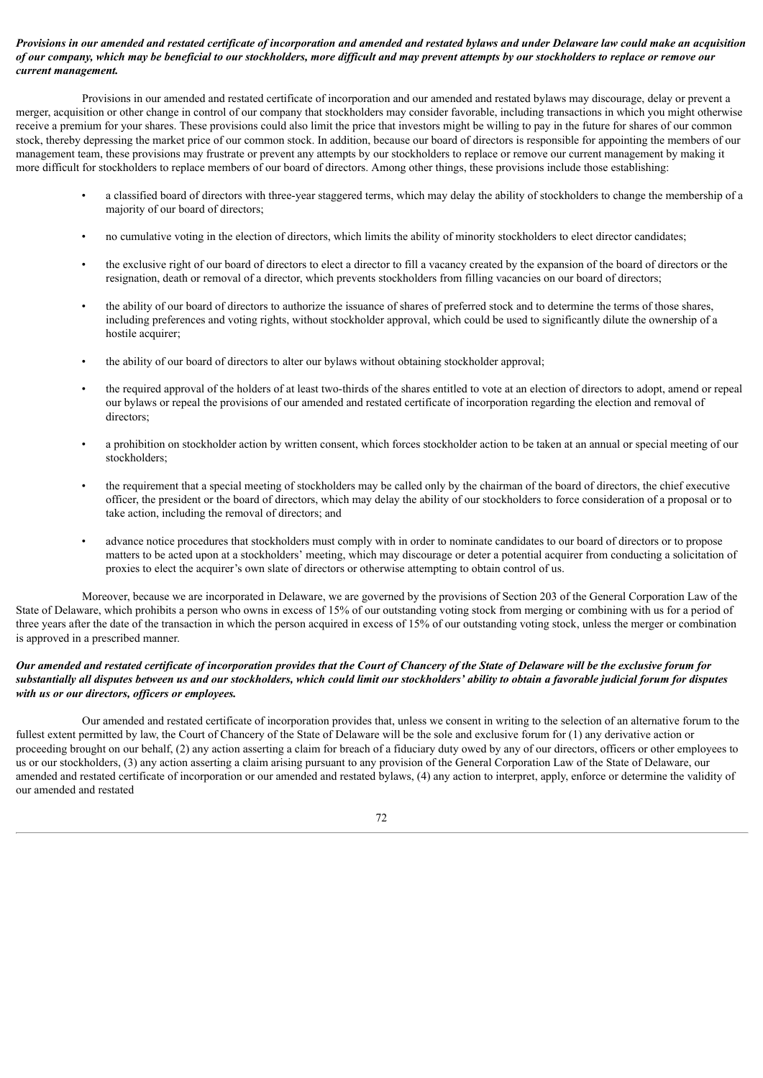### Provisions in our amended and restated certificate of incorporation and amended and restated bylaws and under Delaware law could make an acquisition of our company, which may be beneficial to our stockholders, more difficult and may prevent attempts by our stockholders to replace or remove our *current management.*

Provisions in our amended and restated certificate of incorporation and our amended and restated bylaws may discourage, delay or prevent a merger, acquisition or other change in control of our company that stockholders may consider favorable, including transactions in which you might otherwise receive a premium for your shares. These provisions could also limit the price that investors might be willing to pay in the future for shares of our common stock, thereby depressing the market price of our common stock. In addition, because our board of directors is responsible for appointing the members of our management team, these provisions may frustrate or prevent any attempts by our stockholders to replace or remove our current management by making it more difficult for stockholders to replace members of our board of directors. Among other things, these provisions include those establishing:

- a classified board of directors with three-year staggered terms, which may delay the ability of stockholders to change the membership of a majority of our board of directors;
- no cumulative voting in the election of directors, which limits the ability of minority stockholders to elect director candidates;
- the exclusive right of our board of directors to elect a director to fill a vacancy created by the expansion of the board of directors or the resignation, death or removal of a director, which prevents stockholders from filling vacancies on our board of directors;
- the ability of our board of directors to authorize the issuance of shares of preferred stock and to determine the terms of those shares, including preferences and voting rights, without stockholder approval, which could be used to significantly dilute the ownership of a hostile acquirer;
- the ability of our board of directors to alter our bylaws without obtaining stockholder approval;
- the required approval of the holders of at least two-thirds of the shares entitled to vote at an election of directors to adopt, amend or repeal our bylaws or repeal the provisions of our amended and restated certificate of incorporation regarding the election and removal of directors;
- a prohibition on stockholder action by written consent, which forces stockholder action to be taken at an annual or special meeting of our stockholders;
- the requirement that a special meeting of stockholders may be called only by the chairman of the board of directors, the chief executive officer, the president or the board of directors, which may delay the ability of our stockholders to force consideration of a proposal or to take action, including the removal of directors; and
- advance notice procedures that stockholders must comply with in order to nominate candidates to our board of directors or to propose matters to be acted upon at a stockholders' meeting, which may discourage or deter a potential acquirer from conducting a solicitation of proxies to elect the acquirer's own slate of directors or otherwise attempting to obtain control of us.

Moreover, because we are incorporated in Delaware, we are governed by the provisions of Section 203 of the General Corporation Law of the State of Delaware, which prohibits a person who owns in excess of 15% of our outstanding voting stock from merging or combining with us for a period of three years after the date of the transaction in which the person acquired in excess of 15% of our outstanding voting stock, unless the merger or combination is approved in a prescribed manner.

### Our amended and restated certificate of incorporation provides that the Court of Chancery of the State of Delaware will be the exclusive forum for substantially all disputes between us and our stockholders, which could limit our stockholders' ability to obtain a favorable judicial forum for disputes *with us or our directors, of icers or employees.*

Our amended and restated certificate of incorporation provides that, unless we consent in writing to the selection of an alternative forum to the fullest extent permitted by law, the Court of Chancery of the State of Delaware will be the sole and exclusive forum for (1) any derivative action or proceeding brought on our behalf, (2) any action asserting a claim for breach of a fiduciary duty owed by any of our directors, officers or other employees to us or our stockholders, (3) any action asserting a claim arising pursuant to any provision of the General Corporation Law of the State of Delaware, our amended and restated certificate of incorporation or our amended and restated bylaws, (4) any action to interpret, apply, enforce or determine the validity of our amended and restated

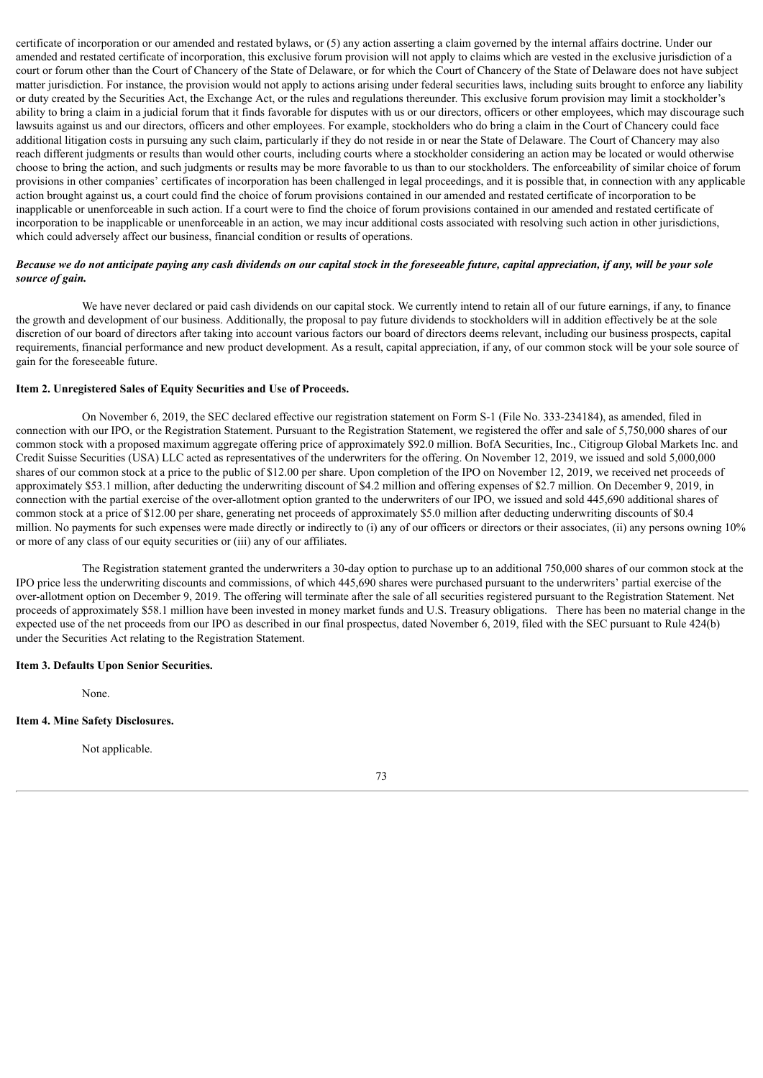certificate of incorporation or our amended and restated bylaws, or (5) any action asserting a claim governed by the internal affairs doctrine. Under our amended and restated certificate of incorporation, this exclusive forum provision will not apply to claims which are vested in the exclusive jurisdiction of a court or forum other than the Court of Chancery of the State of Delaware, or for which the Court of Chancery of the State of Delaware does not have subject matter jurisdiction. For instance, the provision would not apply to actions arising under federal securities laws, including suits brought to enforce any liability or duty created by the Securities Act, the Exchange Act, or the rules and regulations thereunder. This exclusive forum provision may limit a stockholder's ability to bring a claim in a judicial forum that it finds favorable for disputes with us or our directors, officers or other employees, which may discourage such lawsuits against us and our directors, officers and other employees. For example, stockholders who do bring a claim in the Court of Chancery could face additional litigation costs in pursuing any such claim, particularly if they do not reside in or near the State of Delaware. The Court of Chancery may also reach different judgments or results than would other courts, including courts where a stockholder considering an action may be located or would otherwise choose to bring the action, and such judgments or results may be more favorable to us than to our stockholders. The enforceability of similar choice of forum provisions in other companies' certificates of incorporation has been challenged in legal proceedings, and it is possible that, in connection with any applicable action brought against us, a court could find the choice of forum provisions contained in our amended and restated certificate of incorporation to be inapplicable or unenforceable in such action. If a court were to find the choice of forum provisions contained in our amended and restated certificate of incorporation to be inapplicable or unenforceable in an action, we may incur additional costs associated with resolving such action in other jurisdictions, which could adversely affect our business, financial condition or results of operations.

### Because we do not anticipate paying any cash dividends on our capital stock in the foreseeable future, capital appreciation, if any, will be your sole *source of gain.*

We have never declared or paid cash dividends on our capital stock. We currently intend to retain all of our future earnings, if any, to finance the growth and development of our business. Additionally, the proposal to pay future dividends to stockholders will in addition effectively be at the sole discretion of our board of directors after taking into account various factors our board of directors deems relevant, including our business prospects, capital requirements, financial performance and new product development. As a result, capital appreciation, if any, of our common stock will be your sole source of gain for the foreseeable future.

# **Item 2. Unregistered Sales of Equity Securities and Use of Proceeds.**

On November 6, 2019, the SEC declared effective our registration statement on Form S-1 (File No. 333-234184), as amended, filed in connection with our IPO, or the Registration Statement. Pursuant to the Registration Statement, we registered the offer and sale of 5,750,000 shares of our common stock with a proposed maximum aggregate offering price of approximately \$92.0 million. BofA Securities, Inc., Citigroup Global Markets Inc. and Credit Suisse Securities (USA) LLC acted as representatives of the underwriters for the offering. On November 12, 2019, we issued and sold 5,000,000 shares of our common stock at a price to the public of \$12.00 per share. Upon completion of the IPO on November 12, 2019, we received net proceeds of approximately \$53.1 million, after deducting the underwriting discount of \$4.2 million and offering expenses of \$2.7 million. On December 9, 2019, in connection with the partial exercise of the over-allotment option granted to the underwriters of our IPO, we issued and sold 445,690 additional shares of common stock at a price of \$12.00 per share, generating net proceeds of approximately \$5.0 million after deducting underwriting discounts of \$0.4 million. No payments for such expenses were made directly or indirectly to (i) any of our officers or directors or their associates, (ii) any persons owning 10% or more of any class of our equity securities or (iii) any of our affiliates.

The Registration statement granted the underwriters a 30-day option to purchase up to an additional 750,000 shares of our common stock at the IPO price less the underwriting discounts and commissions, of which 445,690 shares were purchased pursuant to the underwriters' partial exercise of the over-allotment option on December 9, 2019. The offering will terminate after the sale of all securities registered pursuant to the Registration Statement. Net proceeds of approximately \$58.1 million have been invested in money market funds and U.S. Treasury obligations. There has been no material change in the expected use of the net proceeds from our IPO as described in our final prospectus, dated November 6, 2019, filed with the SEC pursuant to Rule 424(b) under the Securities Act relating to the Registration Statement.

### **Item 3. Defaults Upon Senior Securities.**

None.

### **Item 4. Mine Safety Disclosures.**

Not applicable.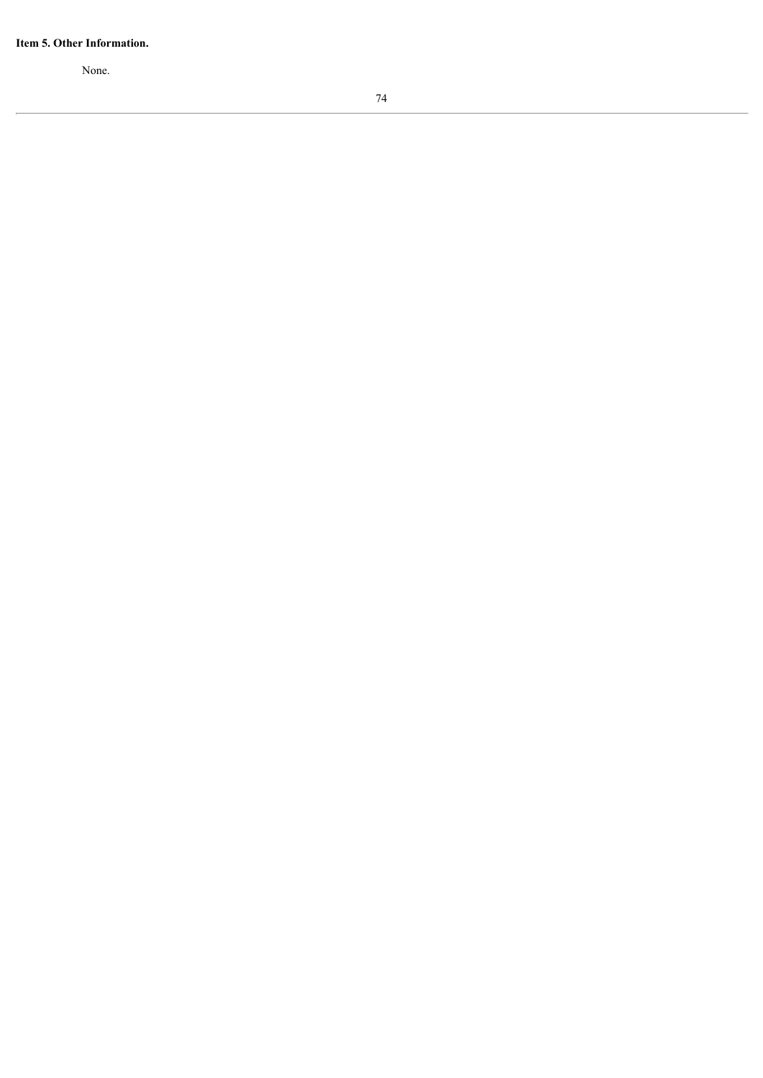#### Item 5. Other Information.

None.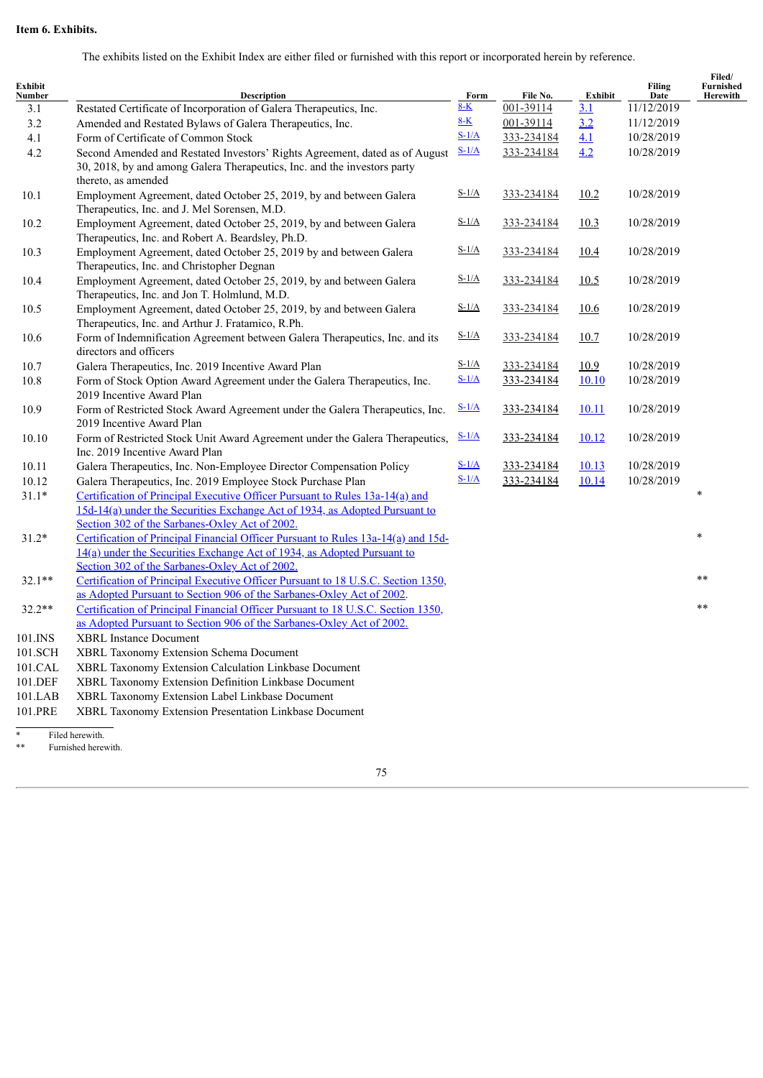# **Item 6. Exhibits.**

The exhibits listed on the Exhibit Index are either filed or furnished with this report or incorporated herein by reference.

| Exhibit<br>Number | <b>Description</b>                                                                                                                                                                                             | Form    | File No.   | Exhibit          | <b>Filing</b><br>Date | Filed/<br><b>Furnished</b><br>Herewith |
|-------------------|----------------------------------------------------------------------------------------------------------------------------------------------------------------------------------------------------------------|---------|------------|------------------|-----------------------|----------------------------------------|
| 3.1               | Restated Certificate of Incorporation of Galera Therapeutics, Inc.                                                                                                                                             | $8-K$   | 001-39114  | $\overline{3.1}$ | 11/12/2019            |                                        |
| 3.2               | Amended and Restated Bylaws of Galera Therapeutics, Inc.                                                                                                                                                       | $8-K$   | 001-39114  | 3.2              | 11/12/2019            |                                        |
| 4.1               | Form of Certificate of Common Stock                                                                                                                                                                            | $S-1/A$ | 333-234184 | 4.1              | 10/28/2019            |                                        |
| 4.2               | Second Amended and Restated Investors' Rights Agreement, dated as of August<br>30, 2018, by and among Galera Therapeutics, Inc. and the investors party<br>thereto, as amended                                 | $S-1/A$ | 333-234184 | 4.2              | 10/28/2019            |                                        |
| 10.1              | Employment Agreement, dated October 25, 2019, by and between Galera<br>Therapeutics, Inc. and J. Mel Sorensen, M.D.                                                                                            | $S-1/A$ | 333-234184 | 10.2             | 10/28/2019            |                                        |
| 10.2              | Employment Agreement, dated October 25, 2019, by and between Galera<br>Therapeutics, Inc. and Robert A. Beardsley, Ph.D.                                                                                       | $S-1/A$ | 333-234184 | 10.3             | 10/28/2019            |                                        |
| 10.3              | Employment Agreement, dated October 25, 2019 by and between Galera<br>Therapeutics, Inc. and Christopher Degnan                                                                                                | $S-1/A$ | 333-234184 | 10.4             | 10/28/2019            |                                        |
| 10.4              | Employment Agreement, dated October 25, 2019, by and between Galera<br>Therapeutics, Inc. and Jon T. Holmlund, M.D.                                                                                            | $S-1/A$ | 333-234184 | 10.5             | 10/28/2019            |                                        |
| 10.5              | Employment Agreement, dated October 25, 2019, by and between Galera<br>Therapeutics, Inc. and Arthur J. Fratamico, R.Ph.                                                                                       | $S-1/A$ | 333-234184 | <u>10.6</u>      | 10/28/2019            |                                        |
| 10.6              | Form of Indemnification Agreement between Galera Therapeutics, Inc. and its<br>directors and officers                                                                                                          | $S-1/A$ | 333-234184 | 10.7             | 10/28/2019            |                                        |
| 10.7              | Galera Therapeutics, Inc. 2019 Incentive Award Plan                                                                                                                                                            | $S-1/A$ | 333-234184 | 10.9             | 10/28/2019            |                                        |
| 10.8              | Form of Stock Option Award Agreement under the Galera Therapeutics, Inc.<br>2019 Incentive Award Plan                                                                                                          | $S-1/A$ | 333-234184 | 10.10            | 10/28/2019            |                                        |
| 10.9              | Form of Restricted Stock Award Agreement under the Galera Therapeutics, Inc.<br>2019 Incentive Award Plan                                                                                                      | $S-1/A$ | 333-234184 | <u>10.11</u>     | 10/28/2019            |                                        |
| 10.10             | Form of Restricted Stock Unit Award Agreement under the Galera Therapeutics,<br>Inc. 2019 Incentive Award Plan                                                                                                 | $S-1/A$ | 333-234184 | 10.12            | 10/28/2019            |                                        |
| 10.11             | Galera Therapeutics, Inc. Non-Employee Director Compensation Policy                                                                                                                                            | $S-1/A$ | 333-234184 | 10.13            | 10/28/2019            |                                        |
| 10.12             | Galera Therapeutics, Inc. 2019 Employee Stock Purchase Plan                                                                                                                                                    | $S-1/A$ | 333-234184 | 10.14            | 10/28/2019            |                                        |
| $31.1*$           | Certification of Principal Executive Officer Pursuant to Rules 13a-14(a) and<br>15d-14(a) under the Securities Exchange Act of 1934, as Adopted Pursuant to                                                    |         |            |                  |                       |                                        |
| $31.2*$           | Section 302 of the Sarbanes-Oxley Act of 2002.<br>Certification of Principal Financial Officer Pursuant to Rules 13a-14(a) and 15d-<br>14(a) under the Securities Exchange Act of 1934, as Adopted Pursuant to |         |            |                  |                       | $\ast$                                 |
| $32.1**$          | Section 302 of the Sarbanes-Oxley Act of 2002.<br>Certification of Principal Executive Officer Pursuant to 18 U.S.C. Section 1350,<br>as Adopted Pursuant to Section 906 of the Sarbanes-Oxley Act of 2002.    |         |            |                  |                       | $* *$                                  |
| $32.2**$          | Certification of Principal Financial Officer Pursuant to 18 U.S.C. Section 1350,<br>as Adopted Pursuant to Section 906 of the Sarbanes-Oxley Act of 2002.                                                      |         |            |                  |                       | $**$                                   |
| 101.INS           | <b>XBRL Instance Document</b>                                                                                                                                                                                  |         |            |                  |                       |                                        |
| 101.SCH           | XBRL Taxonomy Extension Schema Document                                                                                                                                                                        |         |            |                  |                       |                                        |
| 101.CAL           | XBRL Taxonomy Extension Calculation Linkbase Document                                                                                                                                                          |         |            |                  |                       |                                        |
| 101.DEF           | XBRL Taxonomy Extension Definition Linkbase Document                                                                                                                                                           |         |            |                  |                       |                                        |
| 101.LAB           | XBRL Taxonomy Extension Label Linkbase Document                                                                                                                                                                |         |            |                  |                       |                                        |
| 101.PRE           | XBRL Taxonomy Extension Presentation Linkbase Document                                                                                                                                                         |         |            |                  |                       |                                        |
|                   | Eilad horowith                                                                                                                                                                                                 |         |            |                  |                       |                                        |

\* Filed herewith.

\*\* Furnished herewith.

75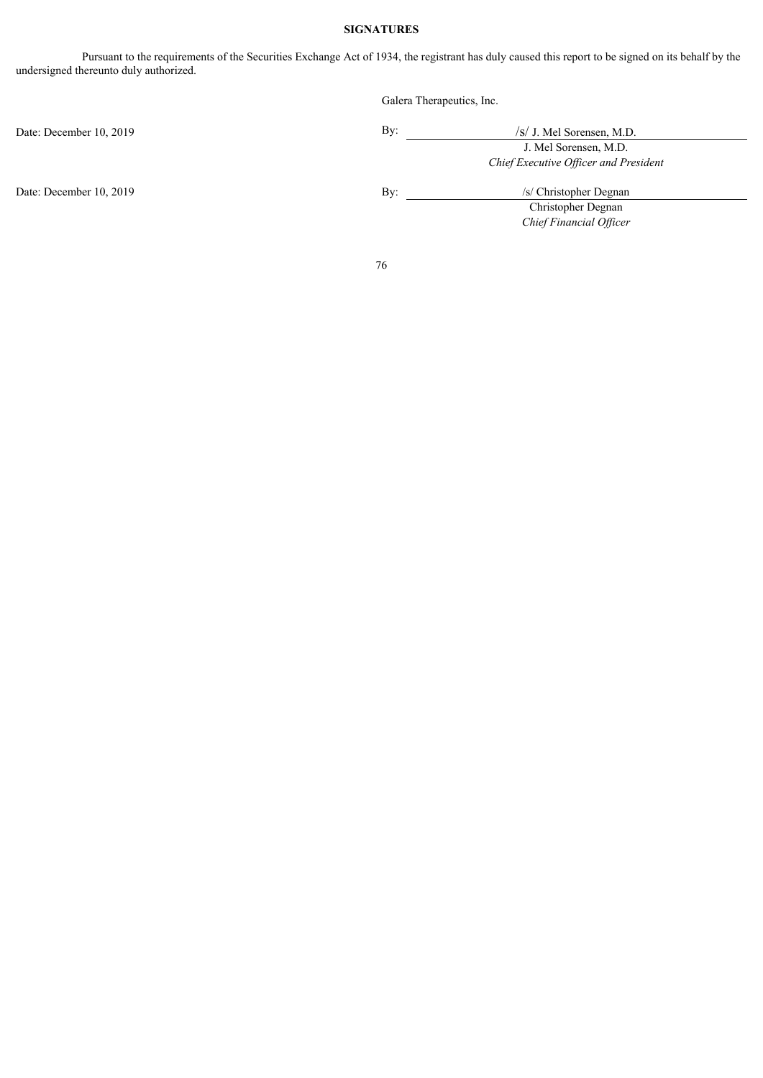# **SIGNATURES**

Pursuant to the requirements of the Securities Exchange Act of 1934, the registrant has duly caused this report to be signed on its behalf by the undersigned thereunto duly authorized.

|                         | Galera Therapeutics, Inc. |                                       |  |  |
|-------------------------|---------------------------|---------------------------------------|--|--|
| Date: December 10, 2019 | By:                       | /s/ J. Mel Sorensen, M.D.             |  |  |
|                         |                           | J. Mel Sorensen, M.D.                 |  |  |
|                         |                           | Chief Executive Officer and President |  |  |
| Date: December 10, 2019 | By:                       | /s/ Christopher Degnan                |  |  |
|                         |                           | Christopher Degnan                    |  |  |
|                         |                           | Chief Financial Officer               |  |  |
|                         | 76                        |                                       |  |  |
|                         |                           |                                       |  |  |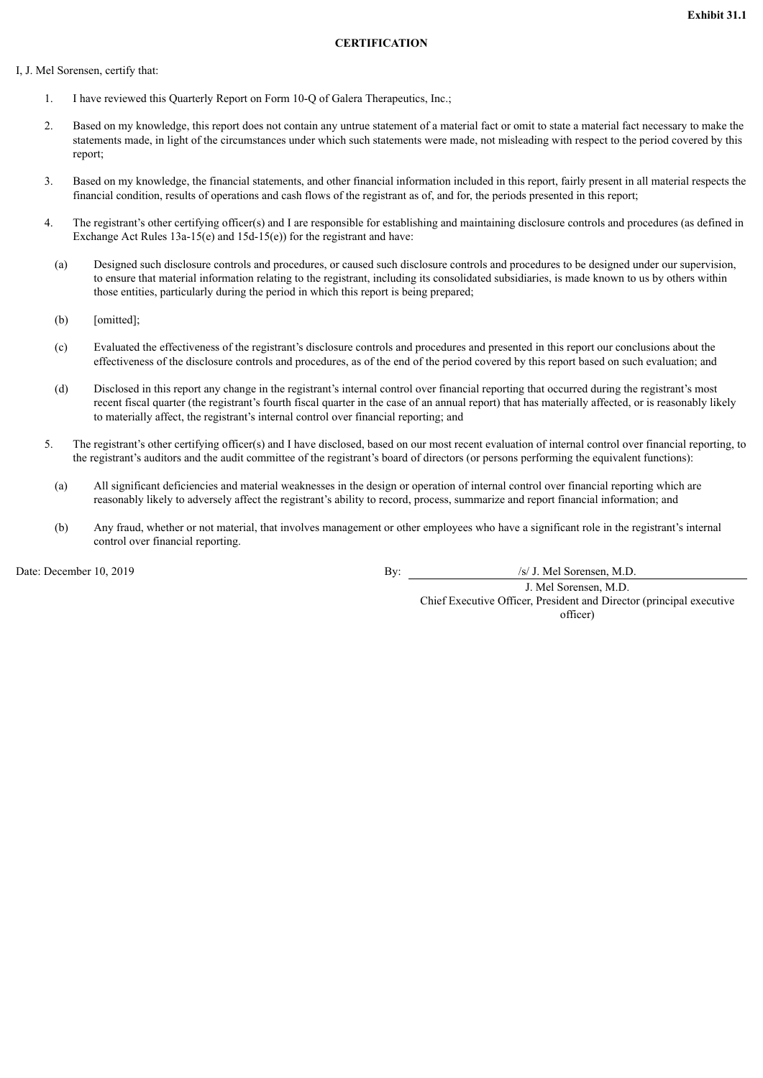### **CERTIFICATION**

### <span id="page-77-0"></span>I, J. Mel Sorensen, certify that:

- 1. I have reviewed this Quarterly Report on Form 10-Q of Galera Therapeutics, Inc.;
- 2. Based on my knowledge, this report does not contain any untrue statement of a material fact or omit to state a material fact necessary to make the statements made, in light of the circumstances under which such statements were made, not misleading with respect to the period covered by this report;
- 3. Based on my knowledge, the financial statements, and other financial information included in this report, fairly present in all material respects the financial condition, results of operations and cash flows of the registrant as of, and for, the periods presented in this report;
- 4. The registrant's other certifying officer(s) and I are responsible for establishing and maintaining disclosure controls and procedures (as defined in Exchange Act Rules 13a-15(e) and 15d-15(e)) for the registrant and have:
	- (a) Designed such disclosure controls and procedures, or caused such disclosure controls and procedures to be designed under our supervision, to ensure that material information relating to the registrant, including its consolidated subsidiaries, is made known to us by others within those entities, particularly during the period in which this report is being prepared;
	- (b) [omitted];
	- (c) Evaluated the effectiveness of the registrant's disclosure controls and procedures and presented in this report our conclusions about the effectiveness of the disclosure controls and procedures, as of the end of the period covered by this report based on such evaluation; and
	- (d) Disclosed in this report any change in the registrant's internal control over financial reporting that occurred during the registrant's most recent fiscal quarter (the registrant's fourth fiscal quarter in the case of an annual report) that has materially affected, or is reasonably likely to materially affect, the registrant's internal control over financial reporting; and
- 5. The registrant's other certifying officer(s) and I have disclosed, based on our most recent evaluation of internal control over financial reporting, to the registrant's auditors and the audit committee of the registrant's board of directors (or persons performing the equivalent functions):
	- (a) All significant deficiencies and material weaknesses in the design or operation of internal control over financial reporting which are reasonably likely to adversely affect the registrant's ability to record, process, summarize and report financial information; and
	- (b) Any fraud, whether or not material, that involves management or other employees who have a significant role in the registrant's internal control over financial reporting.

Date: December 10, 2019 By: *By: By: S/ J. Mel Sorensen, M.D.* 

J. Mel Sorensen, M.D. Chief Executive Officer, President and Director (principal executive officer)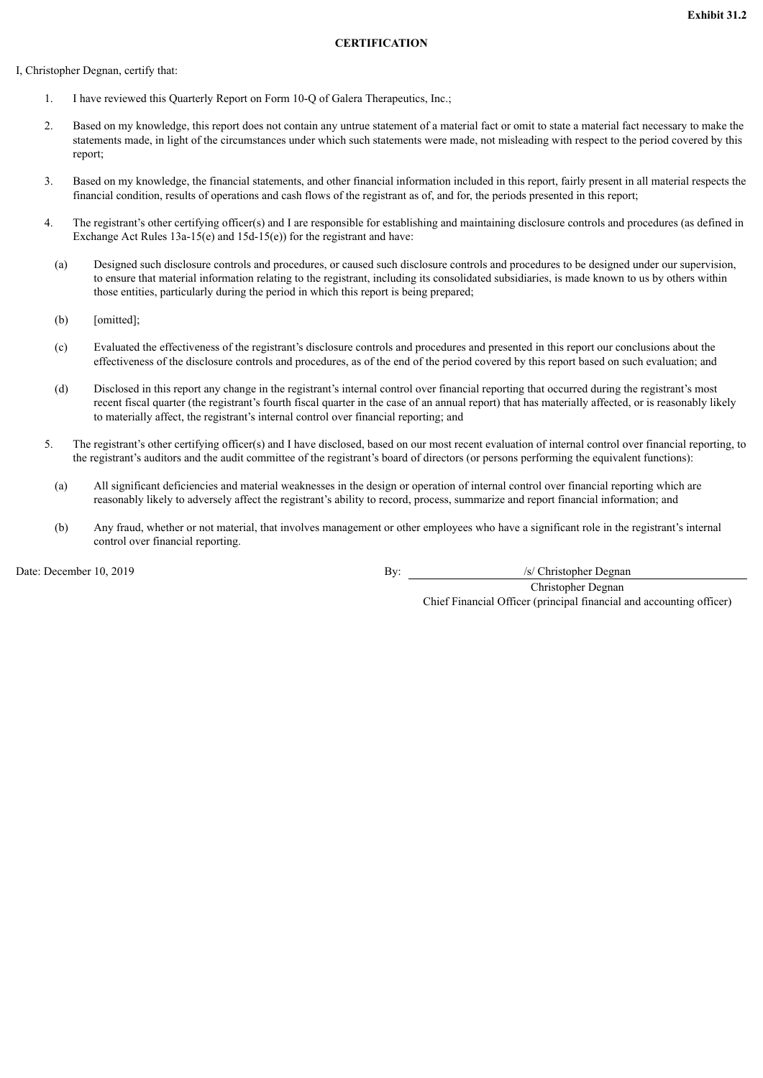# **CERTIFICATION**

<span id="page-78-0"></span>I, Christopher Degnan, certify that:

- 1. I have reviewed this Quarterly Report on Form 10-Q of Galera Therapeutics, Inc.;
- 2. Based on my knowledge, this report does not contain any untrue statement of a material fact or omit to state a material fact necessary to make the statements made, in light of the circumstances under which such statements were made, not misleading with respect to the period covered by this report;
- 3. Based on my knowledge, the financial statements, and other financial information included in this report, fairly present in all material respects the financial condition, results of operations and cash flows of the registrant as of, and for, the periods presented in this report;
- 4. The registrant's other certifying officer(s) and I are responsible for establishing and maintaining disclosure controls and procedures (as defined in Exchange Act Rules 13a-15(e) and 15d-15(e)) for the registrant and have:
	- (a) Designed such disclosure controls and procedures, or caused such disclosure controls and procedures to be designed under our supervision, to ensure that material information relating to the registrant, including its consolidated subsidiaries, is made known to us by others within those entities, particularly during the period in which this report is being prepared;
	- (b) [omitted];
	- (c) Evaluated the effectiveness of the registrant's disclosure controls and procedures and presented in this report our conclusions about the effectiveness of the disclosure controls and procedures, as of the end of the period covered by this report based on such evaluation; and
	- (d) Disclosed in this report any change in the registrant's internal control over financial reporting that occurred during the registrant's most recent fiscal quarter (the registrant's fourth fiscal quarter in the case of an annual report) that has materially affected, or is reasonably likely to materially affect, the registrant's internal control over financial reporting; and
- 5. The registrant's other certifying officer(s) and I have disclosed, based on our most recent evaluation of internal control over financial reporting, to the registrant's auditors and the audit committee of the registrant's board of directors (or persons performing the equivalent functions):
	- (a) All significant deficiencies and material weaknesses in the design or operation of internal control over financial reporting which are reasonably likely to adversely affect the registrant's ability to record, process, summarize and report financial information; and
	- (b) Any fraud, whether or not material, that involves management or other employees who have a significant role in the registrant's internal control over financial reporting.

Date: December 10, 2019 **By:** /s/ Christopher Degnan

Christopher Degnan Chief Financial Officer (principal financial and accounting officer)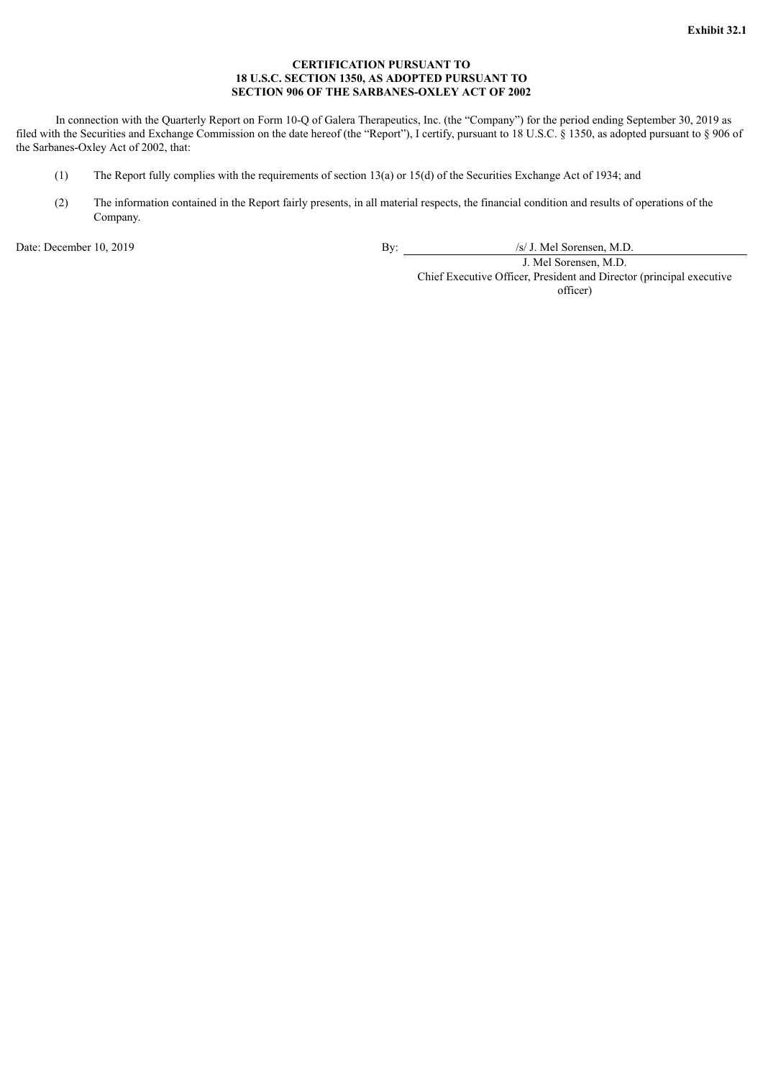# **CERTIFICATION PURSUANT TO 18 U.S.C. SECTION 1350, AS ADOPTED PURSUANT TO SECTION 906 OF THE SARBANES-OXLEY ACT OF 2002**

<span id="page-79-0"></span>In connection with the Quarterly Report on Form 10-Q of Galera Therapeutics, Inc. (the "Company") for the period ending September 30, 2019 as filed with the Securities and Exchange Commission on the date hereof (the "Report"), I certify, pursuant to 18 U.S.C. § 1350, as adopted pursuant to § 906 of the Sarbanes-Oxley Act of 2002, that:

- (1) The Report fully complies with the requirements of section 13(a) or 15(d) of the Securities Exchange Act of 1934; and
- (2) The information contained in the Report fairly presents, in all material respects, the financial condition and results of operations of the Company.

Date: December 10, 2019 By: /s/ J. Mel Sorensen, M.D.

J. Mel Sorensen, M.D.

Chief Executive Officer, President and Director (principal executive officer)